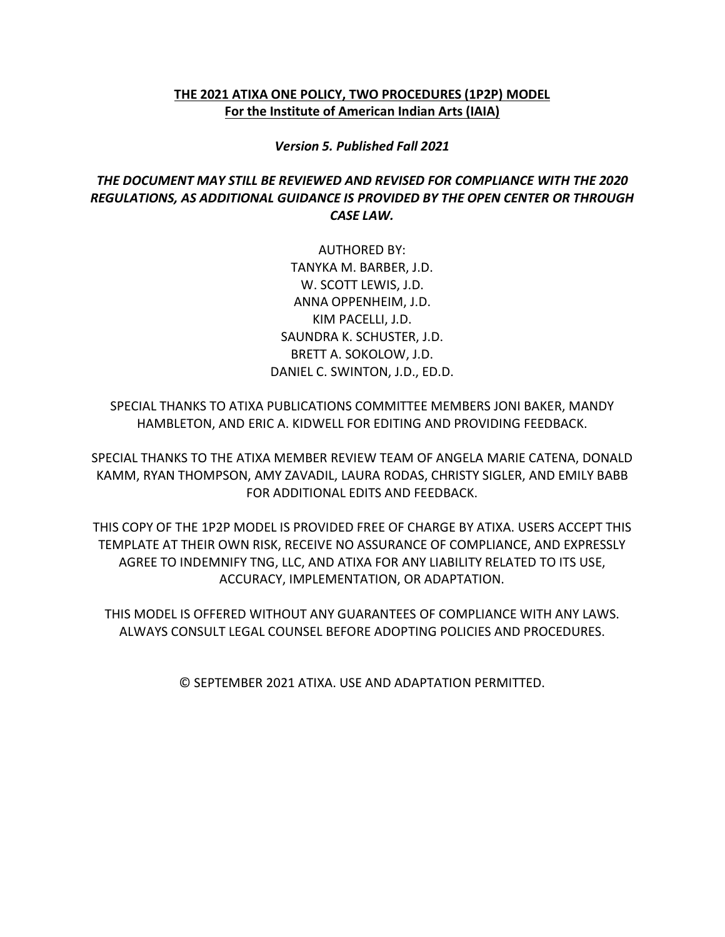### **THE 2021 ATIXA ONE POLICY, TWO PROCEDURES (1P2P) MODEL For the Institute of American Indian Arts (IAIA)**

*Version 5. Published Fall 2021*

### *THE DOCUMENT MAY STILL BE REVIEWED AND REVISED FOR COMPLIANCE WITH THE 2020 REGULATIONS, AS ADDITIONAL GUIDANCE IS PROVIDED BY THE OPEN CENTER OR THROUGH CASE LAW.*

AUTHORED BY: TANYKA M. BARBER, J.D. W. SCOTT LEWIS, J.D. ANNA OPPENHEIM, J.D. KIM PACELLI, J.D. SAUNDRA K. SCHUSTER, J.D. BRETT A. SOKOLOW, J.D. DANIEL C. SWINTON, J.D., ED.D.

SPECIAL THANKS TO ATIXA PUBLICATIONS COMMITTEE MEMBERS JONI BAKER, MANDY HAMBLETON, AND ERIC A. KIDWELL FOR EDITING AND PROVIDING FEEDBACK.

SPECIAL THANKS TO THE ATIXA MEMBER REVIEW TEAM OF ANGELA MARIE CATENA, DONALD KAMM, RYAN THOMPSON, AMY ZAVADIL, LAURA RODAS, CHRISTY SIGLER, AND EMILY BABB FOR ADDITIONAL EDITS AND FEEDBACK.

THIS COPY OF THE 1P2P MODEL IS PROVIDED FREE OF CHARGE BY ATIXA. USERS ACCEPT THIS TEMPLATE AT THEIR OWN RISK, RECEIVE NO ASSURANCE OF COMPLIANCE, AND EXPRESSLY AGREE TO INDEMNIFY TNG, LLC, AND ATIXA FOR ANY LIABILITY RELATED TO ITS USE, ACCURACY, IMPLEMENTATION, OR ADAPTATION.

THIS MODEL IS OFFERED WITHOUT ANY GUARANTEES OF COMPLIANCE WITH ANY LAWS. ALWAYS CONSULT LEGAL COUNSEL BEFORE ADOPTING POLICIES AND PROCEDURES.

© SEPTEMBER 2021 ATIXA. USE AND ADAPTATION PERMITTED.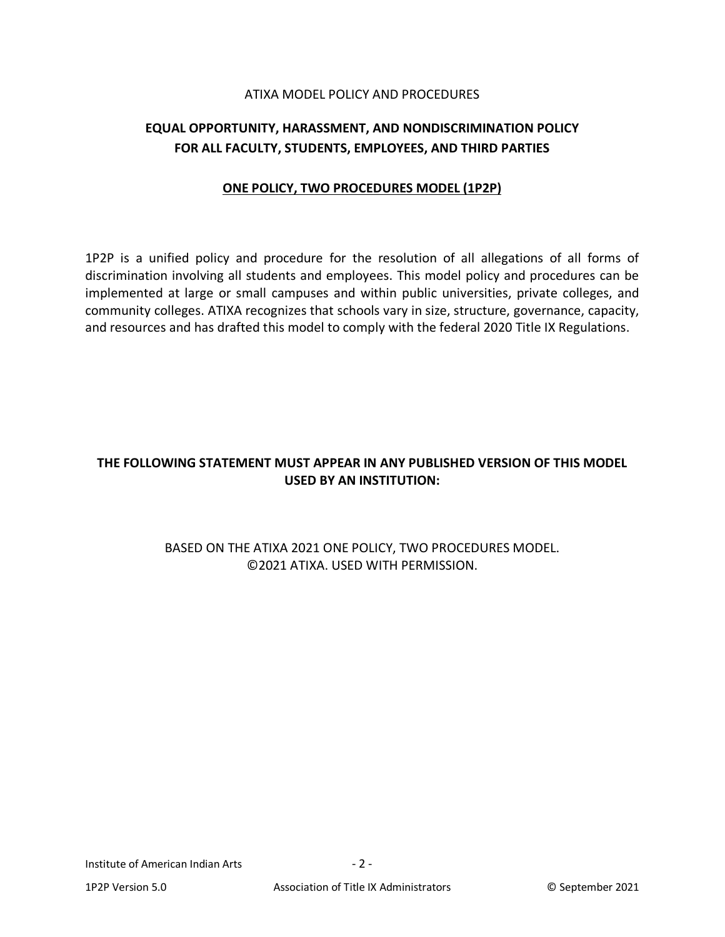#### ATIXA MODEL POLICY AND PROCEDURES

# **EQUAL OPPORTUNITY, HARASSMENT, AND NONDISCRIMINATION POLICY FOR ALL FACULTY, STUDENTS, EMPLOYEES, AND THIRD PARTIES**

#### **ONE POLICY, TWO PROCEDURES MODEL (1P2P)**

1P2P is a unified policy and procedure for the resolution of all allegations of all forms of discrimination involving all students and employees. This model policy and procedures can be implemented at large or small campuses and within public universities, private colleges, and community colleges. ATIXA recognizes that schools vary in size, structure, governance, capacity, and resources and has drafted this model to comply with the federal 2020 Title IX Regulations.

# **THE FOLLOWING STATEMENT MUST APPEAR IN ANY PUBLISHED VERSION OF THIS MODEL USED BY AN INSTITUTION:**

## BASED ON THE ATIXA 2021 ONE POLICY, TWO PROCEDURES MODEL. ©2021 ATIXA. USED WITH PERMISSION.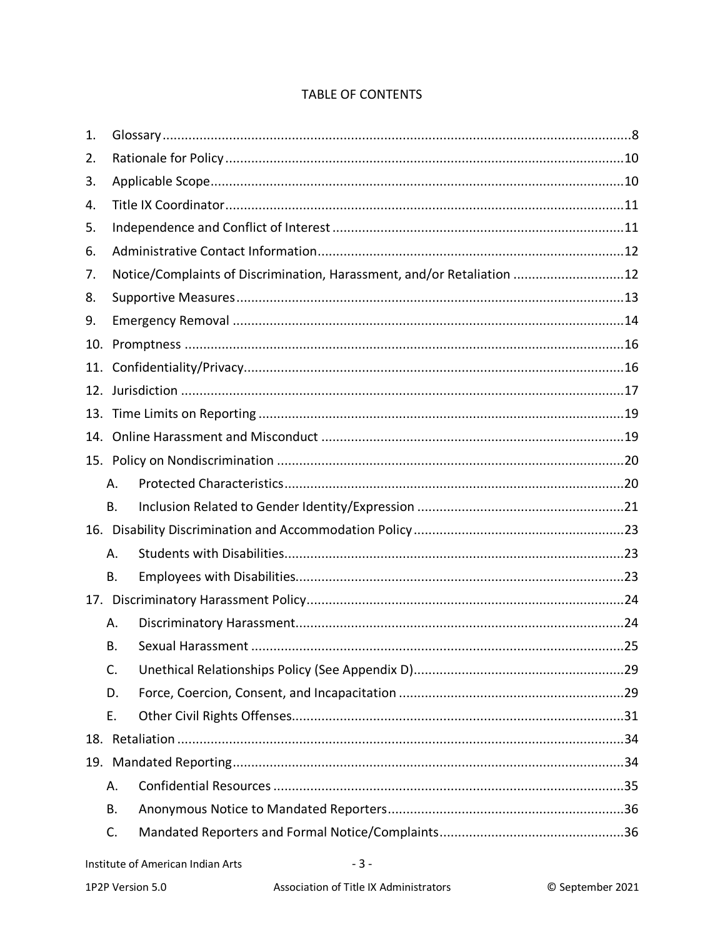| 1.  |           |                                                                        |  |  |  |  |
|-----|-----------|------------------------------------------------------------------------|--|--|--|--|
| 2.  |           |                                                                        |  |  |  |  |
| 3.  |           |                                                                        |  |  |  |  |
| 4.  |           |                                                                        |  |  |  |  |
| 5.  |           |                                                                        |  |  |  |  |
| 6.  |           |                                                                        |  |  |  |  |
| 7.  |           | Notice/Complaints of Discrimination, Harassment, and/or Retaliation 12 |  |  |  |  |
| 8.  |           |                                                                        |  |  |  |  |
| 9.  |           |                                                                        |  |  |  |  |
| 10. |           |                                                                        |  |  |  |  |
| 11. |           |                                                                        |  |  |  |  |
| 12. |           |                                                                        |  |  |  |  |
| 13. |           |                                                                        |  |  |  |  |
| 14. |           |                                                                        |  |  |  |  |
|     |           |                                                                        |  |  |  |  |
|     | А.        |                                                                        |  |  |  |  |
|     | <b>B.</b> |                                                                        |  |  |  |  |
|     |           |                                                                        |  |  |  |  |
|     | А.        |                                                                        |  |  |  |  |
|     | <b>B.</b> |                                                                        |  |  |  |  |
|     |           |                                                                        |  |  |  |  |
|     | Α.        |                                                                        |  |  |  |  |
|     | В.        |                                                                        |  |  |  |  |
|     | C.        |                                                                        |  |  |  |  |
|     | D.        |                                                                        |  |  |  |  |
|     | Ε.        |                                                                        |  |  |  |  |
|     |           |                                                                        |  |  |  |  |
|     |           |                                                                        |  |  |  |  |
|     | А.        |                                                                        |  |  |  |  |
|     | Β.        |                                                                        |  |  |  |  |
|     | C.        |                                                                        |  |  |  |  |

# TABLE OF CONTENTS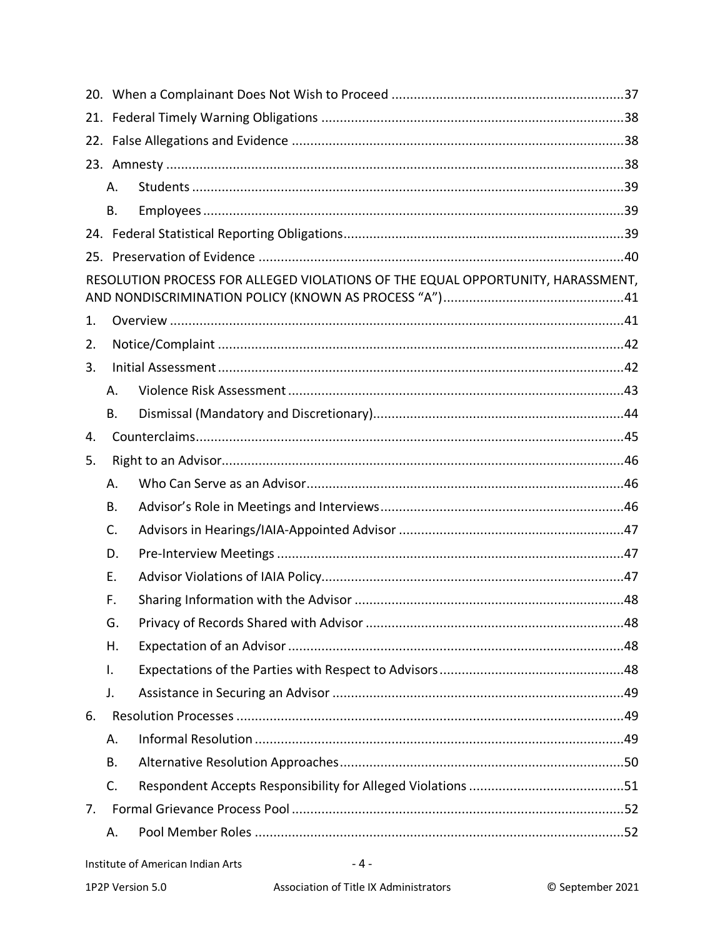|                                                                                 | А. |  |  |  |  |  |
|---------------------------------------------------------------------------------|----|--|--|--|--|--|
|                                                                                 | В. |  |  |  |  |  |
|                                                                                 |    |  |  |  |  |  |
|                                                                                 |    |  |  |  |  |  |
| RESOLUTION PROCESS FOR ALLEGED VIOLATIONS OF THE EQUAL OPPORTUNITY, HARASSMENT, |    |  |  |  |  |  |
| 1.                                                                              |    |  |  |  |  |  |
| 2.                                                                              |    |  |  |  |  |  |
| 3.                                                                              |    |  |  |  |  |  |
|                                                                                 | А. |  |  |  |  |  |
|                                                                                 | В. |  |  |  |  |  |
| 4.                                                                              |    |  |  |  |  |  |
| 5.                                                                              |    |  |  |  |  |  |
|                                                                                 | А. |  |  |  |  |  |
|                                                                                 | В. |  |  |  |  |  |
|                                                                                 | C. |  |  |  |  |  |
|                                                                                 | D. |  |  |  |  |  |
|                                                                                 | Ε. |  |  |  |  |  |
|                                                                                 | F. |  |  |  |  |  |
|                                                                                 | G. |  |  |  |  |  |
|                                                                                 | Η. |  |  |  |  |  |
|                                                                                 | I. |  |  |  |  |  |
|                                                                                 | J. |  |  |  |  |  |
| 6.                                                                              |    |  |  |  |  |  |
|                                                                                 | А. |  |  |  |  |  |
|                                                                                 | В. |  |  |  |  |  |
|                                                                                 | C. |  |  |  |  |  |
| 7.                                                                              |    |  |  |  |  |  |
|                                                                                 | Α. |  |  |  |  |  |

 $-4-$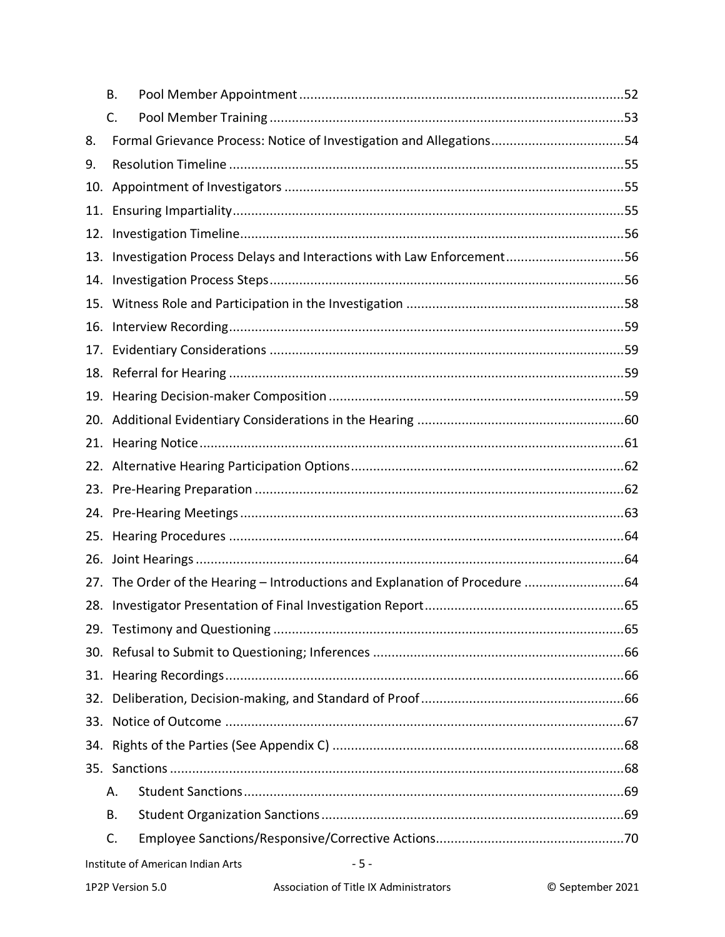|     | В.                                                                           |  |  |  |  |  |  |
|-----|------------------------------------------------------------------------------|--|--|--|--|--|--|
|     | C.                                                                           |  |  |  |  |  |  |
| 8.  | Formal Grievance Process: Notice of Investigation and Allegations54          |  |  |  |  |  |  |
| 9.  |                                                                              |  |  |  |  |  |  |
| 10. |                                                                              |  |  |  |  |  |  |
| 11. |                                                                              |  |  |  |  |  |  |
|     |                                                                              |  |  |  |  |  |  |
|     | 13. Investigation Process Delays and Interactions with Law Enforcement56     |  |  |  |  |  |  |
| 14. |                                                                              |  |  |  |  |  |  |
| 15. |                                                                              |  |  |  |  |  |  |
|     |                                                                              |  |  |  |  |  |  |
| 17. |                                                                              |  |  |  |  |  |  |
|     |                                                                              |  |  |  |  |  |  |
|     |                                                                              |  |  |  |  |  |  |
|     |                                                                              |  |  |  |  |  |  |
|     |                                                                              |  |  |  |  |  |  |
|     |                                                                              |  |  |  |  |  |  |
|     |                                                                              |  |  |  |  |  |  |
| 24. |                                                                              |  |  |  |  |  |  |
| 25. |                                                                              |  |  |  |  |  |  |
| 26. |                                                                              |  |  |  |  |  |  |
|     | 27. The Order of the Hearing - Introductions and Explanation of Procedure 64 |  |  |  |  |  |  |
| 28. |                                                                              |  |  |  |  |  |  |
|     |                                                                              |  |  |  |  |  |  |
|     |                                                                              |  |  |  |  |  |  |
|     |                                                                              |  |  |  |  |  |  |
| 32. |                                                                              |  |  |  |  |  |  |
| 33. |                                                                              |  |  |  |  |  |  |
|     |                                                                              |  |  |  |  |  |  |
|     |                                                                              |  |  |  |  |  |  |
|     | Α.                                                                           |  |  |  |  |  |  |
|     | Β.                                                                           |  |  |  |  |  |  |
|     | C.                                                                           |  |  |  |  |  |  |
|     | Institute of American Indian Arts<br>$-5-$                                   |  |  |  |  |  |  |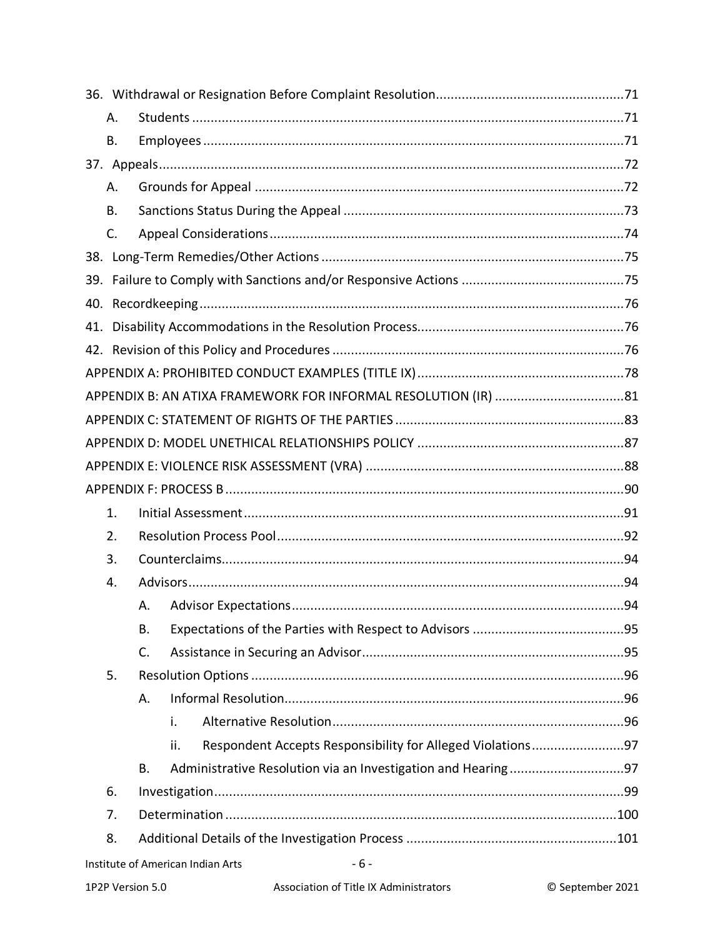|    | А.                                         |                                                                   |  |  |
|----|--------------------------------------------|-------------------------------------------------------------------|--|--|
|    | Β.                                         |                                                                   |  |  |
|    |                                            |                                                                   |  |  |
|    | Α.                                         |                                                                   |  |  |
|    | В.                                         |                                                                   |  |  |
|    | C.                                         |                                                                   |  |  |
|    |                                            |                                                                   |  |  |
|    |                                            |                                                                   |  |  |
|    |                                            |                                                                   |  |  |
|    |                                            |                                                                   |  |  |
|    |                                            |                                                                   |  |  |
|    |                                            |                                                                   |  |  |
|    |                                            |                                                                   |  |  |
|    |                                            |                                                                   |  |  |
|    |                                            |                                                                   |  |  |
|    |                                            |                                                                   |  |  |
|    |                                            |                                                                   |  |  |
|    | 1.                                         |                                                                   |  |  |
|    | 2.                                         |                                                                   |  |  |
| 3. |                                            |                                                                   |  |  |
|    | 4.                                         |                                                                   |  |  |
|    |                                            | А.                                                                |  |  |
|    |                                            | В.                                                                |  |  |
|    |                                            | C.                                                                |  |  |
|    | 5.                                         |                                                                   |  |  |
|    |                                            | Α.                                                                |  |  |
|    |                                            | i.                                                                |  |  |
|    |                                            | Respondent Accepts Responsibility for Alleged Violations97<br>ii. |  |  |
|    |                                            | В.                                                                |  |  |
|    | 6.                                         |                                                                   |  |  |
|    | 7.                                         |                                                                   |  |  |
|    | 8.                                         |                                                                   |  |  |
|    | Institute of American Indian Arts<br>$-6-$ |                                                                   |  |  |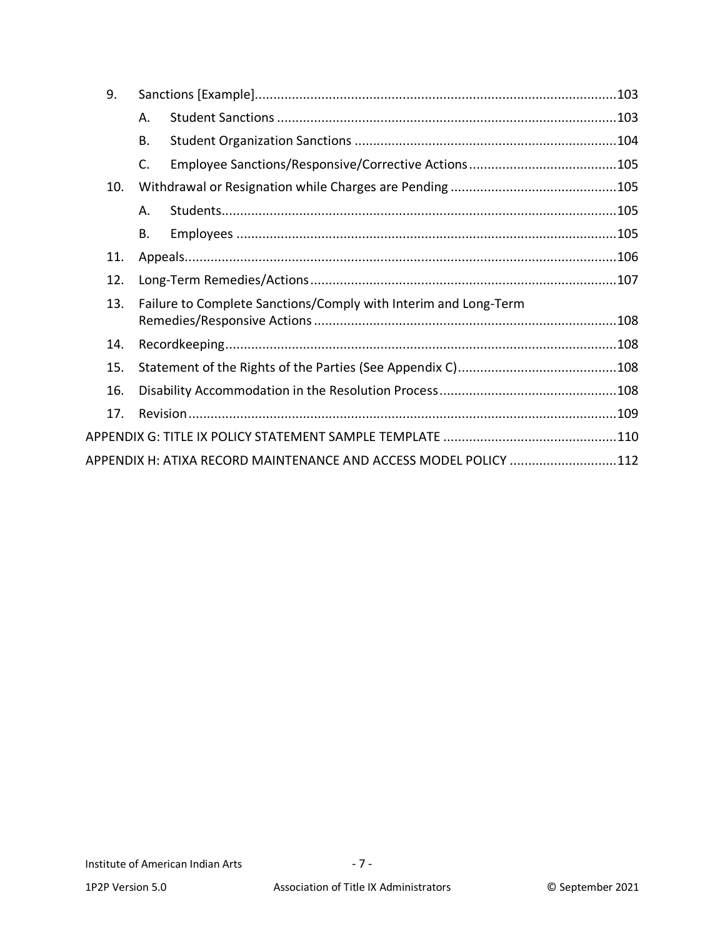| 9.  |           |                                                                  |  |
|-----|-----------|------------------------------------------------------------------|--|
|     | Α.        |                                                                  |  |
|     | <b>B.</b> |                                                                  |  |
|     | C.        |                                                                  |  |
| 10. |           |                                                                  |  |
|     | Α.        |                                                                  |  |
|     | В.        |                                                                  |  |
| 11. |           |                                                                  |  |
| 12. |           |                                                                  |  |
| 13. |           | Failure to Complete Sanctions/Comply with Interim and Long-Term  |  |
|     |           |                                                                  |  |
| 14. |           |                                                                  |  |
| 15. |           |                                                                  |  |
| 16. |           |                                                                  |  |
| 17. |           |                                                                  |  |
|     |           |                                                                  |  |
|     |           | APPENDIX H: ATIXA RECORD MAINTENANCE AND ACCESS MODEL POLICY 112 |  |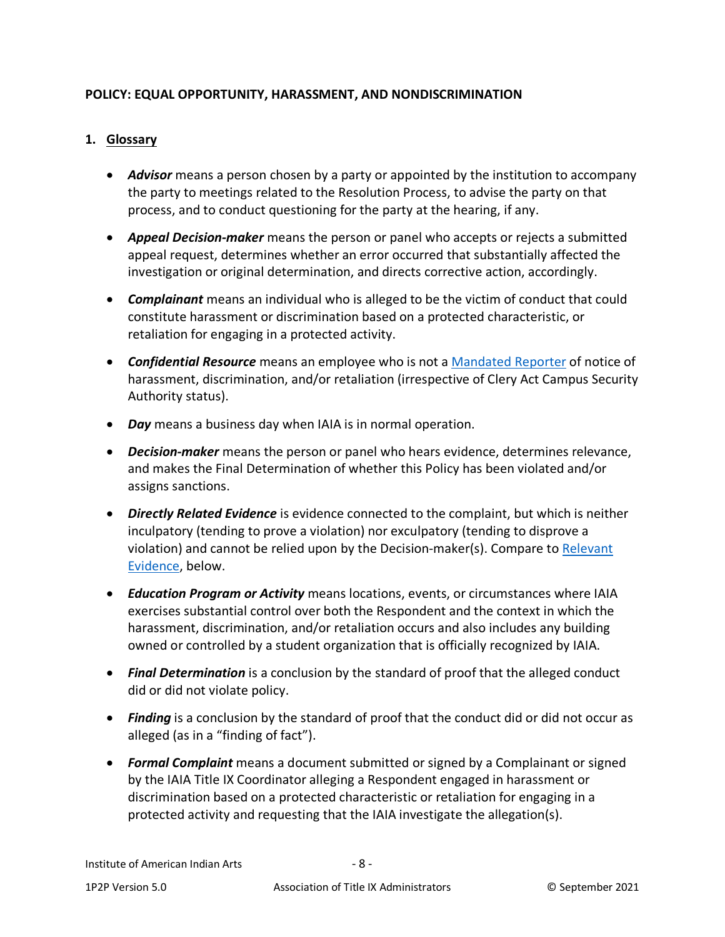## **POLICY: EQUAL OPPORTUNITY, HARASSMENT, AND NONDISCRIMINATION**

#### <span id="page-7-0"></span>**1. Glossary**

- *Advisor* means a person chosen by a party or appointed by the institution to accompany the party to meetings related to the Resolution Process, to advise the party on that process, and to conduct questioning for the party at the hearing, if any.
- *Appeal Decision-maker* means the person or panel who accepts or rejects a submitted appeal request, determines whether an error occurred that substantially affected the investigation or original determination, and directs corrective action, accordingly.
- *Complainant* means an individual who is alleged to be the victim of conduct that could constitute harassment or discrimination based on a protected characteristic, or retaliation for engaging in a protected activity.
- *Confidential Resource* means an employee who is not a [Mandated Reporter](#page-8-0) of notice of harassment, discrimination, and/or retaliation (irrespective of Clery Act Campus Security Authority status).
- *Day* means a business day when IAIA is in normal operation.
- *Decision-maker* means the person or panel who hears evidence, determines relevance, and makes the Final Determination of whether this Policy has been violated and/or assigns sanctions.
- *Directly Related Evidence* is evidence connected to the complaint, but which is neither inculpatory (tending to prove a violation) nor exculpatory (tending to disprove a violation) and cannot be relied upon by the Decision-maker(s). Compare to [Relevant](#page-8-1)  [Evidence,](#page-8-1) below.
- *Education Program or Activity* means locations, events, or circumstances where IAIA exercises substantial control over both the Respondent and the context in which the harassment, discrimination, and/or retaliation occurs and also includes any building owned or controlled by a student organization that is officially recognized by IAIA.
- *Final Determination* is a conclusion by the standard of proof that the alleged conduct did or did not violate policy.
- **Finding** is a conclusion by the standard of proof that the conduct did or did not occur as alleged (as in a "finding of fact").
- *Formal Complaint* means a document submitted or signed by a Complainant or signed by the IAIA Title IX Coordinator alleging a Respondent engaged in harassment or discrimination based on a protected characteristic or retaliation for engaging in a protected activity and requesting that the IAIA investigate the allegation(s).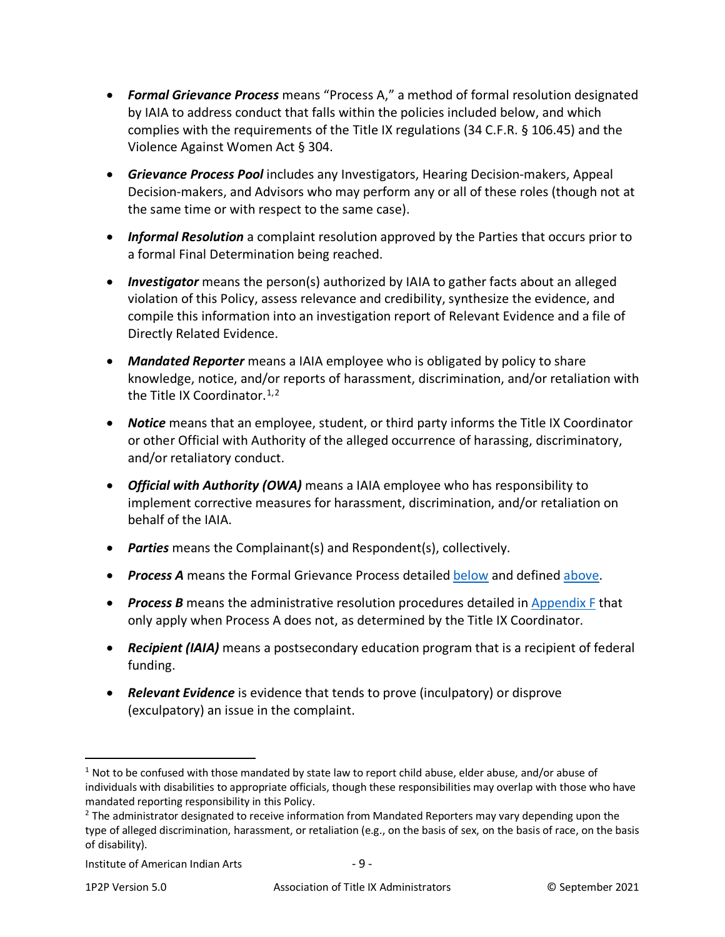- <span id="page-8-2"></span>• *Formal Grievance Process* means "Process A," a method of formal resolution designated by IAIA to address conduct that falls within the policies included below, and which complies with the requirements of the Title IX regulations (34 C.F.R. § 106.45) and the Violence Against Women Act § 304.
- <span id="page-8-5"></span>• *Grievance Process Pool* includes any Investigators, Hearing Decision-makers, Appeal Decision-makers, and Advisors who may perform any or all of these roles (though not at the same time or with respect to the same case).
- *Informal Resolution* a complaint resolution approved by the Parties that occurs prior to a formal Final Determination being reached.
- *Investigator* means the person(s) authorized by IAIA to gather facts about an alleged violation of this Policy, assess relevance and credibility, synthesize the evidence, and compile this information into an investigation report of Relevant Evidence and a file of Directly Related Evidence.
- <span id="page-8-0"></span>• *Mandated Reporter* means a IAIA employee who is obligated by policy to share knowledge, notice, and/or reports of harassment, discrimination, and/or retaliation with the Title IX Coordinator.<sup>[1](#page-8-3),[2](#page-8-4)</sup>
- *Notice* means that an employee, student, or third party informs the Title IX Coordinator or other Official with Authority of the alleged occurrence of harassing, discriminatory, and/or retaliatory conduct.
- *Official with Authority (OWA)* means a IAIA employee who has responsibility to implement corrective measures for harassment, discrimination, and/or retaliation on behalf of the IAIA.
- *Parties* means the Complainant(s) and Respondent(s), collectively.
- **Process A** means the Formal Grievance Process detailed [below](#page-40-0) and defined [above.](#page-8-2)
- *Process B* means the administrative resolution procedures detailed in [Appendix F](#page-89-0) that only apply when Process A does not, as determined by the Title IX Coordinator.
- *Recipient (IAIA)* means a postsecondary education program that is a recipient of federal funding.
- <span id="page-8-1"></span>• *Relevant Evidence* is evidence that tends to prove (inculpatory) or disprove (exculpatory) an issue in the complaint.

<span id="page-8-3"></span> $1$  Not to be confused with those mandated by state law to report child abuse, elder abuse, and/or abuse of individuals with disabilities to appropriate officials, though these responsibilities may overlap with those who have mandated reporting responsibility in this Policy.

<span id="page-8-4"></span> $<sup>2</sup>$  The administrator designated to receive information from Mandated Reporters may vary depending upon the</sup> type of alleged discrimination, harassment, or retaliation (e.g., on the basis of sex, on the basis of race, on the basis of disability).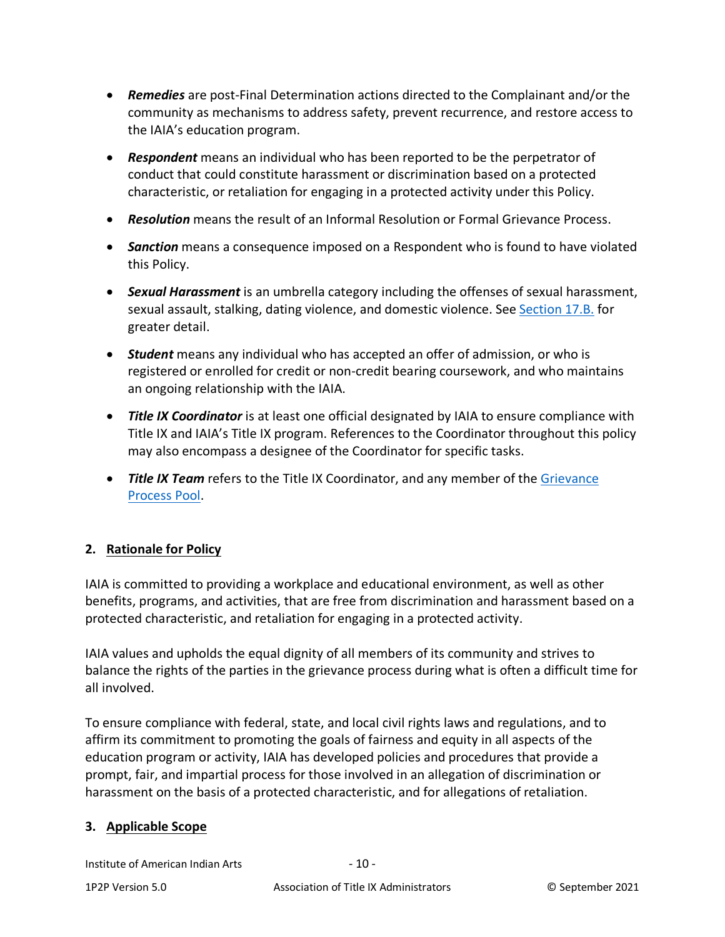- *Remedies* are post-Final Determination actions directed to the Complainant and/or the community as mechanisms to address safety, prevent recurrence, and restore access to the IAIA's education program.
- *Respondent* means an individual who has been reported to be the perpetrator of conduct that could constitute harassment or discrimination based on a protected characteristic, or retaliation for engaging in a protected activity under this Policy.
- *Resolution* means the result of an Informal Resolution or Formal Grievance Process.
- *Sanction* means a consequence imposed on a Respondent who is found to have violated this Policy.
- *Sexual Harassment* is an umbrella category including the offenses of sexual harassment, sexual assault, stalking, dating violence, and domestic violence. See [Section 17.B.](#page-24-0) for greater detail.
- *Student* means any individual who has accepted an offer of admission, or who is registered or enrolled for credit or non-credit bearing coursework, and who maintains an ongoing relationship with the IAIA.
- *Title IX Coordinator* is at least one official designated by IAIA to ensure compliance with Title IX and IAIA's Title IX program. References to the Coordinator throughout this policy may also encompass a designee of the Coordinator for specific tasks.
- *Title IX Team* refers to the Title IX Coordinator, and any member of the [Grievance](#page-8-5) [Process Pool.](#page-8-5)

# <span id="page-9-0"></span>**2. Rationale for Policy**

IAIA is committed to providing a workplace and educational environment, as well as other benefits, programs, and activities, that are free from discrimination and harassment based on a protected characteristic, and retaliation for engaging in a protected activity.

IAIA values and upholds the equal dignity of all members of its community and strives to balance the rights of the parties in the grievance process during what is often a difficult time for all involved.

To ensure compliance with federal, state, and local civil rights laws and regulations, and to affirm its commitment to promoting the goals of fairness and equity in all aspects of the education program or activity, IAIA has developed policies and procedures that provide a prompt, fair, and impartial process for those involved in an allegation of discrimination or harassment on the basis of a protected characteristic, and for allegations of retaliation.

## <span id="page-9-1"></span>**3. Applicable Scope**

Institute of American Indian Arts - 10 -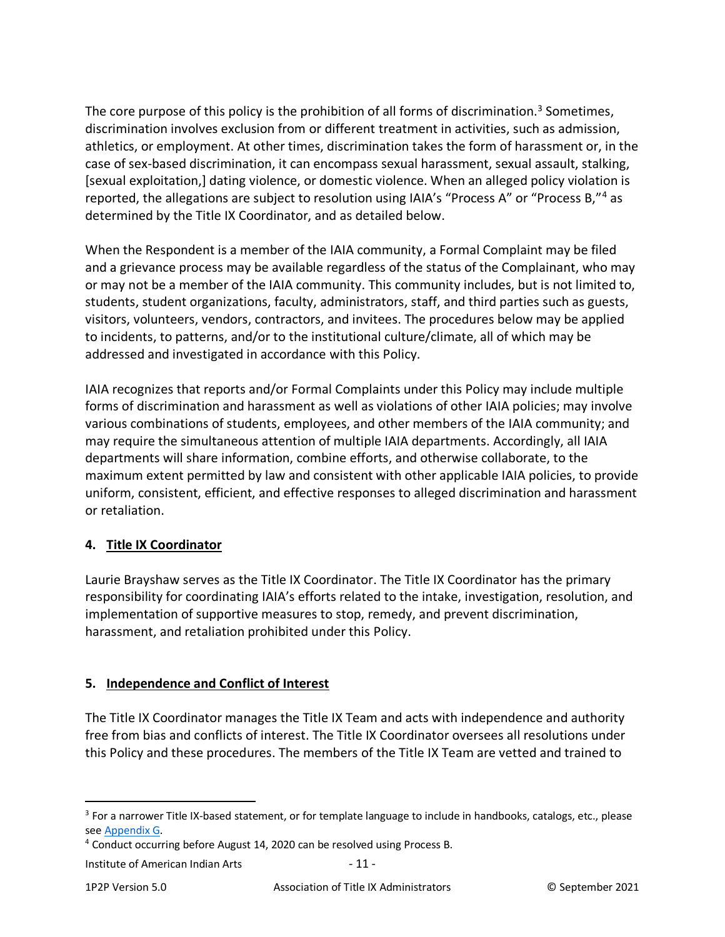The core purpose of this policy is the prohibition of all forms of discrimination.<sup>[3](#page-10-2)</sup> Sometimes, discrimination involves exclusion from or different treatment in activities, such as admission, athletics, or employment. At other times, discrimination takes the form of harassment or, in the case of sex-based discrimination, it can encompass sexual harassment, sexual assault, stalking, [sexual exploitation,] dating violence, or domestic violence. When an alleged policy violation is reported, the allegations are subject to resolution using IAIA's "Process A" or "Process B,"<sup>[4](#page-10-3)</sup> as determined by the Title IX Coordinator, and as detailed below.

When the Respondent is a member of the IAIA community, a Formal Complaint may be filed and a grievance process may be available regardless of the status of the Complainant, who may or may not be a member of the IAIA community. This community includes, but is not limited to, students, student organizations, faculty, administrators, staff, and third parties such as guests, visitors, volunteers, vendors, contractors, and invitees. The procedures below may be applied to incidents, to patterns, and/or to the institutional culture/climate, all of which may be addressed and investigated in accordance with this Policy.

IAIA recognizes that reports and/or Formal Complaints under this Policy may include multiple forms of discrimination and harassment as well as violations of other IAIA policies; may involve various combinations of students, employees, and other members of the IAIA community; and may require the simultaneous attention of multiple IAIA departments. Accordingly, all IAIA departments will share information, combine efforts, and otherwise collaborate, to the maximum extent permitted by law and consistent with other applicable IAIA policies, to provide uniform, consistent, efficient, and effective responses to alleged discrimination and harassment or retaliation.

## <span id="page-10-0"></span>**4. Title IX Coordinator**

Laurie Brayshaw serves as the Title IX Coordinator. The Title IX Coordinator has the primary responsibility for coordinating IAIA's efforts related to the intake, investigation, resolution, and implementation of supportive measures to stop, remedy, and prevent discrimination, harassment, and retaliation prohibited under this Policy.

# <span id="page-10-1"></span>**5. Independence and Conflict of Interest**

The Title IX Coordinator manages the Title IX Team and acts with independence and authority free from bias and conflicts of interest. The Title IX Coordinator oversees all resolutions under this Policy and these procedures. The members of the Title IX Team are vetted and trained to

<span id="page-10-2"></span><sup>&</sup>lt;sup>3</sup> For a narrower Title IX-based statement, or for template language to include in handbooks, catalogs, etc., please see [Appendix G.](#page-109-0)

<span id="page-10-3"></span><sup>&</sup>lt;sup>4</sup> Conduct occurring before August 14, 2020 can be resolved using Process B.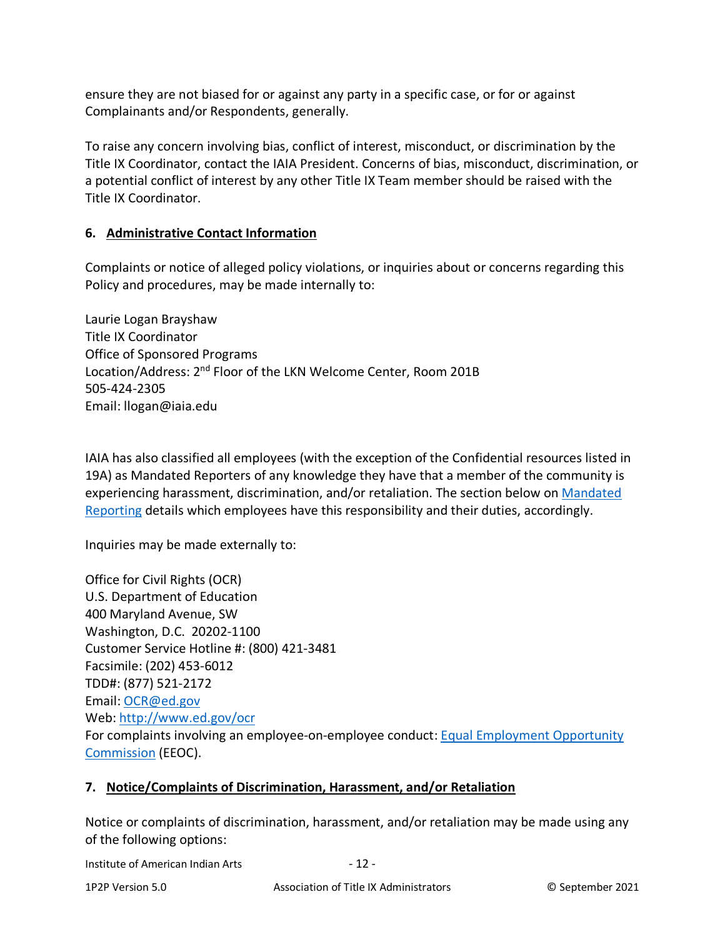ensure they are not biased for or against any party in a specific case, or for or against Complainants and/or Respondents, generally.

To raise any concern involving bias, conflict of interest, misconduct, or discrimination by the Title IX Coordinator, contact the IAIA President. Concerns of bias, misconduct, discrimination, or a potential conflict of interest by any other Title IX Team member should be raised with the Title IX Coordinator.

## <span id="page-11-0"></span>**6. Administrative Contact Information**

Complaints or notice of alleged policy violations, or inquiries about or concerns regarding this Policy and procedures, may be made internally to:

Laurie Logan Brayshaw Title IX Coordinator Office of Sponsored Programs Location/Address: 2<sup>nd</sup> Floor of the LKN Welcome Center, Room 201B 505-424-2305 Email: llogan@iaia.edu

IAIA has also classified all employees (with the exception of the Confidential resources listed in 19A) as Mandated Reporters of any knowledge they have that a member of the community is experiencing harassment, discrimination, and/or retaliation. The section below on [Mandated](#page-33-1)  [Reporting](#page-33-1) details which employees have this responsibility and their duties, accordingly.

Inquiries may be made externally to:

Office for Civil Rights (OCR) U.S. Department of Education 400 Maryland Avenue, SW Washington, D.C. 20202-1100 Customer Service Hotline #: (800) 421-3481 Facsimile: (202) 453-6012 TDD#: (877) 521-2172 Email[: OCR@ed.gov](mailto:OCR@ed.gov) Web:<http://www.ed.gov/ocr> For complaints involving an employee-on-employee conduct: [Equal Employment Opportunity](http://www.eeoc.gov/contact)  [Commission](http://www.eeoc.gov/contact) (EEOC).

## <span id="page-11-1"></span>**7. Notice/Complaints of Discrimination, Harassment, and/or Retaliation**

Notice or complaints of discrimination, harassment, and/or retaliation may be made using any of the following options:

Institute of American Indian Arts - 12 -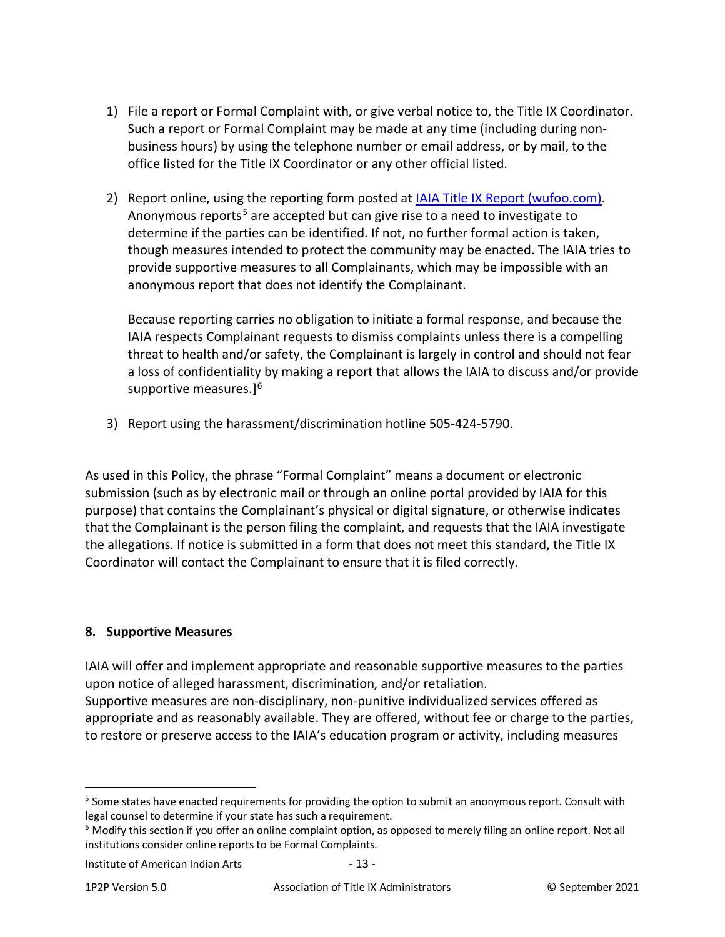- 1) File a report or Formal Complaint with, or give verbal notice to, the Title IX Coordinator. Such a report or Formal Complaint may be made at any time (including during nonbusiness hours) by using the telephone number or email address, or by mail, to the office listed for the Title IX Coordinator or any other official listed.
- 2) Report online, using the reporting form posted at [IAIA Title IX Report \(wufoo.com\).](https://iaia.wufoo.com/forms/mgios2n0jrjsjc/) Anonymous reports<sup>[5](#page-12-1)</sup> are accepted but can give rise to a need to investigate to determine if the parties can be identified. If not, no further formal action is taken, though measures intended to protect the community may be enacted. The IAIA tries to provide supportive measures to all Complainants, which may be impossible with an anonymous report that does not identify the Complainant.

Because reporting carries no obligation to initiate a formal response, and because the IAIA respects Complainant requests to dismiss complaints unless there is a compelling threat to health and/or safety, the Complainant is largely in control and should not fear a loss of confidentiality by making a report that allows the IAIA to discuss and/or provide supportive measures.]<sup>6</sup>

3) Report using the harassment/discrimination hotline 505-424-5790.

As used in this Policy, the phrase "Formal Complaint" means a document or electronic submission (such as by electronic mail or through an online portal provided by IAIA for this purpose) that contains the Complainant's physical or digital signature, or otherwise indicates that the Complainant is the person filing the complaint, and requests that the IAIA investigate the allegations. If notice is submitted in a form that does not meet this standard, the Title IX Coordinator will contact the Complainant to ensure that it is filed correctly.

# <span id="page-12-0"></span>**8. Supportive Measures**

IAIA will offer and implement appropriate and reasonable supportive measures to the parties upon notice of alleged harassment, discrimination, and/or retaliation. Supportive measures are non-disciplinary, non-punitive individualized services offered as appropriate and as reasonably available. They are offered, without fee or charge to the parties, to restore or preserve access to the IAIA's education program or activity, including measures

<span id="page-12-1"></span><sup>&</sup>lt;sup>5</sup> Some states have enacted requirements for providing the option to submit an anonymous report. Consult with legal counsel to determine if your state has such a requirement.

<span id="page-12-2"></span> $6$  Modify this section if you offer an online complaint option, as opposed to merely filing an online report. Not all institutions consider online reports to be Formal Complaints.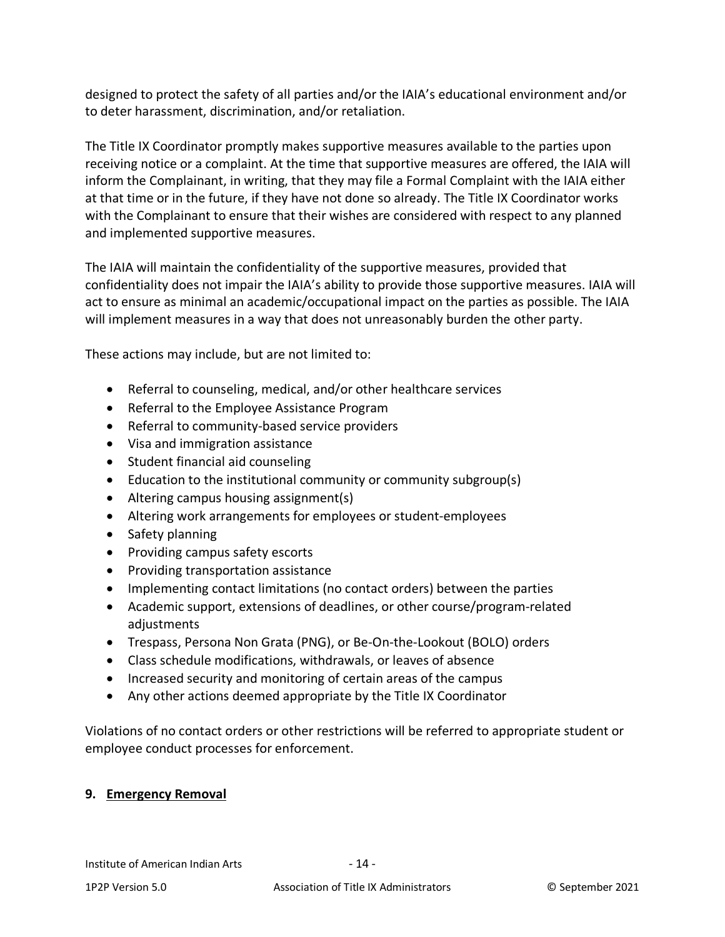designed to protect the safety of all parties and/or the IAIA's educational environment and/or to deter harassment, discrimination, and/or retaliation.

The Title IX Coordinator promptly makes supportive measures available to the parties upon receiving notice or a complaint. At the time that supportive measures are offered, the IAIA will inform the Complainant, in writing, that they may file a Formal Complaint with the IAIA either at that time or in the future, if they have not done so already. The Title IX Coordinator works with the Complainant to ensure that their wishes are considered with respect to any planned and implemented supportive measures.

The IAIA will maintain the confidentiality of the supportive measures, provided that confidentiality does not impair the IAIA's ability to provide those supportive measures. IAIA will act to ensure as minimal an academic/occupational impact on the parties as possible. The IAIA will implement measures in a way that does not unreasonably burden the other party.

These actions may include, but are not limited to:

- Referral to counseling, medical, and/or other healthcare services
- Referral to the Employee Assistance Program
- Referral to community-based service providers
- Visa and immigration assistance
- Student financial aid counseling
- Education to the institutional community or community subgroup(s)
- Altering campus housing assignment(s)
- Altering work arrangements for employees or student-employees
- Safety planning
- Providing campus safety escorts
- Providing transportation assistance
- Implementing contact limitations (no contact orders) between the parties
- Academic support, extensions of deadlines, or other course/program-related adjustments
- Trespass, Persona Non Grata (PNG), or Be-On-the-Lookout (BOLO) orders
- Class schedule modifications, withdrawals, or leaves of absence
- Increased security and monitoring of certain areas of the campus
- Any other actions deemed appropriate by the Title IX Coordinator

Violations of no contact orders or other restrictions will be referred to appropriate student or employee conduct processes for enforcement.

## <span id="page-13-0"></span>**9. Emergency Removal**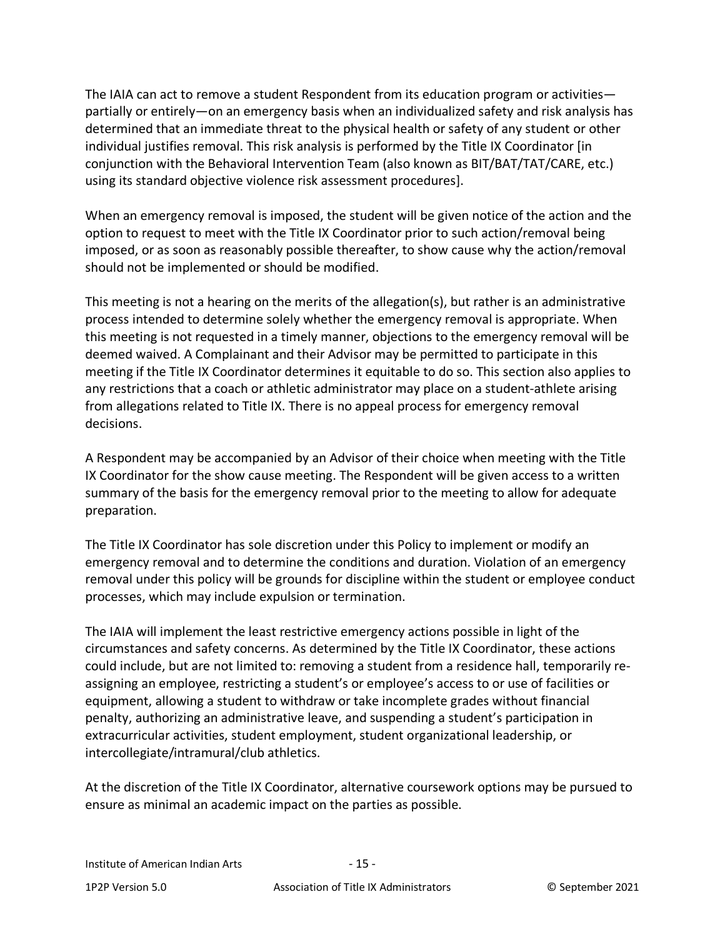The IAIA can act to remove a student Respondent from its education program or activities partially or entirely—on an emergency basis when an individualized safety and risk analysis has determined that an immediate threat to the physical health or safety of any student or other individual justifies removal. This risk analysis is performed by the Title IX Coordinator [in conjunction with the Behavioral Intervention Team (also known as BIT/BAT/TAT/CARE, etc.) using its standard objective violence risk assessment procedures].

When an emergency removal is imposed, the student will be given notice of the action and the option to request to meet with the Title IX Coordinator prior to such action/removal being imposed, or as soon as reasonably possible thereafter, to show cause why the action/removal should not be implemented or should be modified.

This meeting is not a hearing on the merits of the allegation(s), but rather is an administrative process intended to determine solely whether the emergency removal is appropriate. When this meeting is not requested in a timely manner, objections to the emergency removal will be deemed waived. A Complainant and their Advisor may be permitted to participate in this meeting if the Title IX Coordinator determines it equitable to do so. This section also applies to any restrictions that a coach or athletic administrator may place on a student-athlete arising from allegations related to Title IX. There is no appeal process for emergency removal decisions.

A Respondent may be accompanied by an Advisor of their choice when meeting with the Title IX Coordinator for the show cause meeting. The Respondent will be given access to a written summary of the basis for the emergency removal prior to the meeting to allow for adequate preparation.

The Title IX Coordinator has sole discretion under this Policy to implement or modify an emergency removal and to determine the conditions and duration. Violation of an emergency removal under this policy will be grounds for discipline within the student or employee conduct processes, which may include expulsion or termination.

The IAIA will implement the least restrictive emergency actions possible in light of the circumstances and safety concerns. As determined by the Title IX Coordinator, these actions could include, but are not limited to: removing a student from a residence hall, temporarily reassigning an employee, restricting a student's or employee's access to or use of facilities or equipment, allowing a student to withdraw or take incomplete grades without financial penalty, authorizing an administrative leave, and suspending a student's participation in extracurricular activities, student employment, student organizational leadership, or intercollegiate/intramural/club athletics.

At the discretion of the Title IX Coordinator, alternative coursework options may be pursued to ensure as minimal an academic impact on the parties as possible.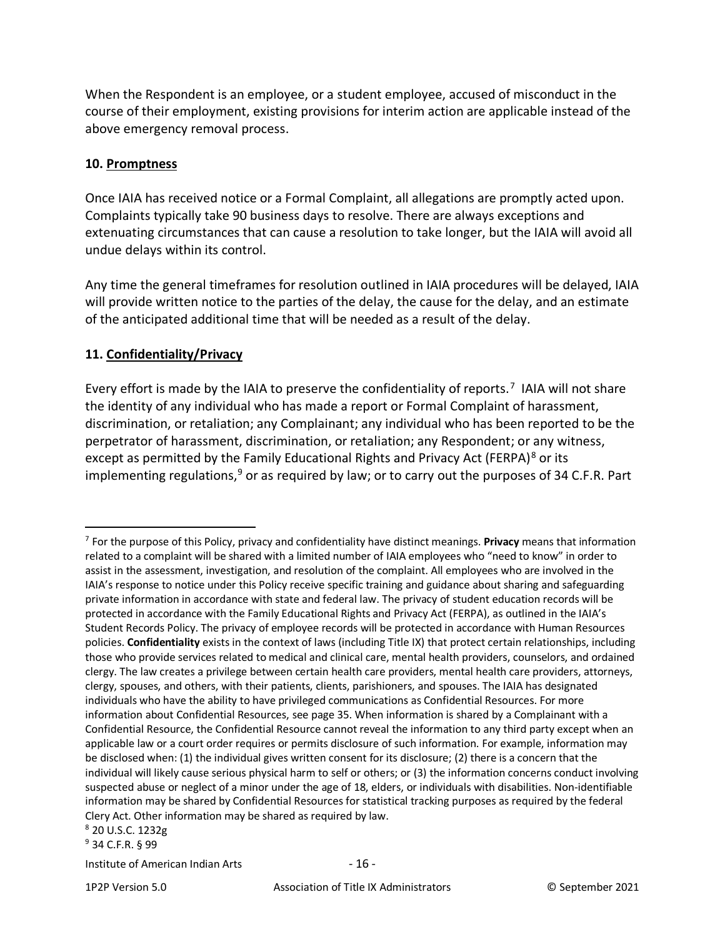When the Respondent is an employee, or a student employee, accused of misconduct in the course of their employment, existing provisions for interim action are applicable instead of the above emergency removal process.

### <span id="page-15-0"></span>**10. Promptness**

Once IAIA has received notice or a Formal Complaint, all allegations are promptly acted upon. Complaints typically take 90 business days to resolve. There are always exceptions and extenuating circumstances that can cause a resolution to take longer, but the IAIA will avoid all undue delays within its control.

Any time the general timeframes for resolution outlined in IAIA procedures will be delayed, IAIA will provide written notice to the parties of the delay, the cause for the delay, and an estimate of the anticipated additional time that will be needed as a result of the delay.

## <span id="page-15-1"></span>**11. Confidentiality/Privacy**

Every effort is made by the IAIA to preserve the confidentiality of reports.<sup>[7](#page-15-2)</sup> IAIA will not share the identity of any individual who has made a report or Formal Complaint of harassment, discrimination, or retaliation; any Complainant; any individual who has been reported to be the perpetrator of harassment, discrimination, or retaliation; any Respondent; or any witness, except as permitted by the Family Educational Rights and Privacy Act (FERPA)<sup>[8](#page-15-3)</sup> or its implementing regulations,  $9$  or as required by law; or to carry out the purposes of 34 C.F.R. Part

<span id="page-15-3"></span><sup>8</sup> 20 U.S.C. 1232g

<span id="page-15-4"></span><sup>9</sup> 34 C.F.R. § 99

Institute of American Indian Arts - 16 -

<span id="page-15-2"></span><sup>7</sup> For the purpose of this Policy, privacy and confidentiality have distinct meanings. **Privacy** means that information related to a complaint will be shared with a limited number of IAIA employees who "need to know" in order to assist in the assessment, investigation, and resolution of the complaint. All employees who are involved in the IAIA's response to notice under this Policy receive specific training and guidance about sharing and safeguarding private information in accordance with state and federal law. The privacy of student education records will be protected in accordance with the Family Educational Rights and Privacy Act (FERPA), as outlined in the IAIA's Student Records Policy. The privacy of employee records will be protected in accordance with Human Resources policies. **Confidentiality** exists in the context of laws (including Title IX) that protect certain relationships, including those who provide services related to medical and clinical care, mental health providers, counselors, and ordained clergy. The law creates a privilege between certain health care providers, mental health care providers, attorneys, clergy, spouses, and others, with their patients, clients, parishioners, and spouses. The IAIA has designated individuals who have the ability to have privileged communications as Confidential Resources. For more information about Confidential Resources, see page 35. When information is shared by a Complainant with a Confidential Resource, the Confidential Resource cannot reveal the information to any third party except when an applicable law or a court order requires or permits disclosure of such information. For example, information may be disclosed when: (1) the individual gives written consent for its disclosure; (2) there is a concern that the individual will likely cause serious physical harm to self or others; or (3) the information concerns conduct involving suspected abuse or neglect of a minor under the age of 18, elders, or individuals with disabilities. Non-identifiable information may be shared by Confidential Resources for statistical tracking purposes as required by the federal Clery Act. Other information may be shared as required by law.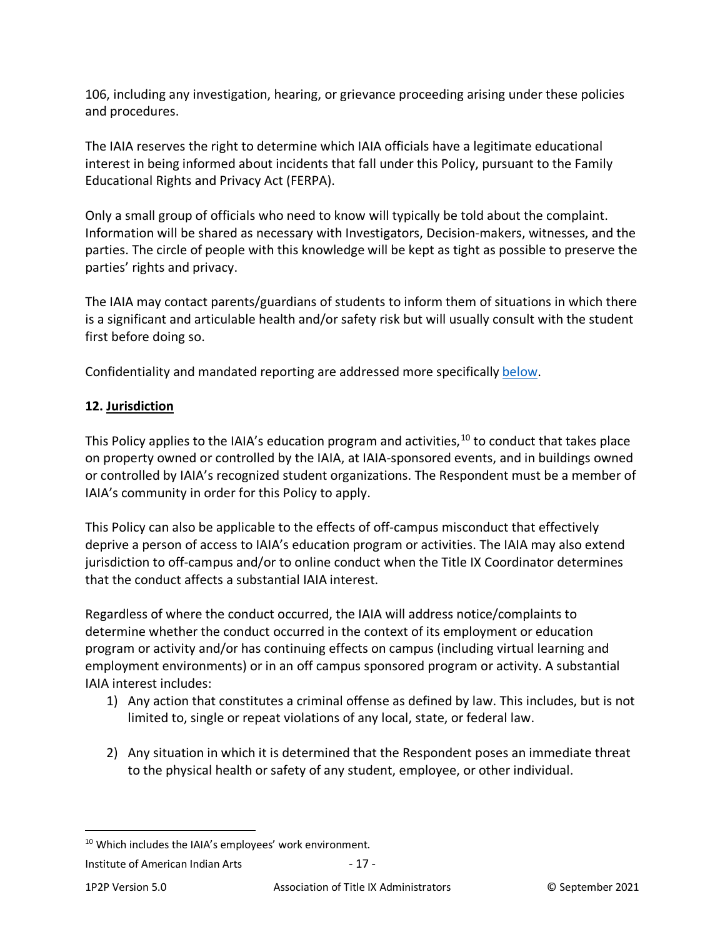106, including any investigation, hearing, or grievance proceeding arising under these policies and procedures.

The IAIA reserves the right to determine which IAIA officials have a legitimate educational interest in being informed about incidents that fall under this Policy, pursuant to the Family Educational Rights and Privacy Act (FERPA).

Only a small group of officials who need to know will typically be told about the complaint. Information will be shared as necessary with Investigators, Decision-makers, witnesses, and the parties. The circle of people with this knowledge will be kept as tight as possible to preserve the parties' rights and privacy.

The IAIA may contact parents/guardians of students to inform them of situations in which there is a significant and articulable health and/or safety risk but will usually consult with the student first before doing so.

Confidentiality and mandated reporting are addressed more specifically [below.](#page-33-1)

## <span id="page-16-0"></span>**12. Jurisdiction**

This Policy applies to the IAIA's education program and activities,  $10$  to conduct that takes place on property owned or controlled by the IAIA, at IAIA-sponsored events, and in buildings owned or controlled by IAIA's recognized student organizations. The Respondent must be a member of IAIA's community in order for this Policy to apply.

This Policy can also be applicable to the effects of off-campus misconduct that effectively deprive a person of access to IAIA's education program or activities. The IAIA may also extend jurisdiction to off-campus and/or to online conduct when the Title IX Coordinator determines that the conduct affects a substantial IAIA interest.

Regardless of where the conduct occurred, the IAIA will address notice/complaints to determine whether the conduct occurred in the context of its employment or education program or activity and/or has continuing effects on campus (including virtual learning and employment environments) or in an off campus sponsored program or activity. A substantial IAIA interest includes:

- 1) Any action that constitutes a criminal offense as defined by law. This includes, but is not limited to, single or repeat violations of any local, state, or federal law.
- 2) Any situation in which it is determined that the Respondent poses an immediate threat to the physical health or safety of any student, employee, or other individual.

<span id="page-16-1"></span><sup>&</sup>lt;sup>10</sup> Which includes the IAIA's employees' work environment.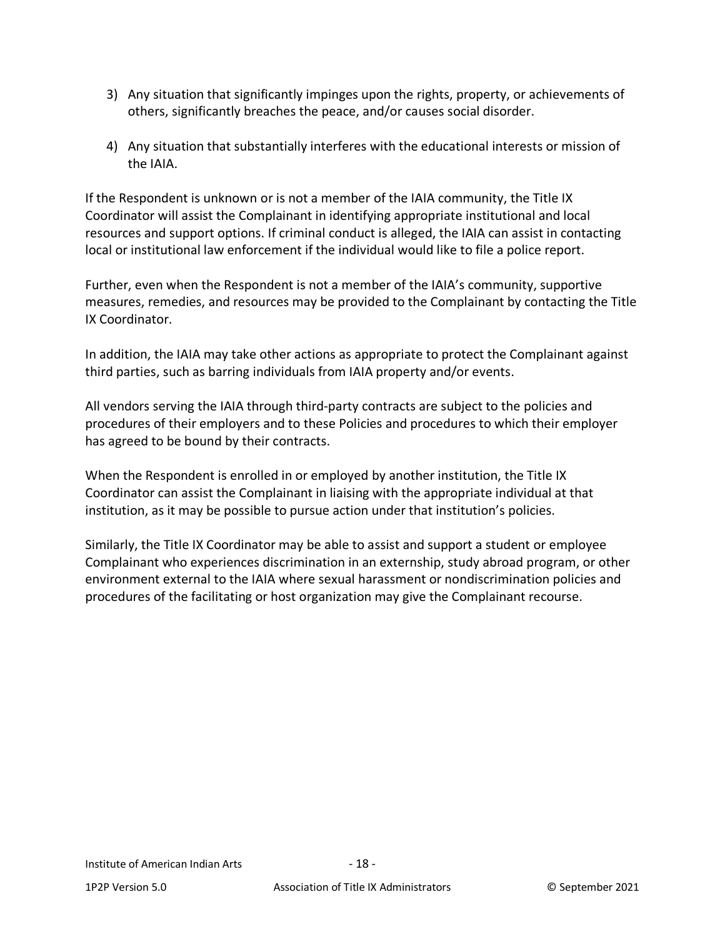- 3) Any situation that significantly impinges upon the rights, property, or achievements of others, significantly breaches the peace, and/or causes social disorder.
- 4) Any situation that substantially interferes with the educational interests or mission of the IAIA.

If the Respondent is unknown or is not a member of the IAIA community, the Title IX Coordinator will assist the Complainant in identifying appropriate institutional and local resources and support options. If criminal conduct is alleged, the IAIA can assist in contacting local or institutional law enforcement if the individual would like to file a police report.

Further, even when the Respondent is not a member of the IAIA's community, supportive measures, remedies, and resources may be provided to the Complainant by contacting the Title IX Coordinator.

In addition, the IAIA may take other actions as appropriate to protect the Complainant against third parties, such as barring individuals from IAIA property and/or events.

All vendors serving the IAIA through third-party contracts are subject to the policies and procedures of their employers and to these Policies and procedures to which their employer has agreed to be bound by their contracts.

When the Respondent is enrolled in or employed by another institution, the Title IX Coordinator can assist the Complainant in liaising with the appropriate individual at that institution, as it may be possible to pursue action under that institution's policies.

Similarly, the Title IX Coordinator may be able to assist and support a student or employee Complainant who experiences discrimination in an externship, study abroad program, or other environment external to the IAIA where sexual harassment or nondiscrimination policies and procedures of the facilitating or host organization may give the Complainant recourse.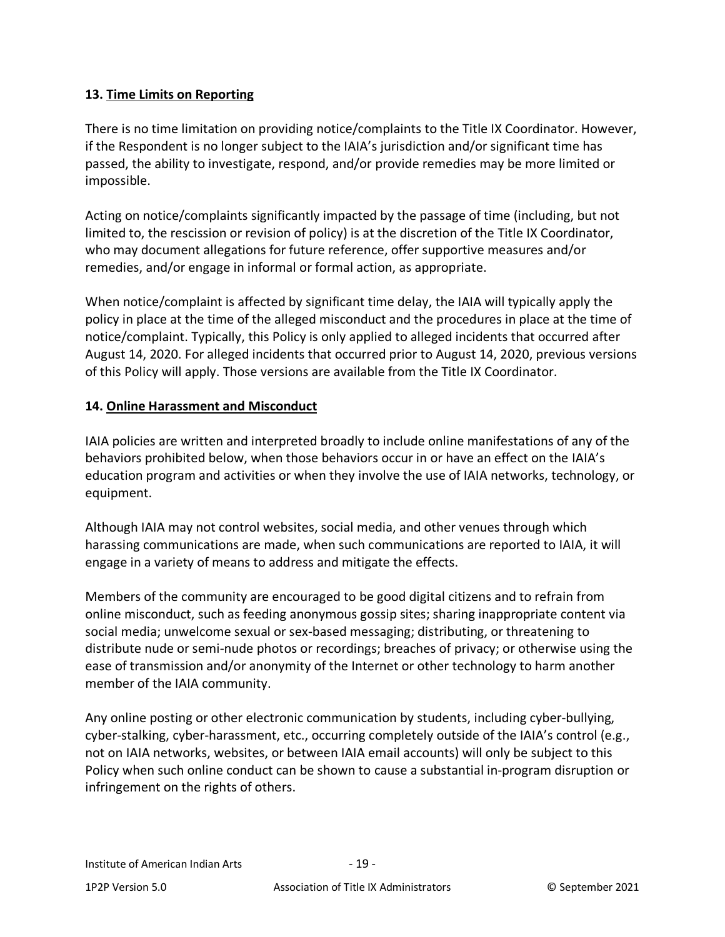## <span id="page-18-0"></span>**13. Time Limits on Reporting**

There is no time limitation on providing notice/complaints to the Title IX Coordinator. However, if the Respondent is no longer subject to the IAIA's jurisdiction and/or significant time has passed, the ability to investigate, respond, and/or provide remedies may be more limited or impossible.

Acting on notice/complaints significantly impacted by the passage of time (including, but not limited to, the rescission or revision of policy) is at the discretion of the Title IX Coordinator, who may document allegations for future reference, offer supportive measures and/or remedies, and/or engage in informal or formal action, as appropriate.

When notice/complaint is affected by significant time delay, the IAIA will typically apply the policy in place at the time of the alleged misconduct and the procedures in place at the time of notice/complaint. Typically, this Policy is only applied to alleged incidents that occurred after August 14, 2020. For alleged incidents that occurred prior to August 14, 2020, previous versions of this Policy will apply. Those versions are available from the Title IX Coordinator.

# <span id="page-18-1"></span>**14. Online Harassment and Misconduct**

IAIA policies are written and interpreted broadly to include online manifestations of any of the behaviors prohibited below, when those behaviors occur in or have an effect on the IAIA's education program and activities or when they involve the use of IAIA networks, technology, or equipment.

Although IAIA may not control websites, social media, and other venues through which harassing communications are made, when such communications are reported to IAIA, it will engage in a variety of means to address and mitigate the effects.

Members of the community are encouraged to be good digital citizens and to refrain from online misconduct, such as feeding anonymous gossip sites; sharing inappropriate content via social media; unwelcome sexual or sex-based messaging; distributing, or threatening to distribute nude or semi-nude photos or recordings; breaches of privacy; or otherwise using the ease of transmission and/or anonymity of the Internet or other technology to harm another member of the IAIA community.

Any online posting or other electronic communication by students, including cyber-bullying, cyber-stalking, cyber-harassment, etc., occurring completely outside of the IAIA's control (e.g., not on IAIA networks, websites, or between IAIA email accounts) will only be subject to this Policy when such online conduct can be shown to cause a substantial in-program disruption or infringement on the rights of others.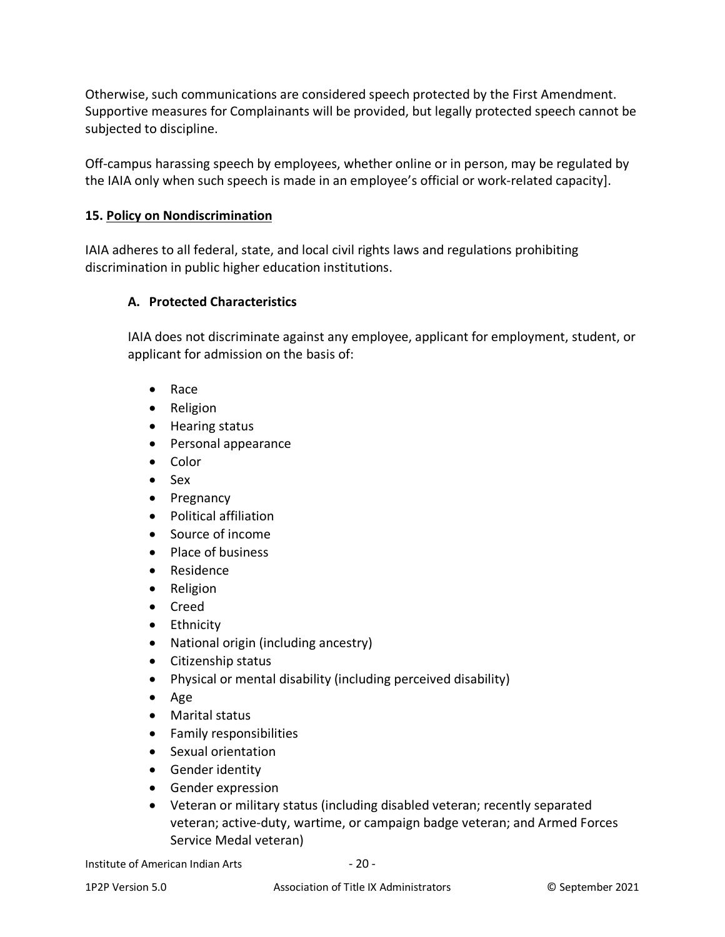Otherwise, such communications are considered speech protected by the First Amendment. Supportive measures for Complainants will be provided, but legally protected speech cannot be subjected to discipline.

Off-campus harassing speech by employees, whether online or in person, may be regulated by the IAIA only when such speech is made in an employee's official or work-related capacity].

## <span id="page-19-0"></span>**15. Policy on Nondiscrimination**

IAIA adheres to all federal, state, and local civil rights laws and regulations prohibiting discrimination in public higher education institutions.

# <span id="page-19-1"></span>**A. Protected Characteristics**

IAIA does not discriminate against any employee, applicant for employment, student, or applicant for admission on the basis of:

- Race
- Religion
- Hearing status
- Personal appearance
- Color
- Sex
- Pregnancy
- Political affiliation
- Source of income
- Place of business
- Residence
- Religion
- Creed
- Ethnicity
- National origin (including ancestry)
- Citizenship status
- Physical or mental disability (including perceived disability)
- Age
- Marital status
- Family responsibilities
- Sexual orientation
- Gender identity
- Gender expression
- Veteran or military status (including disabled veteran; recently separated veteran; active-duty, wartime, or campaign badge veteran; and Armed Forces Service Medal veteran)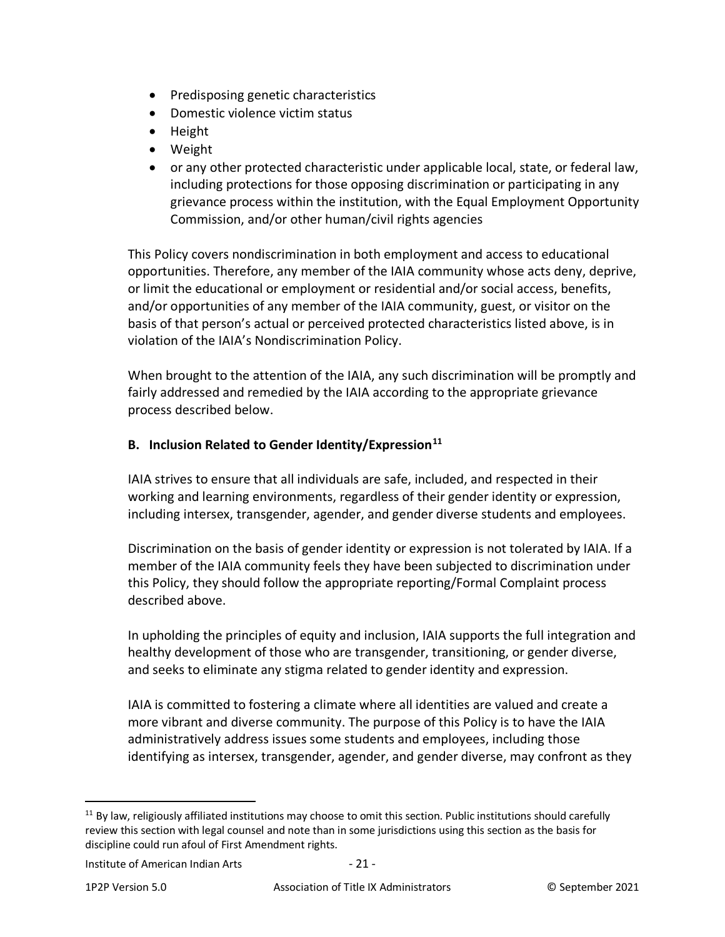- Predisposing genetic characteristics
- Domestic violence victim status
- Height
- Weight
- or any other protected characteristic under applicable local, state, or federal law, including protections for those opposing discrimination or participating in any grievance process within the institution, with the Equal Employment Opportunity Commission, and/or other human/civil rights agencies

This Policy covers nondiscrimination in both employment and access to educational opportunities. Therefore, any member of the IAIA community whose acts deny, deprive, or limit the educational or employment or residential and/or social access, benefits, and/or opportunities of any member of the IAIA community, guest, or visitor on the basis of that person's actual or perceived protected characteristics listed above, is in violation of the IAIA's Nondiscrimination Policy.

When brought to the attention of the IAIA, any such discrimination will be promptly and fairly addressed and remedied by the IAIA according to the appropriate grievance process described below.

## <span id="page-20-0"></span>**B. Inclusion Related to Gender Identity/Expression[11](#page-20-1)**

IAIA strives to ensure that all individuals are safe, included, and respected in their working and learning environments, regardless of their gender identity or expression, including intersex, transgender, agender, and gender diverse students and employees.

Discrimination on the basis of gender identity or expression is not tolerated by IAIA. If a member of the IAIA community feels they have been subjected to discrimination under this Policy, they should follow the appropriate reporting/Formal Complaint process described above.

In upholding the principles of equity and inclusion, IAIA supports the full integration and healthy development of those who are transgender, transitioning, or gender diverse, and seeks to eliminate any stigma related to gender identity and expression.

IAIA is committed to fostering a climate where all identities are valued and create a more vibrant and diverse community. The purpose of this Policy is to have the IAIA administratively address issues some students and employees, including those identifying as intersex, transgender, agender, and gender diverse, may confront as they

<span id="page-20-1"></span> $11$  By law, religiously affiliated institutions may choose to omit this section. Public institutions should carefully review this section with legal counsel and note than in some jurisdictions using this section as the basis for discipline could run afoul of First Amendment rights.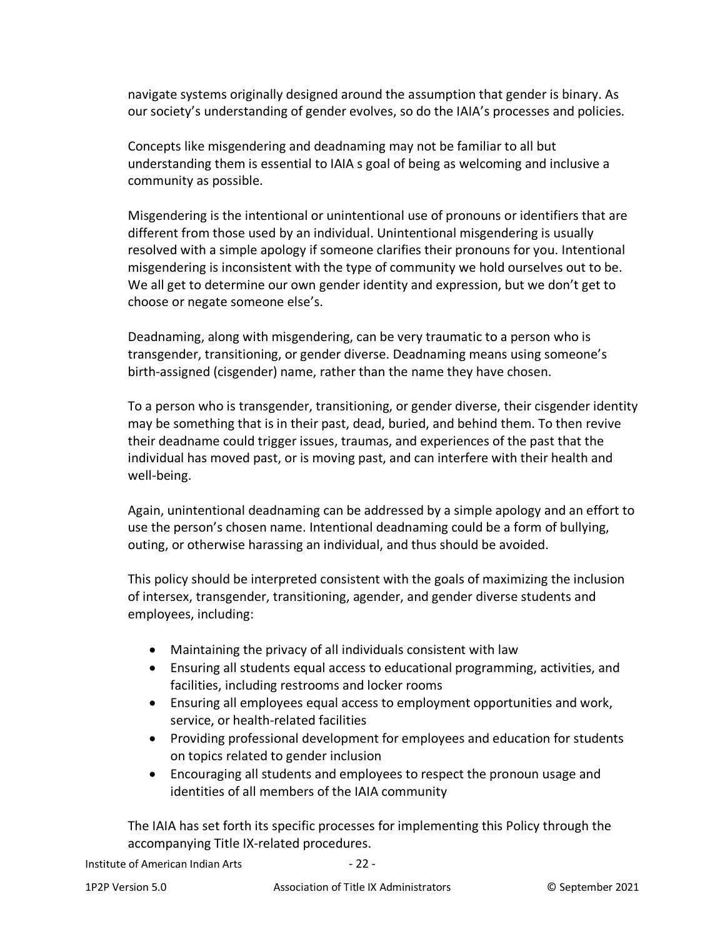navigate systems originally designed around the assumption that gender is binary. As our society's understanding of gender evolves, so do the IAIA's processes and policies.

Concepts like misgendering and deadnaming may not be familiar to all but understanding them is essential to IAIA s goal of being as welcoming and inclusive a community as possible.

Misgendering is the intentional or unintentional use of pronouns or identifiers that are different from those used by an individual. Unintentional misgendering is usually resolved with a simple apology if someone clarifies their pronouns for you. Intentional misgendering is inconsistent with the type of community we hold ourselves out to be. We all get to determine our own gender identity and expression, but we don't get to choose or negate someone else's.

Deadnaming, along with misgendering, can be very traumatic to a person who is transgender, transitioning, or gender diverse. Deadnaming means using someone's birth-assigned (cisgender) name, rather than the name they have chosen.

To a person who is transgender, transitioning, or gender diverse, their cisgender identity may be something that is in their past, dead, buried, and behind them. To then revive their deadname could trigger issues, traumas, and experiences of the past that the individual has moved past, or is moving past, and can interfere with their health and well-being.

Again, unintentional deadnaming can be addressed by a simple apology and an effort to use the person's chosen name. Intentional deadnaming could be a form of bullying, outing, or otherwise harassing an individual, and thus should be avoided.

This policy should be interpreted consistent with the goals of maximizing the inclusion of intersex, transgender, transitioning, agender, and gender diverse students and employees, including:

- Maintaining the privacy of all individuals consistent with law
- Ensuring all students equal access to educational programming, activities, and facilities, including restrooms and locker rooms
- Ensuring all employees equal access to employment opportunities and work, service, or health-related facilities
- Providing professional development for employees and education for students on topics related to gender inclusion
- Encouraging all students and employees to respect the pronoun usage and identities of all members of the IAIA community

The IAIA has set forth its specific processes for implementing this Policy through the accompanying Title IX-related procedures.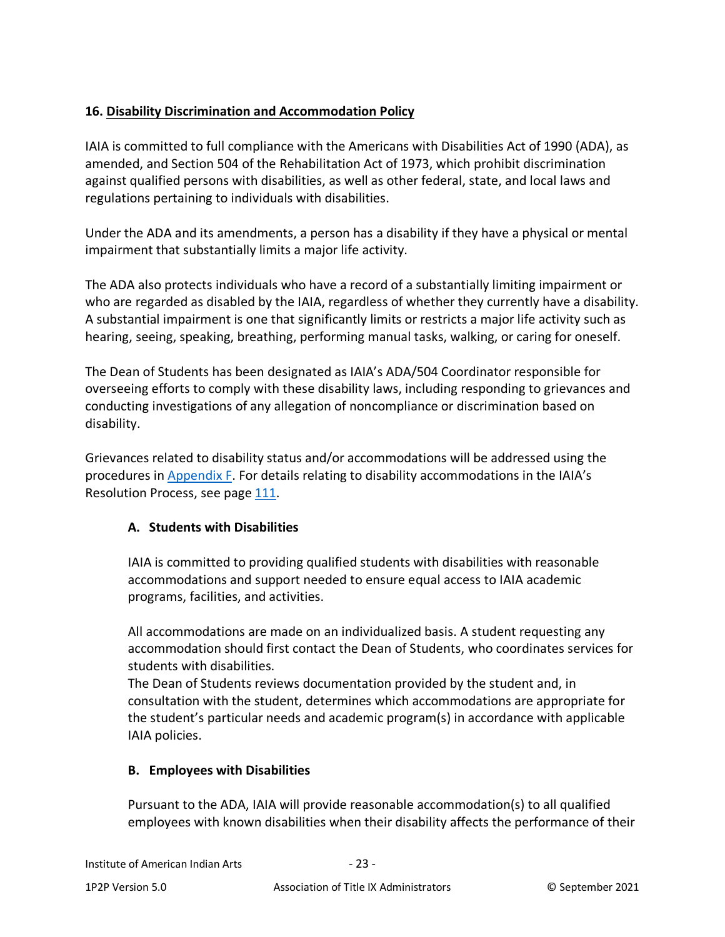# <span id="page-22-0"></span>**16. Disability Discrimination and Accommodation Policy**

IAIA is committed to full compliance with the Americans with Disabilities Act of 1990 (ADA), as amended, and Section 504 of the Rehabilitation Act of 1973, which prohibit discrimination against qualified persons with disabilities, as well as other federal, state, and local laws and regulations pertaining to individuals with disabilities.

Under the ADA and its amendments, a person has a disability if they have a physical or mental impairment that substantially limits a major life activity.

The ADA also protects individuals who have a record of a substantially limiting impairment or who are regarded as disabled by the IAIA, regardless of whether they currently have a disability. A substantial impairment is one that significantly limits or restricts a major life activity such as hearing, seeing, speaking, breathing, performing manual tasks, walking, or caring for oneself.

The Dean of Students has been designated as IAIA's ADA/504 Coordinator responsible for overseeing efforts to comply with these disability laws, including responding to grievances and conducting investigations of any allegation of noncompliance or discrimination based on disability.

Grievances related to disability status and/or accommodations will be addressed using the procedures in [Appendix F.](#page-89-0) For details relating to disability accommodations in the IAIA's Resolution Process, see page [111](#page-107-3).

## <span id="page-22-1"></span>**A. Students with Disabilities**

IAIA is committed to providing qualified students with disabilities with reasonable accommodations and support needed to ensure equal access to IAIA academic programs, facilities, and activities.

All accommodations are made on an individualized basis. A student requesting any accommodation should first contact the Dean of Students, who coordinates services for students with disabilities.

The Dean of Students reviews documentation provided by the student and, in consultation with the student, determines which accommodations are appropriate for the student's particular needs and academic program(s) in accordance with applicable IAIA policies.

## <span id="page-22-2"></span>**B. Employees with Disabilities**

Pursuant to the ADA, IAIA will provide reasonable accommodation(s) to all qualified employees with known disabilities when their disability affects the performance of their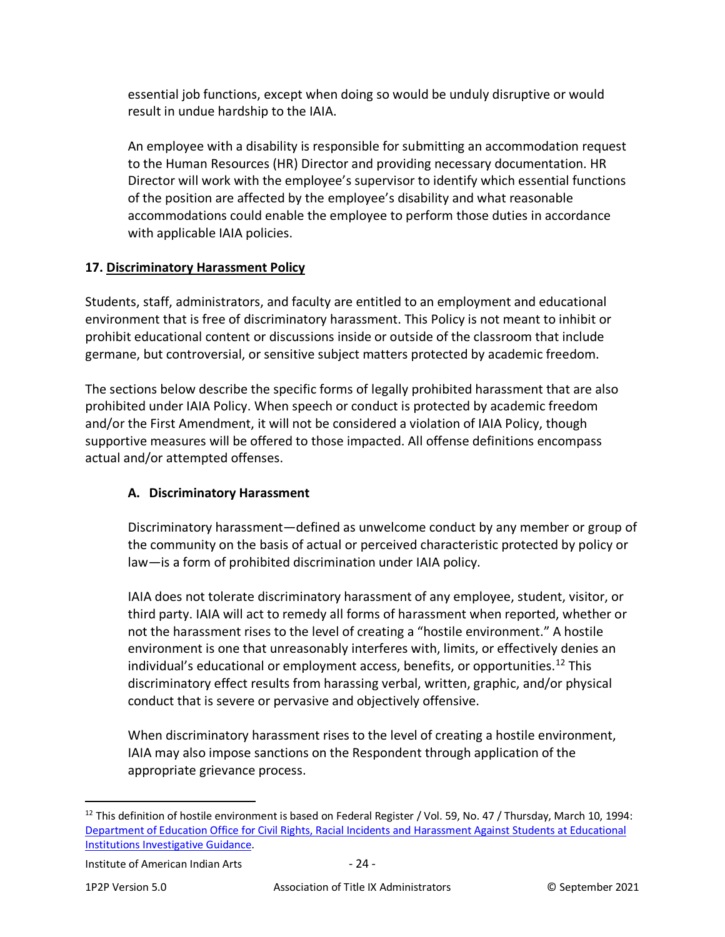essential job functions, except when doing so would be unduly disruptive or would result in undue hardship to the IAIA.

An employee with a disability is responsible for submitting an accommodation request to the Human Resources (HR) Director and providing necessary documentation. HR Director will work with the employee's supervisor to identify which essential functions of the position are affected by the employee's disability and what reasonable accommodations could enable the employee to perform those duties in accordance with applicable IAIA policies.

# <span id="page-23-0"></span>**17. Discriminatory Harassment Policy**

Students, staff, administrators, and faculty are entitled to an employment and educational environment that is free of discriminatory harassment. This Policy is not meant to inhibit or prohibit educational content or discussions inside or outside of the classroom that include germane, but controversial, or sensitive subject matters protected by academic freedom.

The sections below describe the specific forms of legally prohibited harassment that are also prohibited under IAIA Policy. When speech or conduct is protected by academic freedom and/or the First Amendment, it will not be considered a violation of IAIA Policy, though supportive measures will be offered to those impacted. All offense definitions encompass actual and/or attempted offenses.

# <span id="page-23-1"></span>**A. Discriminatory Harassment**

Discriminatory harassment—defined as unwelcome conduct by any member or group of the community on the basis of actual or perceived characteristic protected by policy or law—is a form of prohibited discrimination under IAIA policy.

IAIA does not tolerate discriminatory harassment of any employee, student, visitor, or third party. IAIA will act to remedy all forms of harassment when reported, whether or not the harassment rises to the level of creating a "hostile environment." A hostile environment is one that unreasonably interferes with, limits, or effectively denies an individual's educational or employment access, benefits, or opportunities.<sup>12</sup> This discriminatory effect results from harassing verbal, written, graphic, and/or physical conduct that is severe or pervasive and objectively offensive.

When discriminatory harassment rises to the level of creating a hostile environment, IAIA may also impose sanctions on the Respondent through application of the appropriate grievance process.

<span id="page-23-2"></span> $12$  This definition of hostile environment is based on Federal Register / Vol. 59, No. 47 / Thursday, March 10, 1994: [Department of Education Office for Civil Rights, Racial Incidents and Harassment Against Students at Educational](http://www.ed.gov/about/offices/list/ocr/docs/race394.html.)  [Institutions Investigative Guidance.](http://www.ed.gov/about/offices/list/ocr/docs/race394.html.)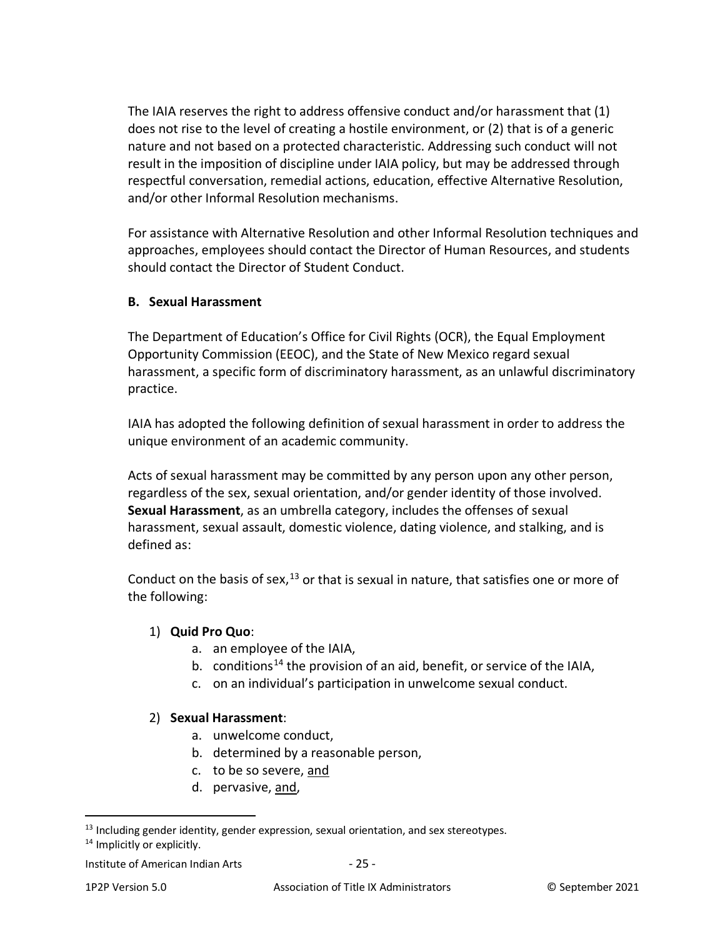The IAIA reserves the right to address offensive conduct and/or harassment that (1) does not rise to the level of creating a hostile environment, or (2) that is of a generic nature and not based on a protected characteristic. Addressing such conduct will not result in the imposition of discipline under IAIA policy, but may be addressed through respectful conversation, remedial actions, education, effective Alternative Resolution, and/or other Informal Resolution mechanisms.

For assistance with Alternative Resolution and other Informal Resolution techniques and approaches, employees should contact the Director of Human Resources, and students should contact the Director of Student Conduct.

### <span id="page-24-0"></span>**B. Sexual Harassment**

The Department of Education's Office for Civil Rights (OCR), the Equal Employment Opportunity Commission (EEOC), and the State of New Mexico regard sexual harassment, a specific form of discriminatory harassment, as an unlawful discriminatory practice.

IAIA has adopted the following definition of sexual harassment in order to address the unique environment of an academic community.

Acts of sexual harassment may be committed by any person upon any other person, regardless of the sex, sexual orientation, and/or gender identity of those involved. **Sexual Harassment**, as an umbrella category, includes the offenses of sexual harassment, sexual assault, domestic violence, dating violence, and stalking, and is defined as:

Conduct on the basis of sex,  $13$  or that is sexual in nature, that satisfies one or more of the following:

#### 1) **Quid Pro Quo**:

- a. an employee of the IAIA,
- b. conditions<sup>[14](#page-24-2)</sup> the provision of an aid, benefit, or service of the IAIA,
- c. on an individual's participation in unwelcome sexual conduct.

#### 2) **Sexual Harassment**:

- a. unwelcome conduct,
- b. determined by a reasonable person,
- c. to be so severe, and
- d. pervasive, and,

<span id="page-24-1"></span> $13$  Including gender identity, gender expression, sexual orientation, and sex stereotypes.

<span id="page-24-2"></span><sup>&</sup>lt;sup>14</sup> Implicitly or explicitly.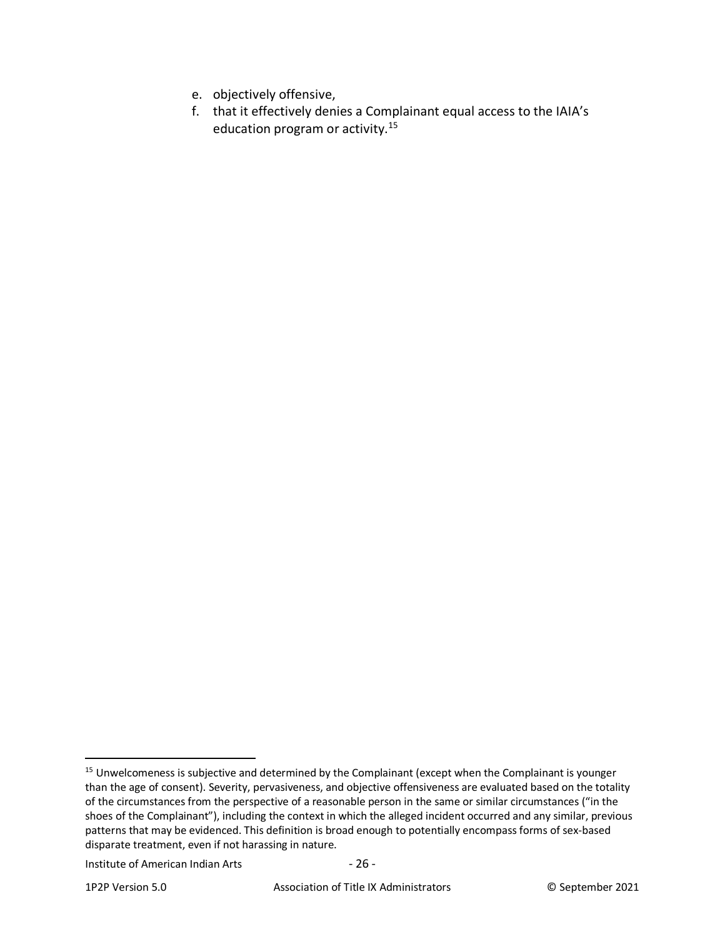- e. objectively offensive,
- f. that it effectively denies a Complainant equal access to the IAIA's education program or activity.[15](#page-25-0)

Institute of American Indian Arts - 26 -

<span id="page-25-0"></span><sup>&</sup>lt;sup>15</sup> Unwelcomeness is subjective and determined by the Complainant (except when the Complainant is younger than the age of consent). Severity, pervasiveness, and objective offensiveness are evaluated based on the totality of the circumstances from the perspective of a reasonable person in the same or similar circumstances ("in the shoes of the Complainant"), including the context in which the alleged incident occurred and any similar, previous patterns that may be evidenced. This definition is broad enough to potentially encompass forms of sex-based disparate treatment, even if not harassing in nature.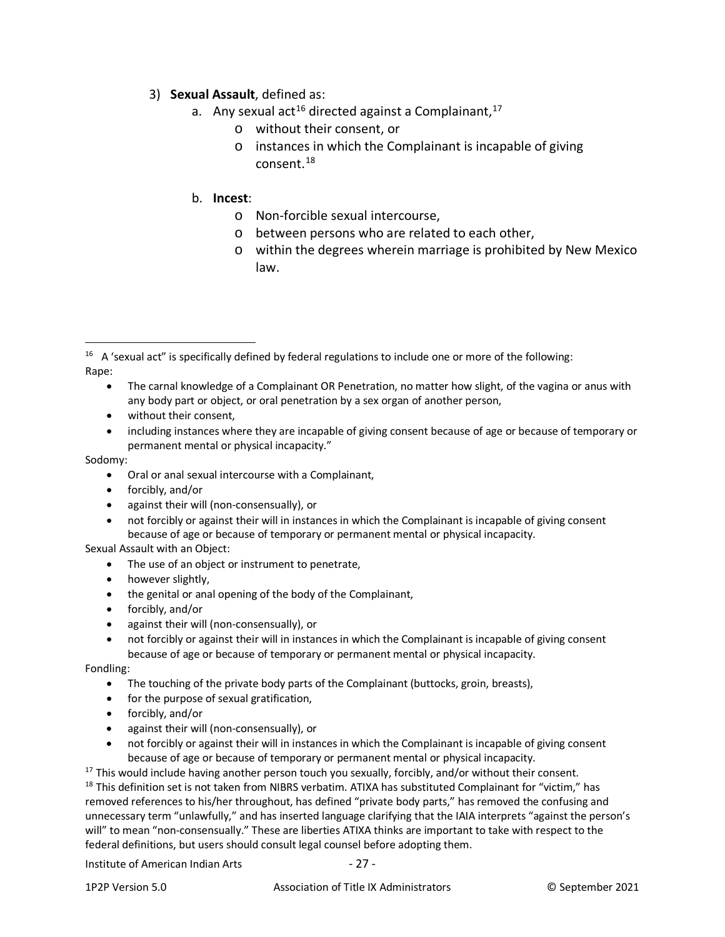#### 3) **Sexual Assault**, defined as:

- a. Any sexual act<sup>[16](#page-26-0)</sup> directed against a Complainant,  $17$ 
	- o without their consent, or
	- o instances in which the Complainant is incapable of giving consent. [18](#page-26-2)

#### b. **Incest**:

- o Non-forcible sexual intercourse,
- o between persons who are related to each other,
- o within the degrees wherein marriage is prohibited by New Mexico law.

- The carnal knowledge of a Complainant OR Penetration, no matter how slight, of the vagina or anus with any body part or object, or oral penetration by a sex organ of another person,
- without their consent.
- including instances where they are incapable of giving consent because of age or because of temporary or permanent mental or physical incapacity."

#### Sodomy:

- Oral or anal sexual intercourse with a Complainant,
- forcibly, and/or
- against their will (non-consensually), or
- not forcibly or against their will in instances in which the Complainant is incapable of giving consent because of age or because of temporary or permanent mental or physical incapacity.
- Sexual Assault with an Object:
	- The use of an object or instrument to penetrate,
	- however slightly,
	- the genital or anal opening of the body of the Complainant,
	- forcibly, and/or
	- against their will (non-consensually), or
	- not forcibly or against their will in instances in which the Complainant is incapable of giving consent because of age or because of temporary or permanent mental or physical incapacity.

Fondling:

- The touching of the private body parts of the Complainant (buttocks, groin, breasts),
- for the purpose of sexual gratification,
- forcibly, and/or
- against their will (non-consensually), or
- not forcibly or against their will in instances in which the Complainant is incapable of giving consent because of age or because of temporary or permanent mental or physical incapacity.

<span id="page-26-2"></span><span id="page-26-1"></span> $17$  This would include having another person touch you sexually, forcibly, and/or without their consent. <sup>18</sup> This definition set is not taken from NIBRS verbatim. ATIXA has substituted Complainant for "victim," has removed references to his/her throughout, has defined "private body parts," has removed the confusing and unnecessary term "unlawfully," and has inserted language clarifying that the IAIA interprets "against the person's will" to mean "non-consensually." These are liberties ATIXA thinks are important to take with respect to the federal definitions, but users should consult legal counsel before adopting them.

#### Institute of American Indian Arts - 27 -

<span id="page-26-0"></span><sup>&</sup>lt;sup>16</sup> A 'sexual act" is specifically defined by federal regulations to include one or more of the following: Rape: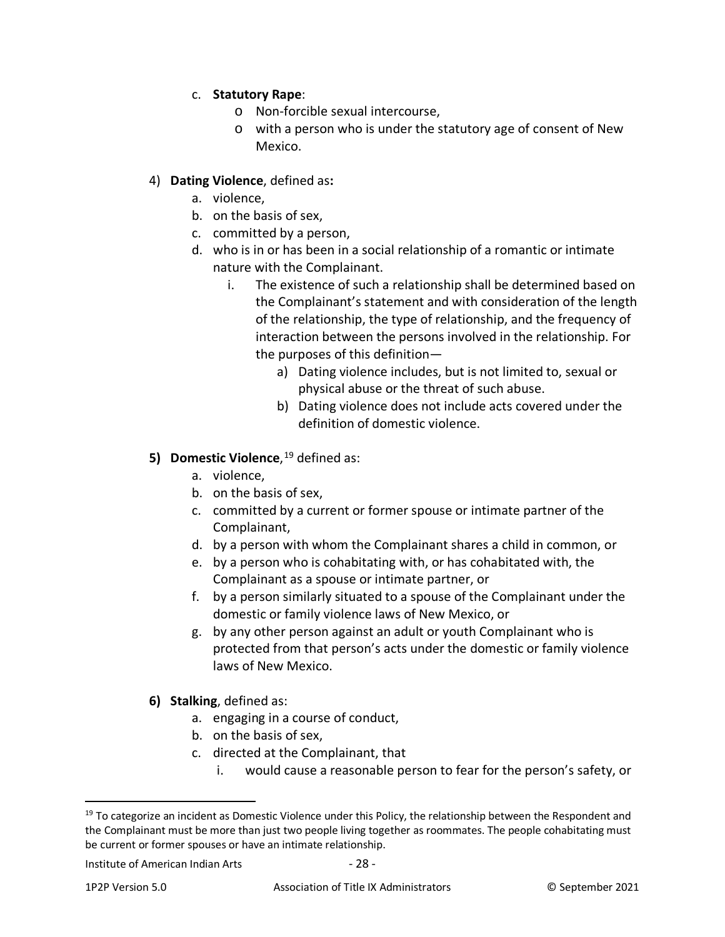## c. **Statutory Rape**:

- o Non-forcible sexual intercourse,
- o with a person who is under the statutory age of consent of New Mexico.

### 4) **Dating Violence**, defined as**:**

- a. violence,
- b. on the basis of sex,
- c. committed by a person,
- d. who is in or has been in a social relationship of a romantic or intimate nature with the Complainant.
	- i. The existence of such a relationship shall be determined based on the Complainant's statement and with consideration of the length of the relationship, the type of relationship, and the frequency of interaction between the persons involved in the relationship. For the purposes of this definition
		- a) Dating violence includes, but is not limited to, sexual or physical abuse or the threat of such abuse.
		- b) Dating violence does not include acts covered under the definition of domestic violence.

## **5) Domestic Violence**, [19](#page-27-0) defined as:

- a. violence,
- b. on the basis of sex,
- c. committed by a current or former spouse or intimate partner of the Complainant,
- d. by a person with whom the Complainant shares a child in common, or
- e. by a person who is cohabitating with, or has cohabitated with, the Complainant as a spouse or intimate partner, or
- f. by a person similarly situated to a spouse of the Complainant under the domestic or family violence laws of New Mexico, or
- g. by any other person against an adult or youth Complainant who is protected from that person's acts under the domestic or family violence laws of New Mexico.
- **6) Stalking**, defined as:
	- a. engaging in a course of conduct,
	- b. on the basis of sex,
	- c. directed at the Complainant, that
		- i. would cause a reasonable person to fear for the person's safety, or

<span id="page-27-0"></span> $19$  To categorize an incident as Domestic Violence under this Policy, the relationship between the Respondent and the Complainant must be more than just two people living together as roommates. The people cohabitating must be current or former spouses or have an intimate relationship.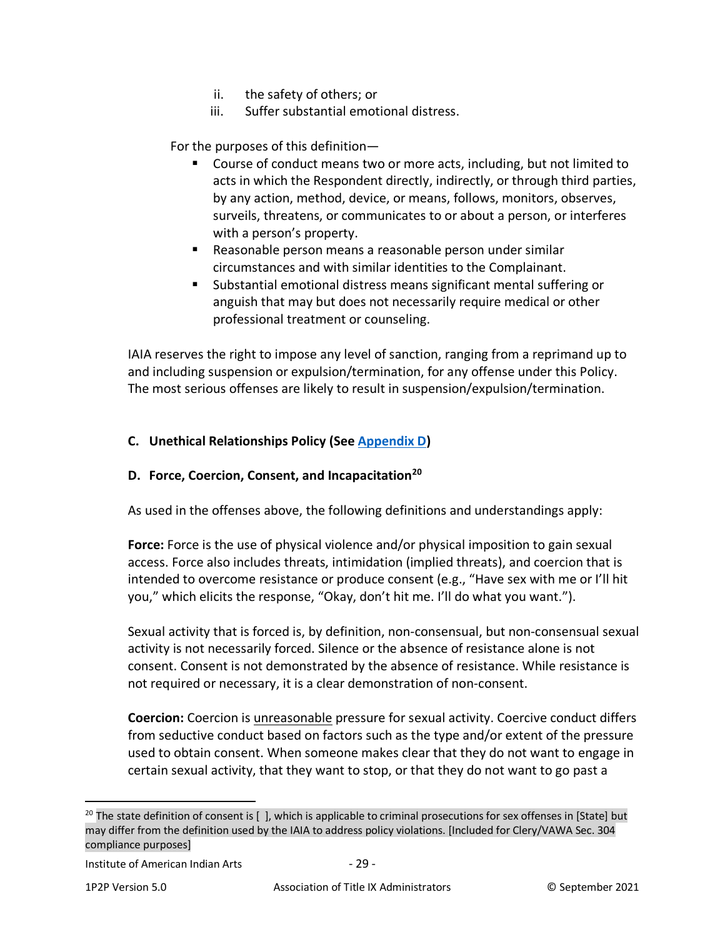- ii. the safety of others; or
- iii. Suffer substantial emotional distress.

For the purposes of this definition—

- Course of conduct means two or more acts, including, but not limited to acts in which the Respondent directly, indirectly, or through third parties, by any action, method, device, or means, follows, monitors, observes, surveils, threatens, or communicates to or about a person, or interferes with a person's property.
- Reasonable person means a reasonable person under similar circumstances and with similar identities to the Complainant.
- Substantial emotional distress means significant mental suffering or anguish that may but does not necessarily require medical or other professional treatment or counseling.

IAIA reserves the right to impose any level of sanction, ranging from a reprimand up to and including suspension or expulsion/termination, for any offense under this Policy. The most serious offenses are likely to result in suspension/expulsion/termination.

### <span id="page-28-0"></span>**C. Unethical Relationships Policy (See [Appendix D\)](#page-86-0)**

#### <span id="page-28-1"></span>**D. Force, Coercion, Consent, and Incapacitation[20](#page-28-2)**

As used in the offenses above, the following definitions and understandings apply:

**Force:** Force is the use of physical violence and/or physical imposition to gain sexual access. Force also includes threats, intimidation (implied threats), and coercion that is intended to overcome resistance or produce consent (e.g., "Have sex with me or I'll hit you," which elicits the response, "Okay, don't hit me. I'll do what you want.").

Sexual activity that is forced is, by definition, non-consensual, but non-consensual sexual activity is not necessarily forced. Silence or the absence of resistance alone is not consent. Consent is not demonstrated by the absence of resistance. While resistance is not required or necessary, it is a clear demonstration of non-consent.

**Coercion:** Coercion is unreasonable pressure for sexual activity. Coercive conduct differs from seductive conduct based on factors such as the type and/or extent of the pressure used to obtain consent. When someone makes clear that they do not want to engage in certain sexual activity, that they want to stop, or that they do not want to go past a

<span id="page-28-2"></span> $20$  The state definition of consent is [ ], which is applicable to criminal prosecutions for sex offenses in [State] but may differ from the definition used by the IAIA to address policy violations. [Included for Clery/VAWA Sec. 304 compliance purposes]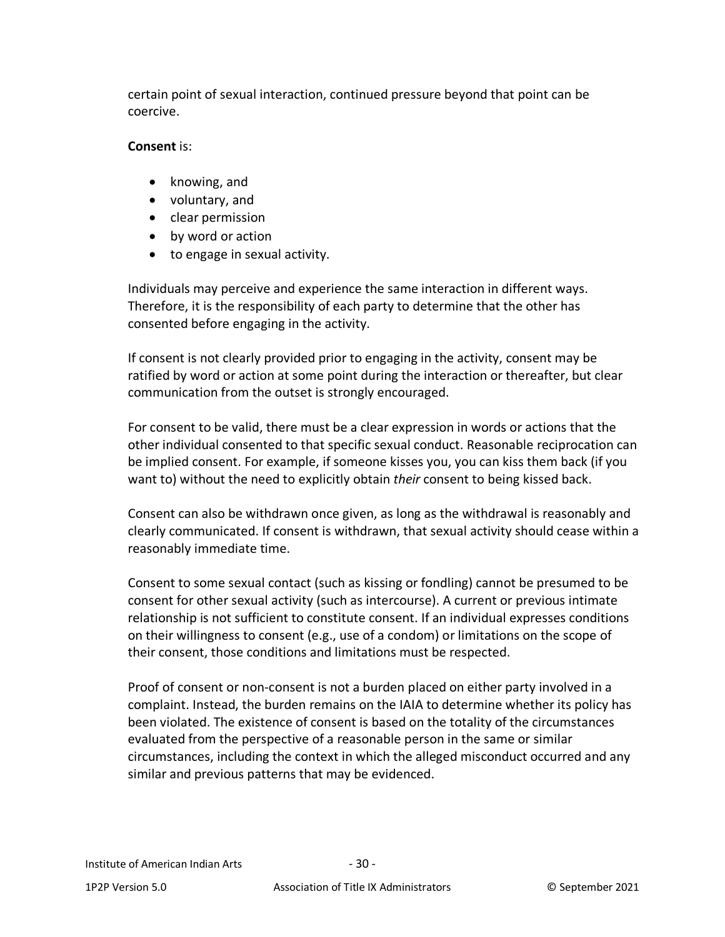certain point of sexual interaction, continued pressure beyond that point can be coercive.

### **Consent** is:

- knowing, and
- voluntary, and
- clear permission
- by word or action
- to engage in sexual activity.

Individuals may perceive and experience the same interaction in different ways. Therefore, it is the responsibility of each party to determine that the other has consented before engaging in the activity.

If consent is not clearly provided prior to engaging in the activity, consent may be ratified by word or action at some point during the interaction or thereafter, but clear communication from the outset is strongly encouraged.

For consent to be valid, there must be a clear expression in words or actions that the other individual consented to that specific sexual conduct. Reasonable reciprocation can be implied consent. For example, if someone kisses you, you can kiss them back (if you want to) without the need to explicitly obtain *their* consent to being kissed back.

Consent can also be withdrawn once given, as long as the withdrawal is reasonably and clearly communicated. If consent is withdrawn, that sexual activity should cease within a reasonably immediate time.

Consent to some sexual contact (such as kissing or fondling) cannot be presumed to be consent for other sexual activity (such as intercourse). A current or previous intimate relationship is not sufficient to constitute consent. If an individual expresses conditions on their willingness to consent (e.g., use of a condom) or limitations on the scope of their consent, those conditions and limitations must be respected.

Proof of consent or non-consent is not a burden placed on either party involved in a complaint. Instead, the burden remains on the IAIA to determine whether its policy has been violated. The existence of consent is based on the totality of the circumstances evaluated from the perspective of a reasonable person in the same or similar circumstances, including the context in which the alleged misconduct occurred and any similar and previous patterns that may be evidenced.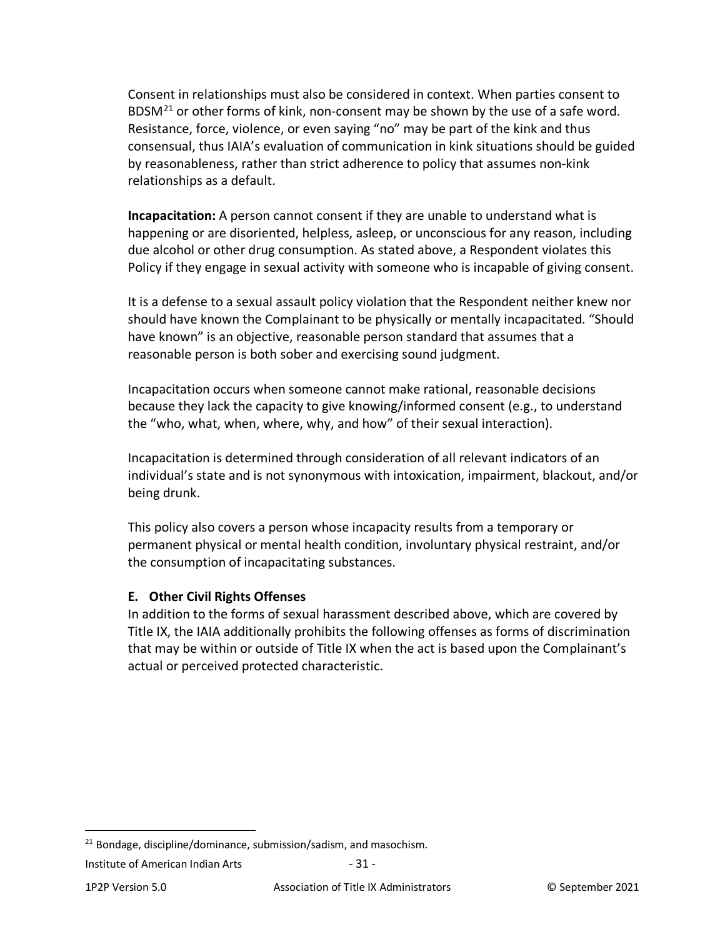Consent in relationships must also be considered in context. When parties consent to BDSM $^{21}$  $^{21}$  $^{21}$  or other forms of kink, non-consent may be shown by the use of a safe word. Resistance, force, violence, or even saying "no" may be part of the kink and thus consensual, thus IAIA's evaluation of communication in kink situations should be guided by reasonableness, rather than strict adherence to policy that assumes non-kink relationships as a default.

**Incapacitation:** A person cannot consent if they are unable to understand what is happening or are disoriented, helpless, asleep, or unconscious for any reason, including due alcohol or other drug consumption. As stated above, a Respondent violates this Policy if they engage in sexual activity with someone who is incapable of giving consent.

It is a defense to a sexual assault policy violation that the Respondent neither knew nor should have known the Complainant to be physically or mentally incapacitated. "Should have known" is an objective, reasonable person standard that assumes that a reasonable person is both sober and exercising sound judgment.

Incapacitation occurs when someone cannot make rational, reasonable decisions because they lack the capacity to give knowing/informed consent (e.g., to understand the "who, what, when, where, why, and how" of their sexual interaction).

Incapacitation is determined through consideration of all relevant indicators of an individual's state and is not synonymous with intoxication, impairment, blackout, and/or being drunk.

This policy also covers a person whose incapacity results from a temporary or permanent physical or mental health condition, involuntary physical restraint, and/or the consumption of incapacitating substances.

#### <span id="page-30-0"></span>**E. Other Civil Rights Offenses**

In addition to the forms of sexual harassment described above, which are covered by Title IX, the IAIA additionally prohibits the following offenses as forms of discrimination that may be within or outside of Title IX when the act is based upon the Complainant's actual or perceived protected characteristic.

<span id="page-30-1"></span> $21$  Bondage, discipline/dominance, submission/sadism, and masochism.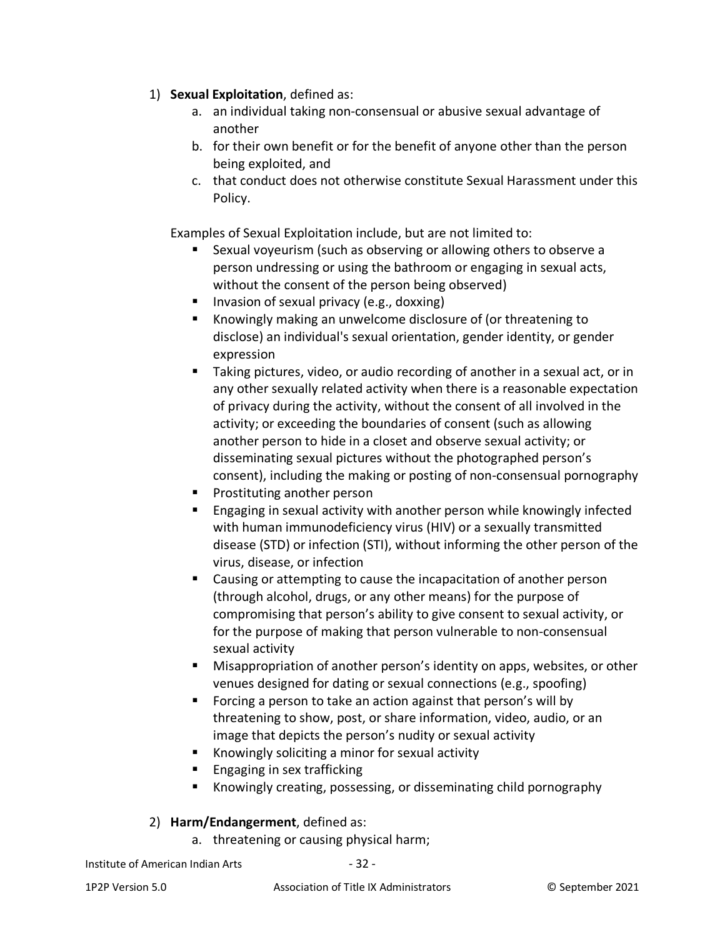- 1) **Sexual Exploitation**, defined as:
	- a. an individual taking non-consensual or abusive sexual advantage of another
	- b. for their own benefit or for the benefit of anyone other than the person being exploited, and
	- c. that conduct does not otherwise constitute Sexual Harassment under this Policy.

Examples of Sexual Exploitation include, but are not limited to:

- Sexual voyeurism (such as observing or allowing others to observe a person undressing or using the bathroom or engaging in sexual acts, without the consent of the person being observed)
- Invasion of sexual privacy (e.g., doxxing)
- Knowingly making an unwelcome disclosure of (or threatening to disclose) an individual's sexual orientation, gender identity, or gender expression
- Taking pictures, video, or audio recording of another in a sexual act, or in any other sexually related activity when there is a reasonable expectation of privacy during the activity, without the consent of all involved in the activity; or exceeding the boundaries of consent (such as allowing another person to hide in a closet and observe sexual activity; or disseminating sexual pictures without the photographed person's consent), including the making or posting of non-consensual pornography
- **Prostituting another person**
- Engaging in sexual activity with another person while knowingly infected with human immunodeficiency virus (HIV) or a sexually transmitted disease (STD) or infection (STI), without informing the other person of the virus, disease, or infection
- Causing or attempting to cause the incapacitation of another person (through alcohol, drugs, or any other means) for the purpose of compromising that person's ability to give consent to sexual activity, or for the purpose of making that person vulnerable to non-consensual sexual activity
- **Misappropriation of another person's identity on apps, websites, or other** venues designed for dating or sexual connections (e.g., spoofing)
- Forcing a person to take an action against that person's will by threatening to show, post, or share information, video, audio, or an image that depicts the person's nudity or sexual activity
- Knowingly soliciting a minor for sexual activity
- $\blacksquare$  Engaging in sex trafficking
- Knowingly creating, possessing, or disseminating child pornography

#### 2) **Harm/Endangerment**, defined as:

a. threatening or causing physical harm;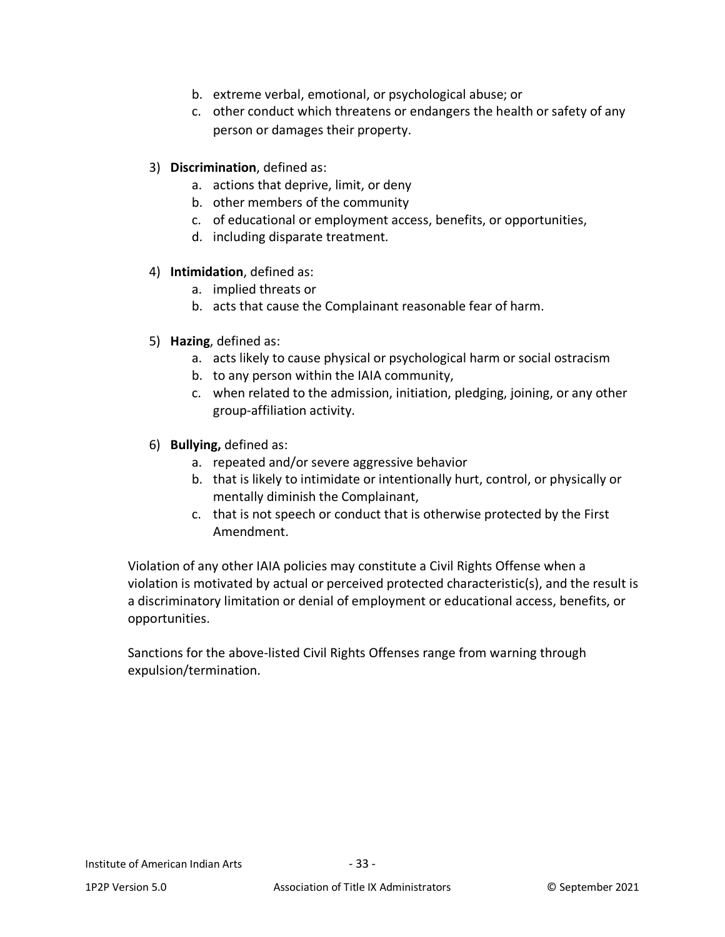- b. extreme verbal, emotional, or psychological abuse; or
- c. other conduct which threatens or endangers the health or safety of any person or damages their property.
- 3) **Discrimination**, defined as:
	- a. actions that deprive, limit, or deny
	- b. other members of the community
	- c. of educational or employment access, benefits, or opportunities,
	- d. including disparate treatment.
- 4) **Intimidation**, defined as:
	- a. implied threats or
	- b. acts that cause the Complainant reasonable fear of harm.
- 5) **Hazing**, defined as:
	- a. acts likely to cause physical or psychological harm or social ostracism
	- b. to any person within the IAIA community,
	- c. when related to the admission, initiation, pledging, joining, or any other group-affiliation activity.
- 6) **Bullying,** defined as:
	- a. repeated and/or severe aggressive behavior
	- b. that is likely to intimidate or intentionally hurt, control, or physically or mentally diminish the Complainant,
	- c. that is not speech or conduct that is otherwise protected by the First Amendment.

Violation of any other IAIA policies may constitute a Civil Rights Offense when a violation is motivated by actual or perceived protected characteristic(s), and the result is a discriminatory limitation or denial of employment or educational access, benefits, or opportunities.

Sanctions for the above-listed Civil Rights Offenses range from warning through expulsion/termination.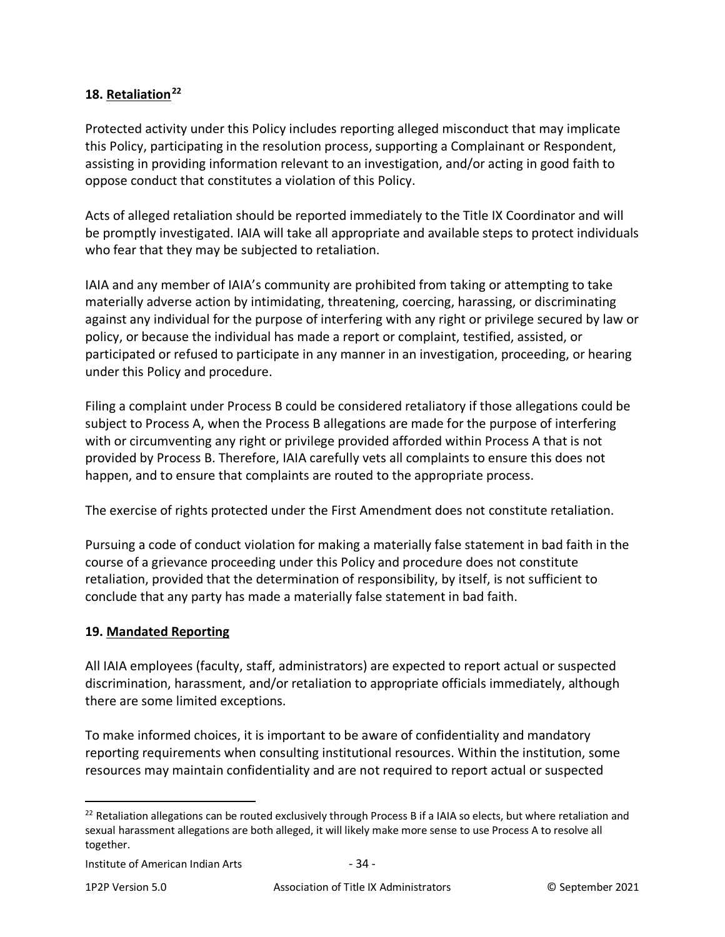# <span id="page-33-0"></span>**18. Retaliation[22](#page-33-2)**

Protected activity under this Policy includes reporting alleged misconduct that may implicate this Policy, participating in the resolution process, supporting a Complainant or Respondent, assisting in providing information relevant to an investigation, and/or acting in good faith to oppose conduct that constitutes a violation of this Policy.

Acts of alleged retaliation should be reported immediately to the Title IX Coordinator and will be promptly investigated. IAIA will take all appropriate and available steps to protect individuals who fear that they may be subjected to retaliation.

IAIA and any member of IAIA's community are prohibited from taking or attempting to take materially adverse action by intimidating, threatening, coercing, harassing, or discriminating against any individual for the purpose of interfering with any right or privilege secured by law or policy, or because the individual has made a report or complaint, testified, assisted, or participated or refused to participate in any manner in an investigation, proceeding, or hearing under this Policy and procedure.

Filing a complaint under Process B could be considered retaliatory if those allegations could be subject to Process A, when the Process B allegations are made for the purpose of interfering with or circumventing any right or privilege provided afforded within Process A that is not provided by Process B. Therefore, IAIA carefully vets all complaints to ensure this does not happen, and to ensure that complaints are routed to the appropriate process.

The exercise of rights protected under the First Amendment does not constitute retaliation.

Pursuing a code of conduct violation for making a materially false statement in bad faith in the course of a grievance proceeding under this Policy and procedure does not constitute retaliation, provided that the determination of responsibility, by itself, is not sufficient to conclude that any party has made a materially false statement in bad faith.

## <span id="page-33-1"></span>**19. Mandated Reporting**

All IAIA employees (faculty, staff, administrators) are expected to report actual or suspected discrimination, harassment, and/or retaliation to appropriate officials immediately, although there are some limited exceptions.

To make informed choices, it is important to be aware of confidentiality and mandatory reporting requirements when consulting institutional resources. Within the institution, some resources may maintain confidentiality and are not required to report actual or suspected

<span id="page-33-2"></span><sup>&</sup>lt;sup>22</sup> Retaliation allegations can be routed exclusively through Process B if a IAIA so elects, but where retaliation and sexual harassment allegations are both alleged, it will likely make more sense to use Process A to resolve all together.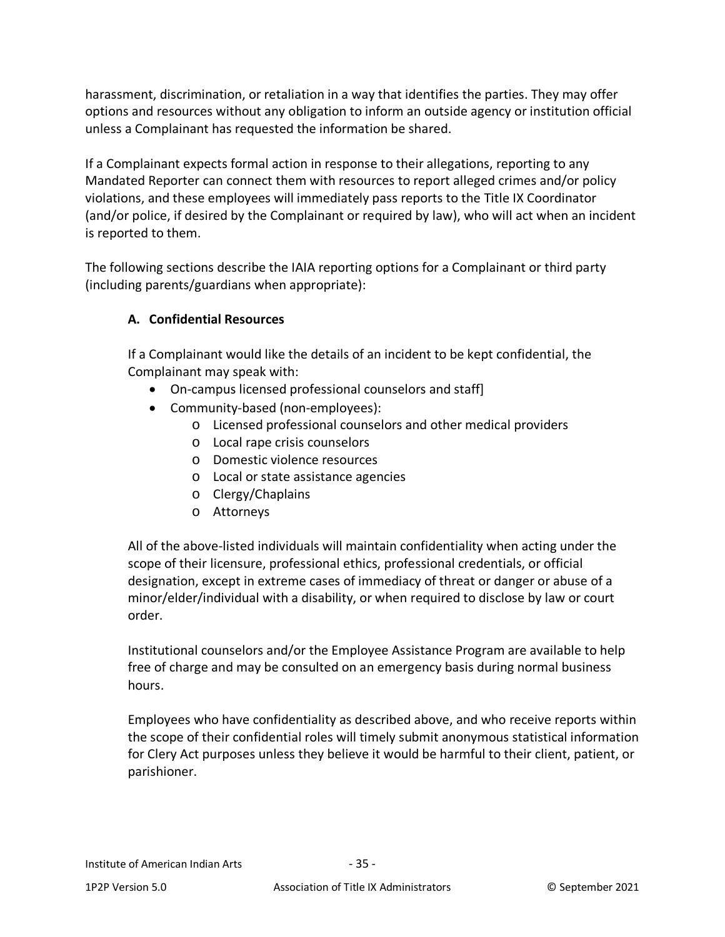harassment, discrimination, or retaliation in a way that identifies the parties. They may offer options and resources without any obligation to inform an outside agency or institution official unless a Complainant has requested the information be shared.

If a Complainant expects formal action in response to their allegations, reporting to any Mandated Reporter can connect them with resources to report alleged crimes and/or policy violations, and these employees will immediately pass reports to the Title IX Coordinator (and/or police, if desired by the Complainant or required by law), who will act when an incident is reported to them.

The following sections describe the IAIA reporting options for a Complainant or third party (including parents/guardians when appropriate):

# <span id="page-34-0"></span>**A. Confidential Resources**

If a Complainant would like the details of an incident to be kept confidential, the Complainant may speak with:

- On-campus licensed professional counselors and staff]
- Community-based (non-employees):
	- o Licensed professional counselors and other medical providers
	- o Local rape crisis counselors
	- o Domestic violence resources
	- o Local or state assistance agencies
	- o Clergy/Chaplains
	- o Attorneys

All of the above-listed individuals will maintain confidentiality when acting under the scope of their licensure, professional ethics, professional credentials, or official designation, except in extreme cases of immediacy of threat or danger or abuse of a minor/elder/individual with a disability, or when required to disclose by law or court order.

Institutional counselors and/or the Employee Assistance Program are available to help free of charge and may be consulted on an emergency basis during normal business hours.

Employees who have confidentiality as described above, and who receive reports within the scope of their confidential roles will timely submit anonymous statistical information for Clery Act purposes unless they believe it would be harmful to their client, patient, or parishioner.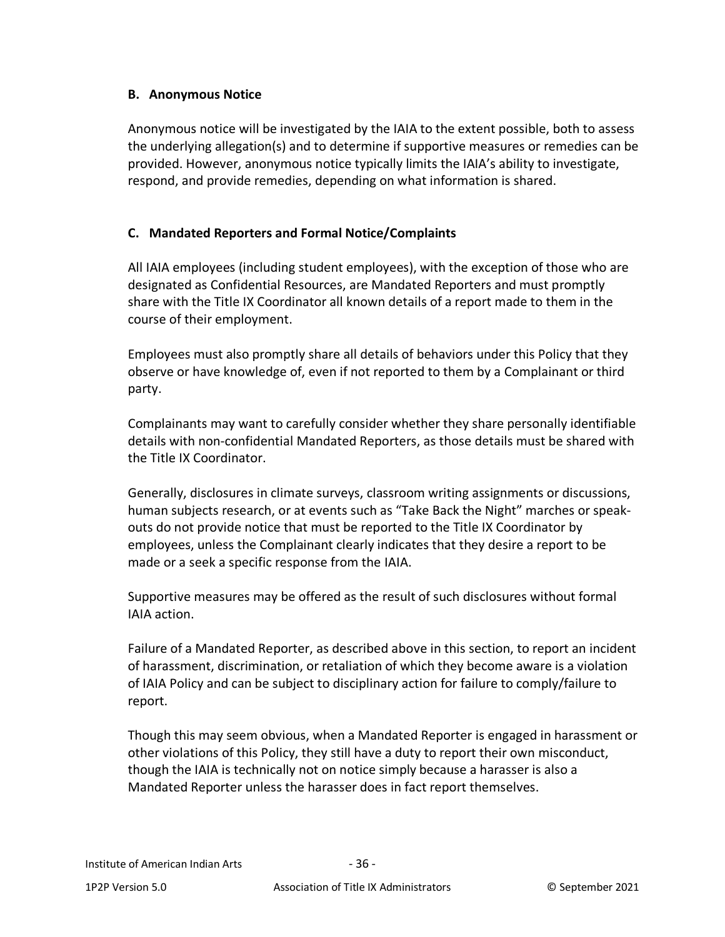### <span id="page-35-0"></span>**B. Anonymous Notice**

Anonymous notice will be investigated by the IAIA to the extent possible, both to assess the underlying allegation(s) and to determine if supportive measures or remedies can be provided. However, anonymous notice typically limits the IAIA's ability to investigate, respond, and provide remedies, depending on what information is shared.

### <span id="page-35-1"></span>**C. Mandated Reporters and Formal Notice/Complaints**

All IAIA employees (including student employees), with the exception of those who are designated as Confidential Resources, are Mandated Reporters and must promptly share with the Title IX Coordinator all known details of a report made to them in the course of their employment.

Employees must also promptly share all details of behaviors under this Policy that they observe or have knowledge of, even if not reported to them by a Complainant or third party.

Complainants may want to carefully consider whether they share personally identifiable details with non-confidential Mandated Reporters, as those details must be shared with the Title IX Coordinator.

Generally, disclosures in climate surveys, classroom writing assignments or discussions, human subjects research, or at events such as "Take Back the Night" marches or speakouts do not provide notice that must be reported to the Title IX Coordinator by employees, unless the Complainant clearly indicates that they desire a report to be made or a seek a specific response from the IAIA.

Supportive measures may be offered as the result of such disclosures without formal IAIA action.

Failure of a Mandated Reporter, as described above in this section, to report an incident of harassment, discrimination, or retaliation of which they become aware is a violation of IAIA Policy and can be subject to disciplinary action for failure to comply/failure to report.

Though this may seem obvious, when a Mandated Reporter is engaged in harassment or other violations of this Policy, they still have a duty to report their own misconduct, though the IAIA is technically not on notice simply because a harasser is also a Mandated Reporter unless the harasser does in fact report themselves.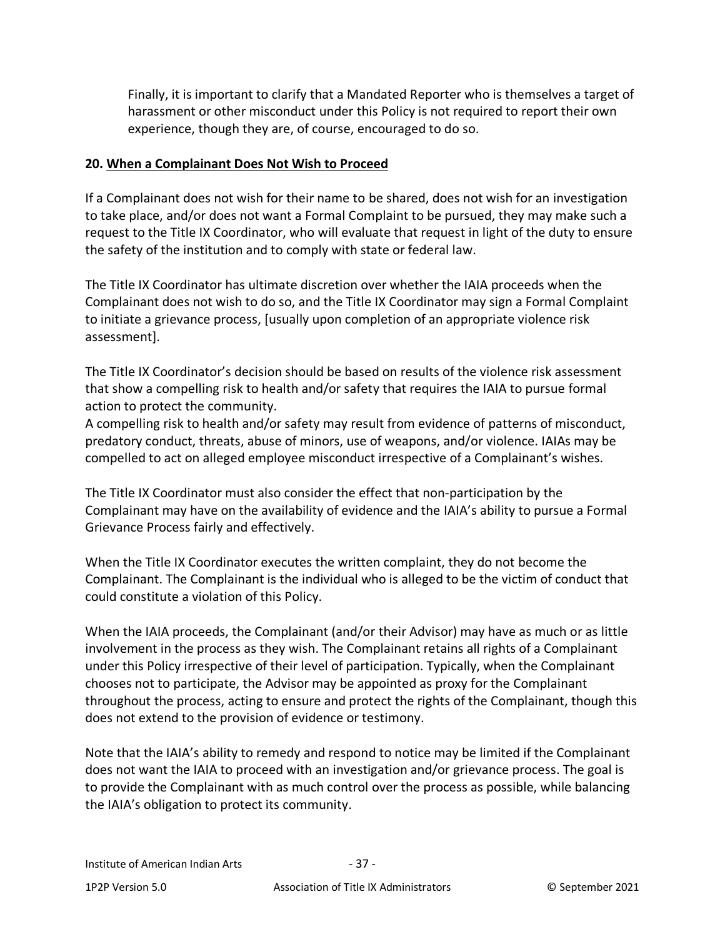Finally, it is important to clarify that a Mandated Reporter who is themselves a target of harassment or other misconduct under this Policy is not required to report their own experience, though they are, of course, encouraged to do so.

#### **20. When a Complainant Does Not Wish to Proceed**

If a Complainant does not wish for their name to be shared, does not wish for an investigation to take place, and/or does not want a Formal Complaint to be pursued, they may make such a request to the Title IX Coordinator, who will evaluate that request in light of the duty to ensure the safety of the institution and to comply with state or federal law.

The Title IX Coordinator has ultimate discretion over whether the IAIA proceeds when the Complainant does not wish to do so, and the Title IX Coordinator may sign a Formal Complaint to initiate a grievance process, [usually upon completion of an appropriate violence risk assessment].

The Title IX Coordinator's decision should be based on results of the violence risk assessment that show a compelling risk to health and/or safety that requires the IAIA to pursue formal action to protect the community.

A compelling risk to health and/or safety may result from evidence of patterns of misconduct, predatory conduct, threats, abuse of minors, use of weapons, and/or violence. IAIAs may be compelled to act on alleged employee misconduct irrespective of a Complainant's wishes.

The Title IX Coordinator must also consider the effect that non-participation by the Complainant may have on the availability of evidence and the IAIA's ability to pursue a Formal Grievance Process fairly and effectively.

When the Title IX Coordinator executes the written complaint, they do not become the Complainant. The Complainant is the individual who is alleged to be the victim of conduct that could constitute a violation of this Policy.

When the IAIA proceeds, the Complainant (and/or their Advisor) may have as much or as little involvement in the process as they wish. The Complainant retains all rights of a Complainant under this Policy irrespective of their level of participation. Typically, when the Complainant chooses not to participate, the Advisor may be appointed as proxy for the Complainant throughout the process, acting to ensure and protect the rights of the Complainant, though this does not extend to the provision of evidence or testimony.

Note that the IAIA's ability to remedy and respond to notice may be limited if the Complainant does not want the IAIA to proceed with an investigation and/or grievance process. The goal is to provide the Complainant with as much control over the process as possible, while balancing the IAIA's obligation to protect its community.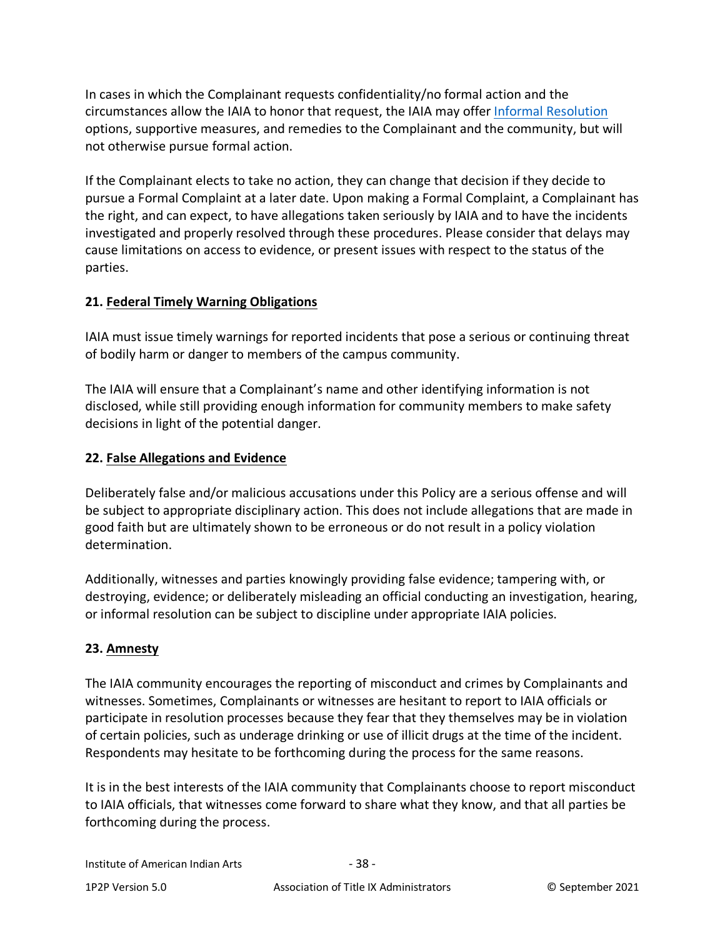In cases in which the Complainant requests confidentiality/no formal action and the circumstances allow the IAIA to honor that request, the IAIA may offer [Informal Resolution](#page-48-0) options, supportive measures, and remedies to the Complainant and the community, but will not otherwise pursue formal action.

If the Complainant elects to take no action, they can change that decision if they decide to pursue a Formal Complaint at a later date. Upon making a Formal Complaint, a Complainant has the right, and can expect, to have allegations taken seriously by IAIA and to have the incidents investigated and properly resolved through these procedures. Please consider that delays may cause limitations on access to evidence, or present issues with respect to the status of the parties.

## **21. Federal Timely Warning Obligations**

IAIA must issue timely warnings for reported incidents that pose a serious or continuing threat of bodily harm or danger to members of the campus community.

The IAIA will ensure that a Complainant's name and other identifying information is not disclosed, while still providing enough information for community members to make safety decisions in light of the potential danger.

## **22. False Allegations and Evidence**

Deliberately false and/or malicious accusations under this Policy are a serious offense and will be subject to appropriate disciplinary action. This does not include allegations that are made in good faith but are ultimately shown to be erroneous or do not result in a policy violation determination.

Additionally, witnesses and parties knowingly providing false evidence; tampering with, or destroying, evidence; or deliberately misleading an official conducting an investigation, hearing, or informal resolution can be subject to discipline under appropriate IAIA policies.

### **23. Amnesty**

The IAIA community encourages the reporting of misconduct and crimes by Complainants and witnesses. Sometimes, Complainants or witnesses are hesitant to report to IAIA officials or participate in resolution processes because they fear that they themselves may be in violation of certain policies, such as underage drinking or use of illicit drugs at the time of the incident. Respondents may hesitate to be forthcoming during the process for the same reasons.

It is in the best interests of the IAIA community that Complainants choose to report misconduct to IAIA officials, that witnesses come forward to share what they know, and that all parties be forthcoming during the process.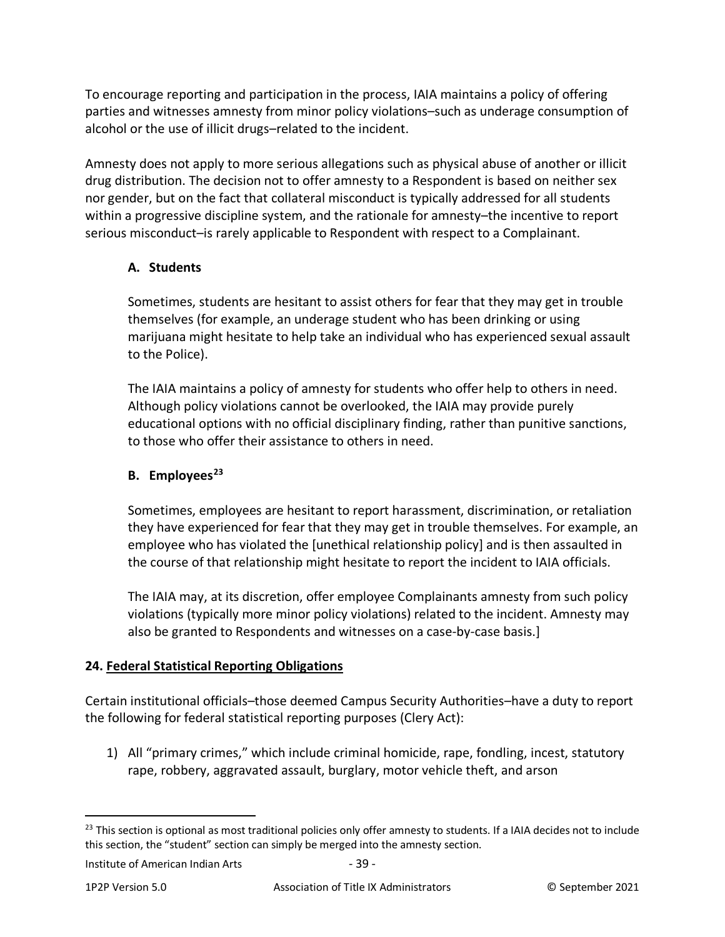To encourage reporting and participation in the process, IAIA maintains a policy of offering parties and witnesses amnesty from minor policy violations–such as underage consumption of alcohol or the use of illicit drugs–related to the incident.

Amnesty does not apply to more serious allegations such as physical abuse of another or illicit drug distribution. The decision not to offer amnesty to a Respondent is based on neither sex nor gender, but on the fact that collateral misconduct is typically addressed for all students within a progressive discipline system, and the rationale for amnesty–the incentive to report serious misconduct–is rarely applicable to Respondent with respect to a Complainant.

## **A. Students**

Sometimes, students are hesitant to assist others for fear that they may get in trouble themselves (for example, an underage student who has been drinking or using marijuana might hesitate to help take an individual who has experienced sexual assault to the Police).

The IAIA maintains a policy of amnesty for students who offer help to others in need. Although policy violations cannot be overlooked, the IAIA may provide purely educational options with no official disciplinary finding, rather than punitive sanctions, to those who offer their assistance to others in need.

# **B. Employees[23](#page-38-0)**

Sometimes, employees are hesitant to report harassment, discrimination, or retaliation they have experienced for fear that they may get in trouble themselves. For example, an employee who has violated the [unethical relationship policy] and is then assaulted in the course of that relationship might hesitate to report the incident to IAIA officials.

The IAIA may, at its discretion, offer employee Complainants amnesty from such policy violations (typically more minor policy violations) related to the incident. Amnesty may also be granted to Respondents and witnesses on a case-by-case basis.]

# **24. Federal Statistical Reporting Obligations**

Certain institutional officials–those deemed Campus Security Authorities–have a duty to report the following for federal statistical reporting purposes (Clery Act):

1) All "primary crimes," which include criminal homicide, rape, fondling, incest, statutory rape, robbery, aggravated assault, burglary, motor vehicle theft, and arson

<span id="page-38-0"></span><sup>&</sup>lt;sup>23</sup> This section is optional as most traditional policies only offer amnesty to students. If a IAIA decides not to include this section, the "student" section can simply be merged into the amnesty section.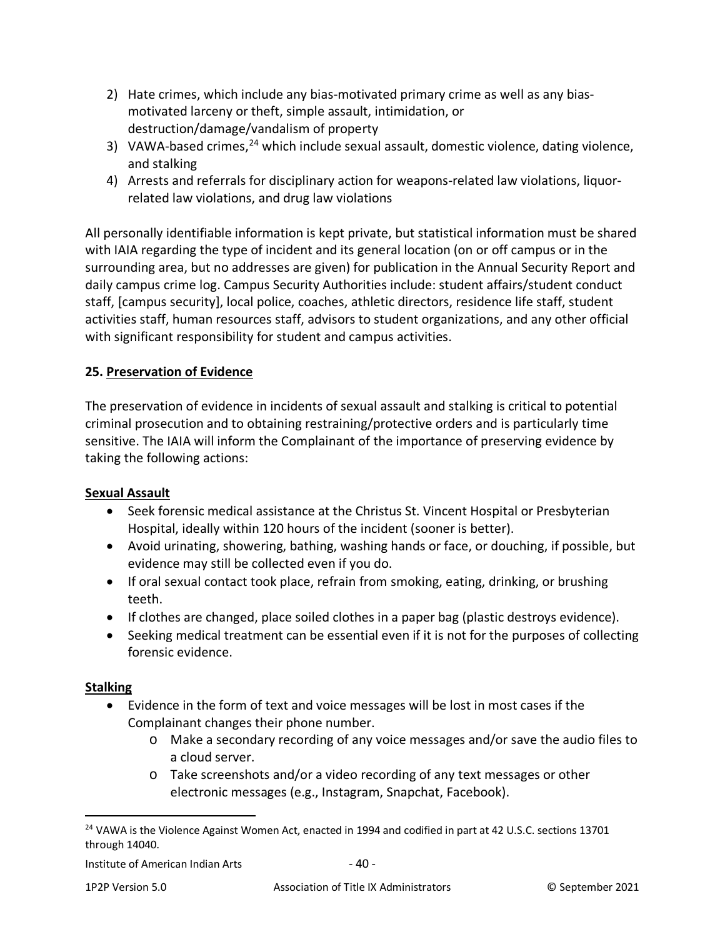- 2) Hate crimes, which include any bias-motivated primary crime as well as any biasmotivated larceny or theft, simple assault, intimidation, or destruction/damage/vandalism of property
- 3) VAWA-based crimes,  $24$  which include sexual assault, domestic violence, dating violence, and stalking
- 4) Arrests and referrals for disciplinary action for weapons-related law violations, liquorrelated law violations, and drug law violations

All personally identifiable information is kept private, but statistical information must be shared with IAIA regarding the type of incident and its general location (on or off campus or in the surrounding area, but no addresses are given) for publication in the Annual Security Report and daily campus crime log. Campus Security Authorities include: student affairs/student conduct staff, [campus security], local police, coaches, athletic directors, residence life staff, student activities staff, human resources staff, advisors to student organizations, and any other official with significant responsibility for student and campus activities.

## **25. Preservation of Evidence**

The preservation of evidence in incidents of sexual assault and stalking is critical to potential criminal prosecution and to obtaining restraining/protective orders and is particularly time sensitive. The IAIA will inform the Complainant of the importance of preserving evidence by taking the following actions:

### **Sexual Assault**

- Seek forensic medical assistance at the Christus St. Vincent Hospital or Presbyterian Hospital, ideally within 120 hours of the incident (sooner is better).
- Avoid urinating, showering, bathing, washing hands or face, or douching, if possible, but evidence may still be collected even if you do.
- If oral sexual contact took place, refrain from smoking, eating, drinking, or brushing teeth.
- If clothes are changed, place soiled clothes in a paper bag (plastic destroys evidence).
- Seeking medical treatment can be essential even if it is not for the purposes of collecting forensic evidence.

#### **Stalking**

- Evidence in the form of text and voice messages will be lost in most cases if the Complainant changes their phone number.
	- o Make a secondary recording of any voice messages and/or save the audio files to a cloud server.
	- o Take screenshots and/or a video recording of any text messages or other electronic messages (e.g., Instagram, Snapchat, Facebook).

<span id="page-39-0"></span><sup>&</sup>lt;sup>24</sup> VAWA is the Violence Against Women Act, enacted in 1994 and codified in part at 42 U.S.C. sections 13701 through 14040.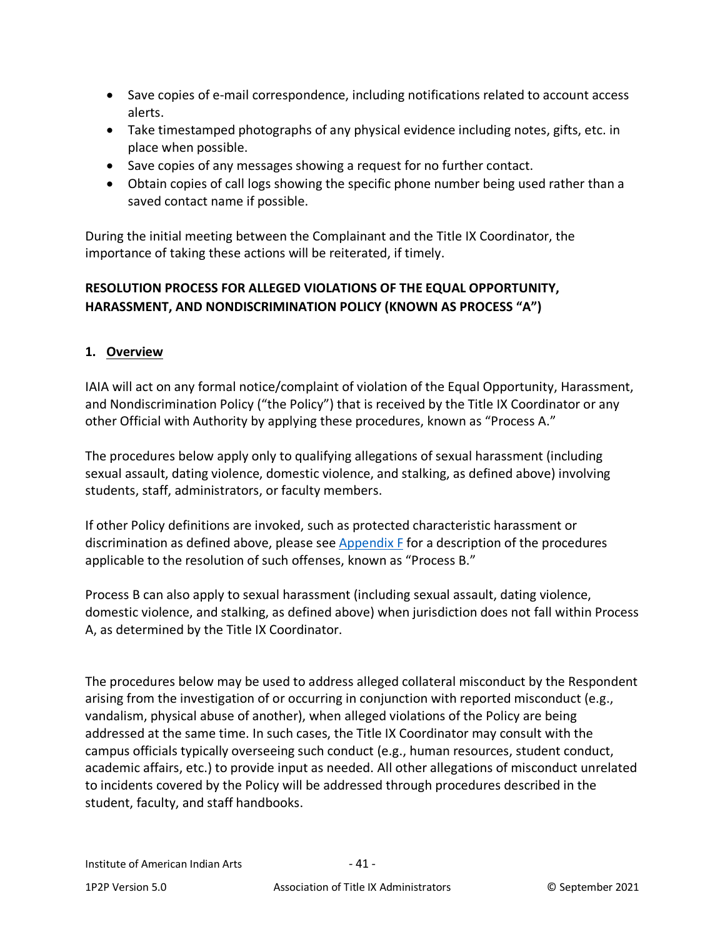- Save copies of e-mail correspondence, including notifications related to account access alerts.
- Take timestamped photographs of any physical evidence including notes, gifts, etc. in place when possible.
- Save copies of any messages showing a request for no further contact.
- Obtain copies of call logs showing the specific phone number being used rather than a saved contact name if possible.

During the initial meeting between the Complainant and the Title IX Coordinator, the importance of taking these actions will be reiterated, if timely.

# **RESOLUTION PROCESS FOR ALLEGED VIOLATIONS OF THE EQUAL OPPORTUNITY, HARASSMENT, AND NONDISCRIMINATION POLICY (KNOWN AS PROCESS "A")**

### **1. Overview**

IAIA will act on any formal notice/complaint of violation of the Equal Opportunity, Harassment, and Nondiscrimination Policy ("the Policy") that is received by the Title IX Coordinator or any other Official with Authority by applying these procedures, known as "Process A."

The procedures below apply only to qualifying allegations of sexual harassment (including sexual assault, dating violence, domestic violence, and stalking, as defined above) involving students, staff, administrators, or faculty members.

If other Policy definitions are invoked, such as protected characteristic harassment or discrimination as defined above, please see [Appendix F](#page-89-0) for a description of the procedures applicable to the resolution of such offenses, known as "Process B."

Process B can also apply to sexual harassment (including sexual assault, dating violence, domestic violence, and stalking, as defined above) when jurisdiction does not fall within Process A, as determined by the Title IX Coordinator.

The procedures below may be used to address alleged collateral misconduct by the Respondent arising from the investigation of or occurring in conjunction with reported misconduct (e.g., vandalism, physical abuse of another), when alleged violations of the Policy are being addressed at the same time. In such cases, the Title IX Coordinator may consult with the campus officials typically overseeing such conduct (e.g., human resources, student conduct, academic affairs, etc.) to provide input as needed. All other allegations of misconduct unrelated to incidents covered by the Policy will be addressed through procedures described in the student, faculty, and staff handbooks.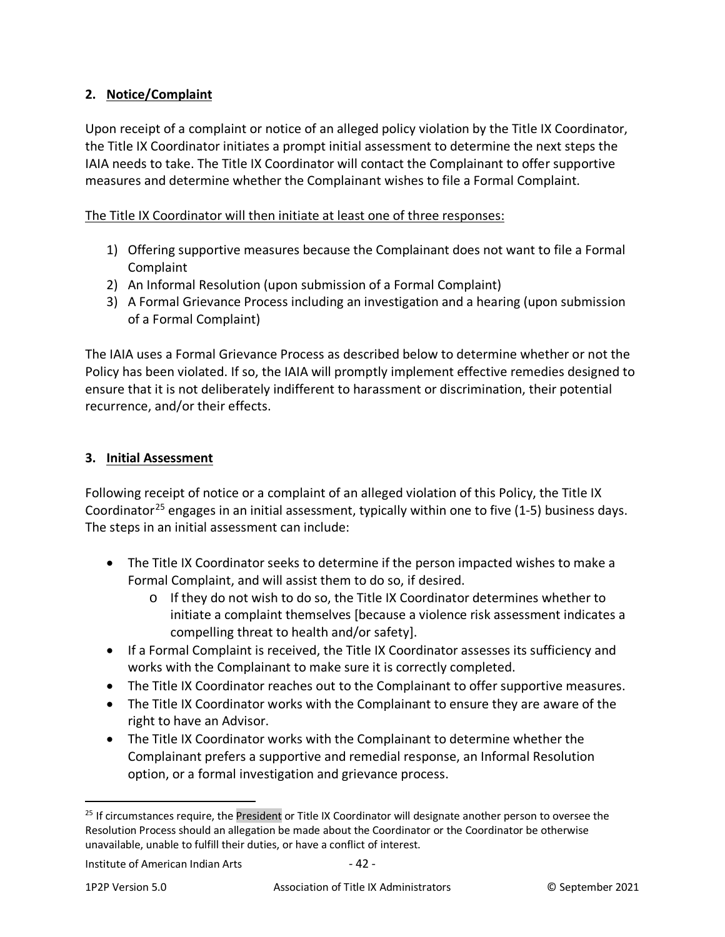## **2. Notice/Complaint**

Upon receipt of a complaint or notice of an alleged policy violation by the Title IX Coordinator, the Title IX Coordinator initiates a prompt initial assessment to determine the next steps the IAIA needs to take. The Title IX Coordinator will contact the Complainant to offer supportive measures and determine whether the Complainant wishes to file a Formal Complaint.

The Title IX Coordinator will then initiate at least one of three responses:

- 1) Offering supportive measures because the Complainant does not want to file a Formal Complaint
- 2) An Informal Resolution (upon submission of a Formal Complaint)
- 3) A Formal Grievance Process including an investigation and a hearing (upon submission of a Formal Complaint)

The IAIA uses a Formal Grievance Process as described below to determine whether or not the Policy has been violated. If so, the IAIA will promptly implement effective remedies designed to ensure that it is not deliberately indifferent to harassment or discrimination, their potential recurrence, and/or their effects.

### **3. Initial Assessment**

Following receipt of notice or a complaint of an alleged violation of this Policy, the Title IX Coordinator<sup>[25](#page-41-0)</sup> engages in an initial assessment, typically within one to five (1-5) business days. The steps in an initial assessment can include:

- The Title IX Coordinator seeks to determine if the person impacted wishes to make a Formal Complaint, and will assist them to do so, if desired.
	- o If they do not wish to do so, the Title IX Coordinator determines whether to initiate a complaint themselves [because a violence risk assessment indicates a compelling threat to health and/or safety].
- If a Formal Complaint is received, the Title IX Coordinator assesses its sufficiency and works with the Complainant to make sure it is correctly completed.
- The Title IX Coordinator reaches out to the Complainant to offer supportive measures.
- The Title IX Coordinator works with the Complainant to ensure they are aware of the right to have an Advisor.
- The Title IX Coordinator works with the Complainant to determine whether the Complainant prefers a supportive and remedial response, an Informal Resolution option, or a formal investigation and grievance process.

<span id="page-41-0"></span> $25$  If circumstances require, the President or Title IX Coordinator will designate another person to oversee the Resolution Process should an allegation be made about the Coordinator or the Coordinator be otherwise unavailable, unable to fulfill their duties, or have a conflict of interest.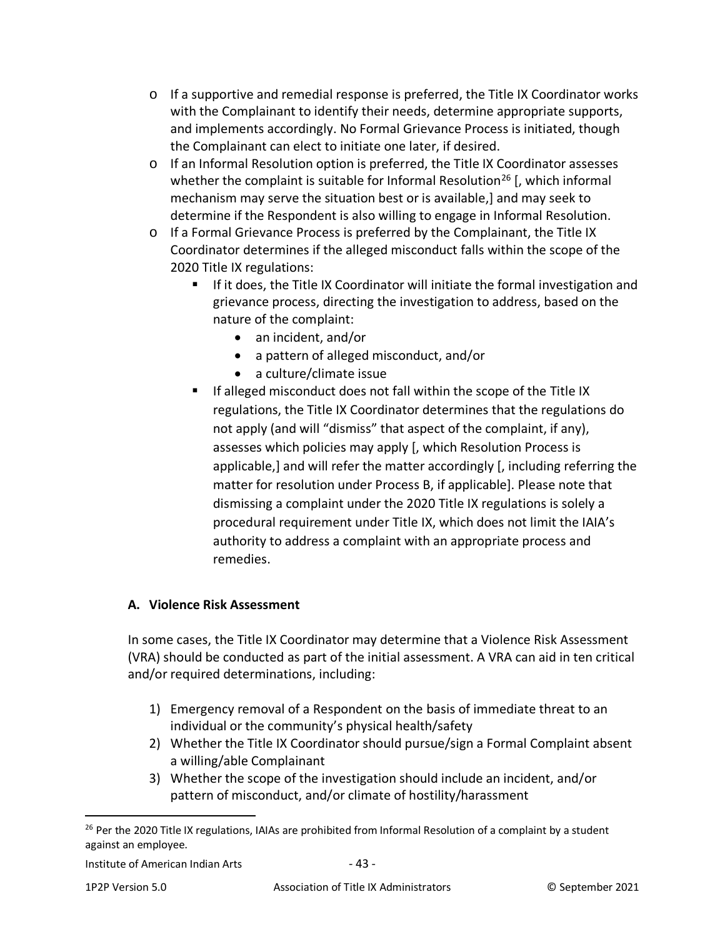- $\circ$  If a supportive and remedial response is preferred, the Title IX Coordinator works with the Complainant to identify their needs, determine appropriate supports, and implements accordingly. No Formal Grievance Process is initiated, though the Complainant can elect to initiate one later, if desired.
- o If an Informal Resolution option is preferred, the Title IX Coordinator assesses whether the complaint is suitable for Informal Resolution<sup>[26](#page-42-0)</sup> [, which informal mechanism may serve the situation best or is available,] and may seek to determine if the Respondent is also willing to engage in Informal Resolution.
- o If a Formal Grievance Process is preferred by the Complainant, the Title IX Coordinator determines if the alleged misconduct falls within the scope of the 2020 Title IX regulations:
	- If it does, the Title IX Coordinator will initiate the formal investigation and grievance process, directing the investigation to address, based on the nature of the complaint:
		- an incident, and/or
		- a pattern of alleged misconduct, and/or
		- a culture/climate issue
	- **If alleged misconduct does not fall within the scope of the Title IX** regulations, the Title IX Coordinator determines that the regulations do not apply (and will "dismiss" that aspect of the complaint, if any), assesses which policies may apply [, which Resolution Process is applicable,] and will refer the matter accordingly [, including referring the matter for resolution under Process B, if applicable]. Please note that dismissing a complaint under the 2020 Title IX regulations is solely a procedural requirement under Title IX, which does not limit the IAIA's authority to address a complaint with an appropriate process and remedies.

# **A. Violence Risk Assessment**

In some cases, the Title IX Coordinator may determine that a Violence Risk Assessment (VRA) should be conducted as part of the initial assessment. A VRA can aid in ten critical and/or required determinations, including:

- 1) Emergency removal of a Respondent on the basis of immediate threat to an individual or the community's physical health/safety
- 2) Whether the Title IX Coordinator should pursue/sign a Formal Complaint absent a willing/able Complainant
- 3) Whether the scope of the investigation should include an incident, and/or pattern of misconduct, and/or climate of hostility/harassment

<span id="page-42-0"></span><sup>&</sup>lt;sup>26</sup> Per the 2020 Title IX regulations, IAIAs are prohibited from Informal Resolution of a complaint by a student against an employee.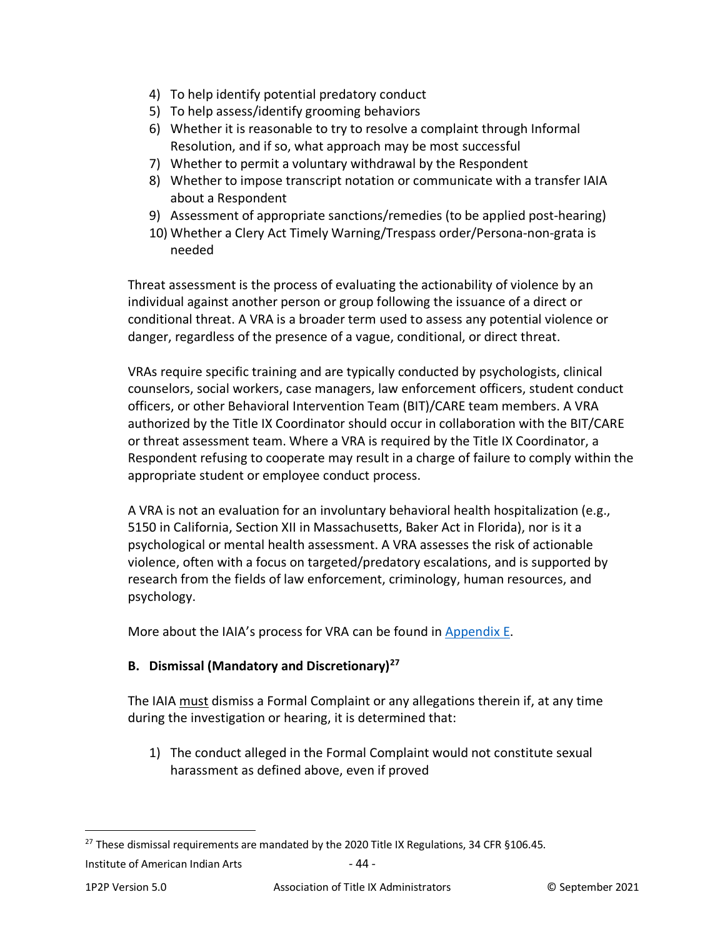- 4) To help identify potential predatory conduct
- 5) To help assess/identify grooming behaviors
- 6) Whether it is reasonable to try to resolve a complaint through Informal Resolution, and if so, what approach may be most successful
- 7) Whether to permit a voluntary withdrawal by the Respondent
- 8) Whether to impose transcript notation or communicate with a transfer IAIA about a Respondent
- 9) Assessment of appropriate sanctions/remedies (to be applied post-hearing)
- 10) Whether a Clery Act Timely Warning/Trespass order/Persona-non-grata is needed

Threat assessment is the process of evaluating the actionability of violence by an individual against another person or group following the issuance of a direct or conditional threat. A VRA is a broader term used to assess any potential violence or danger, regardless of the presence of a vague, conditional, or direct threat.

VRAs require specific training and are typically conducted by psychologists, clinical counselors, social workers, case managers, law enforcement officers, student conduct officers, or other Behavioral Intervention Team (BIT)/CARE team members. A VRA authorized by the Title IX Coordinator should occur in collaboration with the BIT/CARE or threat assessment team. Where a VRA is required by the Title IX Coordinator, a Respondent refusing to cooperate may result in a charge of failure to comply within the appropriate student or employee conduct process.

A VRA is not an evaluation for an involuntary behavioral health hospitalization (e.g., 5150 in California, Section XII in Massachusetts, Baker Act in Florida), nor is it a psychological or mental health assessment. A VRA assesses the risk of actionable violence, often with a focus on targeted/predatory escalations, and is supported by research from the fields of law enforcement, criminology, human resources, and psychology.

More about the IAIA's process for VRA can be found in [Appendix E.](#page-87-0)

### **B. Dismissal (Mandatory and Discretionary)[27](#page-43-0)**

The IAIA must dismiss a Formal Complaint or any allegations therein if, at any time during the investigation or hearing, it is determined that:

1) The conduct alleged in the Formal Complaint would not constitute sexual harassment as defined above, even if proved

<span id="page-43-0"></span><sup>&</sup>lt;sup>27</sup> These dismissal requirements are mandated by the 2020 Title IX Regulations, 34 CFR §106.45.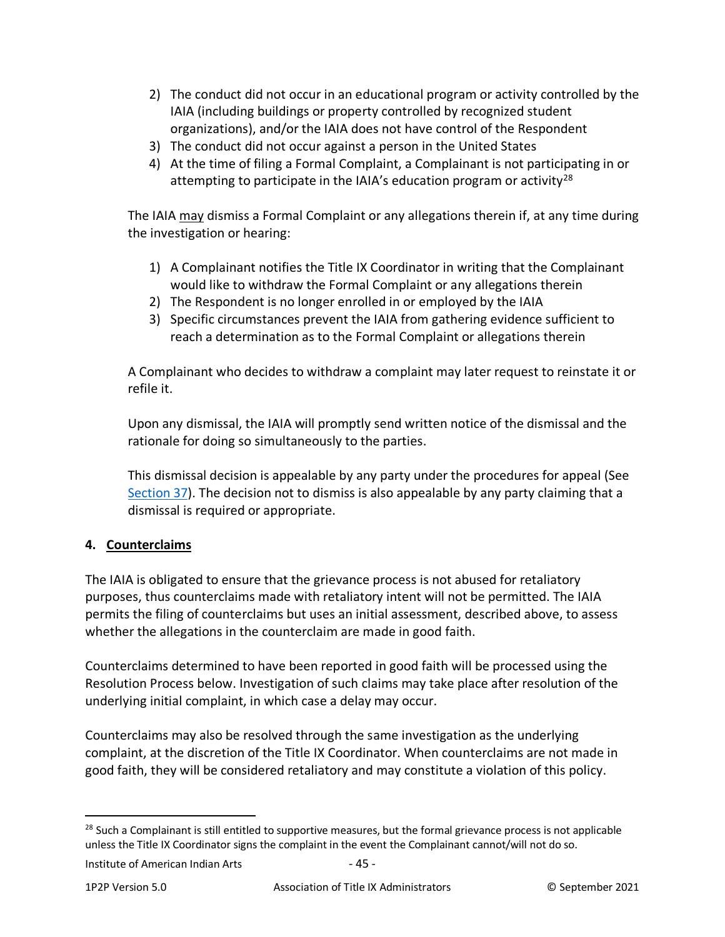- 2) The conduct did not occur in an educational program or activity controlled by the IAIA (including buildings or property controlled by recognized student organizations), and/or the IAIA does not have control of the Respondent
- 3) The conduct did not occur against a person in the United States
- 4) At the time of filing a Formal Complaint, a Complainant is not participating in or attempting to participate in the IAIA's education program or activity<sup>[28](#page-44-0)</sup>

The IAIA may dismiss a Formal Complaint or any allegations therein if, at any time during the investigation or hearing:

- 1) A Complainant notifies the Title IX Coordinator in writing that the Complainant would like to withdraw the Formal Complaint or any allegations therein
- 2) The Respondent is no longer enrolled in or employed by the IAIA
- 3) Specific circumstances prevent the IAIA from gathering evidence sufficient to reach a determination as to the Formal Complaint or allegations therein

A Complainant who decides to withdraw a complaint may later request to reinstate it or refile it.

Upon any dismissal, the IAIA will promptly send written notice of the dismissal and the rationale for doing so simultaneously to the parties.

This dismissal decision is appealable by any party under the procedures for appeal (See [Section 37\)](#page-71-0). The decision not to dismiss is also appealable by any party claiming that a dismissal is required or appropriate.

# **4. Counterclaims**

The IAIA is obligated to ensure that the grievance process is not abused for retaliatory purposes, thus counterclaims made with retaliatory intent will not be permitted. The IAIA permits the filing of counterclaims but uses an initial assessment, described above, to assess whether the allegations in the counterclaim are made in good faith.

Counterclaims determined to have been reported in good faith will be processed using the Resolution Process below. Investigation of such claims may take place after resolution of the underlying initial complaint, in which case a delay may occur.

Counterclaims may also be resolved through the same investigation as the underlying complaint, at the discretion of the Title IX Coordinator. When counterclaims are not made in good faith, they will be considered retaliatory and may constitute a violation of this policy.

<span id="page-44-0"></span><sup>&</sup>lt;sup>28</sup> Such a Complainant is still entitled to supportive measures, but the formal grievance process is not applicable unless the Title IX Coordinator signs the complaint in the event the Complainant cannot/will not do so.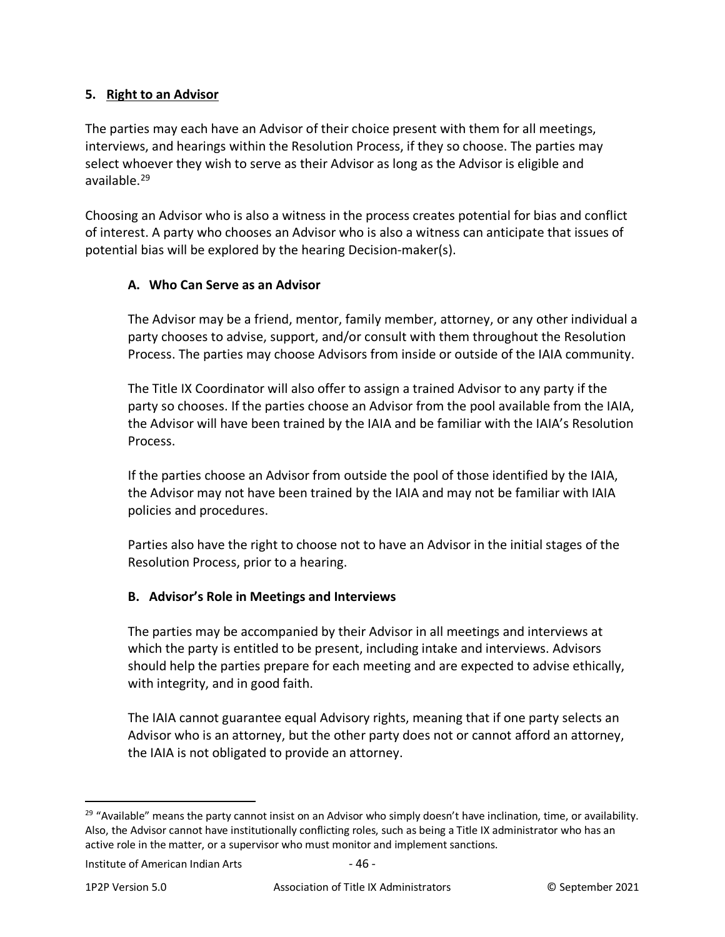#### **5. Right to an Advisor**

The parties may each have an Advisor of their choice present with them for all meetings, interviews, and hearings within the Resolution Process, if they so choose. The parties may select whoever they wish to serve as their Advisor as long as the Advisor is eligible and available.[29](#page-45-0)

Choosing an Advisor who is also a witness in the process creates potential for bias and conflict of interest. A party who chooses an Advisor who is also a witness can anticipate that issues of potential bias will be explored by the hearing Decision-maker(s).

#### **A. Who Can Serve as an Advisor**

The Advisor may be a friend, mentor, family member, attorney, or any other individual a party chooses to advise, support, and/or consult with them throughout the Resolution Process. The parties may choose Advisors from inside or outside of the IAIA community.

The Title IX Coordinator will also offer to assign a trained Advisor to any party if the party so chooses. If the parties choose an Advisor from the pool available from the IAIA, the Advisor will have been trained by the IAIA and be familiar with the IAIA's Resolution Process.

If the parties choose an Advisor from outside the pool of those identified by the IAIA, the Advisor may not have been trained by the IAIA and may not be familiar with IAIA policies and procedures.

Parties also have the right to choose not to have an Advisor in the initial stages of the Resolution Process, prior to a hearing.

#### **B. Advisor's Role in Meetings and Interviews**

The parties may be accompanied by their Advisor in all meetings and interviews at which the party is entitled to be present, including intake and interviews. Advisors should help the parties prepare for each meeting and are expected to advise ethically, with integrity, and in good faith.

The IAIA cannot guarantee equal Advisory rights, meaning that if one party selects an Advisor who is an attorney, but the other party does not or cannot afford an attorney, the IAIA is not obligated to provide an attorney.

<span id="page-45-0"></span> $29$  "Available" means the party cannot insist on an Advisor who simply doesn't have inclination, time, or availability. Also, the Advisor cannot have institutionally conflicting roles, such as being a Title IX administrator who has an active role in the matter, or a supervisor who must monitor and implement sanctions.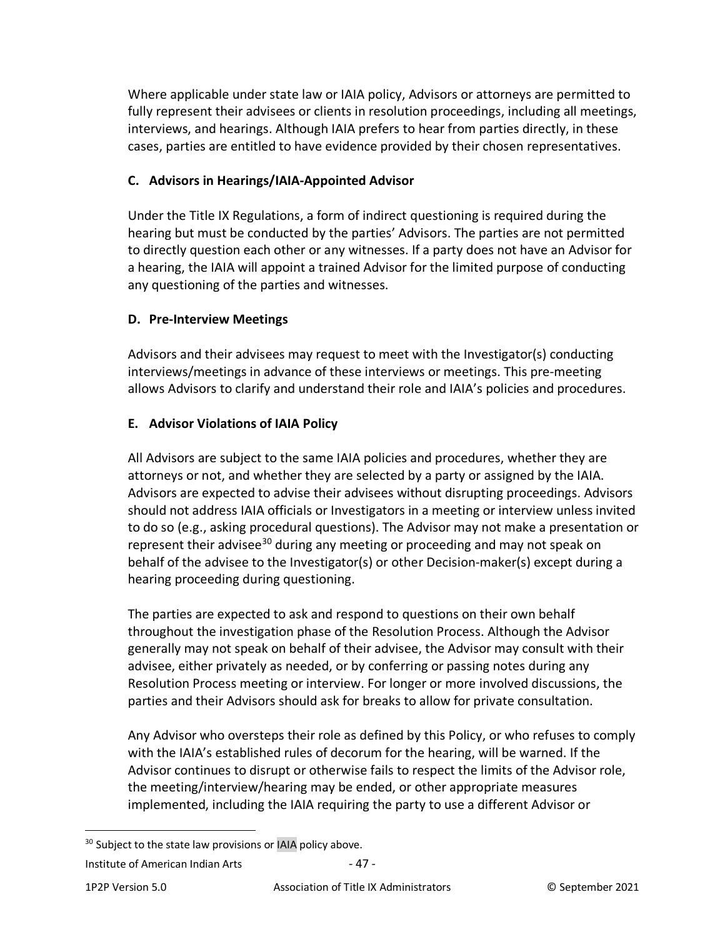Where applicable under state law or IAIA policy, Advisors or attorneys are permitted to fully represent their advisees or clients in resolution proceedings, including all meetings, interviews, and hearings. Although IAIA prefers to hear from parties directly, in these cases, parties are entitled to have evidence provided by their chosen representatives.

### **C. Advisors in Hearings/IAIA-Appointed Advisor**

Under the Title IX Regulations, a form of indirect questioning is required during the hearing but must be conducted by the parties' Advisors. The parties are not permitted to directly question each other or any witnesses. If a party does not have an Advisor for a hearing, the IAIA will appoint a trained Advisor for the limited purpose of conducting any questioning of the parties and witnesses.

## **D. Pre-Interview Meetings**

Advisors and their advisees may request to meet with the Investigator(s) conducting interviews/meetings in advance of these interviews or meetings. This pre-meeting allows Advisors to clarify and understand their role and IAIA's policies and procedures.

## **E. Advisor Violations of IAIA Policy**

All Advisors are subject to the same IAIA policies and procedures, whether they are attorneys or not, and whether they are selected by a party or assigned by the IAIA. Advisors are expected to advise their advisees without disrupting proceedings. Advisors should not address IAIA officials or Investigators in a meeting or interview unless invited to do so (e.g., asking procedural questions). The Advisor may not make a presentation or represent their advisee<sup>[30](#page-46-0)</sup> during any meeting or proceeding and may not speak on behalf of the advisee to the Investigator(s) or other Decision-maker(s) except during a hearing proceeding during questioning.

The parties are expected to ask and respond to questions on their own behalf throughout the investigation phase of the Resolution Process. Although the Advisor generally may not speak on behalf of their advisee, the Advisor may consult with their advisee, either privately as needed, or by conferring or passing notes during any Resolution Process meeting or interview. For longer or more involved discussions, the parties and their Advisors should ask for breaks to allow for private consultation.

Any Advisor who oversteps their role as defined by this Policy, or who refuses to comply with the IAIA's established rules of decorum for the hearing, will be warned. If the Advisor continues to disrupt or otherwise fails to respect the limits of the Advisor role, the meeting/interview/hearing may be ended, or other appropriate measures implemented, including the IAIA requiring the party to use a different Advisor or

<span id="page-46-0"></span><sup>&</sup>lt;sup>30</sup> Subject to the state law provisions or IAIA policy above.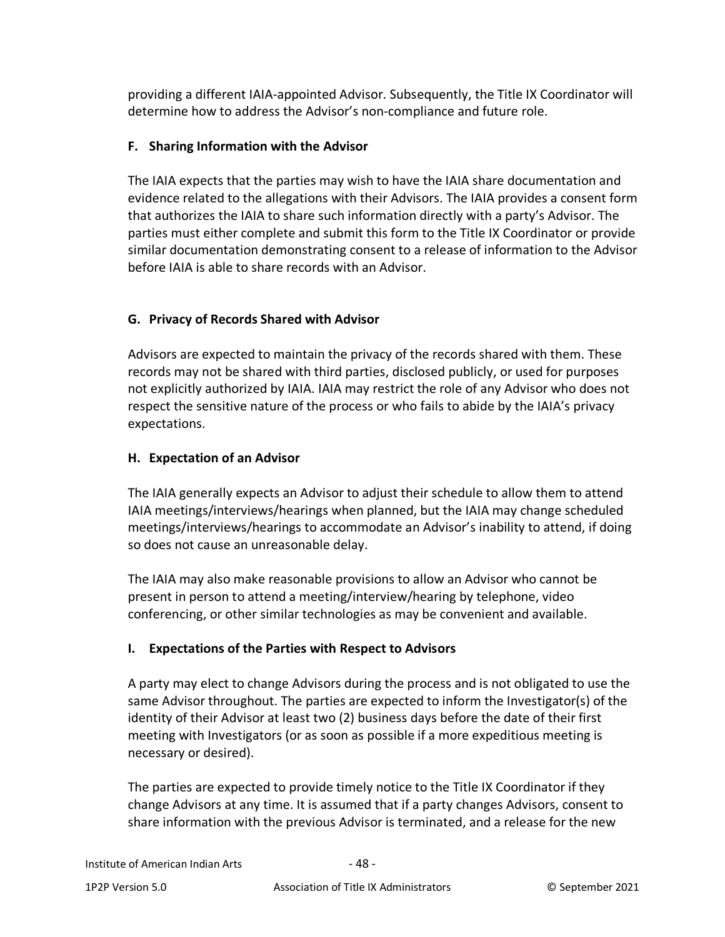providing a different IAIA-appointed Advisor. Subsequently, the Title IX Coordinator will determine how to address the Advisor's non-compliance and future role.

## **F. Sharing Information with the Advisor**

The IAIA expects that the parties may wish to have the IAIA share documentation and evidence related to the allegations with their Advisors. The IAIA provides a consent form that authorizes the IAIA to share such information directly with a party's Advisor. The parties must either complete and submit this form to the Title IX Coordinator or provide similar documentation demonstrating consent to a release of information to the Advisor before IAIA is able to share records with an Advisor.

# **G. Privacy of Records Shared with Advisor**

Advisors are expected to maintain the privacy of the records shared with them. These records may not be shared with third parties, disclosed publicly, or used for purposes not explicitly authorized by IAIA. IAIA may restrict the role of any Advisor who does not respect the sensitive nature of the process or who fails to abide by the IAIA's privacy expectations.

## **H. Expectation of an Advisor**

The IAIA generally expects an Advisor to adjust their schedule to allow them to attend IAIA meetings/interviews/hearings when planned, but the IAIA may change scheduled meetings/interviews/hearings to accommodate an Advisor's inability to attend, if doing so does not cause an unreasonable delay.

The IAIA may also make reasonable provisions to allow an Advisor who cannot be present in person to attend a meeting/interview/hearing by telephone, video conferencing, or other similar technologies as may be convenient and available.

### **I. Expectations of the Parties with Respect to Advisors**

A party may elect to change Advisors during the process and is not obligated to use the same Advisor throughout. The parties are expected to inform the Investigator(s) of the identity of their Advisor at least two (2) business days before the date of their first meeting with Investigators (or as soon as possible if a more expeditious meeting is necessary or desired).

The parties are expected to provide timely notice to the Title IX Coordinator if they change Advisors at any time. It is assumed that if a party changes Advisors, consent to share information with the previous Advisor is terminated, and a release for the new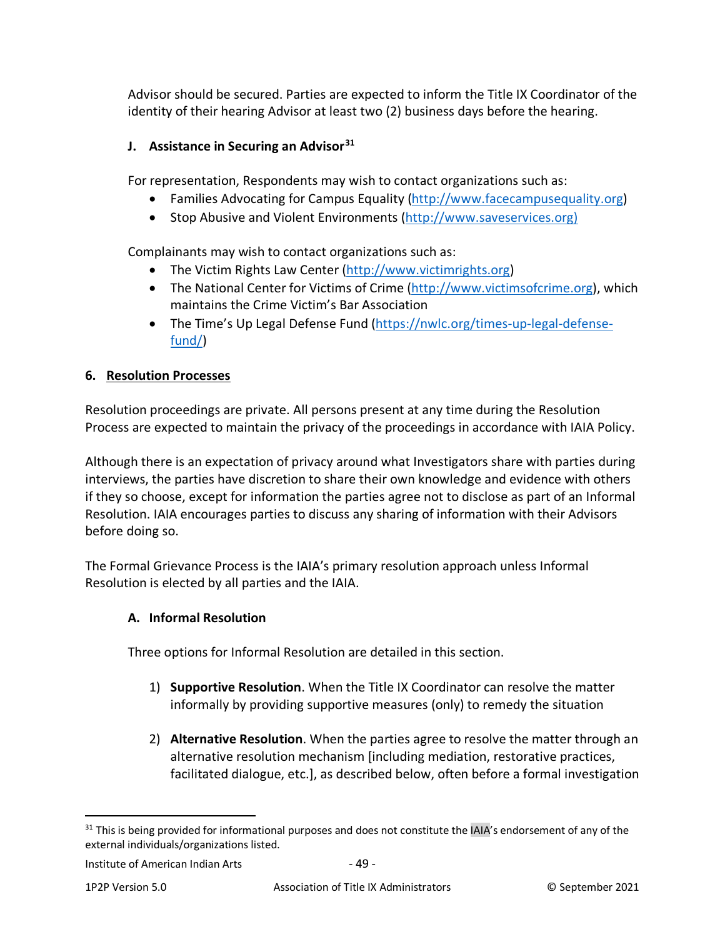Advisor should be secured. Parties are expected to inform the Title IX Coordinator of the identity of their hearing Advisor at least two (2) business days before the hearing.

## **J. Assistance in Securing an Advisor[31](#page-48-1)**

For representation, Respondents may wish to contact organizations such as:

- Families Advocating for Campus Equality [\(http://www.facecampusequality.org\)](http://www.facecampusequality.org/)
- Stop Abusive and Violent Environments [\(http://www.saveservices.org\)](http://www.saveservices.org/)

Complainants may wish to contact organizations such as:

- The Victim Rights Law Center [\(http://www.victimrights.org\)](http://www.victimrights.org/)
- The National Center for Victims of Crime [\(http://www.victimsofcrime.org\)](http://www.victimsofcrime.org/), which maintains the Crime Victim's Bar Association
- The Time's Up Legal Defense Fund [\(https://nwlc.org/times-up-legal-defense](https://nwlc.org/times-up-legal-defense-fund/)[fund/\)](https://nwlc.org/times-up-legal-defense-fund/)

### **6. Resolution Processes**

Resolution proceedings are private. All persons present at any time during the Resolution Process are expected to maintain the privacy of the proceedings in accordance with IAIA Policy.

Although there is an expectation of privacy around what Investigators share with parties during interviews, the parties have discretion to share their own knowledge and evidence with others if they so choose, except for information the parties agree not to disclose as part of an Informal Resolution. IAIA encourages parties to discuss any sharing of information with their Advisors before doing so.

The Formal Grievance Process is the IAIA's primary resolution approach unless Informal Resolution is elected by all parties and the IAIA.

### <span id="page-48-0"></span>**A. Informal Resolution**

Three options for Informal Resolution are detailed in this section.

- 1) **Supportive Resolution**. When the Title IX Coordinator can resolve the matter informally by providing supportive measures (only) to remedy the situation
- 2) **Alternative Resolution**. When the parties agree to resolve the matter through an alternative resolution mechanism [including mediation, restorative practices, facilitated dialogue, etc.], as described below, often before a formal investigation

<span id="page-48-1"></span><sup>&</sup>lt;sup>31</sup> This is being provided for informational purposes and does not constitute the IAIA's endorsement of any of the external individuals/organizations listed.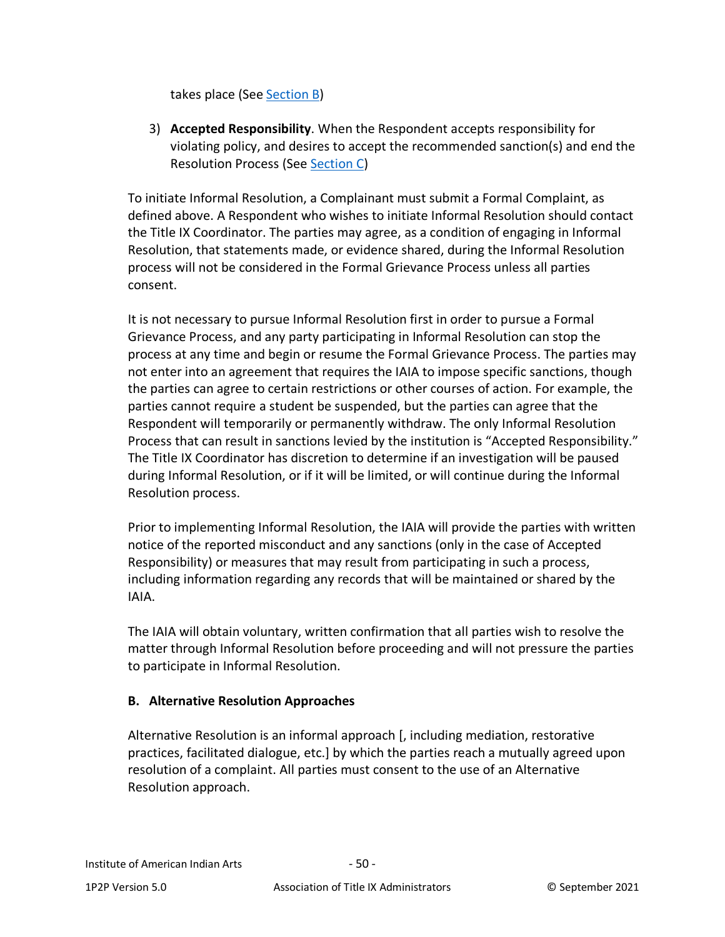takes place (See [Section B\)](#page-49-0)

3) **Accepted Responsibility**. When the Respondent accepts responsibility for violating policy, and desires to accept the recommended sanction(s) and end the Resolution Process (See [Section C\)](#page-50-0)

To initiate Informal Resolution, a Complainant must submit a Formal Complaint, as defined above. A Respondent who wishes to initiate Informal Resolution should contact the Title IX Coordinator. The parties may agree, as a condition of engaging in Informal Resolution, that statements made, or evidence shared, during the Informal Resolution process will not be considered in the Formal Grievance Process unless all parties consent.

It is not necessary to pursue Informal Resolution first in order to pursue a Formal Grievance Process, and any party participating in Informal Resolution can stop the process at any time and begin or resume the Formal Grievance Process. The parties may not enter into an agreement that requires the IAIA to impose specific sanctions, though the parties can agree to certain restrictions or other courses of action. For example, the parties cannot require a student be suspended, but the parties can agree that the Respondent will temporarily or permanently withdraw. The only Informal Resolution Process that can result in sanctions levied by the institution is "Accepted Responsibility." The Title IX Coordinator has discretion to determine if an investigation will be paused during Informal Resolution, or if it will be limited, or will continue during the Informal Resolution process.

Prior to implementing Informal Resolution, the IAIA will provide the parties with written notice of the reported misconduct and any sanctions (only in the case of Accepted Responsibility) or measures that may result from participating in such a process, including information regarding any records that will be maintained or shared by the IAIA.

The IAIA will obtain voluntary, written confirmation that all parties wish to resolve the matter through Informal Resolution before proceeding and will not pressure the parties to participate in Informal Resolution.

### <span id="page-49-0"></span>**B. Alternative Resolution Approaches**

Alternative Resolution is an informal approach [, including mediation, restorative practices, facilitated dialogue, etc.] by which the parties reach a mutually agreed upon resolution of a complaint. All parties must consent to the use of an Alternative Resolution approach.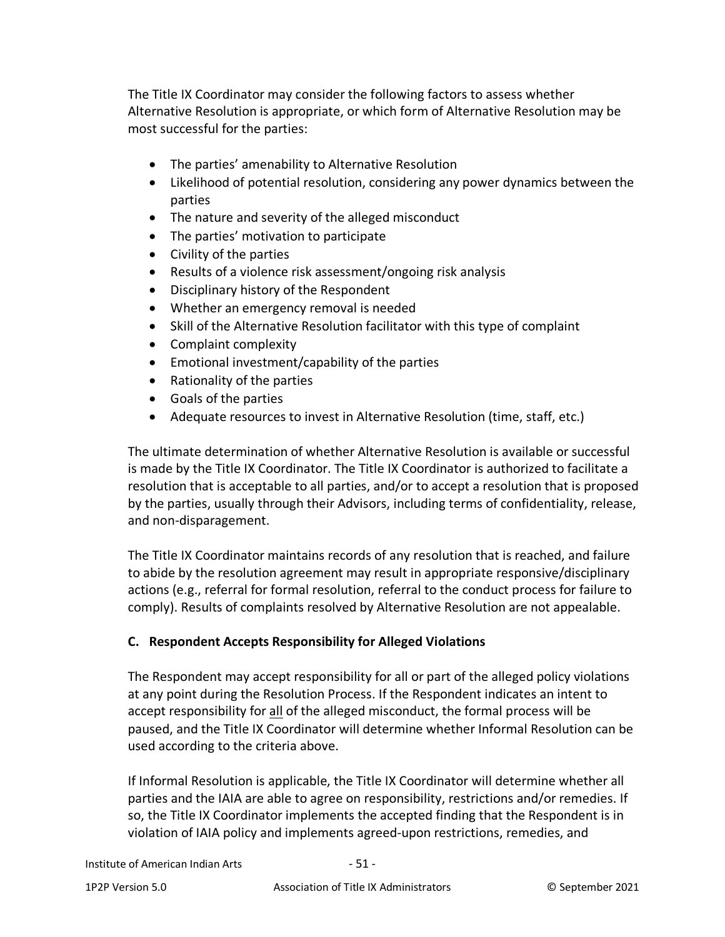The Title IX Coordinator may consider the following factors to assess whether Alternative Resolution is appropriate, or which form of Alternative Resolution may be most successful for the parties:

- The parties' amenability to Alternative Resolution
- Likelihood of potential resolution, considering any power dynamics between the parties
- The nature and severity of the alleged misconduct
- The parties' motivation to participate
- Civility of the parties
- Results of a violence risk assessment/ongoing risk analysis
- Disciplinary history of the Respondent
- Whether an emergency removal is needed
- Skill of the Alternative Resolution facilitator with this type of complaint
- Complaint complexity
- Emotional investment/capability of the parties
- Rationality of the parties
- Goals of the parties
- Adequate resources to invest in Alternative Resolution (time, staff, etc.)

The ultimate determination of whether Alternative Resolution is available or successful is made by the Title IX Coordinator. The Title IX Coordinator is authorized to facilitate a resolution that is acceptable to all parties, and/or to accept a resolution that is proposed by the parties, usually through their Advisors, including terms of confidentiality, release, and non-disparagement.

The Title IX Coordinator maintains records of any resolution that is reached, and failure to abide by the resolution agreement may result in appropriate responsive/disciplinary actions (e.g., referral for formal resolution, referral to the conduct process for failure to comply). Results of complaints resolved by Alternative Resolution are not appealable.

### <span id="page-50-0"></span>**C. Respondent Accepts Responsibility for Alleged Violations**

The Respondent may accept responsibility for all or part of the alleged policy violations at any point during the Resolution Process. If the Respondent indicates an intent to accept responsibility for all of the alleged misconduct, the formal process will be paused, and the Title IX Coordinator will determine whether Informal Resolution can be used according to the criteria above.

If Informal Resolution is applicable, the Title IX Coordinator will determine whether all parties and the IAIA are able to agree on responsibility, restrictions and/or remedies. If so, the Title IX Coordinator implements the accepted finding that the Respondent is in violation of IAIA policy and implements agreed-upon restrictions, remedies, and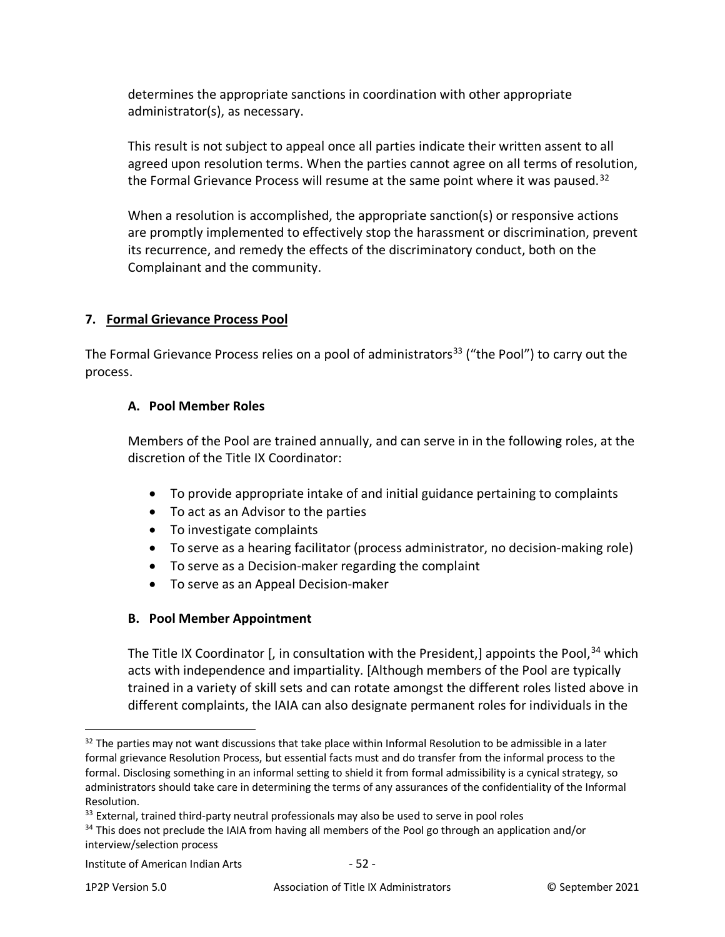determines the appropriate sanctions in coordination with other appropriate administrator(s), as necessary.

This result is not subject to appeal once all parties indicate their written assent to all agreed upon resolution terms. When the parties cannot agree on all terms of resolution, the Formal Grievance Process will resume at the same point where it was paused.<sup>[32](#page-51-0)</sup>

When a resolution is accomplished, the appropriate sanction(s) or responsive actions are promptly implemented to effectively stop the harassment or discrimination, prevent its recurrence, and remedy the effects of the discriminatory conduct, both on the Complainant and the community.

### **7. Formal Grievance Process Pool**

The Formal Grievance Process relies on a pool of administrators<sup>[33](#page-51-1)</sup> ("the Pool") to carry out the process.

#### **A. Pool Member Roles**

Members of the Pool are trained annually, and can serve in in the following roles, at the discretion of the Title IX Coordinator:

- To provide appropriate intake of and initial guidance pertaining to complaints
- To act as an Advisor to the parties
- To investigate complaints
- To serve as a hearing facilitator (process administrator, no decision-making role)
- To serve as a Decision-maker regarding the complaint
- To serve as an Appeal Decision-maker

### **B. Pool Member Appointment**

The Title IX Coordinator  $\int$ , in consultation with the President, appoints the Pool,  $34$  which acts with independence and impartiality. [Although members of the Pool are typically trained in a variety of skill sets and can rotate amongst the different roles listed above in different complaints, the IAIA can also designate permanent roles for individuals in the

<span id="page-51-0"></span><sup>&</sup>lt;sup>32</sup> The parties may not want discussions that take place within Informal Resolution to be admissible in a later formal grievance Resolution Process, but essential facts must and do transfer from the informal process to the formal. Disclosing something in an informal setting to shield it from formal admissibility is a cynical strategy, so administrators should take care in determining the terms of any assurances of the confidentiality of the Informal Resolution.

<span id="page-51-1"></span><sup>&</sup>lt;sup>33</sup> External, trained third-party neutral professionals may also be used to serve in pool roles

<span id="page-51-2"></span><sup>&</sup>lt;sup>34</sup> This does not preclude the IAIA from having all members of the Pool go through an application and/or interview/selection process

Institute of American Indian Arts - 52 -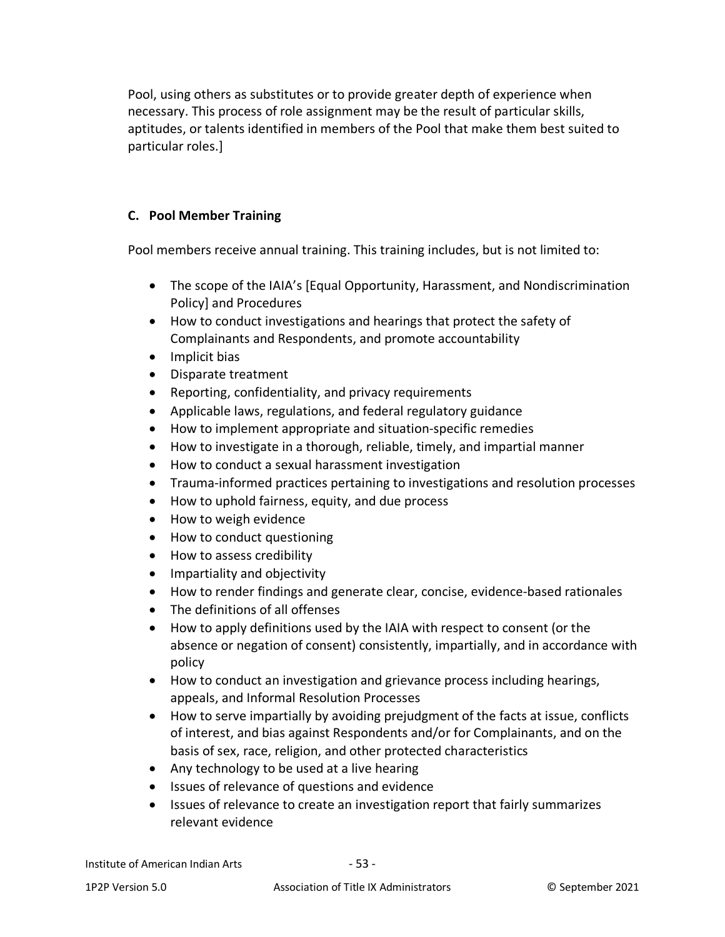Pool, using others as substitutes or to provide greater depth of experience when necessary. This process of role assignment may be the result of particular skills, aptitudes, or talents identified in members of the Pool that make them best suited to particular roles.]

### **C. Pool Member Training**

Pool members receive annual training. This training includes, but is not limited to:

- The scope of the IAIA's [Equal Opportunity, Harassment, and Nondiscrimination Policy] and Procedures
- How to conduct investigations and hearings that protect the safety of Complainants and Respondents, and promote accountability
- Implicit bias
- Disparate treatment
- Reporting, confidentiality, and privacy requirements
- Applicable laws, regulations, and federal regulatory guidance
- How to implement appropriate and situation-specific remedies
- How to investigate in a thorough, reliable, timely, and impartial manner
- How to conduct a sexual harassment investigation
- Trauma-informed practices pertaining to investigations and resolution processes
- How to uphold fairness, equity, and due process
- How to weigh evidence
- How to conduct questioning
- How to assess credibility
- Impartiality and objectivity
- How to render findings and generate clear, concise, evidence-based rationales
- The definitions of all offenses
- How to apply definitions used by the IAIA with respect to consent (or the absence or negation of consent) consistently, impartially, and in accordance with policy
- How to conduct an investigation and grievance process including hearings, appeals, and Informal Resolution Processes
- How to serve impartially by avoiding prejudgment of the facts at issue, conflicts of interest, and bias against Respondents and/or for Complainants, and on the basis of sex, race, religion, and other protected characteristics
- Any technology to be used at a live hearing
- Issues of relevance of questions and evidence
- Issues of relevance to create an investigation report that fairly summarizes relevant evidence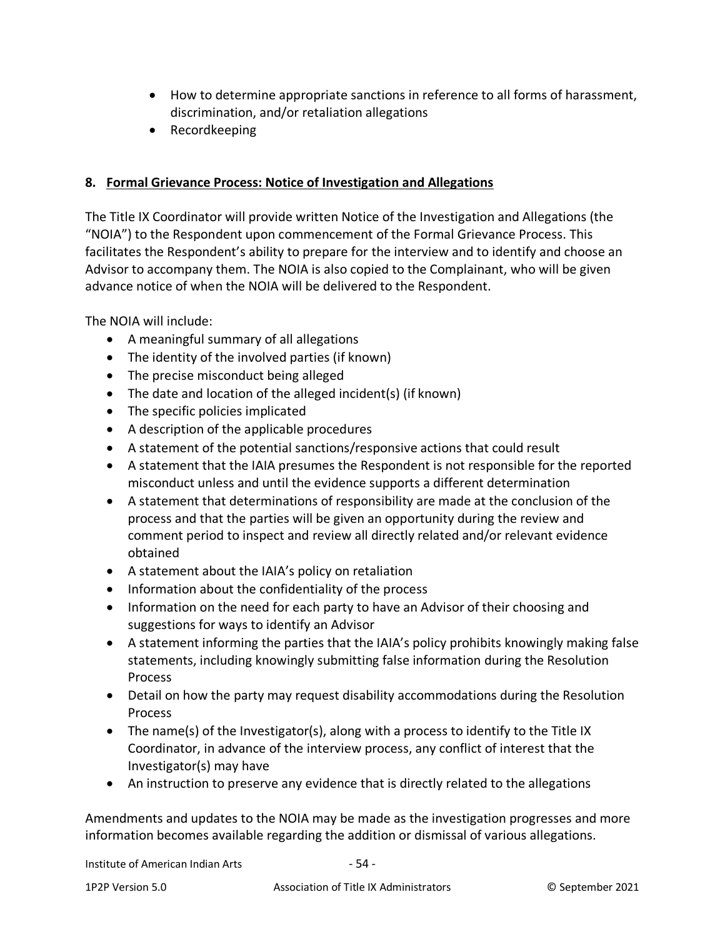- How to determine appropriate sanctions in reference to all forms of harassment, discrimination, and/or retaliation allegations
- Recordkeeping

#### **8. Formal Grievance Process: Notice of Investigation and Allegations**

The Title IX Coordinator will provide written Notice of the Investigation and Allegations (the "NOIA") to the Respondent upon commencement of the Formal Grievance Process. This facilitates the Respondent's ability to prepare for the interview and to identify and choose an Advisor to accompany them. The NOIA is also copied to the Complainant, who will be given advance notice of when the NOIA will be delivered to the Respondent.

The NOIA will include:

- A meaningful summary of all allegations
- The identity of the involved parties (if known)
- The precise misconduct being alleged
- The date and location of the alleged incident(s) (if known)
- The specific policies implicated
- A description of the applicable procedures
- A statement of the potential sanctions/responsive actions that could result
- A statement that the IAIA presumes the Respondent is not responsible for the reported misconduct unless and until the evidence supports a different determination
- A statement that determinations of responsibility are made at the conclusion of the process and that the parties will be given an opportunity during the review and comment period to inspect and review all directly related and/or relevant evidence obtained
- A statement about the IAIA's policy on retaliation
- Information about the confidentiality of the process
- Information on the need for each party to have an Advisor of their choosing and suggestions for ways to identify an Advisor
- A statement informing the parties that the IAIA's policy prohibits knowingly making false statements, including knowingly submitting false information during the Resolution Process
- Detail on how the party may request disability accommodations during the Resolution Process
- The name(s) of the Investigator(s), along with a process to identify to the Title IX Coordinator, in advance of the interview process, any conflict of interest that the Investigator(s) may have
- An instruction to preserve any evidence that is directly related to the allegations

Amendments and updates to the NOIA may be made as the investigation progresses and more information becomes available regarding the addition or dismissal of various allegations.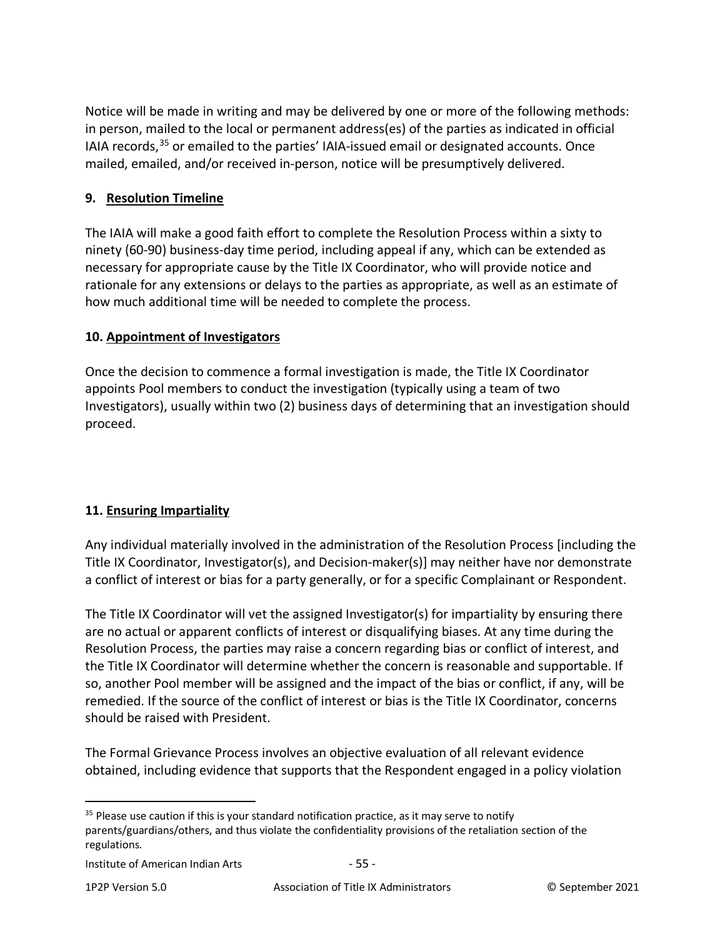Notice will be made in writing and may be delivered by one or more of the following methods: in person, mailed to the local or permanent address(es) of the parties as indicated in official IAIA records,<sup>[35](#page-54-0)</sup> or emailed to the parties' IAIA-issued email or designated accounts. Once mailed, emailed, and/or received in-person, notice will be presumptively delivered.

### **9. Resolution Timeline**

The IAIA will make a good faith effort to complete the Resolution Process within a sixty to ninety (60-90) business-day time period, including appeal if any, which can be extended as necessary for appropriate cause by the Title IX Coordinator, who will provide notice and rationale for any extensions or delays to the parties as appropriate, as well as an estimate of how much additional time will be needed to complete the process.

### **10. Appointment of Investigators**

Once the decision to commence a formal investigation is made, the Title IX Coordinator appoints Pool members to conduct the investigation (typically using a team of two Investigators), usually within two (2) business days of determining that an investigation should proceed.

# **11. Ensuring Impartiality**

Any individual materially involved in the administration of the Resolution Process [including the Title IX Coordinator, Investigator(s), and Decision-maker(s)] may neither have nor demonstrate a conflict of interest or bias for a party generally, or for a specific Complainant or Respondent.

The Title IX Coordinator will vet the assigned Investigator(s) for impartiality by ensuring there are no actual or apparent conflicts of interest or disqualifying biases. At any time during the Resolution Process, the parties may raise a concern regarding bias or conflict of interest, and the Title IX Coordinator will determine whether the concern is reasonable and supportable. If so, another Pool member will be assigned and the impact of the bias or conflict, if any, will be remedied. If the source of the conflict of interest or bias is the Title IX Coordinator, concerns should be raised with President.

The Formal Grievance Process involves an objective evaluation of all relevant evidence obtained, including evidence that supports that the Respondent engaged in a policy violation

<span id="page-54-0"></span> $35$  Please use caution if this is your standard notification practice, as it may serve to notify parents/guardians/others, and thus violate the confidentiality provisions of the retaliation section of the regulations.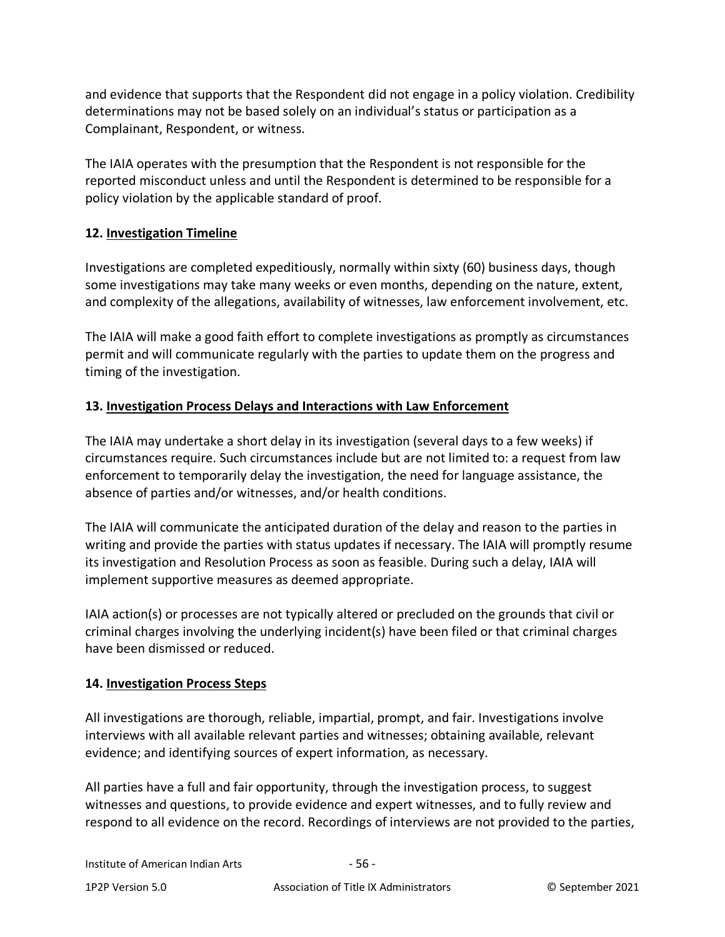and evidence that supports that the Respondent did not engage in a policy violation. Credibility determinations may not be based solely on an individual's status or participation as a Complainant, Respondent, or witness.

The IAIA operates with the presumption that the Respondent is not responsible for the reported misconduct unless and until the Respondent is determined to be responsible for a policy violation by the applicable standard of proof.

## **12. Investigation Timeline**

Investigations are completed expeditiously, normally within sixty (60) business days, though some investigations may take many weeks or even months, depending on the nature, extent, and complexity of the allegations, availability of witnesses, law enforcement involvement, etc.

The IAIA will make a good faith effort to complete investigations as promptly as circumstances permit and will communicate regularly with the parties to update them on the progress and timing of the investigation.

## **13. Investigation Process Delays and Interactions with Law Enforcement**

The IAIA may undertake a short delay in its investigation (several days to a few weeks) if circumstances require. Such circumstances include but are not limited to: a request from law enforcement to temporarily delay the investigation, the need for language assistance, the absence of parties and/or witnesses, and/or health conditions.

The IAIA will communicate the anticipated duration of the delay and reason to the parties in writing and provide the parties with status updates if necessary. The IAIA will promptly resume its investigation and Resolution Process as soon as feasible. During such a delay, IAIA will implement supportive measures as deemed appropriate.

IAIA action(s) or processes are not typically altered or precluded on the grounds that civil or criminal charges involving the underlying incident(s) have been filed or that criminal charges have been dismissed or reduced.

### **14. Investigation Process Steps**

All investigations are thorough, reliable, impartial, prompt, and fair. Investigations involve interviews with all available relevant parties and witnesses; obtaining available, relevant evidence; and identifying sources of expert information, as necessary.

All parties have a full and fair opportunity, through the investigation process, to suggest witnesses and questions, to provide evidence and expert witnesses, and to fully review and respond to all evidence on the record. Recordings of interviews are not provided to the parties,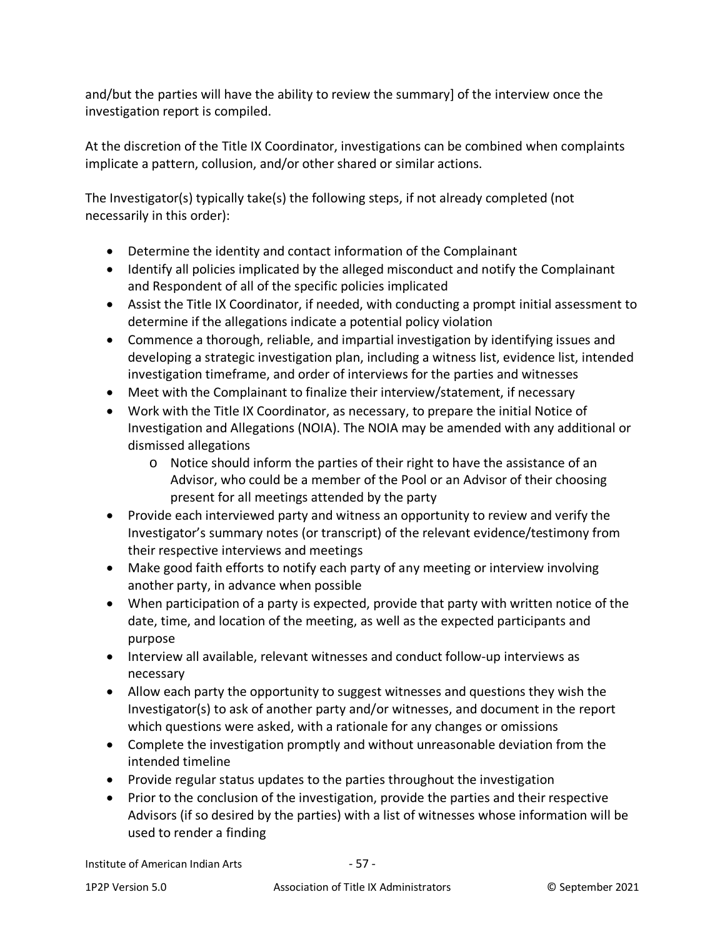and/but the parties will have the ability to review the summary] of the interview once the investigation report is compiled.

At the discretion of the Title IX Coordinator, investigations can be combined when complaints implicate a pattern, collusion, and/or other shared or similar actions.

The Investigator(s) typically take(s) the following steps, if not already completed (not necessarily in this order):

- Determine the identity and contact information of the Complainant
- Identify all policies implicated by the alleged misconduct and notify the Complainant and Respondent of all of the specific policies implicated
- Assist the Title IX Coordinator, if needed, with conducting a prompt initial assessment to determine if the allegations indicate a potential policy violation
- Commence a thorough, reliable, and impartial investigation by identifying issues and developing a strategic investigation plan, including a witness list, evidence list, intended investigation timeframe, and order of interviews for the parties and witnesses
- Meet with the Complainant to finalize their interview/statement, if necessary
- Work with the Title IX Coordinator, as necessary, to prepare the initial Notice of Investigation and Allegations (NOIA). The NOIA may be amended with any additional or dismissed allegations
	- o Notice should inform the parties of their right to have the assistance of an Advisor, who could be a member of the Pool or an Advisor of their choosing present for all meetings attended by the party
- Provide each interviewed party and witness an opportunity to review and verify the Investigator's summary notes (or transcript) of the relevant evidence/testimony from their respective interviews and meetings
- Make good faith efforts to notify each party of any meeting or interview involving another party, in advance when possible
- When participation of a party is expected, provide that party with written notice of the date, time, and location of the meeting, as well as the expected participants and purpose
- Interview all available, relevant witnesses and conduct follow-up interviews as necessary
- Allow each party the opportunity to suggest witnesses and questions they wish the Investigator(s) to ask of another party and/or witnesses, and document in the report which questions were asked, with a rationale for any changes or omissions
- Complete the investigation promptly and without unreasonable deviation from the intended timeline
- Provide regular status updates to the parties throughout the investigation
- Prior to the conclusion of the investigation, provide the parties and their respective Advisors (if so desired by the parties) with a list of witnesses whose information will be used to render a finding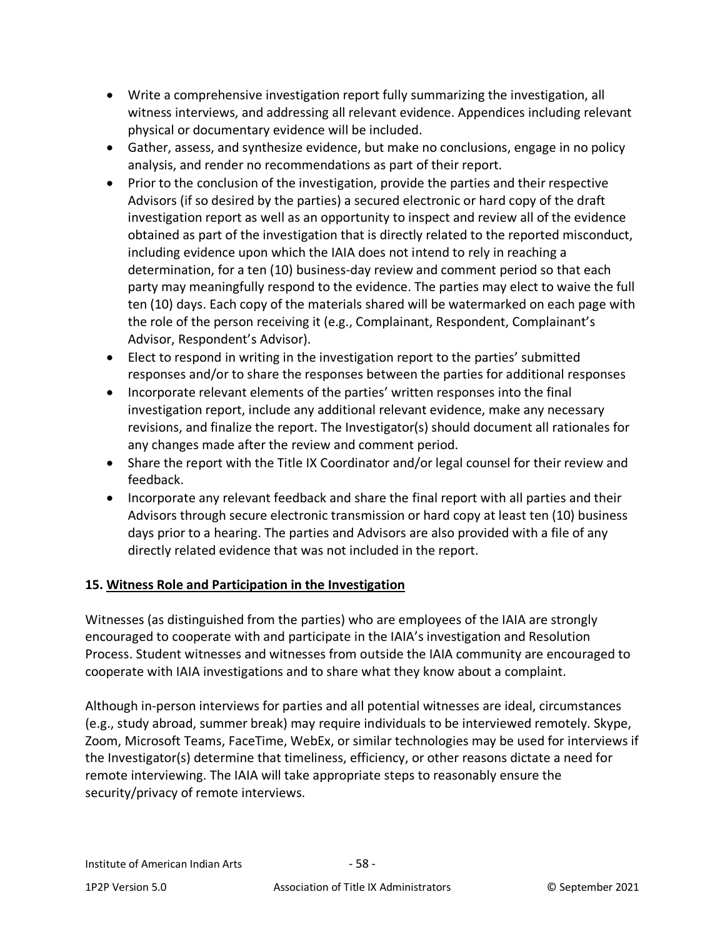- Write a comprehensive investigation report fully summarizing the investigation, all witness interviews, and addressing all relevant evidence. Appendices including relevant physical or documentary evidence will be included.
- Gather, assess, and synthesize evidence, but make no conclusions, engage in no policy analysis, and render no recommendations as part of their report.
- Prior to the conclusion of the investigation, provide the parties and their respective Advisors (if so desired by the parties) a secured electronic or hard copy of the draft investigation report as well as an opportunity to inspect and review all of the evidence obtained as part of the investigation that is directly related to the reported misconduct, including evidence upon which the IAIA does not intend to rely in reaching a determination, for a ten (10) business-day review and comment period so that each party may meaningfully respond to the evidence. The parties may elect to waive the full ten (10) days. Each copy of the materials shared will be watermarked on each page with the role of the person receiving it (e.g., Complainant, Respondent, Complainant's Advisor, Respondent's Advisor).
- Elect to respond in writing in the investigation report to the parties' submitted responses and/or to share the responses between the parties for additional responses
- Incorporate relevant elements of the parties' written responses into the final investigation report, include any additional relevant evidence, make any necessary revisions, and finalize the report. The Investigator(s) should document all rationales for any changes made after the review and comment period.
- Share the report with the Title IX Coordinator and/or legal counsel for their review and feedback.
- Incorporate any relevant feedback and share the final report with all parties and their Advisors through secure electronic transmission or hard copy at least ten (10) business days prior to a hearing. The parties and Advisors are also provided with a file of any directly related evidence that was not included in the report.

# **15. Witness Role and Participation in the Investigation**

Witnesses (as distinguished from the parties) who are employees of the IAIA are strongly encouraged to cooperate with and participate in the IAIA's investigation and Resolution Process. Student witnesses and witnesses from outside the IAIA community are encouraged to cooperate with IAIA investigations and to share what they know about a complaint.

Although in-person interviews for parties and all potential witnesses are ideal, circumstances (e.g., study abroad, summer break) may require individuals to be interviewed remotely. Skype, Zoom, Microsoft Teams, FaceTime, WebEx, or similar technologies may be used for interviews if the Investigator(s) determine that timeliness, efficiency, or other reasons dictate a need for remote interviewing. The IAIA will take appropriate steps to reasonably ensure the security/privacy of remote interviews.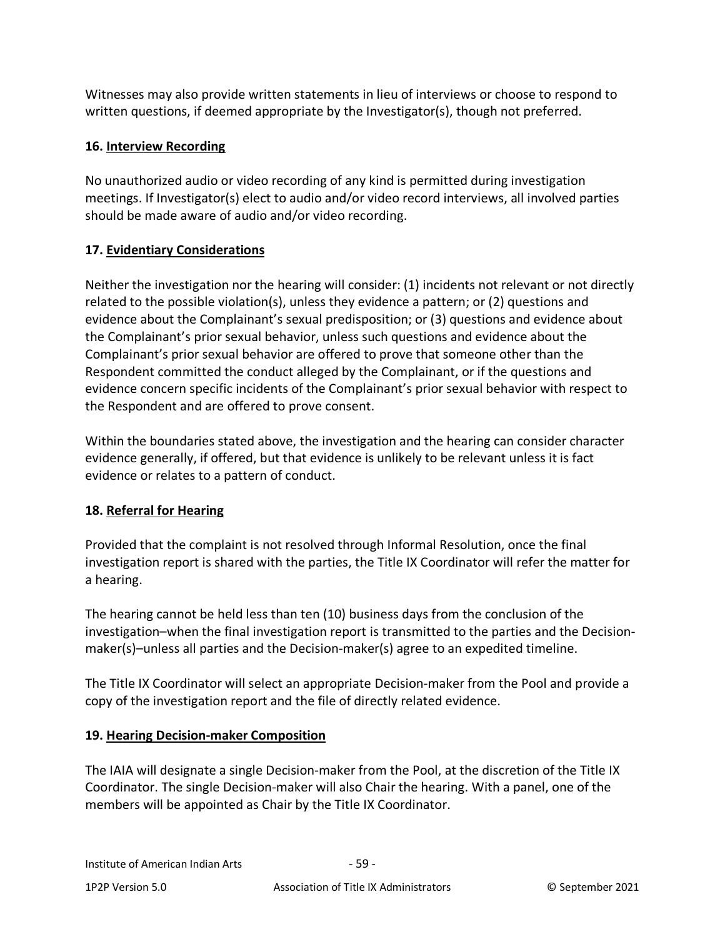Witnesses may also provide written statements in lieu of interviews or choose to respond to written questions, if deemed appropriate by the Investigator(s), though not preferred.

### **16. Interview Recording**

No unauthorized audio or video recording of any kind is permitted during investigation meetings. If Investigator(s) elect to audio and/or video record interviews, all involved parties should be made aware of audio and/or video recording.

## **17. Evidentiary Considerations**

Neither the investigation nor the hearing will consider: (1) incidents not relevant or not directly related to the possible violation(s), unless they evidence a pattern; or (2) questions and evidence about the Complainant's sexual predisposition; or (3) questions and evidence about the Complainant's prior sexual behavior, unless such questions and evidence about the Complainant's prior sexual behavior are offered to prove that someone other than the Respondent committed the conduct alleged by the Complainant, or if the questions and evidence concern specific incidents of the Complainant's prior sexual behavior with respect to the Respondent and are offered to prove consent.

Within the boundaries stated above, the investigation and the hearing can consider character evidence generally, if offered, but that evidence is unlikely to be relevant unless it is fact evidence or relates to a pattern of conduct.

### **18. Referral for Hearing**

Provided that the complaint is not resolved through Informal Resolution, once the final investigation report is shared with the parties, the Title IX Coordinator will refer the matter for a hearing.

The hearing cannot be held less than ten (10) business days from the conclusion of the investigation–when the final investigation report is transmitted to the parties and the Decisionmaker(s)–unless all parties and the Decision-maker(s) agree to an expedited timeline.

The Title IX Coordinator will select an appropriate Decision-maker from the Pool and provide a copy of the investigation report and the file of directly related evidence.

### **19. Hearing Decision-maker Composition**

The IAIA will designate a single Decision-maker from the Pool, at the discretion of the Title IX Coordinator. The single Decision-maker will also Chair the hearing. With a panel, one of the members will be appointed as Chair by the Title IX Coordinator.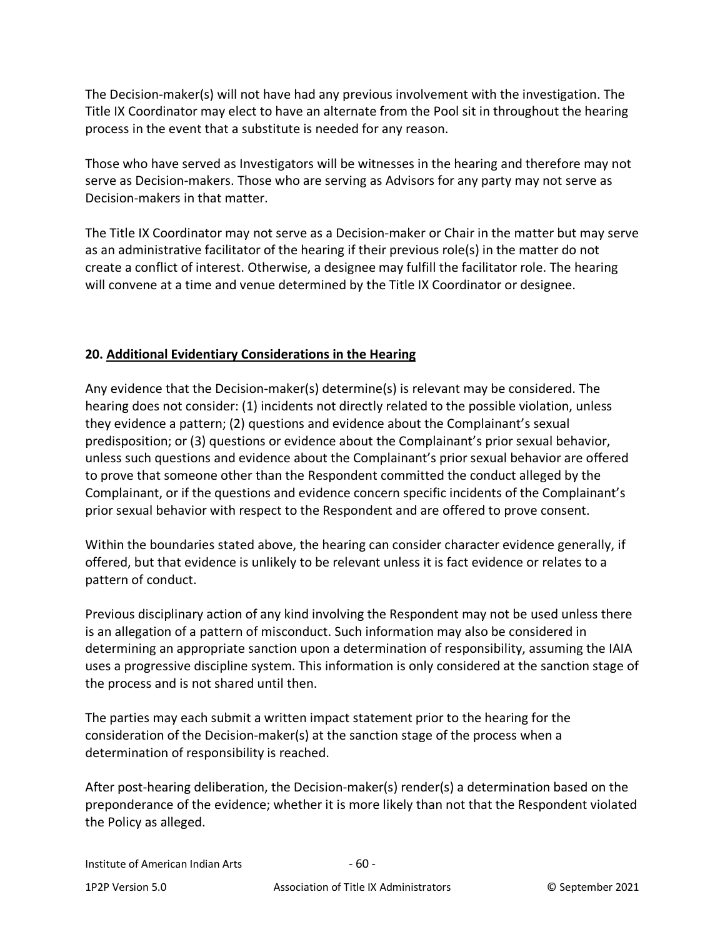The Decision-maker(s) will not have had any previous involvement with the investigation. The Title IX Coordinator may elect to have an alternate from the Pool sit in throughout the hearing process in the event that a substitute is needed for any reason.

Those who have served as Investigators will be witnesses in the hearing and therefore may not serve as Decision-makers. Those who are serving as Advisors for any party may not serve as Decision-makers in that matter.

The Title IX Coordinator may not serve as a Decision-maker or Chair in the matter but may serve as an administrative facilitator of the hearing if their previous role(s) in the matter do not create a conflict of interest. Otherwise, a designee may fulfill the facilitator role. The hearing will convene at a time and venue determined by the Title IX Coordinator or designee.

## **20. Additional Evidentiary Considerations in the Hearing**

Any evidence that the Decision-maker(s) determine(s) is relevant may be considered. The hearing does not consider: (1) incidents not directly related to the possible violation, unless they evidence a pattern; (2) questions and evidence about the Complainant's sexual predisposition; or (3) questions or evidence about the Complainant's prior sexual behavior, unless such questions and evidence about the Complainant's prior sexual behavior are offered to prove that someone other than the Respondent committed the conduct alleged by the Complainant, or if the questions and evidence concern specific incidents of the Complainant's prior sexual behavior with respect to the Respondent and are offered to prove consent.

Within the boundaries stated above, the hearing can consider character evidence generally, if offered, but that evidence is unlikely to be relevant unless it is fact evidence or relates to a pattern of conduct.

Previous disciplinary action of any kind involving the Respondent may not be used unless there is an allegation of a pattern of misconduct. Such information may also be considered in determining an appropriate sanction upon a determination of responsibility, assuming the IAIA uses a progressive discipline system. This information is only considered at the sanction stage of the process and is not shared until then.

The parties may each submit a written impact statement prior to the hearing for the consideration of the Decision-maker(s) at the sanction stage of the process when a determination of responsibility is reached.

After post-hearing deliberation, the Decision-maker(s) render(s) a determination based on the preponderance of the evidence; whether it is more likely than not that the Respondent violated the Policy as alleged.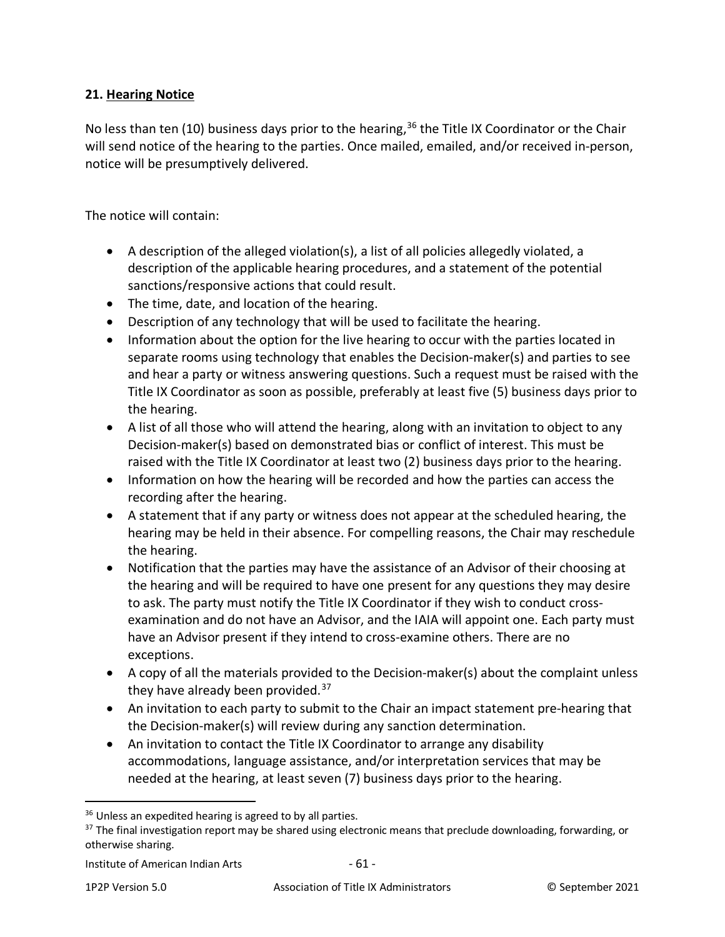### **21. Hearing Notice**

No less than ten (10) business days prior to the hearing,  $36$  the Title IX Coordinator or the Chair will send notice of the hearing to the parties. Once mailed, emailed, and/or received in-person, notice will be presumptively delivered.

The notice will contain:

- A description of the alleged violation(s), a list of all policies allegedly violated, a description of the applicable hearing procedures, and a statement of the potential sanctions/responsive actions that could result.
- The time, date, and location of the hearing.
- Description of any technology that will be used to facilitate the hearing.
- Information about the option for the live hearing to occur with the parties located in separate rooms using technology that enables the Decision-maker(s) and parties to see and hear a party or witness answering questions. Such a request must be raised with the Title IX Coordinator as soon as possible, preferably at least five (5) business days prior to the hearing.
- A list of all those who will attend the hearing, along with an invitation to object to any Decision-maker(s) based on demonstrated bias or conflict of interest. This must be raised with the Title IX Coordinator at least two (2) business days prior to the hearing.
- Information on how the hearing will be recorded and how the parties can access the recording after the hearing.
- A statement that if any party or witness does not appear at the scheduled hearing, the hearing may be held in their absence. For compelling reasons, the Chair may reschedule the hearing.
- Notification that the parties may have the assistance of an Advisor of their choosing at the hearing and will be required to have one present for any questions they may desire to ask. The party must notify the Title IX Coordinator if they wish to conduct crossexamination and do not have an Advisor, and the IAIA will appoint one. Each party must have an Advisor present if they intend to cross-examine others. There are no exceptions.
- A copy of all the materials provided to the Decision-maker(s) about the complaint unless they have already been provided.<sup>[37](#page-60-1)</sup>
- An invitation to each party to submit to the Chair an impact statement pre-hearing that the Decision-maker(s) will review during any sanction determination.
- An invitation to contact the Title IX Coordinator to arrange any disability accommodations, language assistance, and/or interpretation services that may be needed at the hearing, at least seven (7) business days prior to the hearing.

<span id="page-60-0"></span><sup>&</sup>lt;sup>36</sup> Unless an expedited hearing is agreed to by all parties.

<span id="page-60-1"></span><sup>&</sup>lt;sup>37</sup> The final investigation report may be shared using electronic means that preclude downloading, forwarding, or otherwise sharing.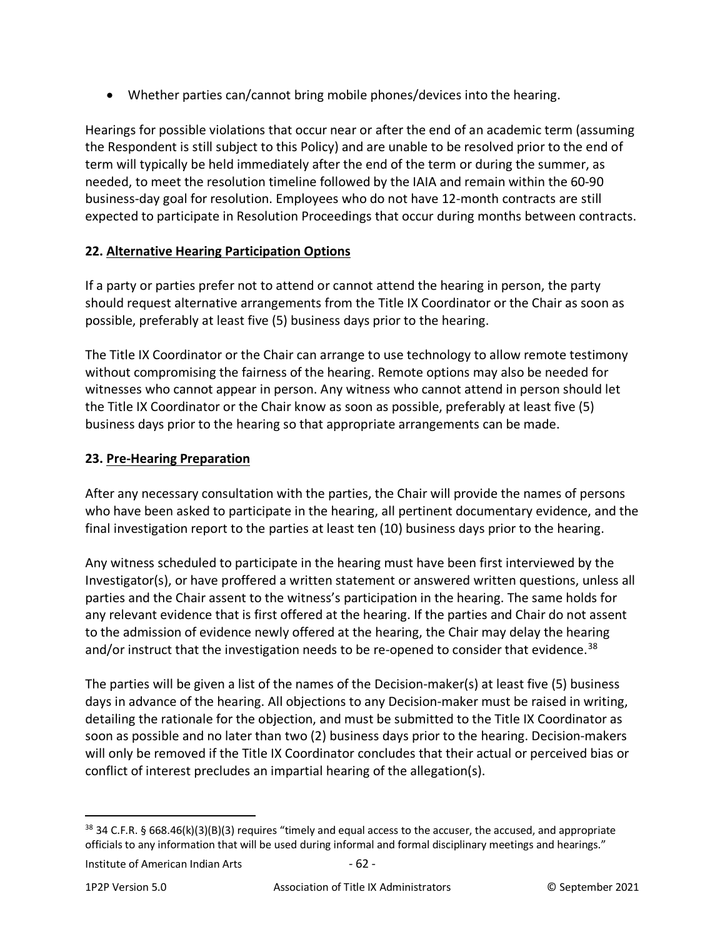• Whether parties can/cannot bring mobile phones/devices into the hearing.

Hearings for possible violations that occur near or after the end of an academic term (assuming the Respondent is still subject to this Policy) and are unable to be resolved prior to the end of term will typically be held immediately after the end of the term or during the summer, as needed, to meet the resolution timeline followed by the IAIA and remain within the 60-90 business-day goal for resolution. Employees who do not have 12-month contracts are still expected to participate in Resolution Proceedings that occur during months between contracts.

# **22. Alternative Hearing Participation Options**

If a party or parties prefer not to attend or cannot attend the hearing in person, the party should request alternative arrangements from the Title IX Coordinator or the Chair as soon as possible, preferably at least five (5) business days prior to the hearing.

The Title IX Coordinator or the Chair can arrange to use technology to allow remote testimony without compromising the fairness of the hearing. Remote options may also be needed for witnesses who cannot appear in person. Any witness who cannot attend in person should let the Title IX Coordinator or the Chair know as soon as possible, preferably at least five (5) business days prior to the hearing so that appropriate arrangements can be made.

# **23. Pre-Hearing Preparation**

After any necessary consultation with the parties, the Chair will provide the names of persons who have been asked to participate in the hearing, all pertinent documentary evidence, and the final investigation report to the parties at least ten (10) business days prior to the hearing.

Any witness scheduled to participate in the hearing must have been first interviewed by the Investigator(s), or have proffered a written statement or answered written questions, unless all parties and the Chair assent to the witness's participation in the hearing. The same holds for any relevant evidence that is first offered at the hearing. If the parties and Chair do not assent to the admission of evidence newly offered at the hearing, the Chair may delay the hearing and/or instruct that the investigation needs to be re-opened to consider that evidence.<sup>[38](#page-61-0)</sup>

The parties will be given a list of the names of the Decision-maker(s) at least five (5) business days in advance of the hearing. All objections to any Decision-maker must be raised in writing, detailing the rationale for the objection, and must be submitted to the Title IX Coordinator as soon as possible and no later than two (2) business days prior to the hearing. Decision-makers will only be removed if the Title IX Coordinator concludes that their actual or perceived bias or conflict of interest precludes an impartial hearing of the allegation(s).

<span id="page-61-0"></span><sup>38 34</sup> C.F.R. § 668.46(k)(3)(B)(3) requires "timely and equal access to the accuser, the accused, and appropriate officials to any information that will be used during informal and formal disciplinary meetings and hearings."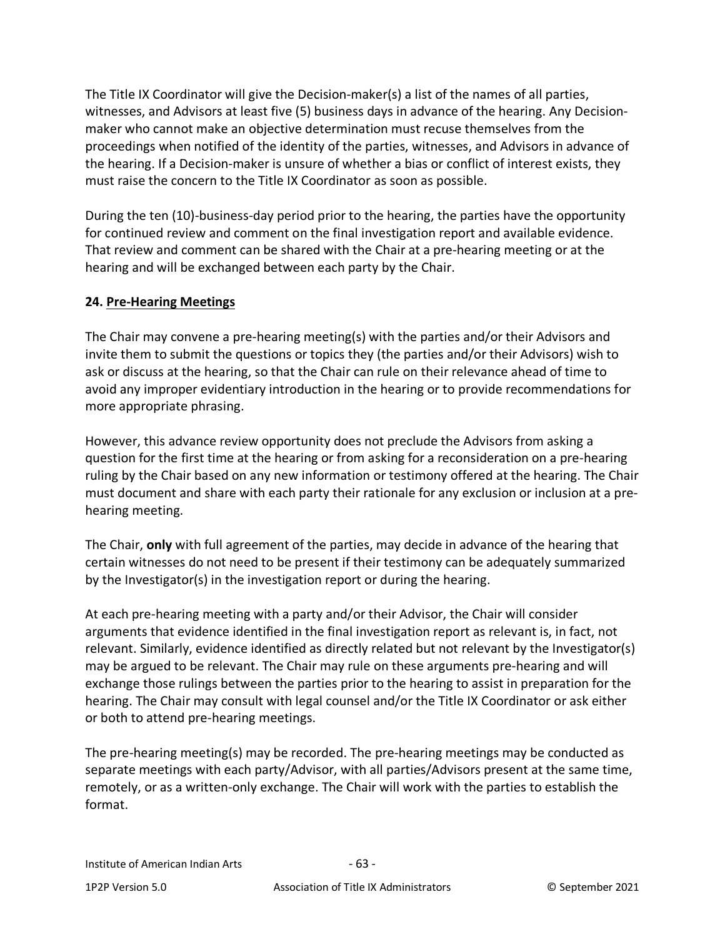The Title IX Coordinator will give the Decision-maker(s) a list of the names of all parties, witnesses, and Advisors at least five (5) business days in advance of the hearing. Any Decisionmaker who cannot make an objective determination must recuse themselves from the proceedings when notified of the identity of the parties, witnesses, and Advisors in advance of the hearing. If a Decision-maker is unsure of whether a bias or conflict of interest exists, they must raise the concern to the Title IX Coordinator as soon as possible.

During the ten (10)-business-day period prior to the hearing, the parties have the opportunity for continued review and comment on the final investigation report and available evidence. That review and comment can be shared with the Chair at a pre-hearing meeting or at the hearing and will be exchanged between each party by the Chair.

### **24. Pre-Hearing Meetings**

The Chair may convene a pre-hearing meeting(s) with the parties and/or their Advisors and invite them to submit the questions or topics they (the parties and/or their Advisors) wish to ask or discuss at the hearing, so that the Chair can rule on their relevance ahead of time to avoid any improper evidentiary introduction in the hearing or to provide recommendations for more appropriate phrasing.

However, this advance review opportunity does not preclude the Advisors from asking a question for the first time at the hearing or from asking for a reconsideration on a pre-hearing ruling by the Chair based on any new information or testimony offered at the hearing. The Chair must document and share with each party their rationale for any exclusion or inclusion at a prehearing meeting.

The Chair, **only** with full agreement of the parties, may decide in advance of the hearing that certain witnesses do not need to be present if their testimony can be adequately summarized by the Investigator(s) in the investigation report or during the hearing.

At each pre-hearing meeting with a party and/or their Advisor, the Chair will consider arguments that evidence identified in the final investigation report as relevant is, in fact, not relevant. Similarly, evidence identified as directly related but not relevant by the Investigator(s) may be argued to be relevant. The Chair may rule on these arguments pre-hearing and will exchange those rulings between the parties prior to the hearing to assist in preparation for the hearing. The Chair may consult with legal counsel and/or the Title IX Coordinator or ask either or both to attend pre-hearing meetings.

The pre-hearing meeting(s) may be recorded. The pre-hearing meetings may be conducted as separate meetings with each party/Advisor, with all parties/Advisors present at the same time, remotely, or as a written-only exchange. The Chair will work with the parties to establish the format.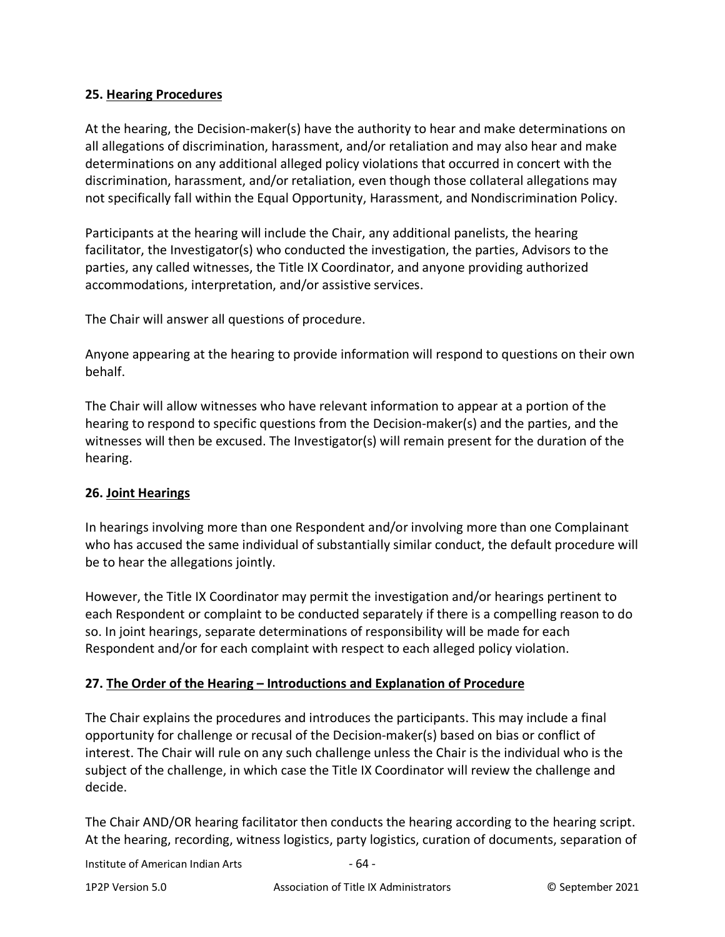#### **25. Hearing Procedures**

At the hearing, the Decision-maker(s) have the authority to hear and make determinations on all allegations of discrimination, harassment, and/or retaliation and may also hear and make determinations on any additional alleged policy violations that occurred in concert with the discrimination, harassment, and/or retaliation, even though those collateral allegations may not specifically fall within the Equal Opportunity, Harassment, and Nondiscrimination Policy.

Participants at the hearing will include the Chair, any additional panelists, the hearing facilitator, the Investigator(s) who conducted the investigation, the parties, Advisors to the parties, any called witnesses, the Title IX Coordinator, and anyone providing authorized accommodations, interpretation, and/or assistive services.

The Chair will answer all questions of procedure.

Anyone appearing at the hearing to provide information will respond to questions on their own behalf.

The Chair will allow witnesses who have relevant information to appear at a portion of the hearing to respond to specific questions from the Decision-maker(s) and the parties, and the witnesses will then be excused. The Investigator(s) will remain present for the duration of the hearing.

#### **26. Joint Hearings**

In hearings involving more than one Respondent and/or involving more than one Complainant who has accused the same individual of substantially similar conduct, the default procedure will be to hear the allegations jointly.

However, the Title IX Coordinator may permit the investigation and/or hearings pertinent to each Respondent or complaint to be conducted separately if there is a compelling reason to do so. In joint hearings, separate determinations of responsibility will be made for each Respondent and/or for each complaint with respect to each alleged policy violation.

### **27. The Order of the Hearing – Introductions and Explanation of Procedure**

The Chair explains the procedures and introduces the participants. This may include a final opportunity for challenge or recusal of the Decision-maker(s) based on bias or conflict of interest. The Chair will rule on any such challenge unless the Chair is the individual who is the subject of the challenge, in which case the Title IX Coordinator will review the challenge and decide.

The Chair AND/OR hearing facilitator then conducts the hearing according to the hearing script. At the hearing, recording, witness logistics, party logistics, curation of documents, separation of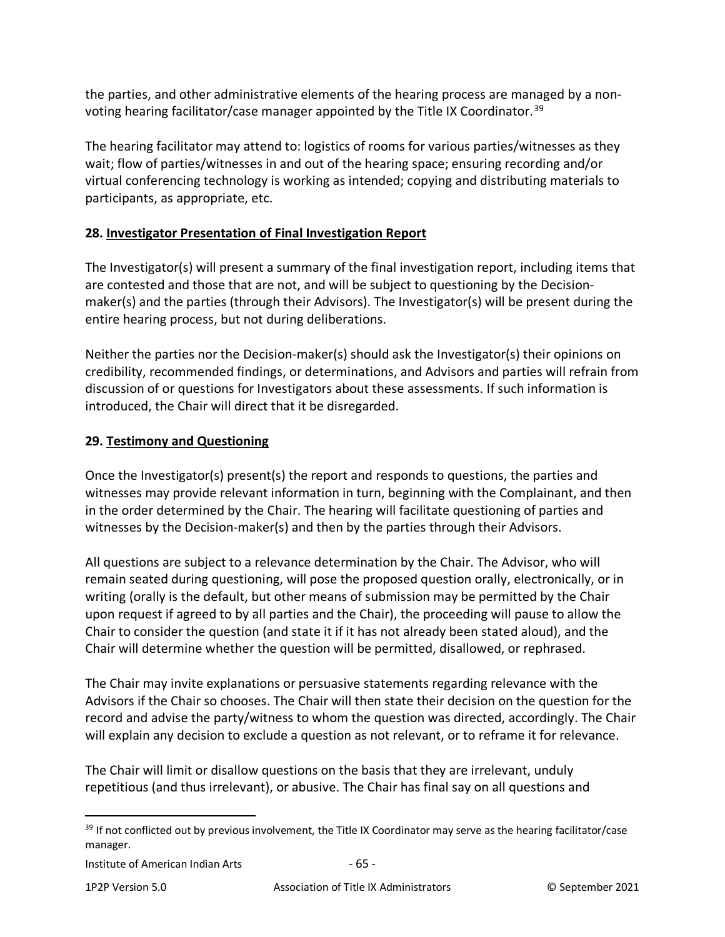the parties, and other administrative elements of the hearing process are managed by a non-voting hearing facilitator/case manager appointed by the Title IX Coordinator.<sup>[39](#page-64-0)</sup>

The hearing facilitator may attend to: logistics of rooms for various parties/witnesses as they wait; flow of parties/witnesses in and out of the hearing space; ensuring recording and/or virtual conferencing technology is working as intended; copying and distributing materials to participants, as appropriate, etc.

### **28. Investigator Presentation of Final Investigation Report**

The Investigator(s) will present a summary of the final investigation report, including items that are contested and those that are not, and will be subject to questioning by the Decisionmaker(s) and the parties (through their Advisors). The Investigator(s) will be present during the entire hearing process, but not during deliberations.

Neither the parties nor the Decision-maker(s) should ask the Investigator(s) their opinions on credibility, recommended findings, or determinations, and Advisors and parties will refrain from discussion of or questions for Investigators about these assessments. If such information is introduced, the Chair will direct that it be disregarded.

### **29. Testimony and Questioning**

Once the Investigator(s) present(s) the report and responds to questions, the parties and witnesses may provide relevant information in turn, beginning with the Complainant, and then in the order determined by the Chair. The hearing will facilitate questioning of parties and witnesses by the Decision-maker(s) and then by the parties through their Advisors.

All questions are subject to a relevance determination by the Chair. The Advisor, who will remain seated during questioning, will pose the proposed question orally, electronically, or in writing (orally is the default, but other means of submission may be permitted by the Chair upon request if agreed to by all parties and the Chair), the proceeding will pause to allow the Chair to consider the question (and state it if it has not already been stated aloud), and the Chair will determine whether the question will be permitted, disallowed, or rephrased.

The Chair may invite explanations or persuasive statements regarding relevance with the Advisors if the Chair so chooses. The Chair will then state their decision on the question for the record and advise the party/witness to whom the question was directed, accordingly. The Chair will explain any decision to exclude a question as not relevant, or to reframe it for relevance.

The Chair will limit or disallow questions on the basis that they are irrelevant, unduly repetitious (and thus irrelevant), or abusive. The Chair has final say on all questions and

<span id="page-64-0"></span><sup>&</sup>lt;sup>39</sup> If not conflicted out by previous involvement, the Title IX Coordinator may serve as the hearing facilitator/case manager.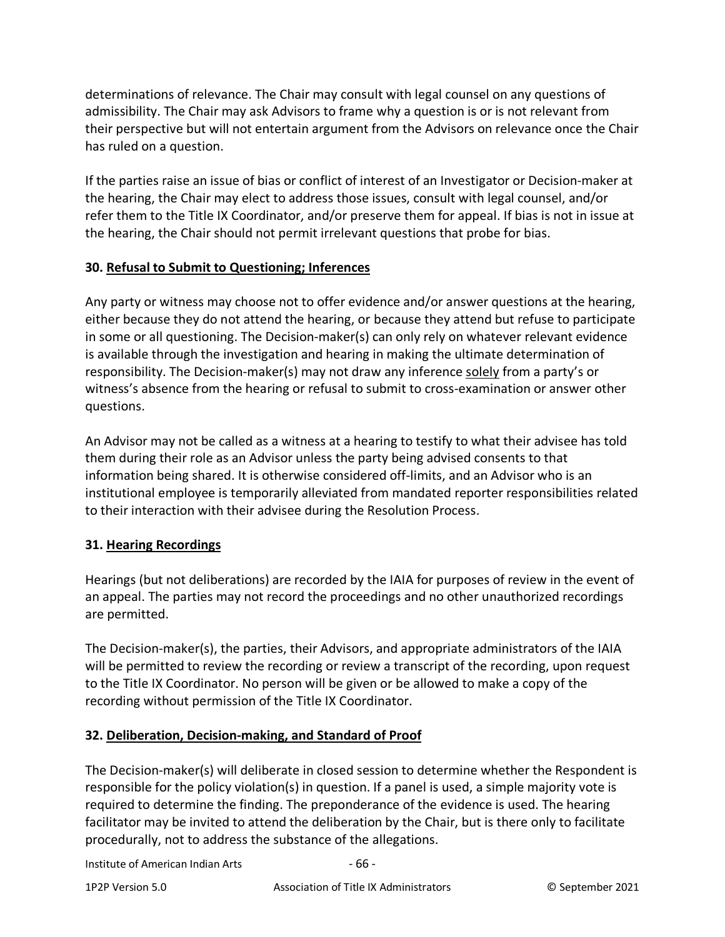determinations of relevance. The Chair may consult with legal counsel on any questions of admissibility. The Chair may ask Advisors to frame why a question is or is not relevant from their perspective but will not entertain argument from the Advisors on relevance once the Chair has ruled on a question.

If the parties raise an issue of bias or conflict of interest of an Investigator or Decision-maker at the hearing, the Chair may elect to address those issues, consult with legal counsel, and/or refer them to the Title IX Coordinator, and/or preserve them for appeal. If bias is not in issue at the hearing, the Chair should not permit irrelevant questions that probe for bias.

### **30. Refusal to Submit to Questioning; Inferences**

Any party or witness may choose not to offer evidence and/or answer questions at the hearing, either because they do not attend the hearing, or because they attend but refuse to participate in some or all questioning. The Decision-maker(s) can only rely on whatever relevant evidence is available through the investigation and hearing in making the ultimate determination of responsibility. The Decision-maker(s) may not draw any inference solely from a party's or witness's absence from the hearing or refusal to submit to cross-examination or answer other questions.

An Advisor may not be called as a witness at a hearing to testify to what their advisee has told them during their role as an Advisor unless the party being advised consents to that information being shared. It is otherwise considered off-limits, and an Advisor who is an institutional employee is temporarily alleviated from mandated reporter responsibilities related to their interaction with their advisee during the Resolution Process.

# **31. Hearing Recordings**

Hearings (but not deliberations) are recorded by the IAIA for purposes of review in the event of an appeal. The parties may not record the proceedings and no other unauthorized recordings are permitted.

The Decision-maker(s), the parties, their Advisors, and appropriate administrators of the IAIA will be permitted to review the recording or review a transcript of the recording, upon request to the Title IX Coordinator. No person will be given or be allowed to make a copy of the recording without permission of the Title IX Coordinator.

# **32. Deliberation, Decision-making, and Standard of Proof**

The Decision-maker(s) will deliberate in closed session to determine whether the Respondent is responsible for the policy violation(s) in question. If a panel is used, a simple majority vote is required to determine the finding. The preponderance of the evidence is used. The hearing facilitator may be invited to attend the deliberation by the Chair, but is there only to facilitate procedurally, not to address the substance of the allegations.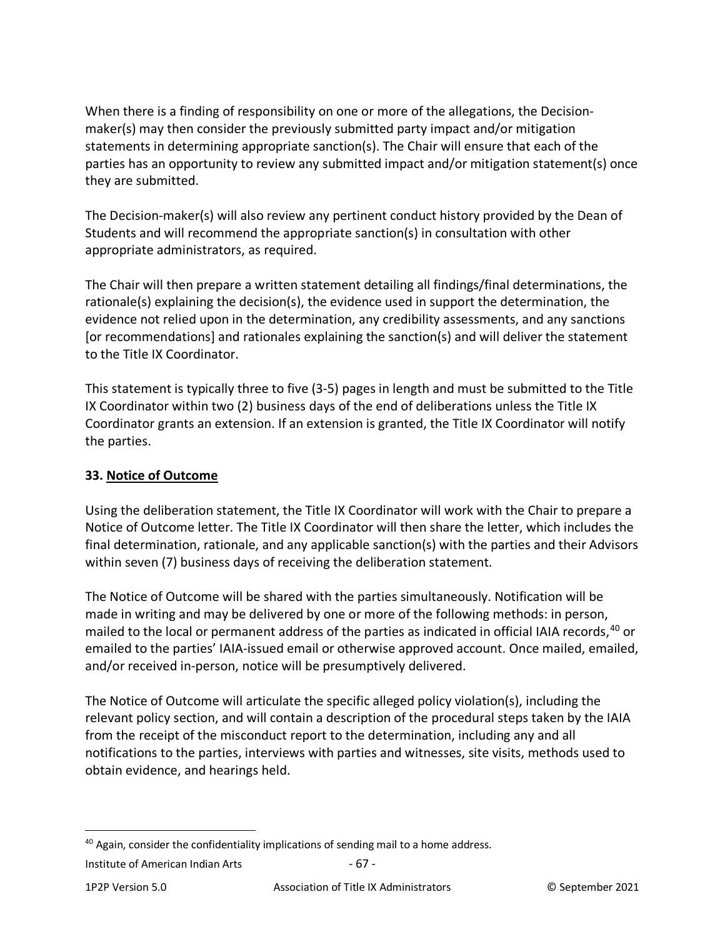When there is a finding of responsibility on one or more of the allegations, the Decisionmaker(s) may then consider the previously submitted party impact and/or mitigation statements in determining appropriate sanction(s). The Chair will ensure that each of the parties has an opportunity to review any submitted impact and/or mitigation statement(s) once they are submitted.

The Decision-maker(s) will also review any pertinent conduct history provided by the Dean of Students and will recommend the appropriate sanction(s) in consultation with other appropriate administrators, as required.

The Chair will then prepare a written statement detailing all findings/final determinations, the rationale(s) explaining the decision(s), the evidence used in support the determination, the evidence not relied upon in the determination, any credibility assessments, and any sanctions [or recommendations] and rationales explaining the sanction(s) and will deliver the statement to the Title IX Coordinator.

This statement is typically three to five (3-5) pages in length and must be submitted to the Title IX Coordinator within two (2) business days of the end of deliberations unless the Title IX Coordinator grants an extension. If an extension is granted, the Title IX Coordinator will notify the parties.

# **33. Notice of Outcome**

Using the deliberation statement, the Title IX Coordinator will work with the Chair to prepare a Notice of Outcome letter. The Title IX Coordinator will then share the letter, which includes the final determination, rationale, and any applicable sanction(s) with the parties and their Advisors within seven (7) business days of receiving the deliberation statement.

The Notice of Outcome will be shared with the parties simultaneously. Notification will be made in writing and may be delivered by one or more of the following methods: in person, mailed to the local or permanent address of the parties as indicated in official IAIA records,<sup>[40](#page-66-0)</sup> or emailed to the parties' IAIA-issued email or otherwise approved account. Once mailed, emailed, and/or received in-person, notice will be presumptively delivered.

The Notice of Outcome will articulate the specific alleged policy violation(s), including the relevant policy section, and will contain a description of the procedural steps taken by the IAIA from the receipt of the misconduct report to the determination, including any and all notifications to the parties, interviews with parties and witnesses, site visits, methods used to obtain evidence, and hearings held.

<span id="page-66-0"></span> $40$  Again, consider the confidentiality implications of sending mail to a home address.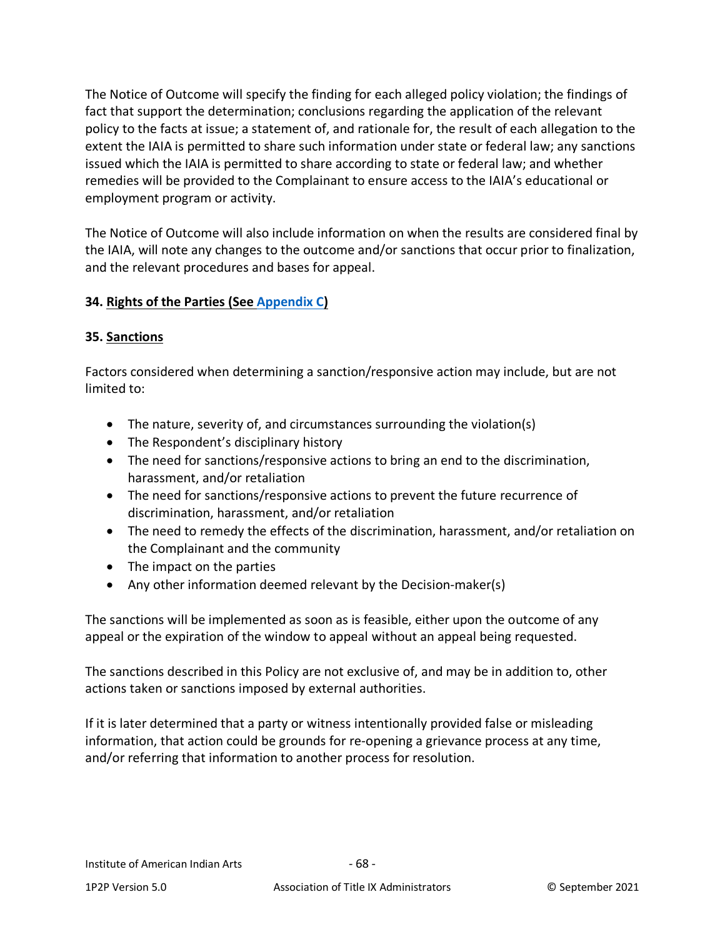The Notice of Outcome will specify the finding for each alleged policy violation; the findings of fact that support the determination; conclusions regarding the application of the relevant policy to the facts at issue; a statement of, and rationale for, the result of each allegation to the extent the IAIA is permitted to share such information under state or federal law; any sanctions issued which the IAIA is permitted to share according to state or federal law; and whether remedies will be provided to the Complainant to ensure access to the IAIA's educational or employment program or activity.

The Notice of Outcome will also include information on when the results are considered final by the IAIA, will note any changes to the outcome and/or sanctions that occur prior to finalization, and the relevant procedures and bases for appeal.

## **34. Rights of the Parties (See [Appendix C\)](#page-82-0)**

#### **35. Sanctions**

Factors considered when determining a sanction/responsive action may include, but are not limited to:

- The nature, severity of, and circumstances surrounding the violation(s)
- The Respondent's disciplinary history
- The need for sanctions/responsive actions to bring an end to the discrimination, harassment, and/or retaliation
- The need for sanctions/responsive actions to prevent the future recurrence of discrimination, harassment, and/or retaliation
- The need to remedy the effects of the discrimination, harassment, and/or retaliation on the Complainant and the community
- The impact on the parties
- Any other information deemed relevant by the Decision-maker(s)

The sanctions will be implemented as soon as is feasible, either upon the outcome of any appeal or the expiration of the window to appeal without an appeal being requested.

The sanctions described in this Policy are not exclusive of, and may be in addition to, other actions taken or sanctions imposed by external authorities.

If it is later determined that a party or witness intentionally provided false or misleading information, that action could be grounds for re-opening a grievance process at any time, and/or referring that information to another process for resolution.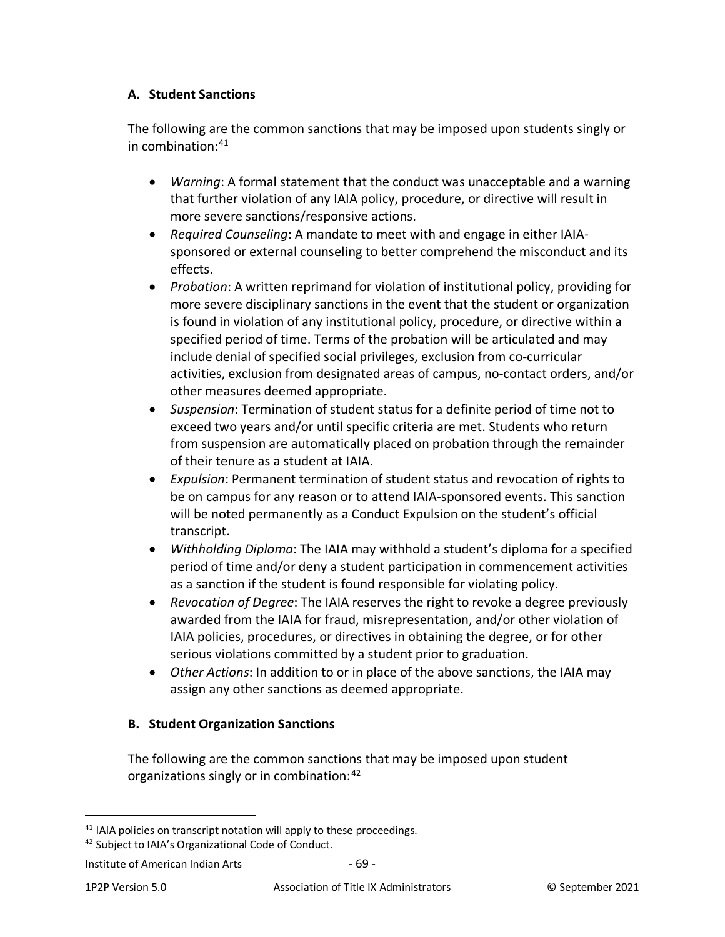### **A. Student Sanctions**

The following are the common sanctions that may be imposed upon students singly or in combination:[41](#page-68-0)

- *Warning*: A formal statement that the conduct was unacceptable and a warning that further violation of any IAIA policy, procedure, or directive will result in more severe sanctions/responsive actions.
- *Required Counseling*: A mandate to meet with and engage in either IAIAsponsored or external counseling to better comprehend the misconduct and its effects.
- *Probation*: A written reprimand for violation of institutional policy, providing for more severe disciplinary sanctions in the event that the student or organization is found in violation of any institutional policy, procedure, or directive within a specified period of time. Terms of the probation will be articulated and may include denial of specified social privileges, exclusion from co-curricular activities, exclusion from designated areas of campus, no-contact orders, and/or other measures deemed appropriate.
- *Suspension*: Termination of student status for a definite period of time not to exceed two years and/or until specific criteria are met. Students who return from suspension are automatically placed on probation through the remainder of their tenure as a student at IAIA.
- *Expulsion*: Permanent termination of student status and revocation of rights to be on campus for any reason or to attend IAIA-sponsored events. This sanction will be noted permanently as a Conduct Expulsion on the student's official transcript.
- *Withholding Diploma*: The IAIA may withhold a student's diploma for a specified period of time and/or deny a student participation in commencement activities as a sanction if the student is found responsible for violating policy.
- *Revocation of Degree*: The IAIA reserves the right to revoke a degree previously awarded from the IAIA for fraud, misrepresentation, and/or other violation of IAIA policies, procedures, or directives in obtaining the degree, or for other serious violations committed by a student prior to graduation.
- *Other Actions*: In addition to or in place of the above sanctions, the IAIA may assign any other sanctions as deemed appropriate.

### **B. Student Organization Sanctions**

The following are the common sanctions that may be imposed upon student organizations singly or in combination: <sup>[42](#page-68-1)</sup>

<span id="page-68-0"></span><sup>&</sup>lt;sup>41</sup> IAIA policies on transcript notation will apply to these proceedings.

<span id="page-68-1"></span><sup>42</sup> Subject to IAIA's Organizational Code of Conduct.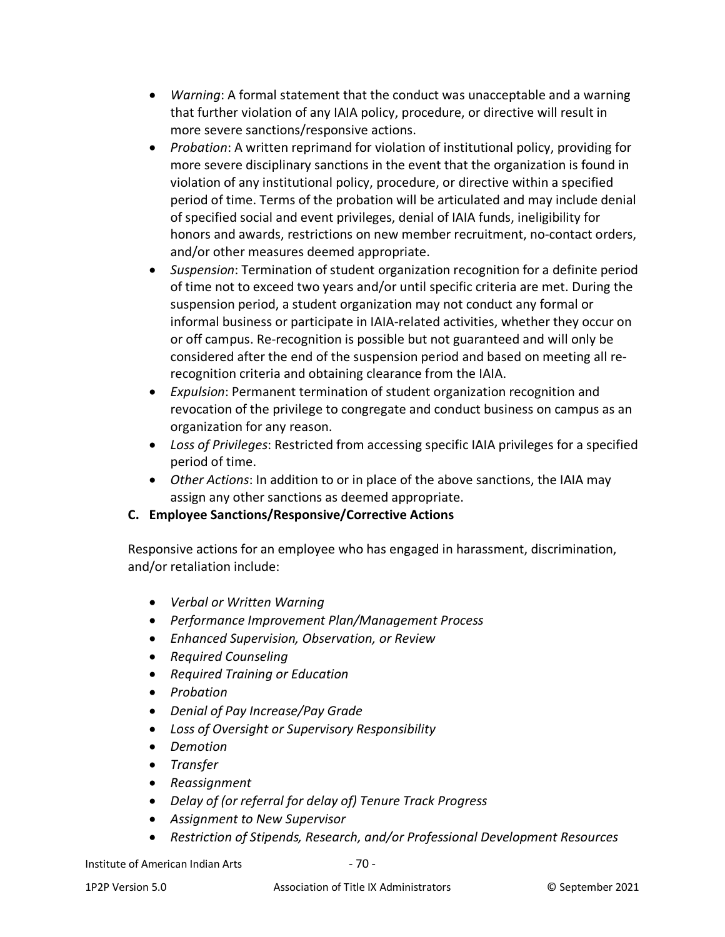- *Warning*: A formal statement that the conduct was unacceptable and a warning that further violation of any IAIA policy, procedure, or directive will result in more severe sanctions/responsive actions.
- *Probation*: A written reprimand for violation of institutional policy, providing for more severe disciplinary sanctions in the event that the organization is found in violation of any institutional policy, procedure, or directive within a specified period of time. Terms of the probation will be articulated and may include denial of specified social and event privileges, denial of IAIA funds, ineligibility for honors and awards, restrictions on new member recruitment, no-contact orders, and/or other measures deemed appropriate.
- *Suspension*: Termination of student organization recognition for a definite period of time not to exceed two years and/or until specific criteria are met. During the suspension period, a student organization may not conduct any formal or informal business or participate in IAIA-related activities, whether they occur on or off campus. Re-recognition is possible but not guaranteed and will only be considered after the end of the suspension period and based on meeting all rerecognition criteria and obtaining clearance from the IAIA.
- *Expulsion*: Permanent termination of student organization recognition and revocation of the privilege to congregate and conduct business on campus as an organization for any reason.
- *Loss of Privileges*: Restricted from accessing specific IAIA privileges for a specified period of time.
- *Other Actions*: In addition to or in place of the above sanctions, the IAIA may assign any other sanctions as deemed appropriate.
- **C. Employee Sanctions/Responsive/Corrective Actions**

Responsive actions for an employee who has engaged in harassment, discrimination, and/or retaliation include:

- *Verbal or Written Warning*
- *Performance Improvement Plan/Management Process*
- *Enhanced Supervision, Observation, or Review*
- *Required Counseling*
- *Required Training or Education*
- *Probation*
- *Denial of Pay Increase/Pay Grade*
- *Loss of Oversight or Supervisory Responsibility*
- *Demotion*
- *Transfer*
- *Reassignment*
- *Delay of (or referral for delay of) Tenure Track Progress*
- *Assignment to New Supervisor*
- *Restriction of Stipends, Research, and/or Professional Development Resources*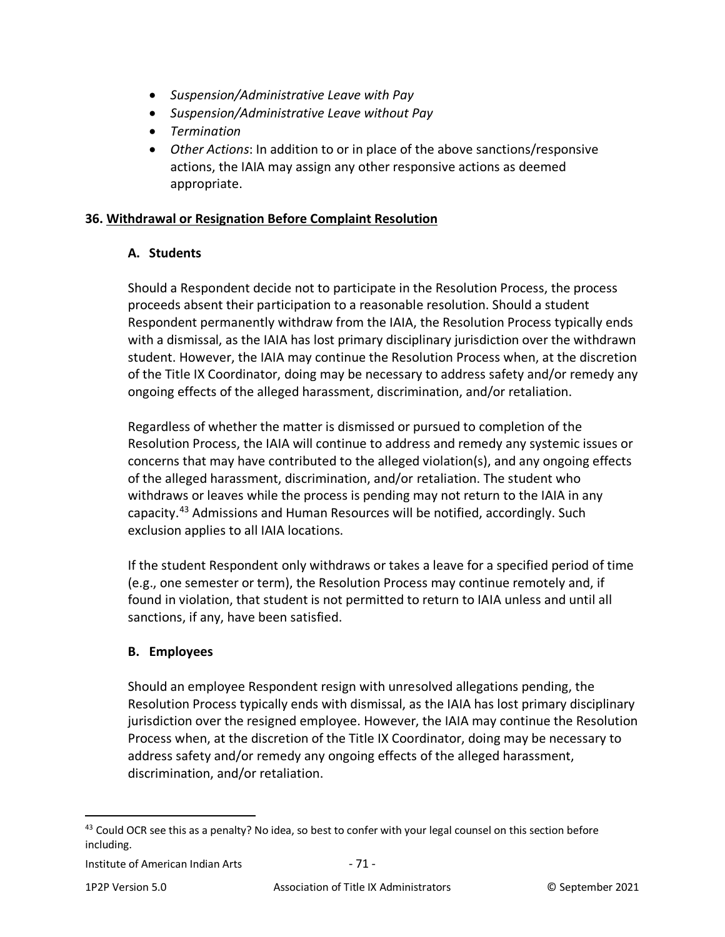- *Suspension/Administrative Leave with Pay*
- *Suspension/Administrative Leave without Pay*
- *Termination*
- *Other Actions*: In addition to or in place of the above sanctions/responsive actions, the IAIA may assign any other responsive actions as deemed appropriate.

### **36. Withdrawal or Resignation Before Complaint Resolution**

### **A. Students**

Should a Respondent decide not to participate in the Resolution Process, the process proceeds absent their participation to a reasonable resolution. Should a student Respondent permanently withdraw from the IAIA, the Resolution Process typically ends with a dismissal, as the IAIA has lost primary disciplinary jurisdiction over the withdrawn student. However, the IAIA may continue the Resolution Process when, at the discretion of the Title IX Coordinator, doing may be necessary to address safety and/or remedy any ongoing effects of the alleged harassment, discrimination, and/or retaliation.

Regardless of whether the matter is dismissed or pursued to completion of the Resolution Process, the IAIA will continue to address and remedy any systemic issues or concerns that may have contributed to the alleged violation(s), and any ongoing effects of the alleged harassment, discrimination, and/or retaliation. The student who withdraws or leaves while the process is pending may not return to the IAIA in any capacity.[43](#page-70-0) Admissions and Human Resources will be notified, accordingly. Such exclusion applies to all IAIA locations.

If the student Respondent only withdraws or takes a leave for a specified period of time (e.g., one semester or term), the Resolution Process may continue remotely and, if found in violation, that student is not permitted to return to IAIA unless and until all sanctions, if any, have been satisfied.

### **B. Employees**

Should an employee Respondent resign with unresolved allegations pending, the Resolution Process typically ends with dismissal, as the IAIA has lost primary disciplinary jurisdiction over the resigned employee. However, the IAIA may continue the Resolution Process when, at the discretion of the Title IX Coordinator, doing may be necessary to address safety and/or remedy any ongoing effects of the alleged harassment, discrimination, and/or retaliation.

<span id="page-70-0"></span><sup>&</sup>lt;sup>43</sup> Could OCR see this as a penalty? No idea, so best to confer with your legal counsel on this section before including.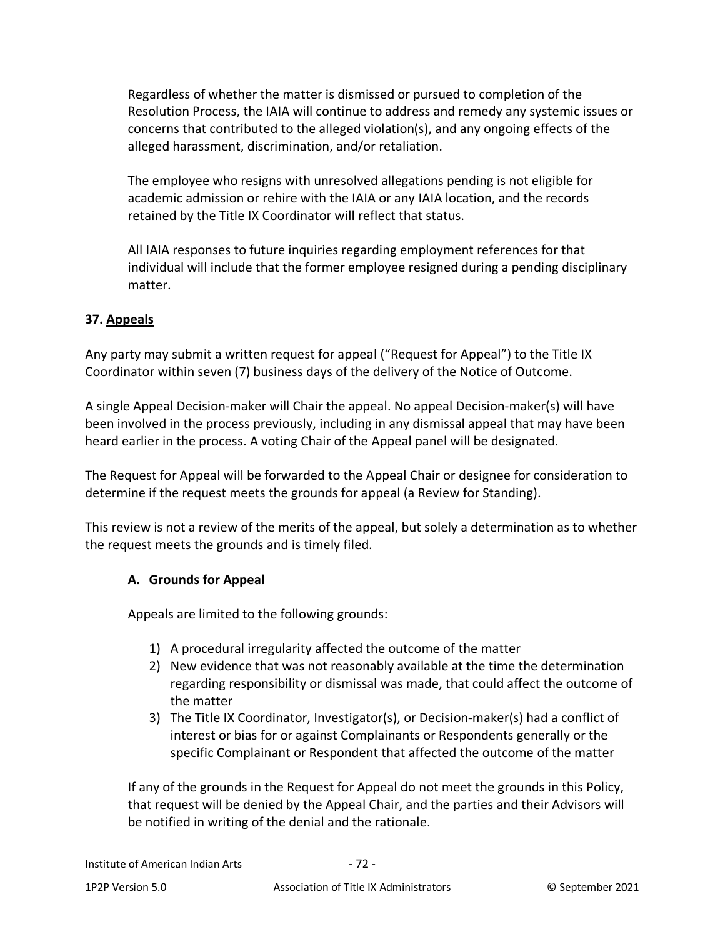Regardless of whether the matter is dismissed or pursued to completion of the Resolution Process, the IAIA will continue to address and remedy any systemic issues or concerns that contributed to the alleged violation(s), and any ongoing effects of the alleged harassment, discrimination, and/or retaliation.

The employee who resigns with unresolved allegations pending is not eligible for academic admission or rehire with the IAIA or any IAIA location, and the records retained by the Title IX Coordinator will reflect that status.

All IAIA responses to future inquiries regarding employment references for that individual will include that the former employee resigned during a pending disciplinary matter.

### <span id="page-71-0"></span>**37. Appeals**

Any party may submit a written request for appeal ("Request for Appeal") to the Title IX Coordinator within seven (7) business days of the delivery of the Notice of Outcome.

A single Appeal Decision-maker will Chair the appeal. No appeal Decision-maker(s) will have been involved in the process previously, including in any dismissal appeal that may have been heard earlier in the process. A voting Chair of the Appeal panel will be designated.

The Request for Appeal will be forwarded to the Appeal Chair or designee for consideration to determine if the request meets the grounds for appeal (a Review for Standing).

This review is not a review of the merits of the appeal, but solely a determination as to whether the request meets the grounds and is timely filed.

### **A. Grounds for Appeal**

Appeals are limited to the following grounds:

- 1) A procedural irregularity affected the outcome of the matter
- 2) New evidence that was not reasonably available at the time the determination regarding responsibility or dismissal was made, that could affect the outcome of the matter
- 3) The Title IX Coordinator, Investigator(s), or Decision-maker(s) had a conflict of interest or bias for or against Complainants or Respondents generally or the specific Complainant or Respondent that affected the outcome of the matter

If any of the grounds in the Request for Appeal do not meet the grounds in this Policy, that request will be denied by the Appeal Chair, and the parties and their Advisors will be notified in writing of the denial and the rationale.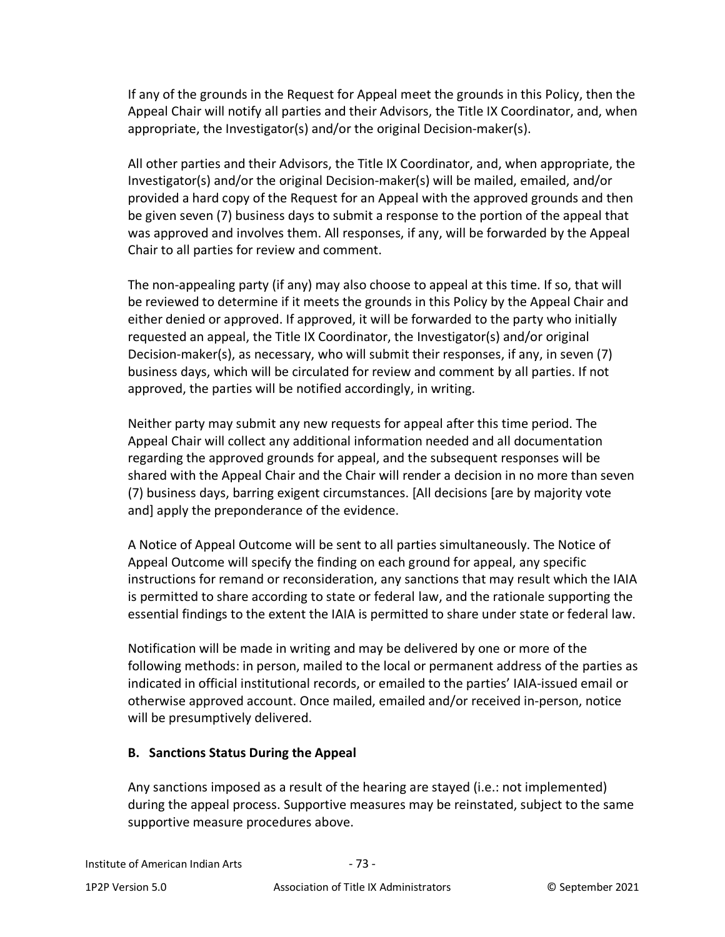If any of the grounds in the Request for Appeal meet the grounds in this Policy, then the Appeal Chair will notify all parties and their Advisors, the Title IX Coordinator, and, when appropriate, the Investigator(s) and/or the original Decision-maker(s).

All other parties and their Advisors, the Title IX Coordinator, and, when appropriate, the Investigator(s) and/or the original Decision-maker(s) will be mailed, emailed, and/or provided a hard copy of the Request for an Appeal with the approved grounds and then be given seven (7) business days to submit a response to the portion of the appeal that was approved and involves them. All responses, if any, will be forwarded by the Appeal Chair to all parties for review and comment.

The non-appealing party (if any) may also choose to appeal at this time. If so, that will be reviewed to determine if it meets the grounds in this Policy by the Appeal Chair and either denied or approved. If approved, it will be forwarded to the party who initially requested an appeal, the Title IX Coordinator, the Investigator(s) and/or original Decision-maker(s), as necessary, who will submit their responses, if any, in seven (7) business days, which will be circulated for review and comment by all parties. If not approved, the parties will be notified accordingly, in writing.

Neither party may submit any new requests for appeal after this time period. The Appeal Chair will collect any additional information needed and all documentation regarding the approved grounds for appeal, and the subsequent responses will be shared with the Appeal Chair and the Chair will render a decision in no more than seven (7) business days, barring exigent circumstances. [All decisions [are by majority vote and] apply the preponderance of the evidence.

A Notice of Appeal Outcome will be sent to all parties simultaneously. The Notice of Appeal Outcome will specify the finding on each ground for appeal, any specific instructions for remand or reconsideration, any sanctions that may result which the IAIA is permitted to share according to state or federal law, and the rationale supporting the essential findings to the extent the IAIA is permitted to share under state or federal law.

Notification will be made in writing and may be delivered by one or more of the following methods: in person, mailed to the local or permanent address of the parties as indicated in official institutional records, or emailed to the parties' IAIA-issued email or otherwise approved account. Once mailed, emailed and/or received in-person, notice will be presumptively delivered.

## **B. Sanctions Status During the Appeal**

Any sanctions imposed as a result of the hearing are stayed (i.e.: not implemented) during the appeal process. Supportive measures may be reinstated, subject to the same supportive measure procedures above.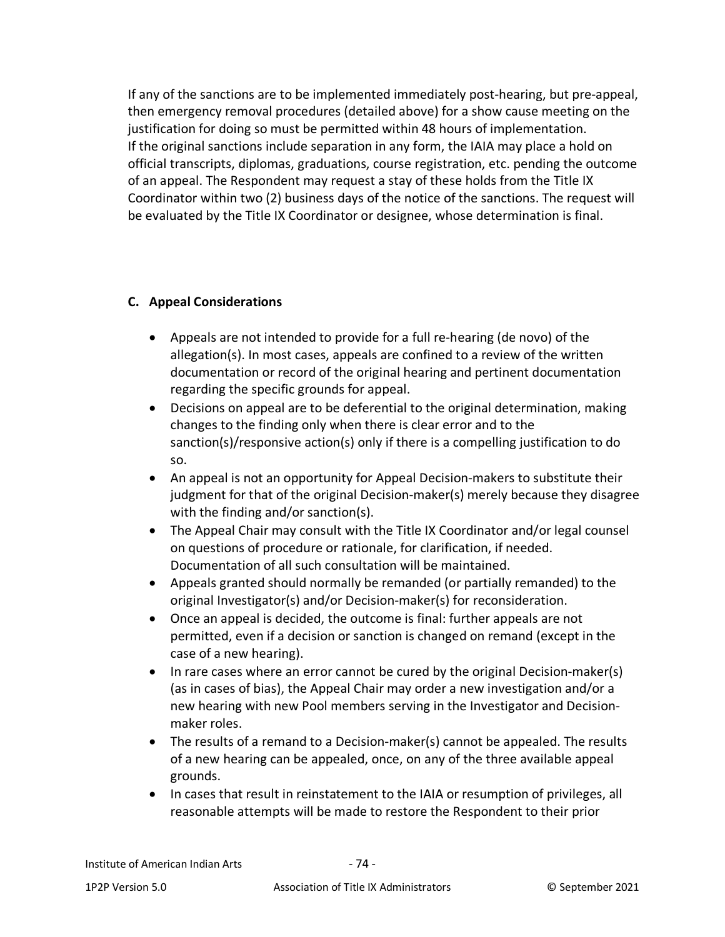If any of the sanctions are to be implemented immediately post-hearing, but pre-appeal, then emergency removal procedures (detailed above) for a show cause meeting on the justification for doing so must be permitted within 48 hours of implementation. If the original sanctions include separation in any form, the IAIA may place a hold on official transcripts, diplomas, graduations, course registration, etc. pending the outcome of an appeal. The Respondent may request a stay of these holds from the Title IX Coordinator within two (2) business days of the notice of the sanctions. The request will be evaluated by the Title IX Coordinator or designee, whose determination is final.

## **C. Appeal Considerations**

- Appeals are not intended to provide for a full re-hearing (de novo) of the allegation(s). In most cases, appeals are confined to a review of the written documentation or record of the original hearing and pertinent documentation regarding the specific grounds for appeal.
- Decisions on appeal are to be deferential to the original determination, making changes to the finding only when there is clear error and to the sanction(s)/responsive action(s) only if there is a compelling justification to do so.
- An appeal is not an opportunity for Appeal Decision-makers to substitute their judgment for that of the original Decision-maker(s) merely because they disagree with the finding and/or sanction(s).
- The Appeal Chair may consult with the Title IX Coordinator and/or legal counsel on questions of procedure or rationale, for clarification, if needed. Documentation of all such consultation will be maintained.
- Appeals granted should normally be remanded (or partially remanded) to the original Investigator(s) and/or Decision-maker(s) for reconsideration.
- Once an appeal is decided, the outcome is final: further appeals are not permitted, even if a decision or sanction is changed on remand (except in the case of a new hearing).
- In rare cases where an error cannot be cured by the original Decision-maker(s) (as in cases of bias), the Appeal Chair may order a new investigation and/or a new hearing with new Pool members serving in the Investigator and Decisionmaker roles.
- The results of a remand to a Decision-maker(s) cannot be appealed. The results of a new hearing can be appealed, once, on any of the three available appeal grounds.
- In cases that result in reinstatement to the IAIA or resumption of privileges, all reasonable attempts will be made to restore the Respondent to their prior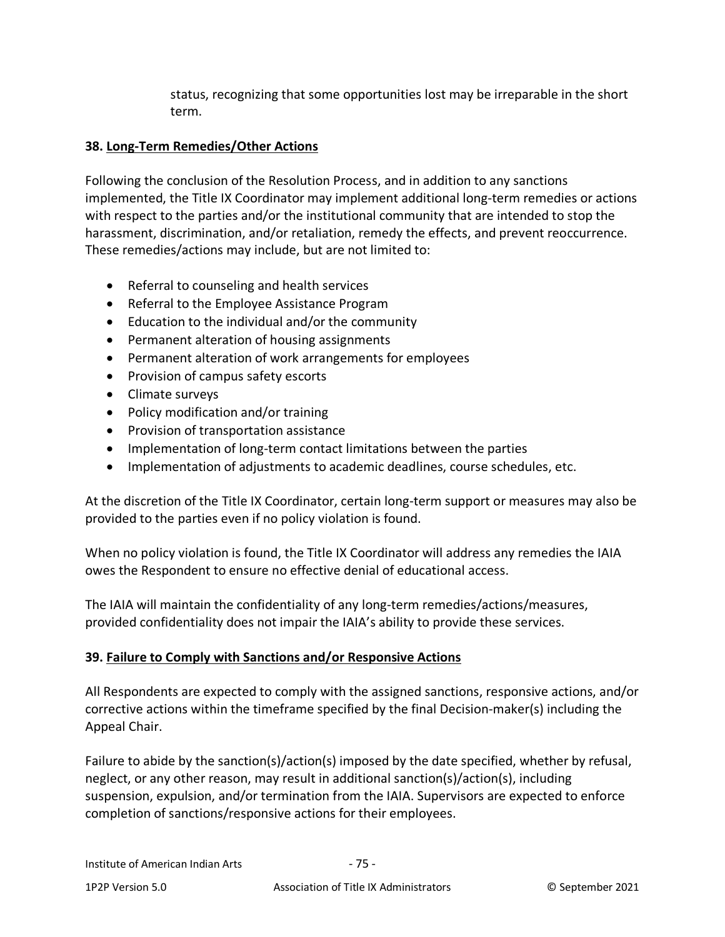status, recognizing that some opportunities lost may be irreparable in the short term.

## **38. Long-Term Remedies/Other Actions**

Following the conclusion of the Resolution Process, and in addition to any sanctions implemented, the Title IX Coordinator may implement additional long-term remedies or actions with respect to the parties and/or the institutional community that are intended to stop the harassment, discrimination, and/or retaliation, remedy the effects, and prevent reoccurrence. These remedies/actions may include, but are not limited to:

- Referral to counseling and health services
- Referral to the Employee Assistance Program
- Education to the individual and/or the community
- Permanent alteration of housing assignments
- Permanent alteration of work arrangements for employees
- Provision of campus safety escorts
- Climate surveys
- Policy modification and/or training
- Provision of transportation assistance
- Implementation of long-term contact limitations between the parties
- Implementation of adjustments to academic deadlines, course schedules, etc.

At the discretion of the Title IX Coordinator, certain long-term support or measures may also be provided to the parties even if no policy violation is found.

When no policy violation is found, the Title IX Coordinator will address any remedies the IAIA owes the Respondent to ensure no effective denial of educational access.

The IAIA will maintain the confidentiality of any long-term remedies/actions/measures, provided confidentiality does not impair the IAIA's ability to provide these services.

## **39. Failure to Comply with Sanctions and/or Responsive Actions**

All Respondents are expected to comply with the assigned sanctions, responsive actions, and/or corrective actions within the timeframe specified by the final Decision-maker(s) including the Appeal Chair.

Failure to abide by the sanction(s)/action(s) imposed by the date specified, whether by refusal, neglect, or any other reason, may result in additional sanction(s)/action(s), including suspension, expulsion, and/or termination from the IAIA. Supervisors are expected to enforce completion of sanctions/responsive actions for their employees.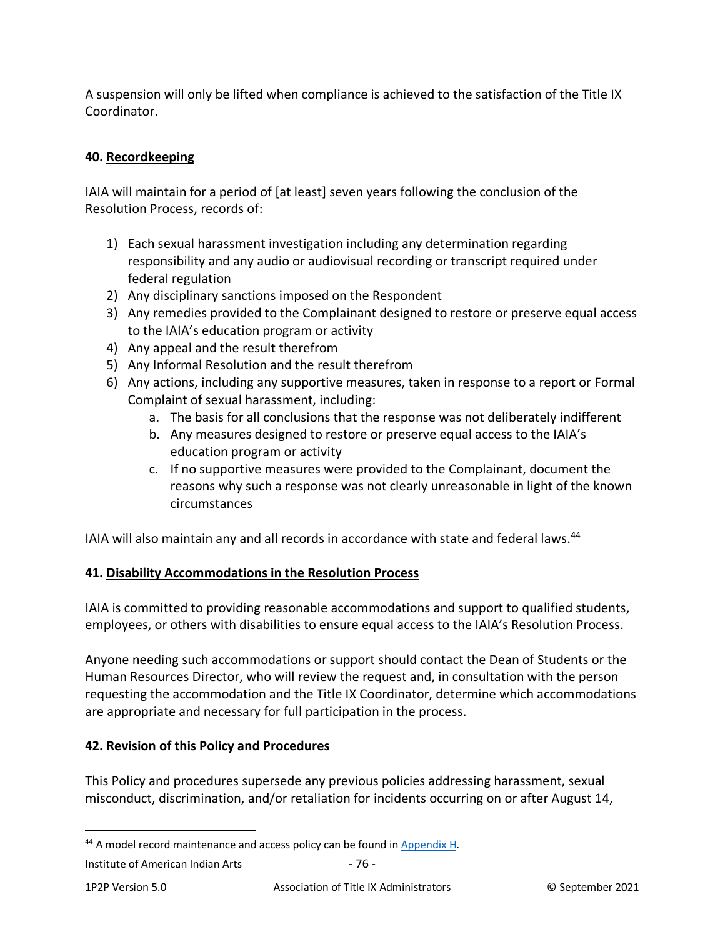A suspension will only be lifted when compliance is achieved to the satisfaction of the Title IX Coordinator.

# **40. Recordkeeping**

IAIA will maintain for a period of [at least] seven years following the conclusion of the Resolution Process, records of:

- 1) Each sexual harassment investigation including any determination regarding responsibility and any audio or audiovisual recording or transcript required under federal regulation
- 2) Any disciplinary sanctions imposed on the Respondent
- 3) Any remedies provided to the Complainant designed to restore or preserve equal access to the IAIA's education program or activity
- 4) Any appeal and the result therefrom
- 5) Any Informal Resolution and the result therefrom
- 6) Any actions, including any supportive measures, taken in response to a report or Formal Complaint of sexual harassment, including:
	- a. The basis for all conclusions that the response was not deliberately indifferent
	- b. Any measures designed to restore or preserve equal access to the IAIA's education program or activity
	- c. If no supportive measures were provided to the Complainant, document the reasons why such a response was not clearly unreasonable in light of the known circumstances

IAIA will also maintain any and all records in accordance with state and federal laws.<sup>44</sup>

## **41. Disability Accommodations in the Resolution Process**

IAIA is committed to providing reasonable accommodations and support to qualified students, employees, or others with disabilities to ensure equal access to the IAIA's Resolution Process.

Anyone needing such accommodations or support should contact the Dean of Students or the Human Resources Director, who will review the request and, in consultation with the person requesting the accommodation and the Title IX Coordinator, determine which accommodations are appropriate and necessary for full participation in the process.

## **42. Revision of this Policy and Procedures**

This Policy and procedures supersede any previous policies addressing harassment, sexual misconduct, discrimination, and/or retaliation for incidents occurring on or after August 14,

<span id="page-75-0"></span><sup>&</sup>lt;sup>44</sup> A model record maintenance and access policy can be found i[n Appendix H.](#page-111-0)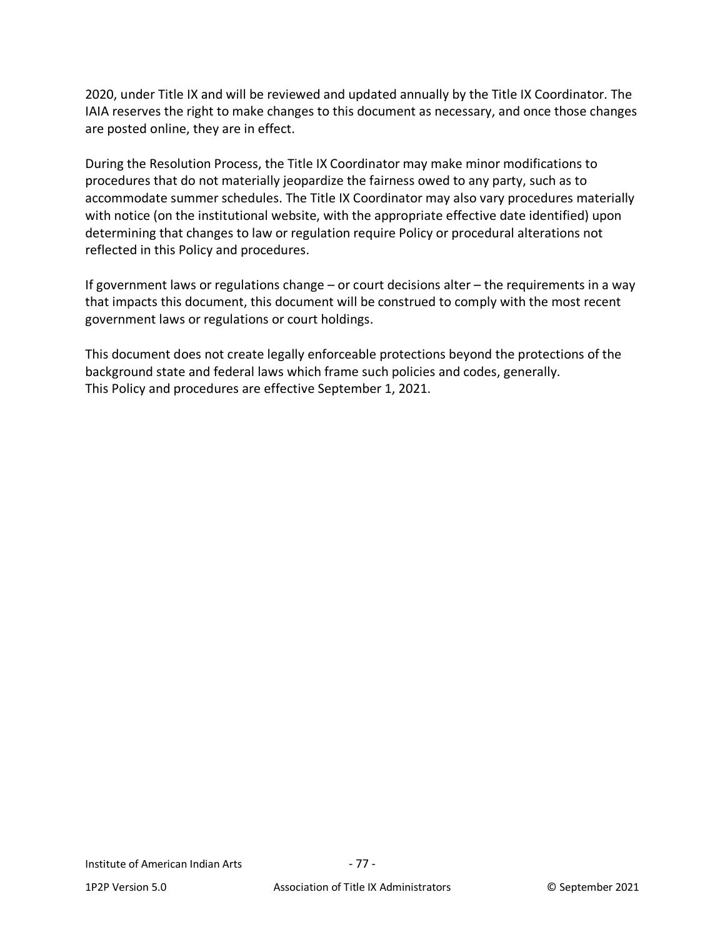2020, under Title IX and will be reviewed and updated annually by the Title IX Coordinator. The IAIA reserves the right to make changes to this document as necessary, and once those changes are posted online, they are in effect.

During the Resolution Process, the Title IX Coordinator may make minor modifications to procedures that do not materially jeopardize the fairness owed to any party, such as to accommodate summer schedules. The Title IX Coordinator may also vary procedures materially with notice (on the institutional website, with the appropriate effective date identified) upon determining that changes to law or regulation require Policy or procedural alterations not reflected in this Policy and procedures.

If government laws or regulations change – or court decisions alter – the requirements in a way that impacts this document, this document will be construed to comply with the most recent government laws or regulations or court holdings.

This document does not create legally enforceable protections beyond the protections of the background state and federal laws which frame such policies and codes, generally. This Policy and procedures are effective September 1, 2021.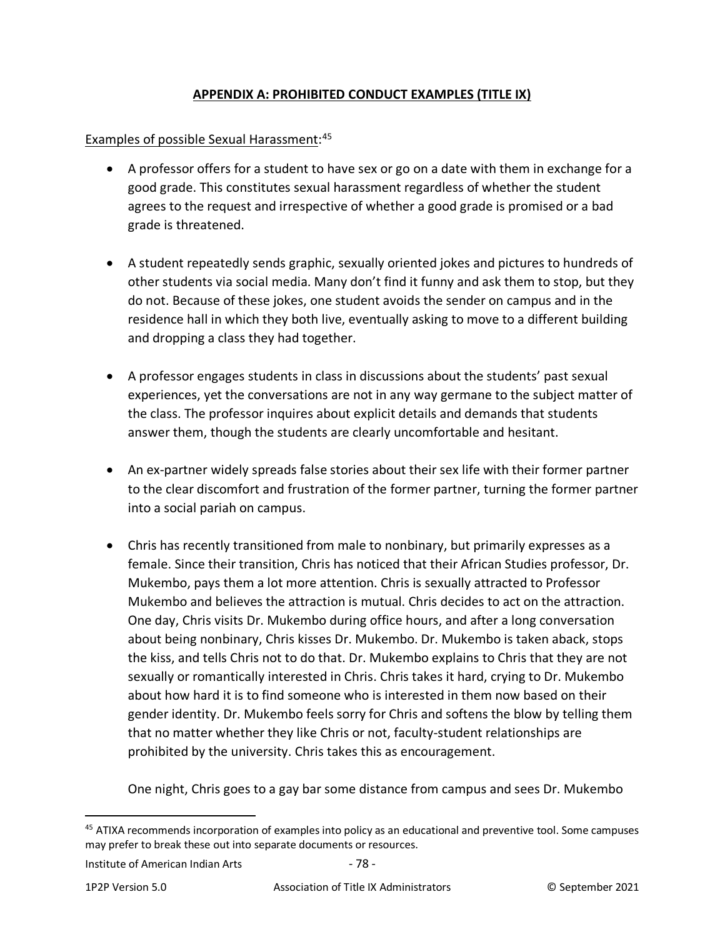## **APPENDIX A: PROHIBITED CONDUCT EXAMPLES (TITLE IX)**

# Examples of possible Sexual Harassment:<sup>[45](#page-77-0)</sup>

- A professor offers for a student to have sex or go on a date with them in exchange for a good grade. This constitutes sexual harassment regardless of whether the student agrees to the request and irrespective of whether a good grade is promised or a bad grade is threatened.
- A student repeatedly sends graphic, sexually oriented jokes and pictures to hundreds of other students via social media. Many don't find it funny and ask them to stop, but they do not. Because of these jokes, one student avoids the sender on campus and in the residence hall in which they both live, eventually asking to move to a different building and dropping a class they had together.
- A professor engages students in class in discussions about the students' past sexual experiences, yet the conversations are not in any way germane to the subject matter of the class. The professor inquires about explicit details and demands that students answer them, though the students are clearly uncomfortable and hesitant.
- An ex-partner widely spreads false stories about their sex life with their former partner to the clear discomfort and frustration of the former partner, turning the former partner into a social pariah on campus.
- Chris has recently transitioned from male to nonbinary, but primarily expresses as a female. Since their transition, Chris has noticed that their African Studies professor, Dr. Mukembo, pays them a lot more attention. Chris is sexually attracted to Professor Mukembo and believes the attraction is mutual. Chris decides to act on the attraction. One day, Chris visits Dr. Mukembo during office hours, and after a long conversation about being nonbinary, Chris kisses Dr. Mukembo. Dr. Mukembo is taken aback, stops the kiss, and tells Chris not to do that. Dr. Mukembo explains to Chris that they are not sexually or romantically interested in Chris. Chris takes it hard, crying to Dr. Mukembo about how hard it is to find someone who is interested in them now based on their gender identity. Dr. Mukembo feels sorry for Chris and softens the blow by telling them that no matter whether they like Chris or not, faculty-student relationships are prohibited by the university. Chris takes this as encouragement.

One night, Chris goes to a gay bar some distance from campus and sees Dr. Mukembo

<span id="page-77-0"></span><sup>45</sup> ATIXA recommends incorporation of examples into policy as an educational and preventive tool. Some campuses may prefer to break these out into separate documents or resources.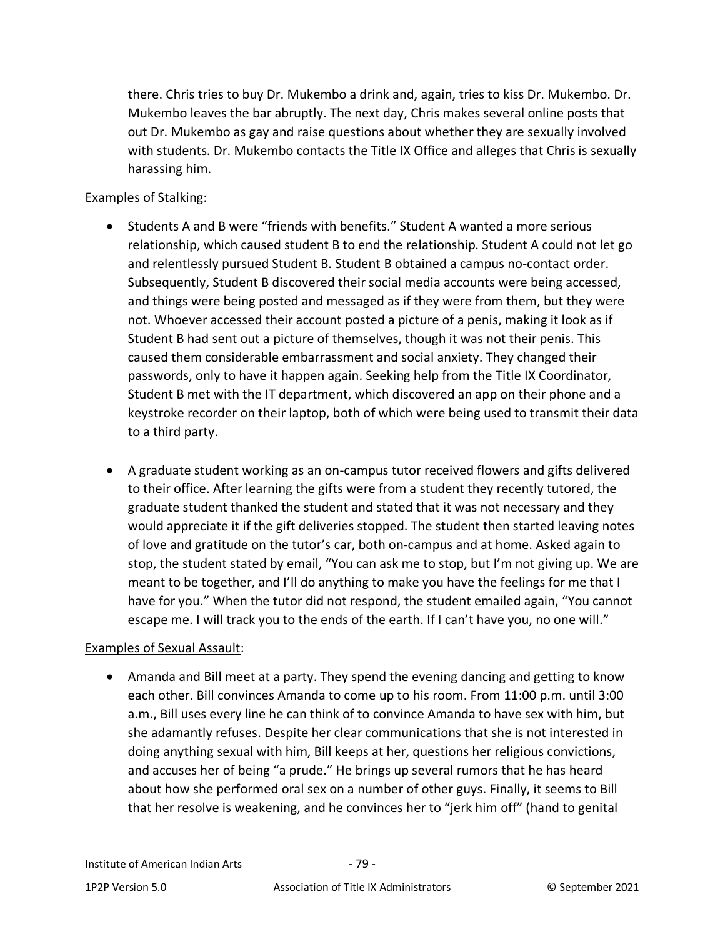there. Chris tries to buy Dr. Mukembo a drink and, again, tries to kiss Dr. Mukembo. Dr. Mukembo leaves the bar abruptly. The next day, Chris makes several online posts that out Dr. Mukembo as gay and raise questions about whether they are sexually involved with students. Dr. Mukembo contacts the Title IX Office and alleges that Chris is sexually harassing him.

### Examples of Stalking:

- Students A and B were "friends with benefits." Student A wanted a more serious relationship, which caused student B to end the relationship. Student A could not let go and relentlessly pursued Student B. Student B obtained a campus no-contact order. Subsequently, Student B discovered their social media accounts were being accessed, and things were being posted and messaged as if they were from them, but they were not. Whoever accessed their account posted a picture of a penis, making it look as if Student B had sent out a picture of themselves, though it was not their penis. This caused them considerable embarrassment and social anxiety. They changed their passwords, only to have it happen again. Seeking help from the Title IX Coordinator, Student B met with the IT department, which discovered an app on their phone and a keystroke recorder on their laptop, both of which were being used to transmit their data to a third party.
- A graduate student working as an on-campus tutor received flowers and gifts delivered to their office. After learning the gifts were from a student they recently tutored, the graduate student thanked the student and stated that it was not necessary and they would appreciate it if the gift deliveries stopped. The student then started leaving notes of love and gratitude on the tutor's car, both on-campus and at home. Asked again to stop, the student stated by email, "You can ask me to stop, but I'm not giving up. We are meant to be together, and I'll do anything to make you have the feelings for me that I have for you." When the tutor did not respond, the student emailed again, "You cannot escape me. I will track you to the ends of the earth. If I can't have you, no one will."

## Examples of Sexual Assault:

• Amanda and Bill meet at a party. They spend the evening dancing and getting to know each other. Bill convinces Amanda to come up to his room. From 11:00 p.m. until 3:00 a.m., Bill uses every line he can think of to convince Amanda to have sex with him, but she adamantly refuses. Despite her clear communications that she is not interested in doing anything sexual with him, Bill keeps at her, questions her religious convictions, and accuses her of being "a prude." He brings up several rumors that he has heard about how she performed oral sex on a number of other guys. Finally, it seems to Bill that her resolve is weakening, and he convinces her to "jerk him off" (hand to genital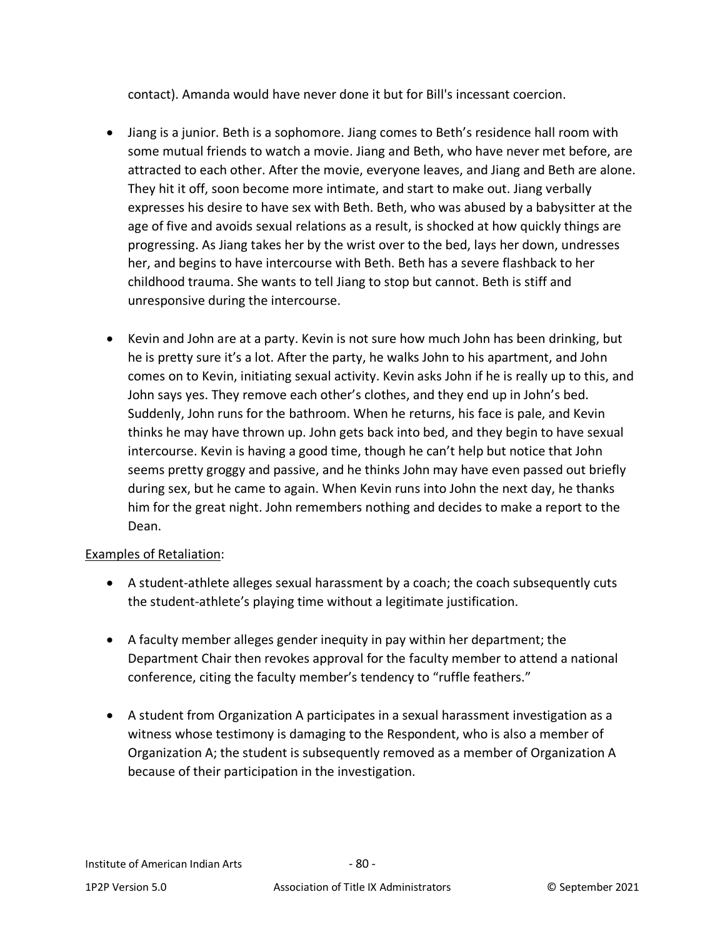contact). Amanda would have never done it but for Bill's incessant coercion.

- Jiang is a junior. Beth is a sophomore. Jiang comes to Beth's residence hall room with some mutual friends to watch a movie. Jiang and Beth, who have never met before, are attracted to each other. After the movie, everyone leaves, and Jiang and Beth are alone. They hit it off, soon become more intimate, and start to make out. Jiang verbally expresses his desire to have sex with Beth. Beth, who was abused by a babysitter at the age of five and avoids sexual relations as a result, is shocked at how quickly things are progressing. As Jiang takes her by the wrist over to the bed, lays her down, undresses her, and begins to have intercourse with Beth. Beth has a severe flashback to her childhood trauma. She wants to tell Jiang to stop but cannot. Beth is stiff and unresponsive during the intercourse.
- Kevin and John are at a party. Kevin is not sure how much John has been drinking, but he is pretty sure it's a lot. After the party, he walks John to his apartment, and John comes on to Kevin, initiating sexual activity. Kevin asks John if he is really up to this, and John says yes. They remove each other's clothes, and they end up in John's bed. Suddenly, John runs for the bathroom. When he returns, his face is pale, and Kevin thinks he may have thrown up. John gets back into bed, and they begin to have sexual intercourse. Kevin is having a good time, though he can't help but notice that John seems pretty groggy and passive, and he thinks John may have even passed out briefly during sex, but he came to again. When Kevin runs into John the next day, he thanks him for the great night. John remembers nothing and decides to make a report to the Dean.

## Examples of Retaliation:

- A student-athlete alleges sexual harassment by a coach; the coach subsequently cuts the student-athlete's playing time without a legitimate justification.
- A faculty member alleges gender inequity in pay within her department; the Department Chair then revokes approval for the faculty member to attend a national conference, citing the faculty member's tendency to "ruffle feathers."
- A student from Organization A participates in a sexual harassment investigation as a witness whose testimony is damaging to the Respondent, who is also a member of Organization A; the student is subsequently removed as a member of Organization A because of their participation in the investigation.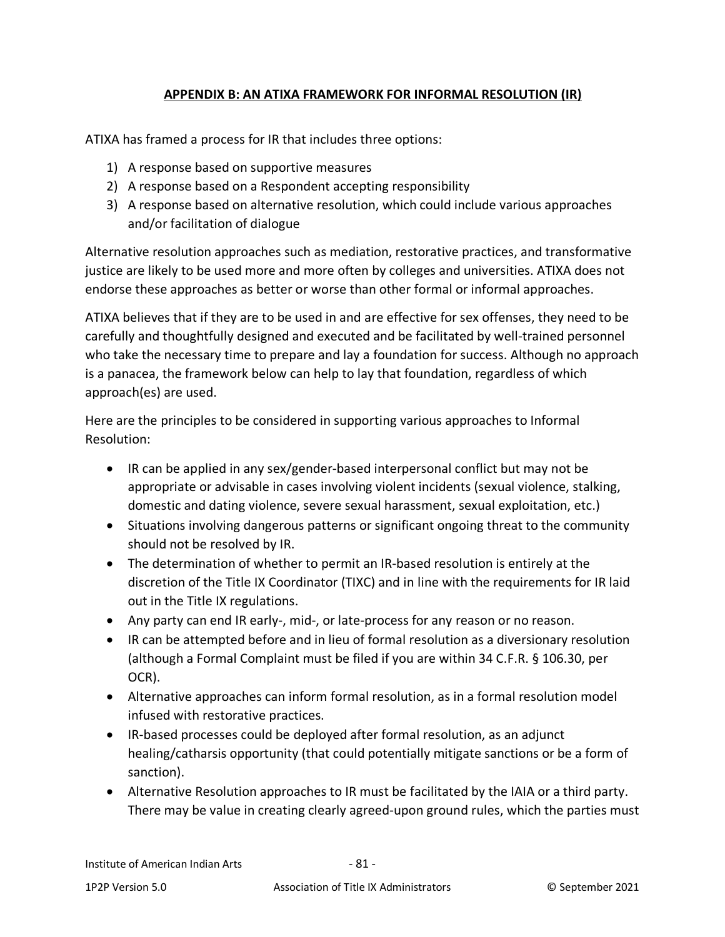## **APPENDIX B: AN ATIXA FRAMEWORK FOR INFORMAL RESOLUTION (IR)**

ATIXA has framed a process for IR that includes three options:

- 1) A response based on supportive measures
- 2) A response based on a Respondent accepting responsibility
- 3) A response based on alternative resolution, which could include various approaches and/or facilitation of dialogue

Alternative resolution approaches such as mediation, restorative practices, and transformative justice are likely to be used more and more often by colleges and universities. ATIXA does not endorse these approaches as better or worse than other formal or informal approaches.

ATIXA believes that if they are to be used in and are effective for sex offenses, they need to be carefully and thoughtfully designed and executed and be facilitated by well-trained personnel who take the necessary time to prepare and lay a foundation for success. Although no approach is a panacea, the framework below can help to lay that foundation, regardless of which approach(es) are used.

Here are the principles to be considered in supporting various approaches to Informal Resolution:

- IR can be applied in any sex/gender-based interpersonal conflict but may not be appropriate or advisable in cases involving violent incidents (sexual violence, stalking, domestic and dating violence, severe sexual harassment, sexual exploitation, etc.)
- Situations involving dangerous patterns or significant ongoing threat to the community should not be resolved by IR.
- The determination of whether to permit an IR-based resolution is entirely at the discretion of the Title IX Coordinator (TIXC) and in line with the requirements for IR laid out in the Title IX regulations.
- Any party can end IR early-, mid-, or late-process for any reason or no reason.
- IR can be attempted before and in lieu of formal resolution as a diversionary resolution (although a Formal Complaint must be filed if you are within 34 C.F.R. § 106.30, per OCR).
- Alternative approaches can inform formal resolution, as in a formal resolution model infused with restorative practices.
- IR-based processes could be deployed after formal resolution, as an adjunct healing/catharsis opportunity (that could potentially mitigate sanctions or be a form of sanction).
- Alternative Resolution approaches to IR must be facilitated by the IAIA or a third party. There may be value in creating clearly agreed-upon ground rules, which the parties must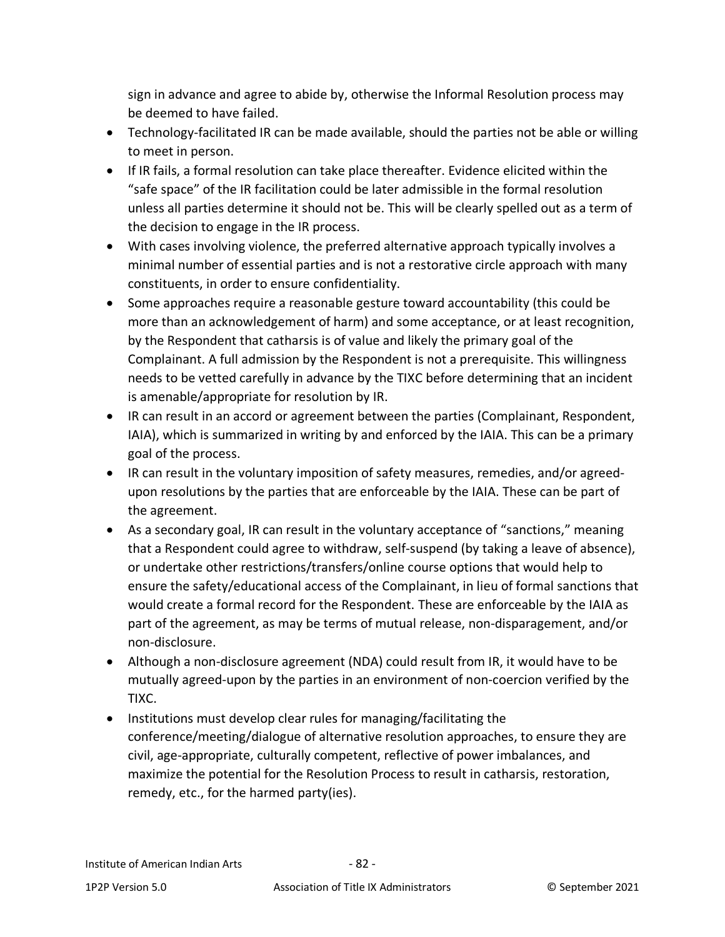sign in advance and agree to abide by, otherwise the Informal Resolution process may be deemed to have failed.

- Technology-facilitated IR can be made available, should the parties not be able or willing to meet in person.
- If IR fails, a formal resolution can take place thereafter. Evidence elicited within the "safe space" of the IR facilitation could be later admissible in the formal resolution unless all parties determine it should not be. This will be clearly spelled out as a term of the decision to engage in the IR process.
- With cases involving violence, the preferred alternative approach typically involves a minimal number of essential parties and is not a restorative circle approach with many constituents, in order to ensure confidentiality.
- Some approaches require a reasonable gesture toward accountability (this could be more than an acknowledgement of harm) and some acceptance, or at least recognition, by the Respondent that catharsis is of value and likely the primary goal of the Complainant. A full admission by the Respondent is not a prerequisite. This willingness needs to be vetted carefully in advance by the TIXC before determining that an incident is amenable/appropriate for resolution by IR.
- IR can result in an accord or agreement between the parties (Complainant, Respondent, IAIA), which is summarized in writing by and enforced by the IAIA. This can be a primary goal of the process.
- IR can result in the voluntary imposition of safety measures, remedies, and/or agreedupon resolutions by the parties that are enforceable by the IAIA. These can be part of the agreement.
- As a secondary goal, IR can result in the voluntary acceptance of "sanctions," meaning that a Respondent could agree to withdraw, self-suspend (by taking a leave of absence), or undertake other restrictions/transfers/online course options that would help to ensure the safety/educational access of the Complainant, in lieu of formal sanctions that would create a formal record for the Respondent. These are enforceable by the IAIA as part of the agreement, as may be terms of mutual release, non-disparagement, and/or non-disclosure.
- Although a non-disclosure agreement (NDA) could result from IR, it would have to be mutually agreed-upon by the parties in an environment of non-coercion verified by the TIXC.
- Institutions must develop clear rules for managing/facilitating the conference/meeting/dialogue of alternative resolution approaches, to ensure they are civil, age-appropriate, culturally competent, reflective of power imbalances, and maximize the potential for the Resolution Process to result in catharsis, restoration, remedy, etc., for the harmed party(ies).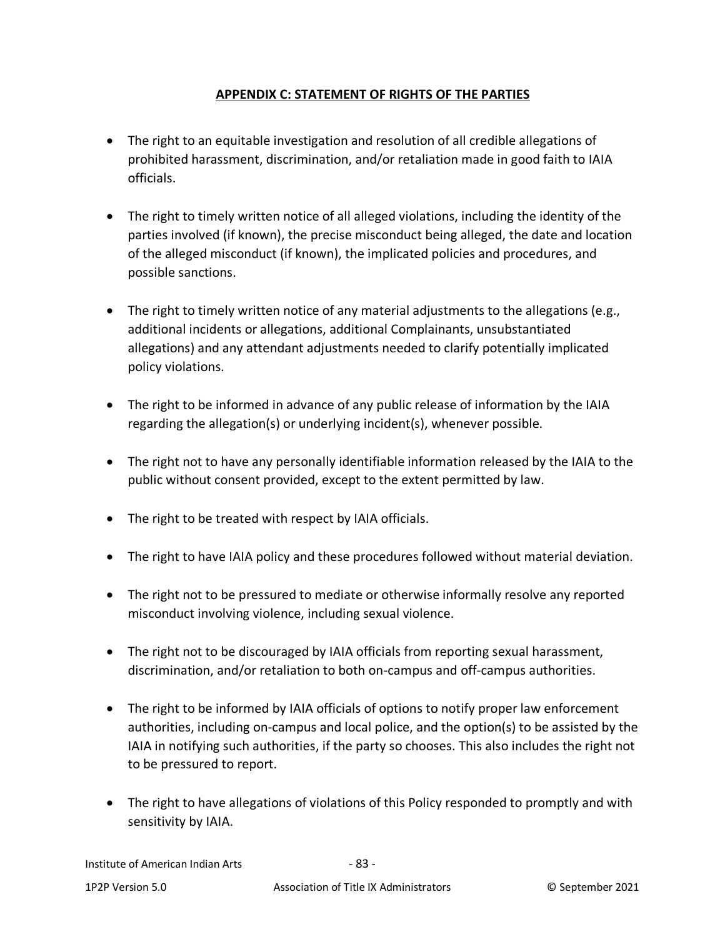## **APPENDIX C: STATEMENT OF RIGHTS OF THE PARTIES**

- <span id="page-82-0"></span>• The right to an equitable investigation and resolution of all credible allegations of prohibited harassment, discrimination, and/or retaliation made in good faith to IAIA officials.
- The right to timely written notice of all alleged violations, including the identity of the parties involved (if known), the precise misconduct being alleged, the date and location of the alleged misconduct (if known), the implicated policies and procedures, and possible sanctions.
- The right to timely written notice of any material adjustments to the allegations (e.g., additional incidents or allegations, additional Complainants, unsubstantiated allegations) and any attendant adjustments needed to clarify potentially implicated policy violations.
- The right to be informed in advance of any public release of information by the IAIA regarding the allegation(s) or underlying incident(s), whenever possible.
- The right not to have any personally identifiable information released by the IAIA to the public without consent provided, except to the extent permitted by law.
- The right to be treated with respect by IAIA officials.
- The right to have IAIA policy and these procedures followed without material deviation.
- The right not to be pressured to mediate or otherwise informally resolve any reported misconduct involving violence, including sexual violence.
- The right not to be discouraged by IAIA officials from reporting sexual harassment, discrimination, and/or retaliation to both on-campus and off-campus authorities.
- The right to be informed by IAIA officials of options to notify proper law enforcement authorities, including on-campus and local police, and the option(s) to be assisted by the IAIA in notifying such authorities, if the party so chooses. This also includes the right not to be pressured to report.
- The right to have allegations of violations of this Policy responded to promptly and with sensitivity by IAIA.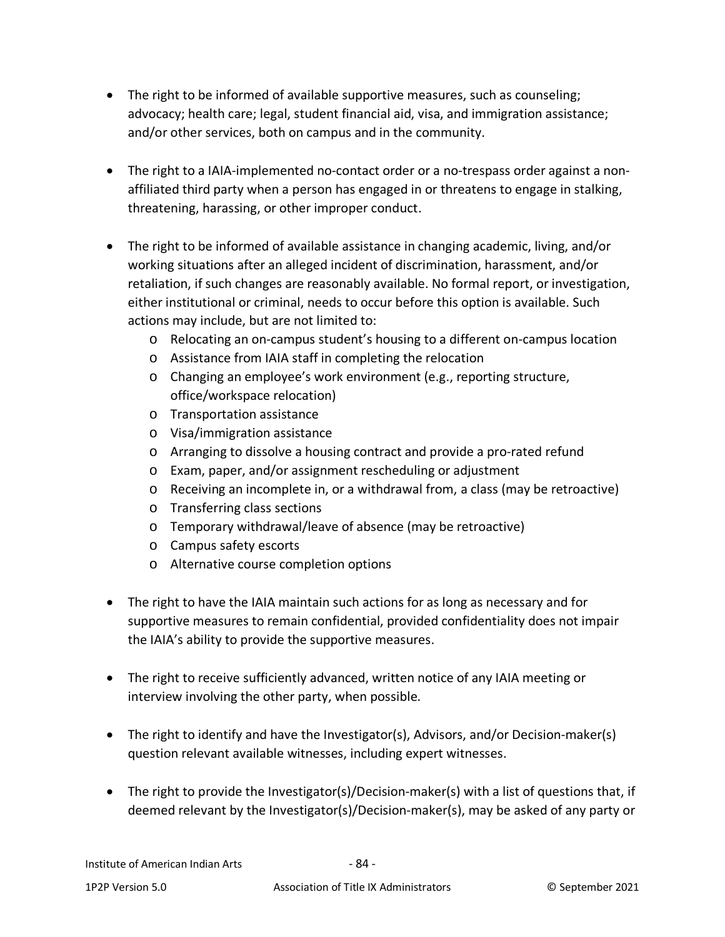- The right to be informed of available supportive measures, such as counseling; advocacy; health care; legal, student financial aid, visa, and immigration assistance; and/or other services, both on campus and in the community.
- The right to a IAIA-implemented no-contact order or a no-trespass order against a nonaffiliated third party when a person has engaged in or threatens to engage in stalking, threatening, harassing, or other improper conduct.
- The right to be informed of available assistance in changing academic, living, and/or working situations after an alleged incident of discrimination, harassment, and/or retaliation, if such changes are reasonably available. No formal report, or investigation, either institutional or criminal, needs to occur before this option is available. Such actions may include, but are not limited to:
	- o Relocating an on-campus student's housing to a different on-campus location
	- o Assistance from IAIA staff in completing the relocation
	- o Changing an employee's work environment (e.g., reporting structure, office/workspace relocation)
	- o Transportation assistance
	- o Visa/immigration assistance
	- o Arranging to dissolve a housing contract and provide a pro-rated refund
	- o Exam, paper, and/or assignment rescheduling or adjustment
	- o Receiving an incomplete in, or a withdrawal from, a class (may be retroactive)
	- o Transferring class sections
	- o Temporary withdrawal/leave of absence (may be retroactive)
	- o Campus safety escorts
	- o Alternative course completion options
- The right to have the IAIA maintain such actions for as long as necessary and for supportive measures to remain confidential, provided confidentiality does not impair the IAIA's ability to provide the supportive measures.
- The right to receive sufficiently advanced, written notice of any IAIA meeting or interview involving the other party, when possible.
- The right to identify and have the Investigator(s), Advisors, and/or Decision-maker(s) question relevant available witnesses, including expert witnesses.
- The right to provide the Investigator(s)/Decision-maker(s) with a list of questions that, if deemed relevant by the Investigator(s)/Decision-maker(s), may be asked of any party or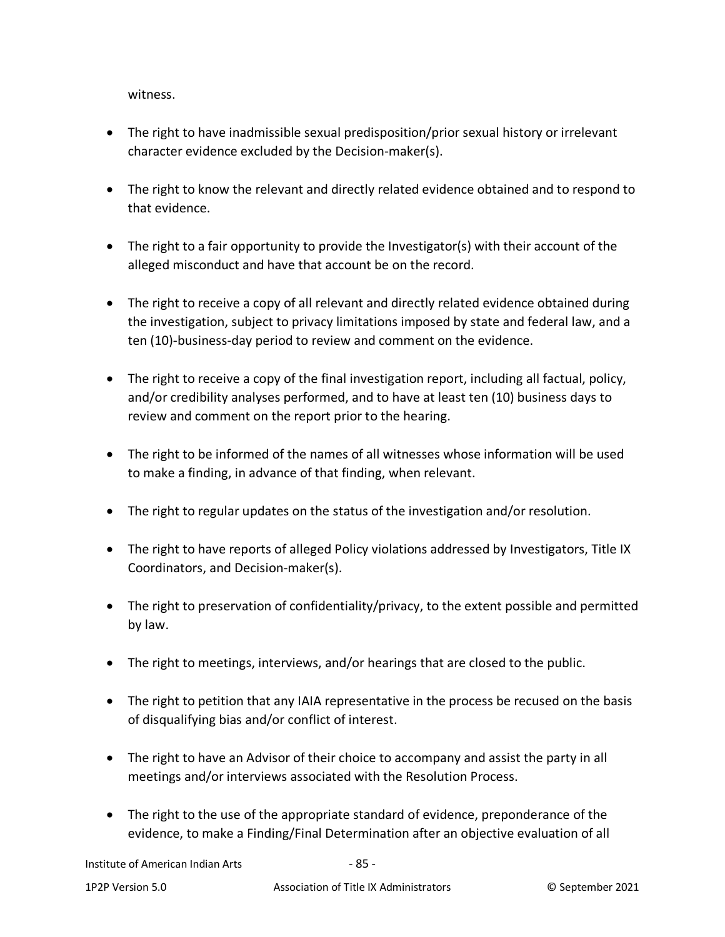witness.

- The right to have inadmissible sexual predisposition/prior sexual history or irrelevant character evidence excluded by the Decision-maker(s).
- The right to know the relevant and directly related evidence obtained and to respond to that evidence.
- The right to a fair opportunity to provide the Investigator(s) with their account of the alleged misconduct and have that account be on the record.
- The right to receive a copy of all relevant and directly related evidence obtained during the investigation, subject to privacy limitations imposed by state and federal law, and a ten (10)-business-day period to review and comment on the evidence.
- The right to receive a copy of the final investigation report, including all factual, policy, and/or credibility analyses performed, and to have at least ten (10) business days to review and comment on the report prior to the hearing.
- The right to be informed of the names of all witnesses whose information will be used to make a finding, in advance of that finding, when relevant.
- The right to regular updates on the status of the investigation and/or resolution.
- The right to have reports of alleged Policy violations addressed by Investigators, Title IX Coordinators, and Decision-maker(s).
- The right to preservation of confidentiality/privacy, to the extent possible and permitted by law.
- The right to meetings, interviews, and/or hearings that are closed to the public.
- The right to petition that any IAIA representative in the process be recused on the basis of disqualifying bias and/or conflict of interest.
- The right to have an Advisor of their choice to accompany and assist the party in all meetings and/or interviews associated with the Resolution Process.
- The right to the use of the appropriate standard of evidence, preponderance of the evidence, to make a Finding/Final Determination after an objective evaluation of all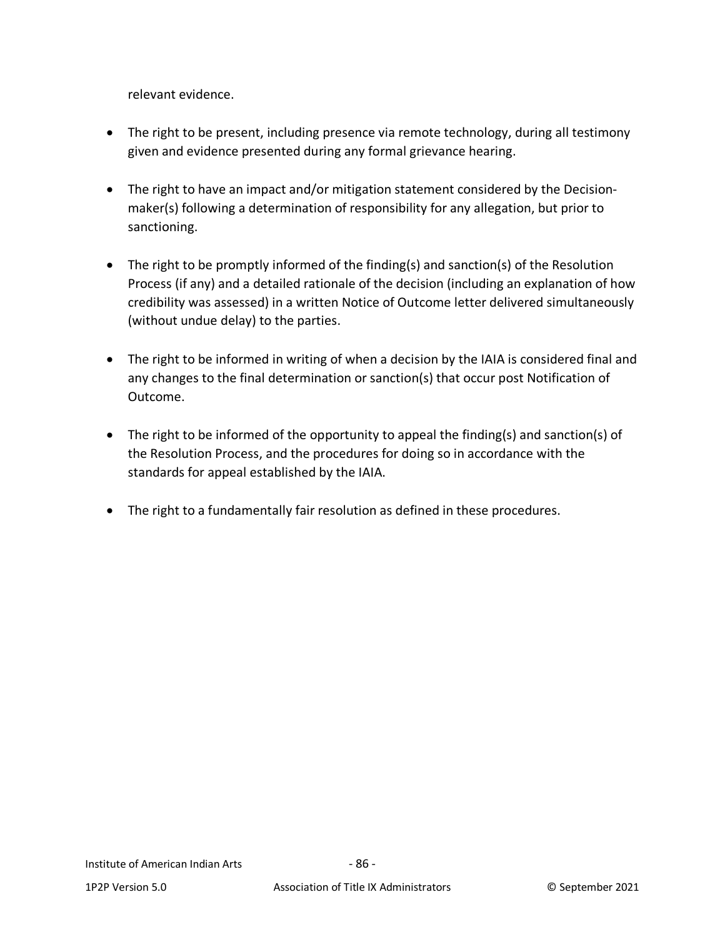relevant evidence.

- The right to be present, including presence via remote technology, during all testimony given and evidence presented during any formal grievance hearing.
- The right to have an impact and/or mitigation statement considered by the Decisionmaker(s) following a determination of responsibility for any allegation, but prior to sanctioning.
- The right to be promptly informed of the finding(s) and sanction(s) of the Resolution Process (if any) and a detailed rationale of the decision (including an explanation of how credibility was assessed) in a written Notice of Outcome letter delivered simultaneously (without undue delay) to the parties.
- The right to be informed in writing of when a decision by the IAIA is considered final and any changes to the final determination or sanction(s) that occur post Notification of Outcome.
- The right to be informed of the opportunity to appeal the finding(s) and sanction(s) of the Resolution Process, and the procedures for doing so in accordance with the standards for appeal established by the IAIA.
- The right to a fundamentally fair resolution as defined in these procedures.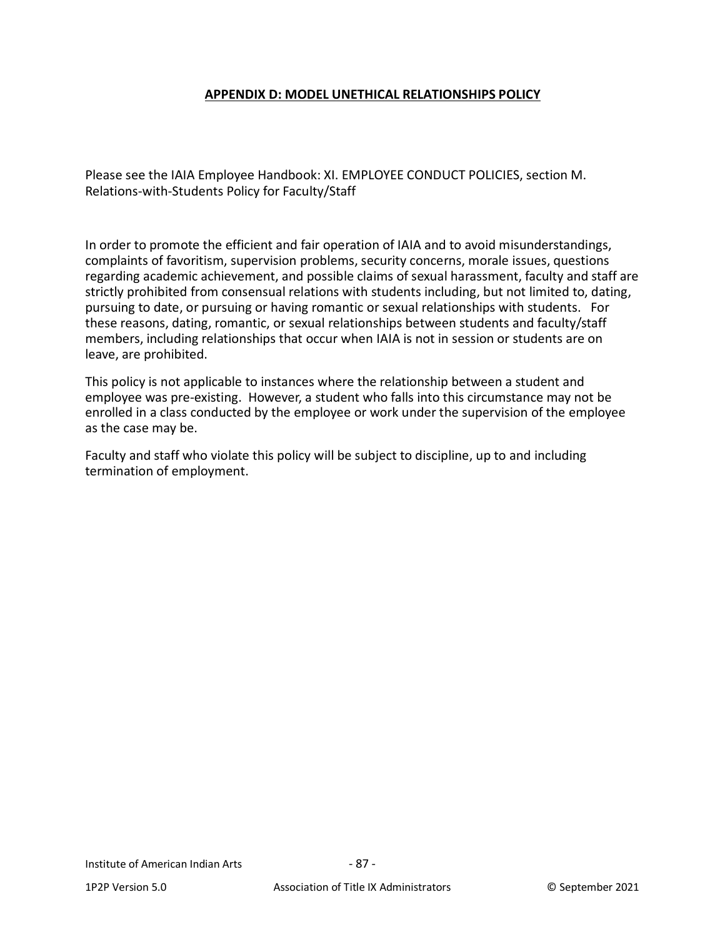#### **APPENDIX D: MODEL UNETHICAL RELATIONSHIPS POLICY**

Please see the IAIA Employee Handbook: XI. EMPLOYEE CONDUCT POLICIES, section M. Relations-with-Students Policy for Faculty/Staff

In order to promote the efficient and fair operation of IAIA and to avoid misunderstandings, complaints of favoritism, supervision problems, security concerns, morale issues, questions regarding academic achievement, and possible claims of sexual harassment, faculty and staff are strictly prohibited from consensual relations with students including, but not limited to, dating, pursuing to date, or pursuing or having romantic or sexual relationships with students. For these reasons, dating, romantic, or sexual relationships between students and faculty/staff members, including relationships that occur when IAIA is not in session or students are on leave, are prohibited.

This policy is not applicable to instances where the relationship between a student and employee was pre-existing. However, a student who falls into this circumstance may not be enrolled in a class conducted by the employee or work under the supervision of the employee as the case may be.

Faculty and staff who violate this policy will be subject to discipline, up to and including termination of employment.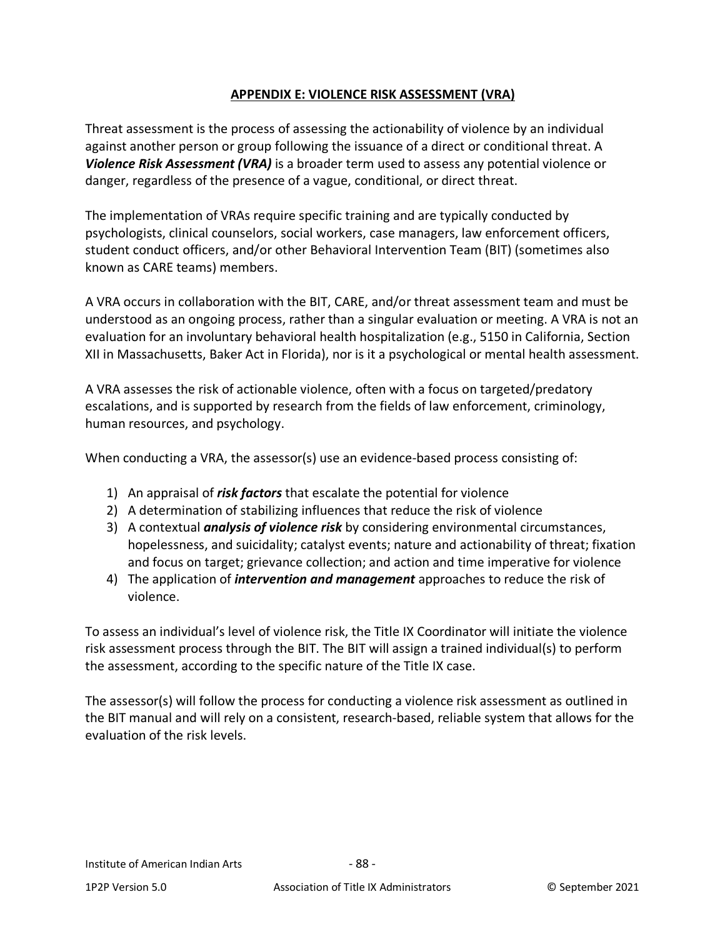### **APPENDIX E: VIOLENCE RISK ASSESSMENT (VRA)**

<span id="page-87-0"></span>Threat assessment is the process of assessing the actionability of violence by an individual against another person or group following the issuance of a direct or conditional threat. A *Violence Risk Assessment (VRA)* is a broader term used to assess any potential violence or danger, regardless of the presence of a vague, conditional, or direct threat.

The implementation of VRAs require specific training and are typically conducted by psychologists, clinical counselors, social workers, case managers, law enforcement officers, student conduct officers, and/or other Behavioral Intervention Team (BIT) (sometimes also known as CARE teams) members.

A VRA occurs in collaboration with the BIT, CARE, and/or threat assessment team and must be understood as an ongoing process, rather than a singular evaluation or meeting. A VRA is not an evaluation for an involuntary behavioral health hospitalization (e.g., 5150 in California, Section XII in Massachusetts, Baker Act in Florida), nor is it a psychological or mental health assessment.

A VRA assesses the risk of actionable violence, often with a focus on targeted/predatory escalations, and is supported by research from the fields of law enforcement, criminology, human resources, and psychology.

When conducting a VRA, the assessor(s) use an evidence-based process consisting of:

- 1) An appraisal of *risk factors* that escalate the potential for violence
- 2) A determination of stabilizing influences that reduce the risk of violence
- 3) A contextual *analysis of violence risk* by considering environmental circumstances, hopelessness, and suicidality; catalyst events; nature and actionability of threat; fixation and focus on target; grievance collection; and action and time imperative for violence
- 4) The application of *intervention and management* approaches to reduce the risk of violence.

To assess an individual's level of violence risk, the Title IX Coordinator will initiate the violence risk assessment process through the BIT. The BIT will assign a trained individual(s) to perform the assessment, according to the specific nature of the Title IX case.

The assessor(s) will follow the process for conducting a violence risk assessment as outlined in the BIT manual and will rely on a consistent, research-based, reliable system that allows for the evaluation of the risk levels.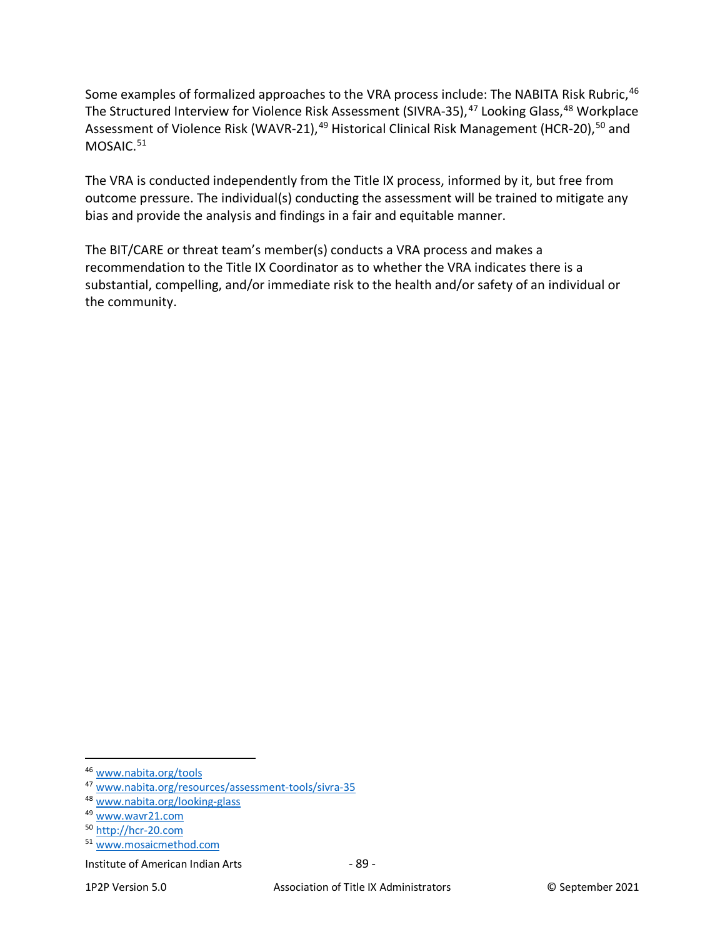Some examples of formalized approaches to the VRA process include: The NABITA Risk Rubric, [46](#page-88-0) The Structured Interview for Violence Risk Assessment (SIVRA-35), <sup>[47](#page-88-1)</sup> Looking Glass, <sup>[48](#page-88-2)</sup> Workplace Assessment of Violence Risk (WAVR-21),<sup>[49](#page-88-3)</sup> Historical Clinical Risk Management (HCR-20),<sup>[50](#page-88-4)</sup> and MOSAIC.<sup>51</sup>

The VRA is conducted independently from the Title IX process, informed by it, but free from outcome pressure. The individual(s) conducting the assessment will be trained to mitigate any bias and provide the analysis and findings in a fair and equitable manner.

The BIT/CARE or threat team's member(s) conducts a VRA process and makes a recommendation to the Title IX Coordinator as to whether the VRA indicates there is a substantial, compelling, and/or immediate risk to the health and/or safety of an individual or the community.

<span id="page-88-0"></span><sup>46</sup> [www.nabita.org/tools](http://www.nabita.org/tools)

<span id="page-88-1"></span><sup>47</sup> [www.nabita.org/resources/assessment-tools/sivra-35](http://www.nabita.org/resources/assessment-tools/sivra-35)

<span id="page-88-2"></span><sup>48</sup> [www.nabita.org/looking-glass](http://www.nabita.org/looking-glass)

<span id="page-88-3"></span><sup>49</sup> [www.wavr21.com](http://www.wavr21.com/)

<span id="page-88-4"></span><sup>50</sup> [http://hcr-20.com](http://hcr-20.com/)

<span id="page-88-5"></span><sup>51</sup> [www.mosaicmethod.com](http://www.mosaicmethod.com/)

Institute of American Indian Arts - 89 -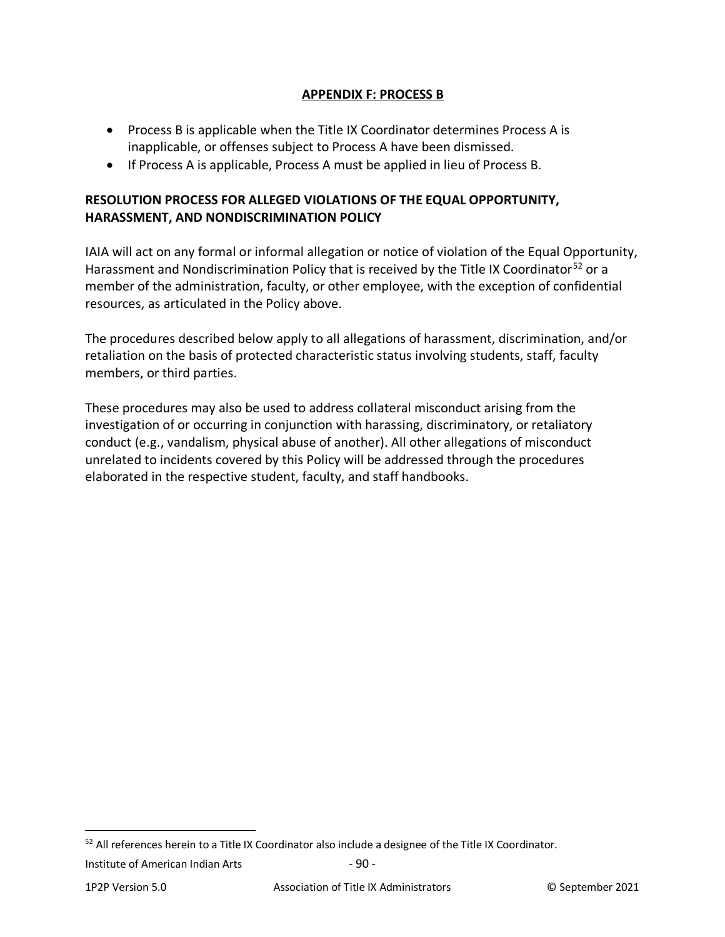### **APPENDIX F: PROCESS B**

- Process B is applicable when the Title IX Coordinator determines Process A is inapplicable, or offenses subject to Process A have been dismissed.
- If Process A is applicable, Process A must be applied in lieu of Process B.

## **RESOLUTION PROCESS FOR ALLEGED VIOLATIONS OF THE EQUAL OPPORTUNITY, HARASSMENT, AND NONDISCRIMINATION POLICY**

IAIA will act on any formal or informal allegation or notice of violation of the Equal Opportunity, Harassment and Nondiscrimination Policy that is received by the Title IX Coordinator<sup>[52](#page-89-0)</sup> or a member of the administration, faculty, or other employee, with the exception of confidential resources, as articulated in the Policy above.

The procedures described below apply to all allegations of harassment, discrimination, and/or retaliation on the basis of protected characteristic status involving students, staff, faculty members, or third parties.

These procedures may also be used to address collateral misconduct arising from the investigation of or occurring in conjunction with harassing, discriminatory, or retaliatory conduct (e.g., vandalism, physical abuse of another). All other allegations of misconduct unrelated to incidents covered by this Policy will be addressed through the procedures elaborated in the respective student, faculty, and staff handbooks.

<span id="page-89-0"></span><sup>&</sup>lt;sup>52</sup> All references herein to a Title IX Coordinator also include a designee of the Title IX Coordinator.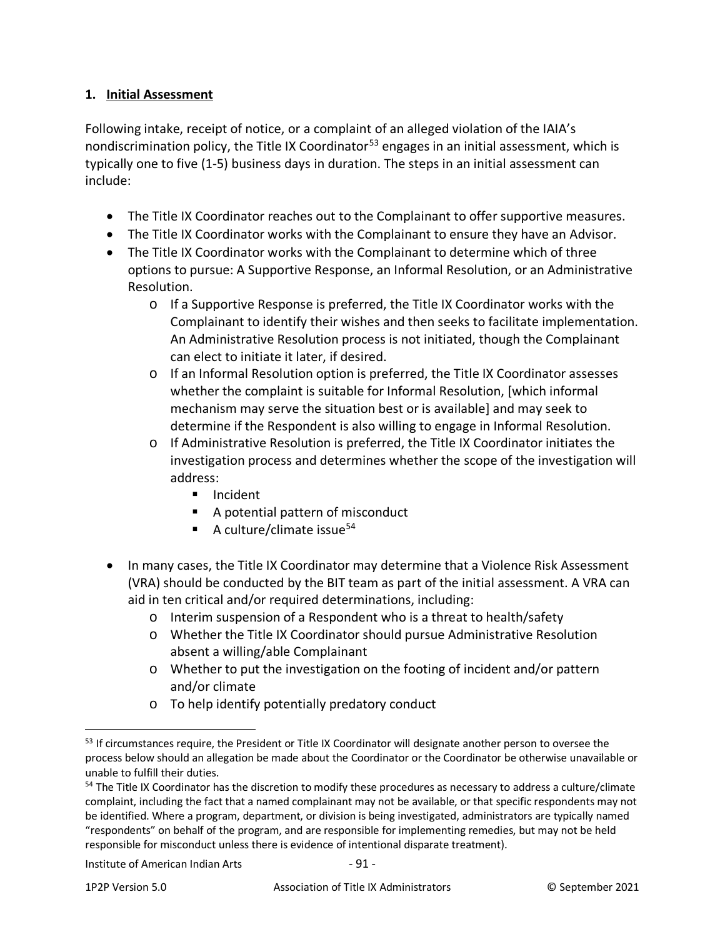## **1. Initial Assessment**

Following intake, receipt of notice, or a complaint of an alleged violation of the IAIA's nondiscrimination policy, the Title IX Coordinator<sup>[53](#page-90-0)</sup> engages in an initial assessment, which is typically one to five (1-5) business days in duration. The steps in an initial assessment can include:

- The Title IX Coordinator reaches out to the Complainant to offer supportive measures.
- The Title IX Coordinator works with the Complainant to ensure they have an Advisor.
- The Title IX Coordinator works with the Complainant to determine which of three options to pursue: A Supportive Response, an Informal Resolution, or an Administrative Resolution.
	- o If a Supportive Response is preferred, the Title IX Coordinator works with the Complainant to identify their wishes and then seeks to facilitate implementation. An Administrative Resolution process is not initiated, though the Complainant can elect to initiate it later, if desired.
	- o If an Informal Resolution option is preferred, the Title IX Coordinator assesses whether the complaint is suitable for Informal Resolution, [which informal mechanism may serve the situation best or is available] and may seek to determine if the Respondent is also willing to engage in Informal Resolution.
	- $\circ$  If Administrative Resolution is preferred, the Title IX Coordinator initiates the investigation process and determines whether the scope of the investigation will address:
		- **Incident**
		- A potential pattern of misconduct
		- A culture/climate issue<sup>54</sup>
- In many cases, the Title IX Coordinator may determine that a Violence Risk Assessment (VRA) should be conducted by the BIT team as part of the initial assessment. A VRA can aid in ten critical and/or required determinations, including:
	- o Interim suspension of a Respondent who is a threat to health/safety
	- o Whether the Title IX Coordinator should pursue Administrative Resolution absent a willing/able Complainant
	- o Whether to put the investigation on the footing of incident and/or pattern and/or climate
	- o To help identify potentially predatory conduct

<span id="page-90-0"></span><sup>&</sup>lt;sup>53</sup> If circumstances require, the President or Title IX Coordinator will designate another person to oversee the process below should an allegation be made about the Coordinator or the Coordinator be otherwise unavailable or unable to fulfill their duties.

<span id="page-90-1"></span><sup>&</sup>lt;sup>54</sup> The Title IX Coordinator has the discretion to modify these procedures as necessary to address a culture/climate complaint, including the fact that a named complainant may not be available, or that specific respondents may not be identified. Where a program, department, or division is being investigated, administrators are typically named "respondents" on behalf of the program, and are responsible for implementing remedies, but may not be held responsible for misconduct unless there is evidence of intentional disparate treatment).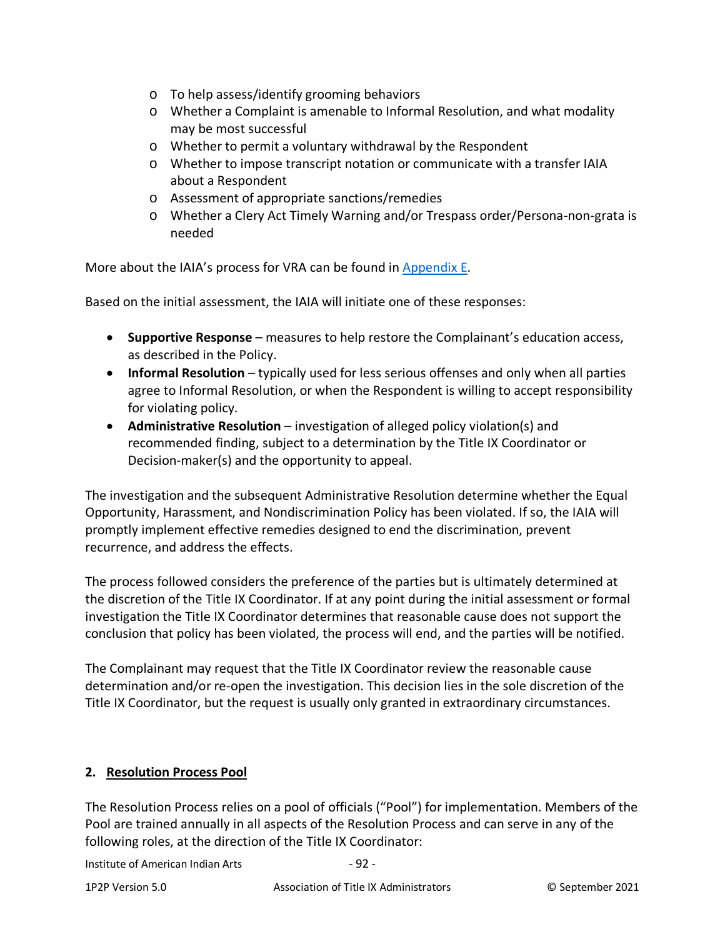- o To help assess/identify grooming behaviors
- o Whether a Complaint is amenable to Informal Resolution, and what modality may be most successful
- o Whether to permit a voluntary withdrawal by the Respondent
- o Whether to impose transcript notation or communicate with a transfer IAIA about a Respondent
- o Assessment of appropriate sanctions/remedies
- o Whether a Clery Act Timely Warning and/or Trespass order/Persona-non-grata is needed

More about the IAIA's process for VRA can be found in [Appendix E.](#page-87-0)

Based on the initial assessment, the IAIA will initiate one of these responses:

- **Supportive Response** measures to help restore the Complainant's education access, as described in the Policy.
- **Informal Resolution** typically used for less serious offenses and only when all parties agree to Informal Resolution, or when the Respondent is willing to accept responsibility for violating policy.
- **Administrative Resolution** investigation of alleged policy violation(s) and recommended finding, subject to a determination by the Title IX Coordinator or Decision-maker(s) and the opportunity to appeal.

The investigation and the subsequent Administrative Resolution determine whether the Equal Opportunity, Harassment, and Nondiscrimination Policy has been violated. If so, the IAIA will promptly implement effective remedies designed to end the discrimination, prevent recurrence, and address the effects.

The process followed considers the preference of the parties but is ultimately determined at the discretion of the Title IX Coordinator. If at any point during the initial assessment or formal investigation the Title IX Coordinator determines that reasonable cause does not support the conclusion that policy has been violated, the process will end, and the parties will be notified.

The Complainant may request that the Title IX Coordinator review the reasonable cause determination and/or re-open the investigation. This decision lies in the sole discretion of the Title IX Coordinator, but the request is usually only granted in extraordinary circumstances.

### **2. Resolution Process Pool**

The Resolution Process relies on a pool of officials ("Pool") for implementation. Members of the Pool are trained annually in all aspects of the Resolution Process and can serve in any of the following roles, at the direction of the Title IX Coordinator:

Institute of American Indian Arts - 92 -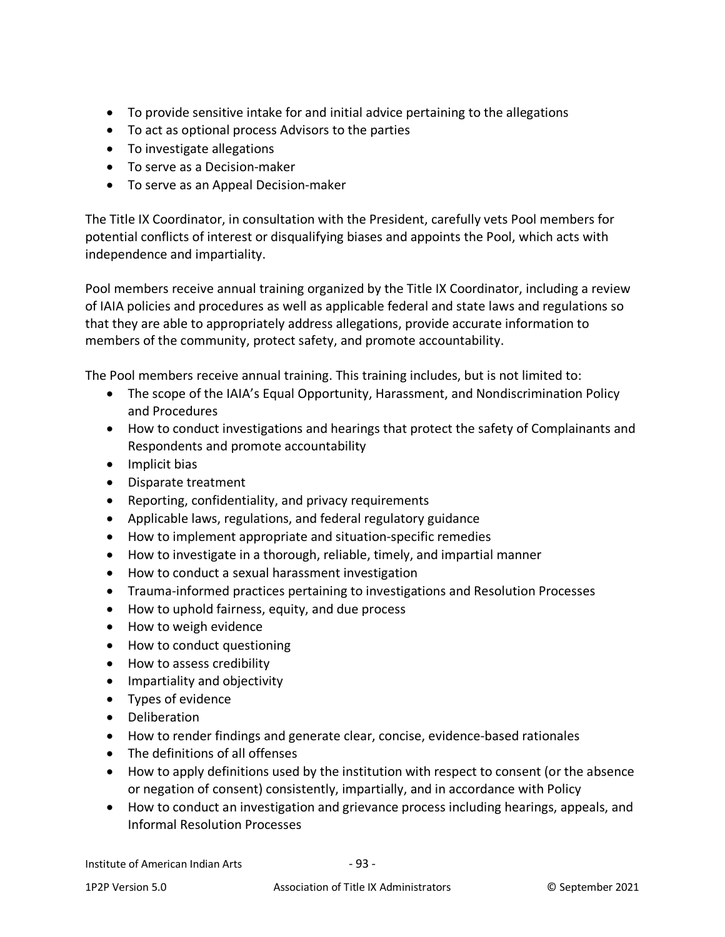- To provide sensitive intake for and initial advice pertaining to the allegations
- To act as optional process Advisors to the parties
- To investigate allegations
- To serve as a Decision-maker
- To serve as an Appeal Decision-maker

The Title IX Coordinator, in consultation with the President, carefully vets Pool members for potential conflicts of interest or disqualifying biases and appoints the Pool, which acts with independence and impartiality.

Pool members receive annual training organized by the Title IX Coordinator, including a review of IAIA policies and procedures as well as applicable federal and state laws and regulations so that they are able to appropriately address allegations, provide accurate information to members of the community, protect safety, and promote accountability.

The Pool members receive annual training. This training includes, but is not limited to:

- The scope of the IAIA's Equal Opportunity, Harassment, and Nondiscrimination Policy and Procedures
- How to conduct investigations and hearings that protect the safety of Complainants and Respondents and promote accountability
- Implicit bias
- Disparate treatment
- Reporting, confidentiality, and privacy requirements
- Applicable laws, regulations, and federal regulatory guidance
- How to implement appropriate and situation-specific remedies
- How to investigate in a thorough, reliable, timely, and impartial manner
- How to conduct a sexual harassment investigation
- Trauma-informed practices pertaining to investigations and Resolution Processes
- How to uphold fairness, equity, and due process
- How to weigh evidence
- How to conduct questioning
- How to assess credibility
- Impartiality and objectivity
- Types of evidence
- Deliberation
- How to render findings and generate clear, concise, evidence-based rationales
- The definitions of all offenses
- How to apply definitions used by the institution with respect to consent (or the absence or negation of consent) consistently, impartially, and in accordance with Policy
- How to conduct an investigation and grievance process including hearings, appeals, and Informal Resolution Processes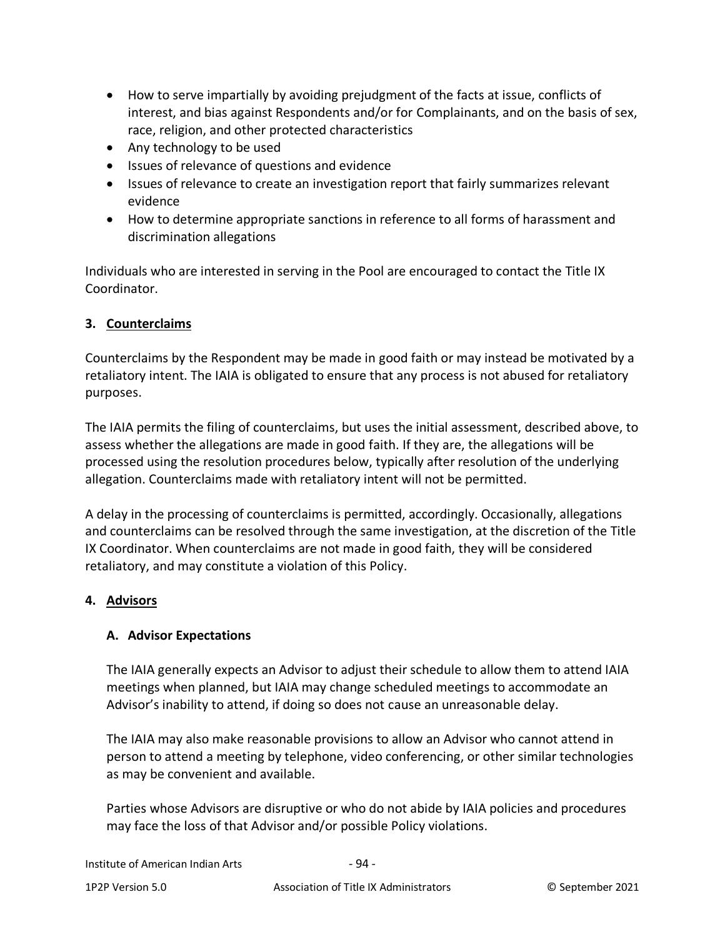- How to serve impartially by avoiding prejudgment of the facts at issue, conflicts of interest, and bias against Respondents and/or for Complainants, and on the basis of sex, race, religion, and other protected characteristics
- Any technology to be used
- Issues of relevance of questions and evidence
- Issues of relevance to create an investigation report that fairly summarizes relevant evidence
- How to determine appropriate sanctions in reference to all forms of harassment and discrimination allegations

Individuals who are interested in serving in the Pool are encouraged to contact the Title IX Coordinator.

## **3. Counterclaims**

Counterclaims by the Respondent may be made in good faith or may instead be motivated by a retaliatory intent. The IAIA is obligated to ensure that any process is not abused for retaliatory purposes.

The IAIA permits the filing of counterclaims, but uses the initial assessment, described above, to assess whether the allegations are made in good faith. If they are, the allegations will be processed using the resolution procedures below, typically after resolution of the underlying allegation. Counterclaims made with retaliatory intent will not be permitted.

A delay in the processing of counterclaims is permitted, accordingly. Occasionally, allegations and counterclaims can be resolved through the same investigation, at the discretion of the Title IX Coordinator. When counterclaims are not made in good faith, they will be considered retaliatory, and may constitute a violation of this Policy.

### **4. Advisors**

## **A. Advisor Expectations**

The IAIA generally expects an Advisor to adjust their schedule to allow them to attend IAIA meetings when planned, but IAIA may change scheduled meetings to accommodate an Advisor's inability to attend, if doing so does not cause an unreasonable delay.

The IAIA may also make reasonable provisions to allow an Advisor who cannot attend in person to attend a meeting by telephone, video conferencing, or other similar technologies as may be convenient and available.

Parties whose Advisors are disruptive or who do not abide by IAIA policies and procedures may face the loss of that Advisor and/or possible Policy violations.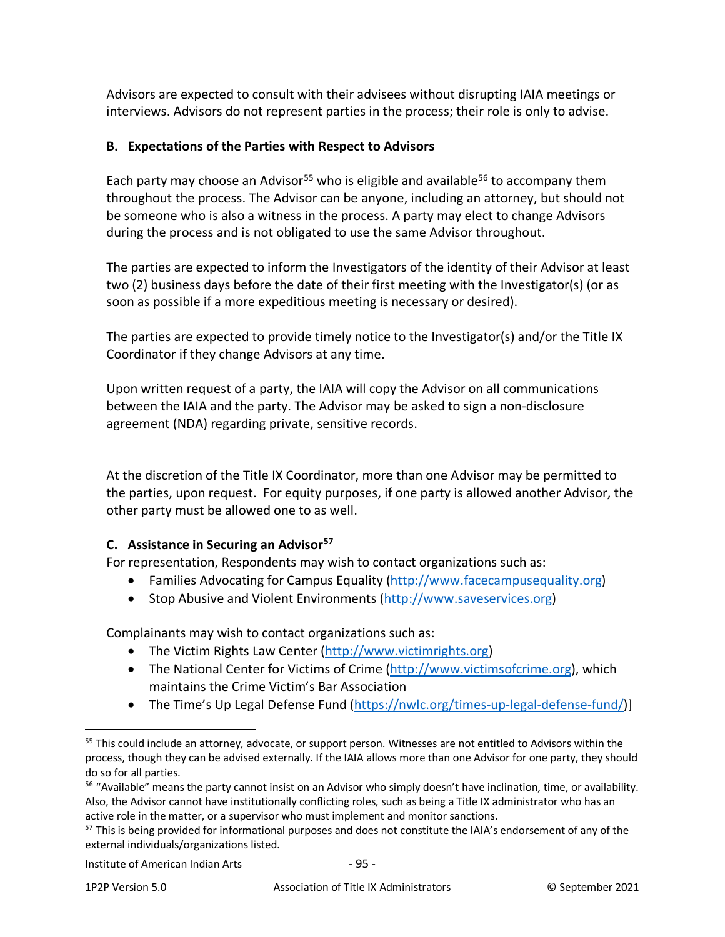Advisors are expected to consult with their advisees without disrupting IAIA meetings or interviews. Advisors do not represent parties in the process; their role is only to advise.

## **B. Expectations of the Parties with Respect to Advisors**

Each party may choose an Advisor<sup>[55](#page-94-0)</sup> who is eligible and available<sup>[56](#page-94-1)</sup> to accompany them throughout the process. The Advisor can be anyone, including an attorney, but should not be someone who is also a witness in the process. A party may elect to change Advisors during the process and is not obligated to use the same Advisor throughout.

The parties are expected to inform the Investigators of the identity of their Advisor at least two (2) business days before the date of their first meeting with the Investigator(s) (or as soon as possible if a more expeditious meeting is necessary or desired).

The parties are expected to provide timely notice to the Investigator(s) and/or the Title IX Coordinator if they change Advisors at any time.

Upon written request of a party, the IAIA will copy the Advisor on all communications between the IAIA and the party. The Advisor may be asked to sign a non-disclosure agreement (NDA) regarding private, sensitive records.

At the discretion of the Title IX Coordinator, more than one Advisor may be permitted to the parties, upon request. For equity purposes, if one party is allowed another Advisor, the other party must be allowed one to as well.

## **C. Assistance in Securing an Advisor[57](#page-94-2)**

For representation, Respondents may wish to contact organizations such as:

- Families Advocating for Campus Equality [\(http://www.facecampusequality.org\)](http://www.facecampusequality.org/)
- Stop Abusive and Violent Environments [\(http://www.saveservices.org\)](http://www.saveservices.org/)

Complainants may wish to contact organizations such as:

- The Victim Rights Law Center [\(http://www.victimrights.org\)](http://www.victimrights.org/)
- The National Center for Victims of Crime [\(http://www.victimsofcrime.org\)](http://www.victimsofcrime.org/), which maintains the Crime Victim's Bar Association
- The Time's Up Legal Defense Fund [\(https://nwlc.org/times-up-legal-defense-fund/\)](https://nwlc.org/times-up-legal-defense-fund/)]

<span id="page-94-0"></span><sup>&</sup>lt;sup>55</sup> This could include an attorney, advocate, or support person. Witnesses are not entitled to Advisors within the process, though they can be advised externally. If the IAIA allows more than one Advisor for one party, they should do so for all parties.

<span id="page-94-1"></span><sup>&</sup>lt;sup>56</sup> "Available" means the party cannot insist on an Advisor who simply doesn't have inclination, time, or availability. Also, the Advisor cannot have institutionally conflicting roles, such as being a Title IX administrator who has an active role in the matter, or a supervisor who must implement and monitor sanctions.

<span id="page-94-2"></span><sup>&</sup>lt;sup>57</sup> This is being provided for informational purposes and does not constitute the IAIA's endorsement of any of the external individuals/organizations listed.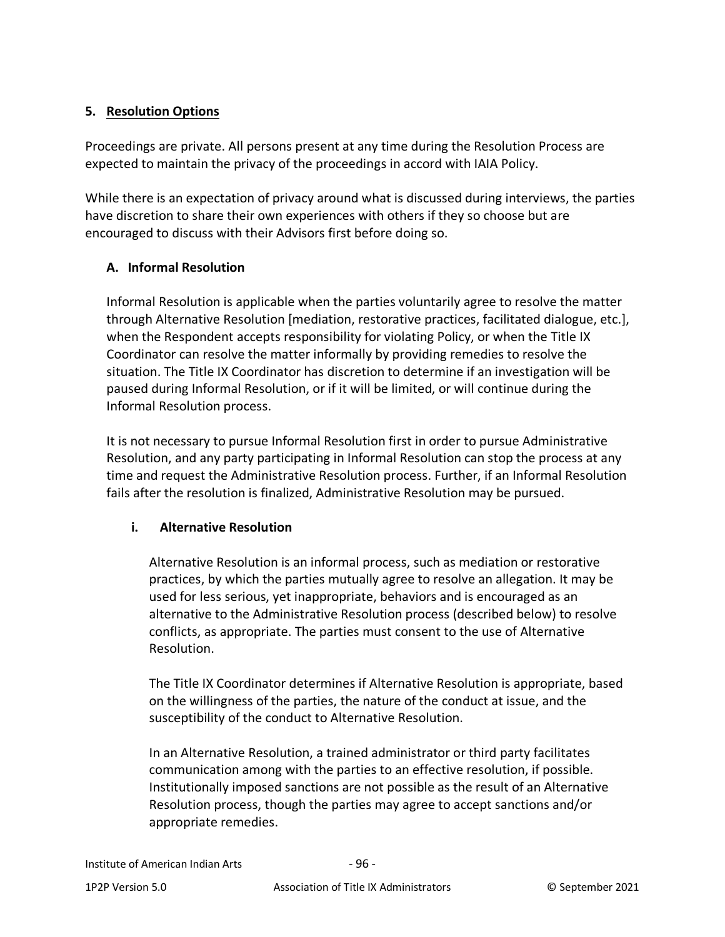### **5. Resolution Options**

Proceedings are private. All persons present at any time during the Resolution Process are expected to maintain the privacy of the proceedings in accord with IAIA Policy.

While there is an expectation of privacy around what is discussed during interviews, the parties have discretion to share their own experiences with others if they so choose but are encouraged to discuss with their Advisors first before doing so.

## **A. Informal Resolution**

Informal Resolution is applicable when the parties voluntarily agree to resolve the matter through Alternative Resolution [mediation, restorative practices, facilitated dialogue, etc.], when the Respondent accepts responsibility for violating Policy, or when the Title IX Coordinator can resolve the matter informally by providing remedies to resolve the situation. The Title IX Coordinator has discretion to determine if an investigation will be paused during Informal Resolution, or if it will be limited, or will continue during the Informal Resolution process.

It is not necessary to pursue Informal Resolution first in order to pursue Administrative Resolution, and any party participating in Informal Resolution can stop the process at any time and request the Administrative Resolution process. Further, if an Informal Resolution fails after the resolution is finalized, Administrative Resolution may be pursued.

## **i. Alternative Resolution**

Alternative Resolution is an informal process, such as mediation or restorative practices, by which the parties mutually agree to resolve an allegation. It may be used for less serious, yet inappropriate, behaviors and is encouraged as an alternative to the Administrative Resolution process (described below) to resolve conflicts, as appropriate. The parties must consent to the use of Alternative Resolution.

The Title IX Coordinator determines if Alternative Resolution is appropriate, based on the willingness of the parties, the nature of the conduct at issue, and the susceptibility of the conduct to Alternative Resolution.

In an Alternative Resolution, a trained administrator or third party facilitates communication among with the parties to an effective resolution, if possible. Institutionally imposed sanctions are not possible as the result of an Alternative Resolution process, though the parties may agree to accept sanctions and/or appropriate remedies.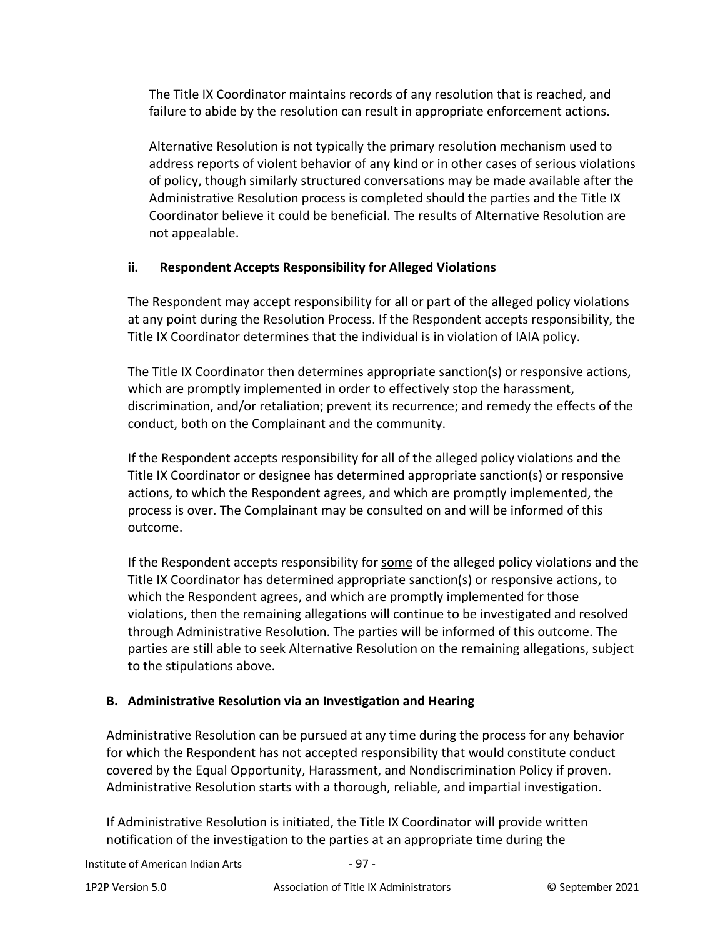The Title IX Coordinator maintains records of any resolution that is reached, and failure to abide by the resolution can result in appropriate enforcement actions.

Alternative Resolution is not typically the primary resolution mechanism used to address reports of violent behavior of any kind or in other cases of serious violations of policy, though similarly structured conversations may be made available after the Administrative Resolution process is completed should the parties and the Title IX Coordinator believe it could be beneficial. The results of Alternative Resolution are not appealable.

## **ii. Respondent Accepts Responsibility for Alleged Violations**

The Respondent may accept responsibility for all or part of the alleged policy violations at any point during the Resolution Process. If the Respondent accepts responsibility, the Title IX Coordinator determines that the individual is in violation of IAIA policy.

The Title IX Coordinator then determines appropriate sanction(s) or responsive actions, which are promptly implemented in order to effectively stop the harassment, discrimination, and/or retaliation; prevent its recurrence; and remedy the effects of the conduct, both on the Complainant and the community.

If the Respondent accepts responsibility for all of the alleged policy violations and the Title IX Coordinator or designee has determined appropriate sanction(s) or responsive actions, to which the Respondent agrees, and which are promptly implemented, the process is over. The Complainant may be consulted on and will be informed of this outcome.

If the Respondent accepts responsibility for some of the alleged policy violations and the Title IX Coordinator has determined appropriate sanction(s) or responsive actions, to which the Respondent agrees, and which are promptly implemented for those violations, then the remaining allegations will continue to be investigated and resolved through Administrative Resolution. The parties will be informed of this outcome. The parties are still able to seek Alternative Resolution on the remaining allegations, subject to the stipulations above.

# **B. Administrative Resolution via an Investigation and Hearing**

Administrative Resolution can be pursued at any time during the process for any behavior for which the Respondent has not accepted responsibility that would constitute conduct covered by the Equal Opportunity, Harassment, and Nondiscrimination Policy if proven. Administrative Resolution starts with a thorough, reliable, and impartial investigation.

If Administrative Resolution is initiated, the Title IX Coordinator will provide written notification of the investigation to the parties at an appropriate time during the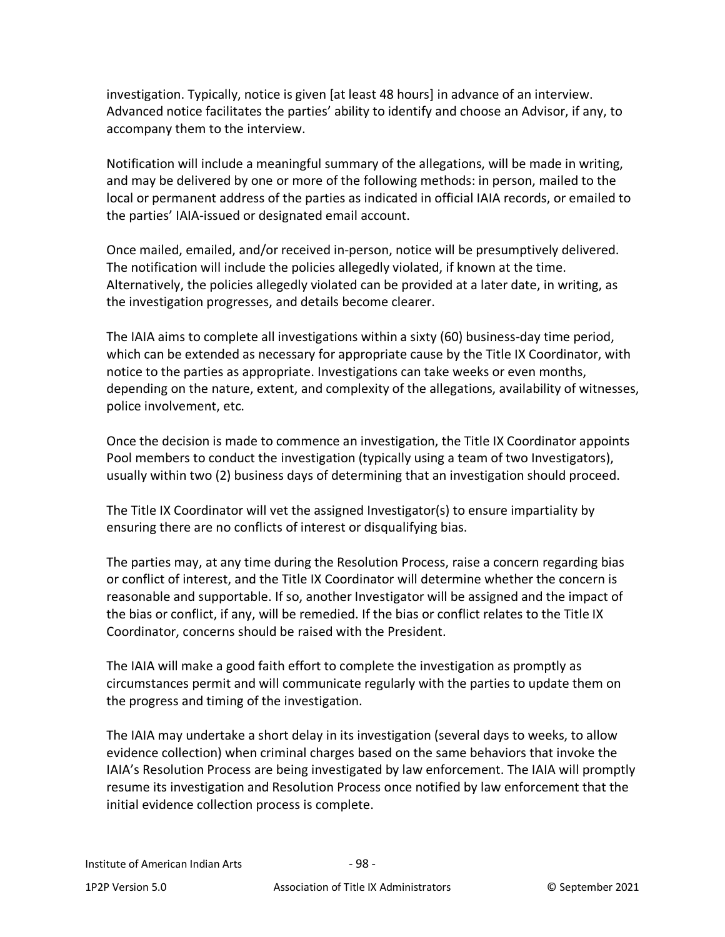investigation. Typically, notice is given [at least 48 hours] in advance of an interview. Advanced notice facilitates the parties' ability to identify and choose an Advisor, if any, to accompany them to the interview.

Notification will include a meaningful summary of the allegations, will be made in writing, and may be delivered by one or more of the following methods: in person, mailed to the local or permanent address of the parties as indicated in official IAIA records, or emailed to the parties' IAIA-issued or designated email account.

Once mailed, emailed, and/or received in-person, notice will be presumptively delivered. The notification will include the policies allegedly violated, if known at the time. Alternatively, the policies allegedly violated can be provided at a later date, in writing, as the investigation progresses, and details become clearer.

The IAIA aims to complete all investigations within a sixty (60) business-day time period, which can be extended as necessary for appropriate cause by the Title IX Coordinator, with notice to the parties as appropriate. Investigations can take weeks or even months, depending on the nature, extent, and complexity of the allegations, availability of witnesses, police involvement, etc.

Once the decision is made to commence an investigation, the Title IX Coordinator appoints Pool members to conduct the investigation (typically using a team of two Investigators), usually within two (2) business days of determining that an investigation should proceed.

The Title IX Coordinator will vet the assigned Investigator(s) to ensure impartiality by ensuring there are no conflicts of interest or disqualifying bias.

The parties may, at any time during the Resolution Process, raise a concern regarding bias or conflict of interest, and the Title IX Coordinator will determine whether the concern is reasonable and supportable. If so, another Investigator will be assigned and the impact of the bias or conflict, if any, will be remedied. If the bias or conflict relates to the Title IX Coordinator, concerns should be raised with the President.

The IAIA will make a good faith effort to complete the investigation as promptly as circumstances permit and will communicate regularly with the parties to update them on the progress and timing of the investigation.

The IAIA may undertake a short delay in its investigation (several days to weeks, to allow evidence collection) when criminal charges based on the same behaviors that invoke the IAIA's Resolution Process are being investigated by law enforcement. The IAIA will promptly resume its investigation and Resolution Process once notified by law enforcement that the initial evidence collection process is complete.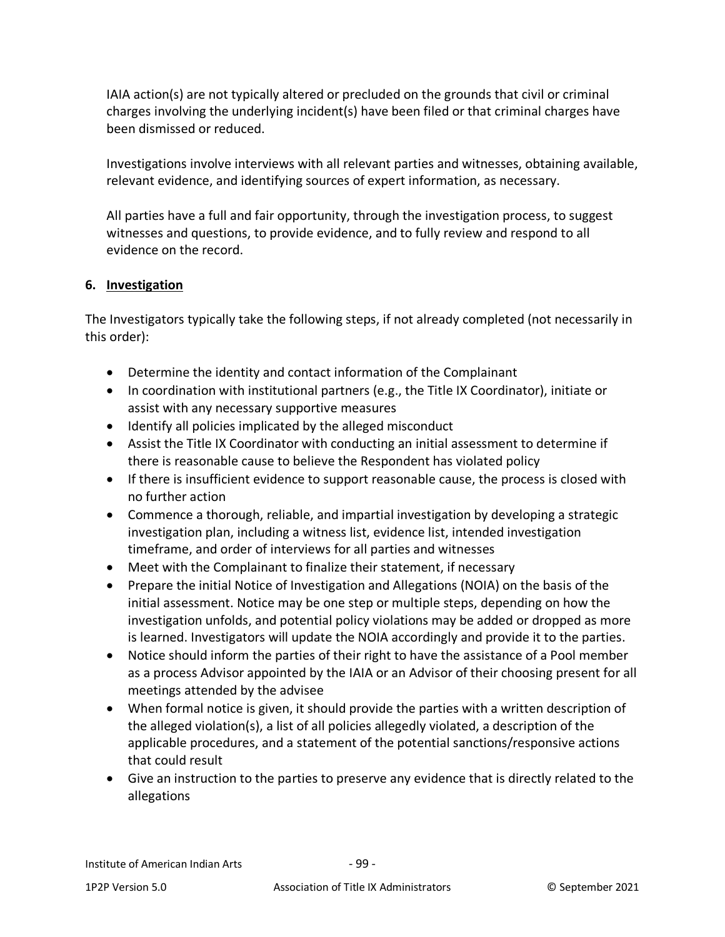IAIA action(s) are not typically altered or precluded on the grounds that civil or criminal charges involving the underlying incident(s) have been filed or that criminal charges have been dismissed or reduced.

Investigations involve interviews with all relevant parties and witnesses, obtaining available, relevant evidence, and identifying sources of expert information, as necessary.

All parties have a full and fair opportunity, through the investigation process, to suggest witnesses and questions, to provide evidence, and to fully review and respond to all evidence on the record.

## **6. Investigation**

The Investigators typically take the following steps, if not already completed (not necessarily in this order):

- Determine the identity and contact information of the Complainant
- In coordination with institutional partners (e.g., the Title IX Coordinator), initiate or assist with any necessary supportive measures
- Identify all policies implicated by the alleged misconduct
- Assist the Title IX Coordinator with conducting an initial assessment to determine if there is reasonable cause to believe the Respondent has violated policy
- If there is insufficient evidence to support reasonable cause, the process is closed with no further action
- Commence a thorough, reliable, and impartial investigation by developing a strategic investigation plan, including a witness list, evidence list, intended investigation timeframe, and order of interviews for all parties and witnesses
- Meet with the Complainant to finalize their statement, if necessary
- Prepare the initial Notice of Investigation and Allegations (NOIA) on the basis of the initial assessment. Notice may be one step or multiple steps, depending on how the investigation unfolds, and potential policy violations may be added or dropped as more is learned. Investigators will update the NOIA accordingly and provide it to the parties.
- Notice should inform the parties of their right to have the assistance of a Pool member as a process Advisor appointed by the IAIA or an Advisor of their choosing present for all meetings attended by the advisee
- When formal notice is given, it should provide the parties with a written description of the alleged violation(s), a list of all policies allegedly violated, a description of the applicable procedures, and a statement of the potential sanctions/responsive actions that could result
- Give an instruction to the parties to preserve any evidence that is directly related to the allegations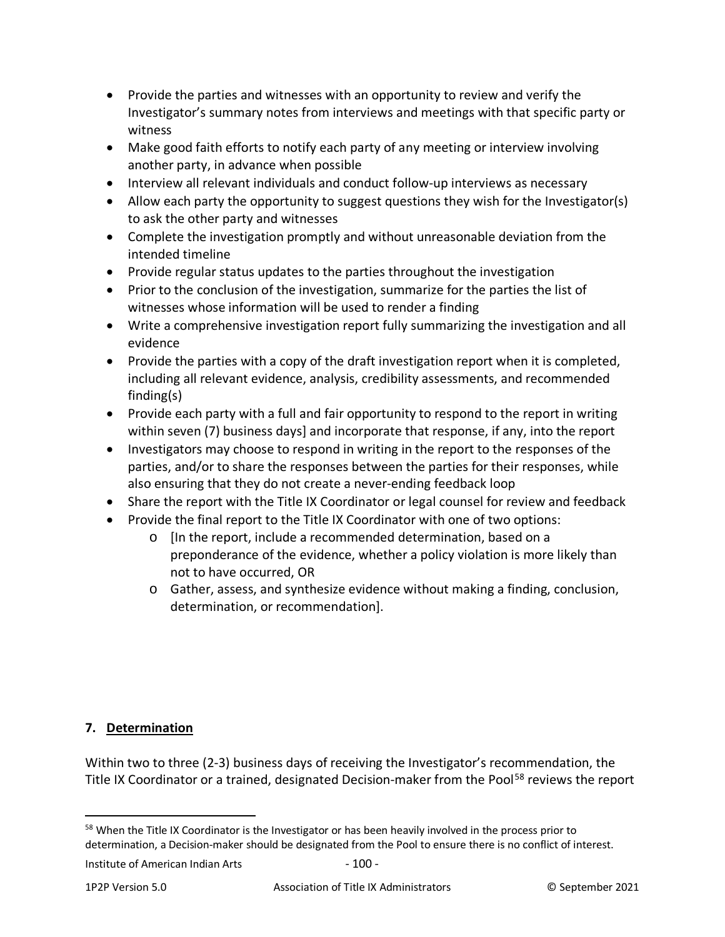- Provide the parties and witnesses with an opportunity to review and verify the Investigator's summary notes from interviews and meetings with that specific party or witness
- Make good faith efforts to notify each party of any meeting or interview involving another party, in advance when possible
- Interview all relevant individuals and conduct follow-up interviews as necessary
- Allow each party the opportunity to suggest questions they wish for the Investigator(s) to ask the other party and witnesses
- Complete the investigation promptly and without unreasonable deviation from the intended timeline
- Provide regular status updates to the parties throughout the investigation
- Prior to the conclusion of the investigation, summarize for the parties the list of witnesses whose information will be used to render a finding
- Write a comprehensive investigation report fully summarizing the investigation and all evidence
- Provide the parties with a copy of the draft investigation report when it is completed, including all relevant evidence, analysis, credibility assessments, and recommended finding(s)
- Provide each party with a full and fair opportunity to respond to the report in writing within seven (7) business days] and incorporate that response, if any, into the report
- Investigators may choose to respond in writing in the report to the responses of the parties, and/or to share the responses between the parties for their responses, while also ensuring that they do not create a never-ending feedback loop
- Share the report with the Title IX Coordinator or legal counsel for review and feedback
- Provide the final report to the Title IX Coordinator with one of two options:
	- o [In the report, include a recommended determination, based on a preponderance of the evidence, whether a policy violation is more likely than not to have occurred, OR
	- o Gather, assess, and synthesize evidence without making a finding, conclusion, determination, or recommendation].

## **7. Determination**

Within two to three (2-3) business days of receiving the Investigator's recommendation, the Title IX Coordinator or a trained, designated Decision-maker from the Pool<sup>[58](#page-99-0)</sup> reviews the report

<span id="page-99-0"></span><sup>58</sup> When the Title IX Coordinator is the Investigator or has been heavily involved in the process prior to determination, a Decision-maker should be designated from the Pool to ensure there is no conflict of interest.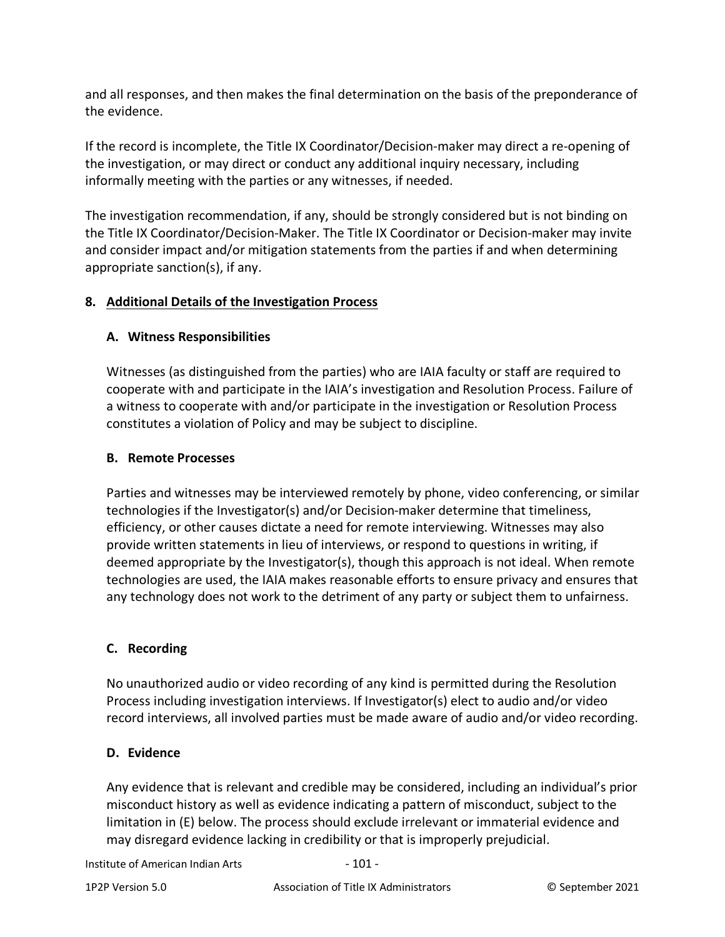and all responses, and then makes the final determination on the basis of the preponderance of the evidence.

If the record is incomplete, the Title IX Coordinator/Decision-maker may direct a re-opening of the investigation, or may direct or conduct any additional inquiry necessary, including informally meeting with the parties or any witnesses, if needed.

The investigation recommendation, if any, should be strongly considered but is not binding on the Title IX Coordinator/Decision-Maker. The Title IX Coordinator or Decision-maker may invite and consider impact and/or mitigation statements from the parties if and when determining appropriate sanction(s), if any.

# **8. Additional Details of the Investigation Process**

## **A. Witness Responsibilities**

Witnesses (as distinguished from the parties) who are IAIA faculty or staff are required to cooperate with and participate in the IAIA's investigation and Resolution Process. Failure of a witness to cooperate with and/or participate in the investigation or Resolution Process constitutes a violation of Policy and may be subject to discipline.

## **B. Remote Processes**

Parties and witnesses may be interviewed remotely by phone, video conferencing, or similar technologies if the Investigator(s) and/or Decision-maker determine that timeliness, efficiency, or other causes dictate a need for remote interviewing. Witnesses may also provide written statements in lieu of interviews, or respond to questions in writing, if deemed appropriate by the Investigator(s), though this approach is not ideal. When remote technologies are used, the IAIA makes reasonable efforts to ensure privacy and ensures that any technology does not work to the detriment of any party or subject them to unfairness.

## **C. Recording**

No unauthorized audio or video recording of any kind is permitted during the Resolution Process including investigation interviews. If Investigator(s) elect to audio and/or video record interviews, all involved parties must be made aware of audio and/or video recording.

## **D. Evidence**

Any evidence that is relevant and credible may be considered, including an individual's prior misconduct history as well as evidence indicating a pattern of misconduct, subject to the limitation in (E) below. The process should exclude irrelevant or immaterial evidence and may disregard evidence lacking in credibility or that is improperly prejudicial.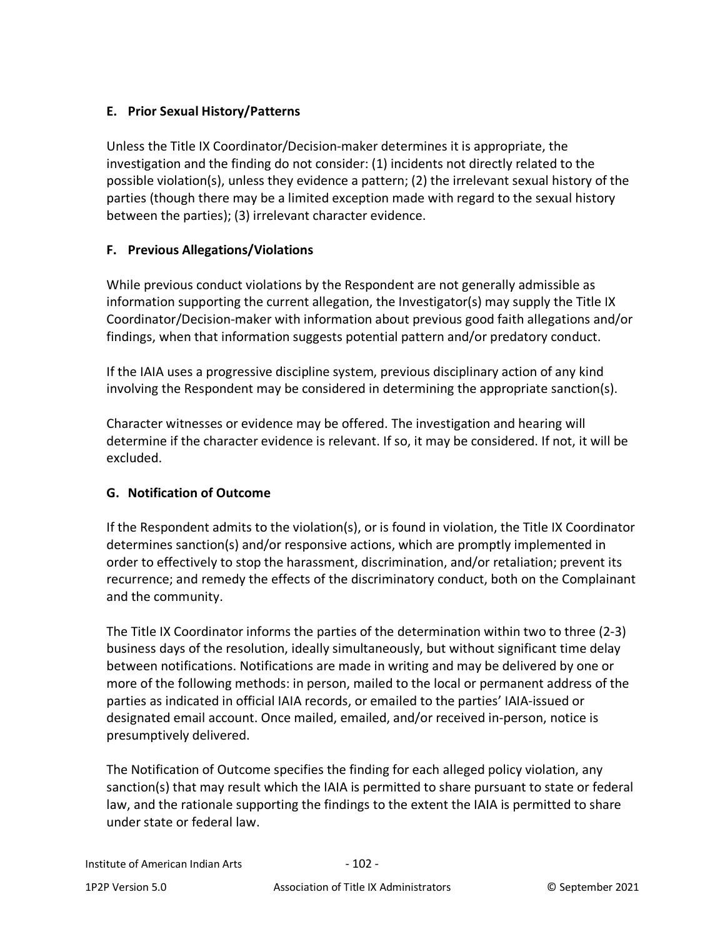# **E. Prior Sexual History/Patterns**

Unless the Title IX Coordinator/Decision-maker determines it is appropriate, the investigation and the finding do not consider: (1) incidents not directly related to the possible violation(s), unless they evidence a pattern; (2) the irrelevant sexual history of the parties (though there may be a limited exception made with regard to the sexual history between the parties); (3) irrelevant character evidence.

## **F. Previous Allegations/Violations**

While previous conduct violations by the Respondent are not generally admissible as information supporting the current allegation, the Investigator(s) may supply the Title IX Coordinator/Decision-maker with information about previous good faith allegations and/or findings, when that information suggests potential pattern and/or predatory conduct.

If the IAIA uses a progressive discipline system, previous disciplinary action of any kind involving the Respondent may be considered in determining the appropriate sanction(s).

Character witnesses or evidence may be offered. The investigation and hearing will determine if the character evidence is relevant. If so, it may be considered. If not, it will be excluded.

## **G. Notification of Outcome**

If the Respondent admits to the violation(s), or is found in violation, the Title IX Coordinator determines sanction(s) and/or responsive actions, which are promptly implemented in order to effectively to stop the harassment, discrimination, and/or retaliation; prevent its recurrence; and remedy the effects of the discriminatory conduct, both on the Complainant and the community.

The Title IX Coordinator informs the parties of the determination within two to three (2-3) business days of the resolution, ideally simultaneously, but without significant time delay between notifications. Notifications are made in writing and may be delivered by one or more of the following methods: in person, mailed to the local or permanent address of the parties as indicated in official IAIA records, or emailed to the parties' IAIA-issued or designated email account. Once mailed, emailed, and/or received in-person, notice is presumptively delivered.

The Notification of Outcome specifies the finding for each alleged policy violation, any sanction(s) that may result which the IAIA is permitted to share pursuant to state or federal law, and the rationale supporting the findings to the extent the IAIA is permitted to share under state or federal law.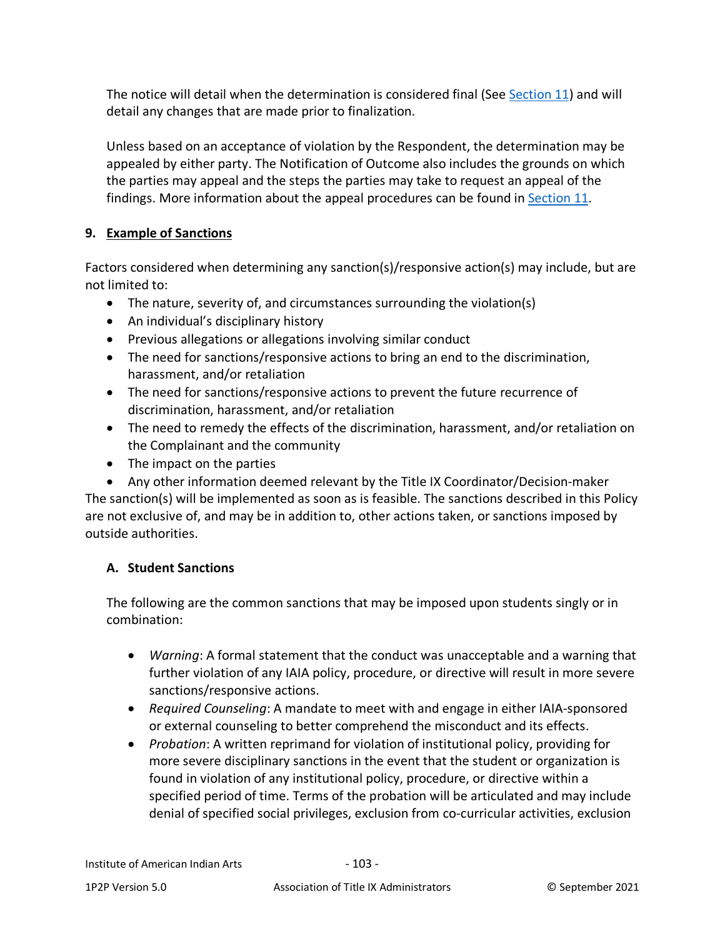The notice will detail when the determination is considered final (See [Section 11\)](#page-71-0) and will detail any changes that are made prior to finalization.

Unless based on an acceptance of violation by the Respondent, the determination may be appealed by either party. The Notification of Outcome also includes the grounds on which the parties may appeal and the steps the parties may take to request an appeal of the findings. More information about the appeal procedures can be found in [Section 11.](#page-71-0)

# **9. Example of Sanctions**

Factors considered when determining any sanction(s)/responsive action(s) may include, but are not limited to:

- The nature, severity of, and circumstances surrounding the violation(s)
- An individual's disciplinary history
- Previous allegations or allegations involving similar conduct
- The need for sanctions/responsive actions to bring an end to the discrimination, harassment, and/or retaliation
- The need for sanctions/responsive actions to prevent the future recurrence of discrimination, harassment, and/or retaliation
- The need to remedy the effects of the discrimination, harassment, and/or retaliation on the Complainant and the community
- The impact on the parties
- Any other information deemed relevant by the Title IX Coordinator/Decision-maker The sanction(s) will be implemented as soon as is feasible. The sanctions described in this Policy are not exclusive of, and may be in addition to, other actions taken, or sanctions imposed by outside authorities.

## **A. Student Sanctions**

The following are the common sanctions that may be imposed upon students singly or in combination:

- *Warning*: A formal statement that the conduct was unacceptable and a warning that further violation of any IAIA policy, procedure, or directive will result in more severe sanctions/responsive actions.
- *Required Counseling*: A mandate to meet with and engage in either IAIA-sponsored or external counseling to better comprehend the misconduct and its effects.
- *Probation*: A written reprimand for violation of institutional policy, providing for more severe disciplinary sanctions in the event that the student or organization is found in violation of any institutional policy, procedure, or directive within a specified period of time. Terms of the probation will be articulated and may include denial of specified social privileges, exclusion from co-curricular activities, exclusion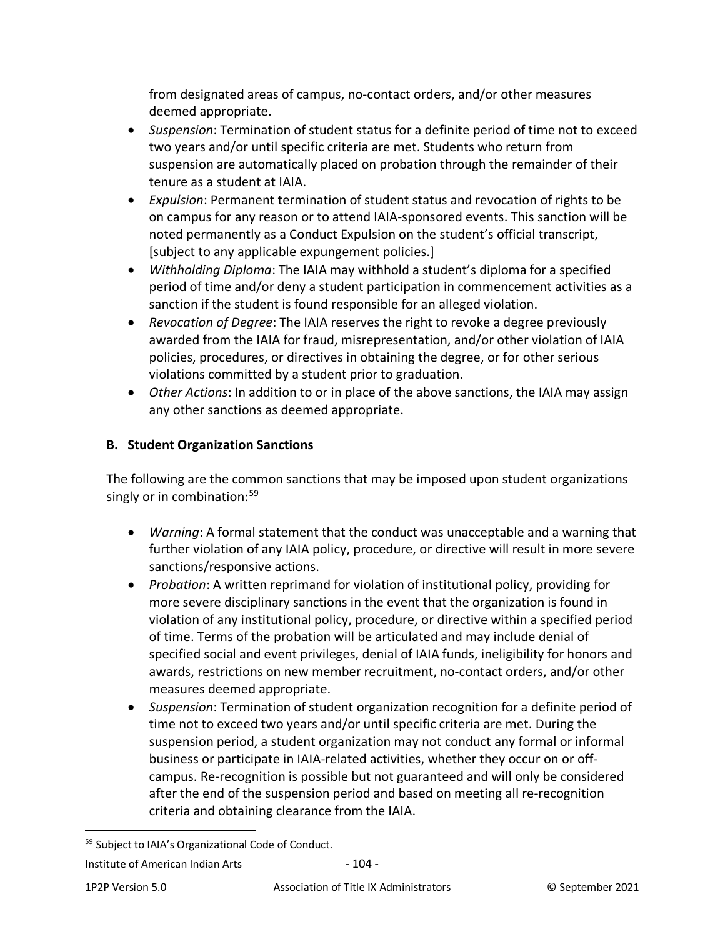from designated areas of campus, no-contact orders, and/or other measures deemed appropriate.

- *Suspension*: Termination of student status for a definite period of time not to exceed two years and/or until specific criteria are met. Students who return from suspension are automatically placed on probation through the remainder of their tenure as a student at IAIA.
- *Expulsion*: Permanent termination of student status and revocation of rights to be on campus for any reason or to attend IAIA-sponsored events. This sanction will be noted permanently as a Conduct Expulsion on the student's official transcript, [subject to any applicable expungement policies.]
- *Withholding Diploma*: The IAIA may withhold a student's diploma for a specified period of time and/or deny a student participation in commencement activities as a sanction if the student is found responsible for an alleged violation.
- *Revocation of Degree*: The IAIA reserves the right to revoke a degree previously awarded from the IAIA for fraud, misrepresentation, and/or other violation of IAIA policies, procedures, or directives in obtaining the degree, or for other serious violations committed by a student prior to graduation.
- *Other Actions*: In addition to or in place of the above sanctions, the IAIA may assign any other sanctions as deemed appropriate.

# **B. Student Organization Sanctions**

The following are the common sanctions that may be imposed upon student organizations singly or in combination:<sup>[59](#page-103-0)</sup>

- *Warning*: A formal statement that the conduct was unacceptable and a warning that further violation of any IAIA policy, procedure, or directive will result in more severe sanctions/responsive actions.
- *Probation*: A written reprimand for violation of institutional policy, providing for more severe disciplinary sanctions in the event that the organization is found in violation of any institutional policy, procedure, or directive within a specified period of time. Terms of the probation will be articulated and may include denial of specified social and event privileges, denial of IAIA funds, ineligibility for honors and awards, restrictions on new member recruitment, no-contact orders, and/or other measures deemed appropriate.
- *Suspension*: Termination of student organization recognition for a definite period of time not to exceed two years and/or until specific criteria are met. During the suspension period, a student organization may not conduct any formal or informal business or participate in IAIA-related activities, whether they occur on or offcampus. Re-recognition is possible but not guaranteed and will only be considered after the end of the suspension period and based on meeting all re-recognition criteria and obtaining clearance from the IAIA.

<span id="page-103-0"></span><sup>59</sup> Subject to IAIA's Organizational Code of Conduct.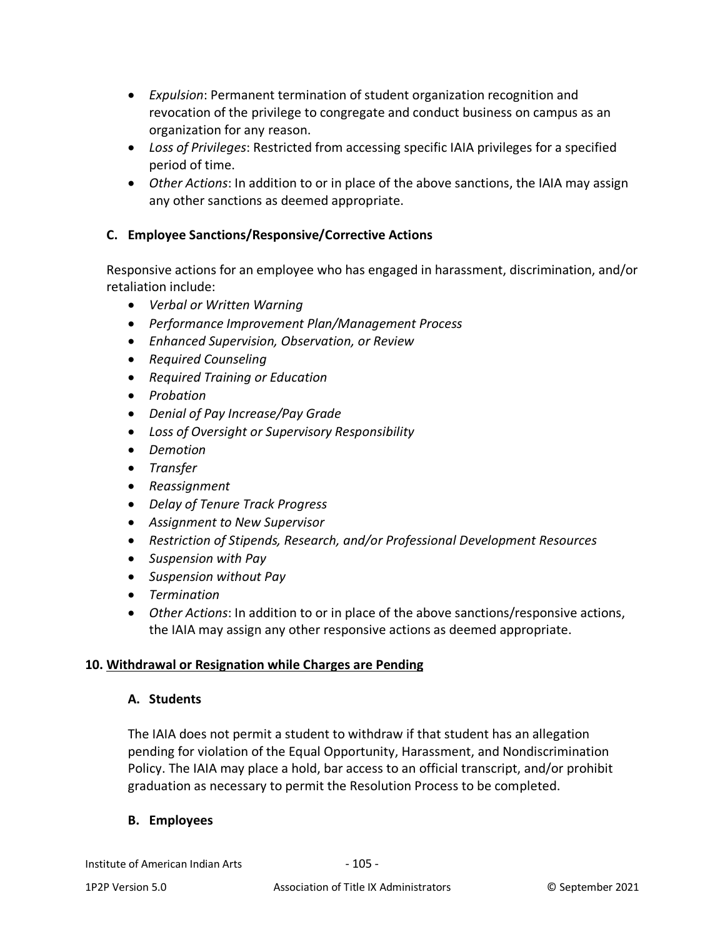- *Expulsion*: Permanent termination of student organization recognition and revocation of the privilege to congregate and conduct business on campus as an organization for any reason.
- *Loss of Privileges*: Restricted from accessing specific IAIA privileges for a specified period of time.
- *Other Actions*: In addition to or in place of the above sanctions, the IAIA may assign any other sanctions as deemed appropriate.

## **C. Employee Sanctions/Responsive/Corrective Actions**

Responsive actions for an employee who has engaged in harassment, discrimination, and/or retaliation include:

- *Verbal or Written Warning*
- *Performance Improvement Plan/Management Process*
- *Enhanced Supervision, Observation, or Review*
- *Required Counseling*
- *Required Training or Education*
- *Probation*
- *Denial of Pay Increase/Pay Grade*
- *Loss of Oversight or Supervisory Responsibility*
- *Demotion*
- *Transfer*
- *Reassignment*
- *Delay of Tenure Track Progress*
- *Assignment to New Supervisor*
- *Restriction of Stipends, Research, and/or Professional Development Resources*
- *Suspension with Pay*
- *Suspension without Pay*
- *Termination*
- *Other Actions*: In addition to or in place of the above sanctions/responsive actions, the IAIA may assign any other responsive actions as deemed appropriate.

## **10. Withdrawal or Resignation while Charges are Pending**

### **A. Students**

The IAIA does not permit a student to withdraw if that student has an allegation pending for violation of the Equal Opportunity, Harassment, and Nondiscrimination Policy. The IAIA may place a hold, bar access to an official transcript, and/or prohibit graduation as necessary to permit the Resolution Process to be completed.

### **B. Employees**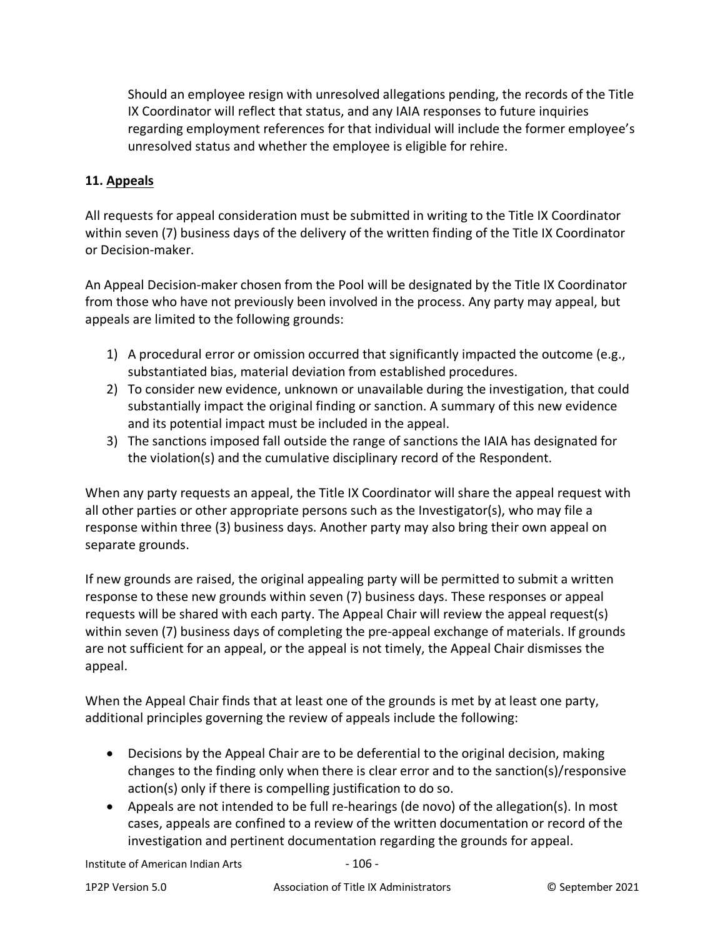Should an employee resign with unresolved allegations pending, the records of the Title IX Coordinator will reflect that status, and any IAIA responses to future inquiries regarding employment references for that individual will include the former employee's unresolved status and whether the employee is eligible for rehire.

## **11. Appeals**

All requests for appeal consideration must be submitted in writing to the Title IX Coordinator within seven (7) business days of the delivery of the written finding of the Title IX Coordinator or Decision-maker.

An Appeal Decision-maker chosen from the Pool will be designated by the Title IX Coordinator from those who have not previously been involved in the process. Any party may appeal, but appeals are limited to the following grounds:

- 1) A procedural error or omission occurred that significantly impacted the outcome (e.g., substantiated bias, material deviation from established procedures.
- 2) To consider new evidence, unknown or unavailable during the investigation, that could substantially impact the original finding or sanction. A summary of this new evidence and its potential impact must be included in the appeal.
- 3) The sanctions imposed fall outside the range of sanctions the IAIA has designated for the violation(s) and the cumulative disciplinary record of the Respondent.

When any party requests an appeal, the Title IX Coordinator will share the appeal request with all other parties or other appropriate persons such as the Investigator(s), who may file a response within three (3) business days. Another party may also bring their own appeal on separate grounds.

If new grounds are raised, the original appealing party will be permitted to submit a written response to these new grounds within seven (7) business days. These responses or appeal requests will be shared with each party. The Appeal Chair will review the appeal request(s) within seven (7) business days of completing the pre-appeal exchange of materials. If grounds are not sufficient for an appeal, or the appeal is not timely, the Appeal Chair dismisses the appeal.

When the Appeal Chair finds that at least one of the grounds is met by at least one party, additional principles governing the review of appeals include the following:

- Decisions by the Appeal Chair are to be deferential to the original decision, making changes to the finding only when there is clear error and to the sanction(s)/responsive action(s) only if there is compelling justification to do so.
- Appeals are not intended to be full re-hearings (de novo) of the allegation(s). In most cases, appeals are confined to a review of the written documentation or record of the investigation and pertinent documentation regarding the grounds for appeal.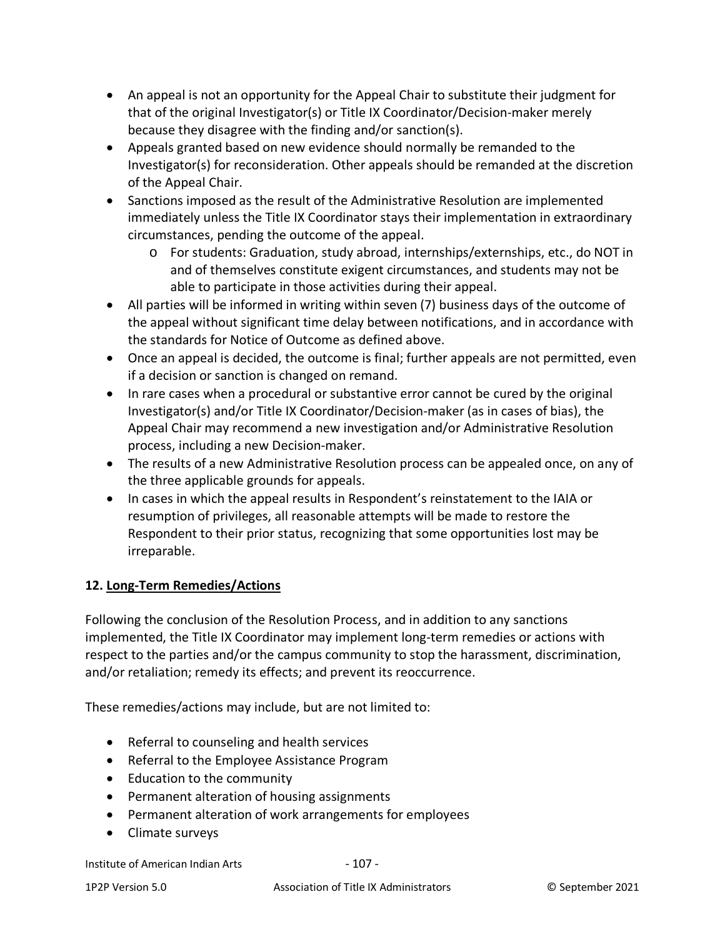- An appeal is not an opportunity for the Appeal Chair to substitute their judgment for that of the original Investigator(s) or Title IX Coordinator/Decision-maker merely because they disagree with the finding and/or sanction(s).
- Appeals granted based on new evidence should normally be remanded to the Investigator(s) for reconsideration. Other appeals should be remanded at the discretion of the Appeal Chair.
- Sanctions imposed as the result of the Administrative Resolution are implemented immediately unless the Title IX Coordinator stays their implementation in extraordinary circumstances, pending the outcome of the appeal.
	- o For students: Graduation, study abroad, internships/externships, etc., do NOT in and of themselves constitute exigent circumstances, and students may not be able to participate in those activities during their appeal.
- All parties will be informed in writing within seven (7) business days of the outcome of the appeal without significant time delay between notifications, and in accordance with the standards for Notice of Outcome as defined above.
- Once an appeal is decided, the outcome is final; further appeals are not permitted, even if a decision or sanction is changed on remand.
- In rare cases when a procedural or substantive error cannot be cured by the original Investigator(s) and/or Title IX Coordinator/Decision-maker (as in cases of bias), the Appeal Chair may recommend a new investigation and/or Administrative Resolution process, including a new Decision-maker.
- The results of a new Administrative Resolution process can be appealed once, on any of the three applicable grounds for appeals.
- In cases in which the appeal results in Respondent's reinstatement to the IAIA or resumption of privileges, all reasonable attempts will be made to restore the Respondent to their prior status, recognizing that some opportunities lost may be irreparable.

# **12. Long-Term Remedies/Actions**

Following the conclusion of the Resolution Process, and in addition to any sanctions implemented, the Title IX Coordinator may implement long-term remedies or actions with respect to the parties and/or the campus community to stop the harassment, discrimination, and/or retaliation; remedy its effects; and prevent its reoccurrence.

These remedies/actions may include, but are not limited to:

- Referral to counseling and health services
- Referral to the Employee Assistance Program
- Education to the community
- Permanent alteration of housing assignments
- Permanent alteration of work arrangements for employees
- Climate surveys

Institute of American Indian Arts - 107 -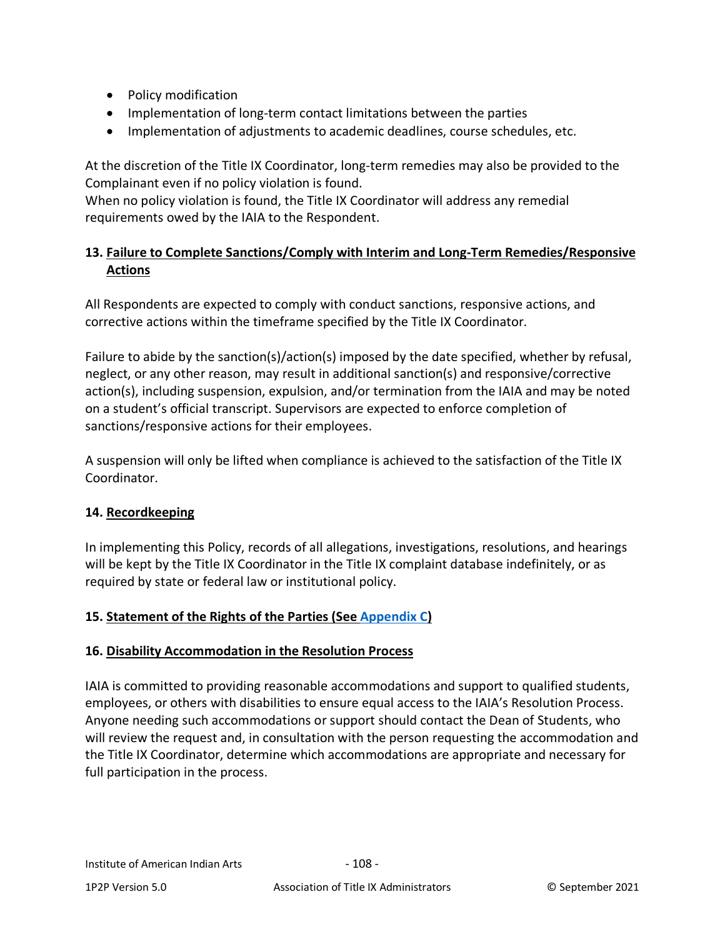- Policy modification
- Implementation of long-term contact limitations between the parties
- Implementation of adjustments to academic deadlines, course schedules, etc.

At the discretion of the Title IX Coordinator, long-term remedies may also be provided to the Complainant even if no policy violation is found.

When no policy violation is found, the Title IX Coordinator will address any remedial requirements owed by the IAIA to the Respondent.

# **13. Failure to Complete Sanctions/Comply with Interim and Long-Term Remedies/Responsive Actions**

All Respondents are expected to comply with conduct sanctions, responsive actions, and corrective actions within the timeframe specified by the Title IX Coordinator.

Failure to abide by the sanction(s)/action(s) imposed by the date specified, whether by refusal, neglect, or any other reason, may result in additional sanction(s) and responsive/corrective action(s), including suspension, expulsion, and/or termination from the IAIA and may be noted on a student's official transcript. Supervisors are expected to enforce completion of sanctions/responsive actions for their employees.

A suspension will only be lifted when compliance is achieved to the satisfaction of the Title IX Coordinator.

## **14. Recordkeeping**

In implementing this Policy, records of all allegations, investigations, resolutions, and hearings will be kept by the Title IX Coordinator in the Title IX complaint database indefinitely, or as required by state or federal law or institutional policy.

## **15. Statement of the Rights of the Parties (See [Appendix C\)](#page-82-0)**

### **16. Disability Accommodation in the Resolution Process**

IAIA is committed to providing reasonable accommodations and support to qualified students, employees, or others with disabilities to ensure equal access to the IAIA's Resolution Process. Anyone needing such accommodations or support should contact the Dean of Students, who will review the request and, in consultation with the person requesting the accommodation and the Title IX Coordinator, determine which accommodations are appropriate and necessary for full participation in the process.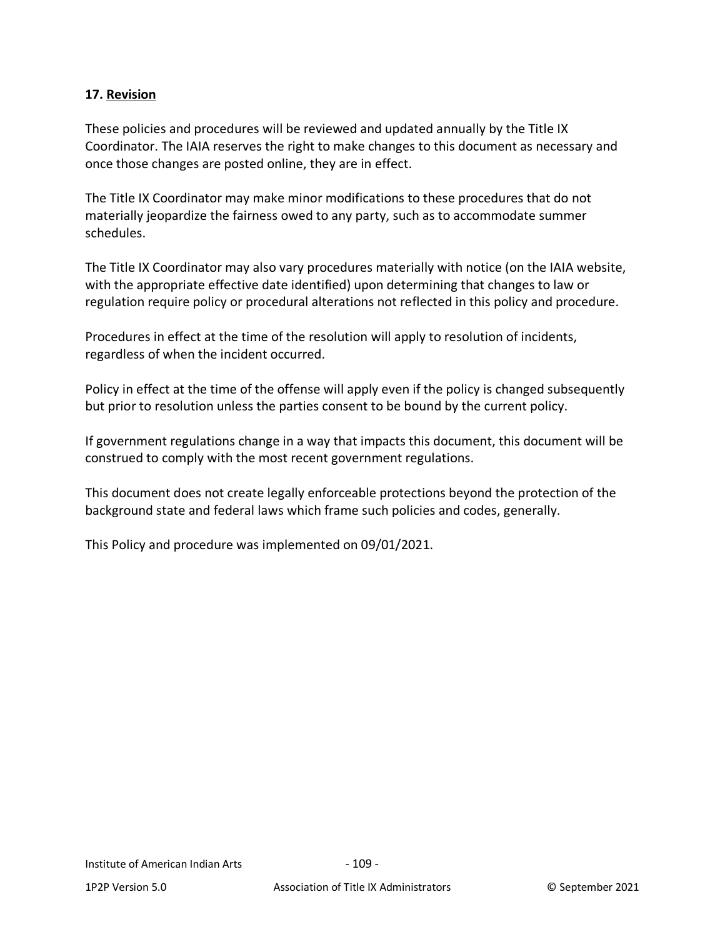### **17. Revision**

These policies and procedures will be reviewed and updated annually by the Title IX Coordinator. The IAIA reserves the right to make changes to this document as necessary and once those changes are posted online, they are in effect.

The Title IX Coordinator may make minor modifications to these procedures that do not materially jeopardize the fairness owed to any party, such as to accommodate summer schedules.

The Title IX Coordinator may also vary procedures materially with notice (on the IAIA website, with the appropriate effective date identified) upon determining that changes to law or regulation require policy or procedural alterations not reflected in this policy and procedure.

Procedures in effect at the time of the resolution will apply to resolution of incidents, regardless of when the incident occurred.

Policy in effect at the time of the offense will apply even if the policy is changed subsequently but prior to resolution unless the parties consent to be bound by the current policy.

If government regulations change in a way that impacts this document, this document will be construed to comply with the most recent government regulations.

This document does not create legally enforceable protections beyond the protection of the background state and federal laws which frame such policies and codes, generally.

This Policy and procedure was implemented on 09/01/2021.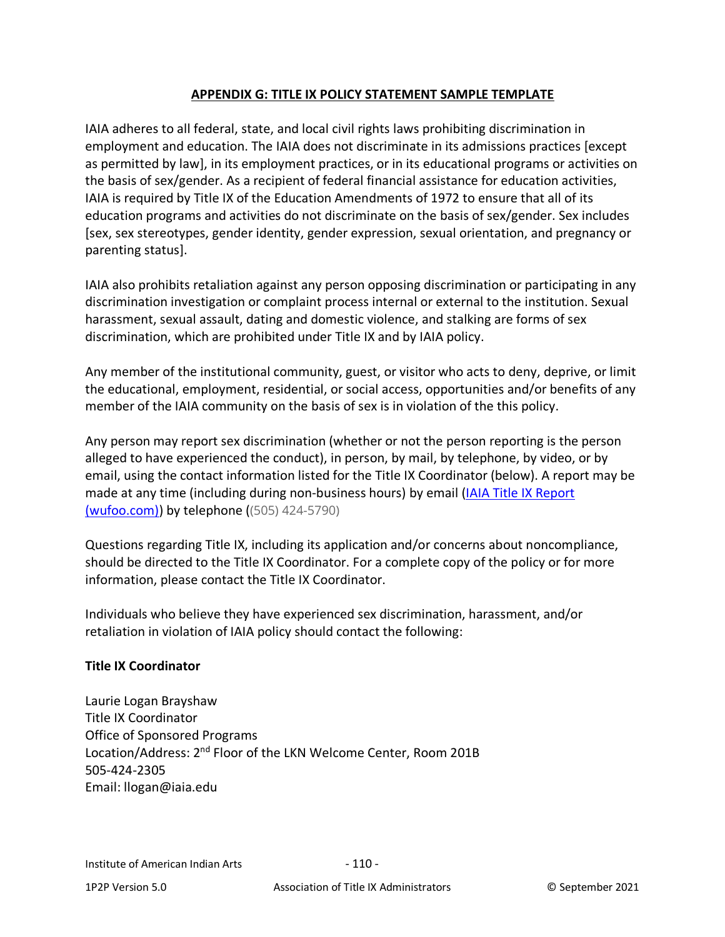### **APPENDIX G: TITLE IX POLICY STATEMENT SAMPLE TEMPLATE**

IAIA adheres to all federal, state, and local civil rights laws prohibiting discrimination in employment and education. The IAIA does not discriminate in its admissions practices [except as permitted by law], in its employment practices, or in its educational programs or activities on the basis of sex/gender. As a recipient of federal financial assistance for education activities, IAIA is required by Title IX of the Education Amendments of 1972 to ensure that all of its education programs and activities do not discriminate on the basis of sex/gender. Sex includes [sex, sex stereotypes, gender identity, gender expression, sexual orientation, and pregnancy or parenting status].

IAIA also prohibits retaliation against any person opposing discrimination or participating in any discrimination investigation or complaint process internal or external to the institution. Sexual harassment, sexual assault, dating and domestic violence, and stalking are forms of sex discrimination, which are prohibited under Title IX and by IAIA policy.

Any member of the institutional community, guest, or visitor who acts to deny, deprive, or limit the educational, employment, residential, or social access, opportunities and/or benefits of any member of the IAIA community on the basis of sex is in violation of the this policy.

Any person may report sex discrimination (whether or not the person reporting is the person alleged to have experienced the conduct), in person, by mail, by telephone, by video, or by email, using the contact information listed for the Title IX Coordinator (below). A report may be made at any time (including during non-business hours) by email (IAIA Title IX Report [\(wufoo.com\)\)](https://iaia.wufoo.com/forms/mgios2n0jrjsjc/) by telephone ((505) 424-5790)

Questions regarding Title IX, including its application and/or concerns about noncompliance, should be directed to the Title IX Coordinator. For a complete copy of the policy or for more information, please contact the Title IX Coordinator.

Individuals who believe they have experienced sex discrimination, harassment, and/or retaliation in violation of IAIA policy should contact the following:

# **Title IX Coordinator**

Laurie Logan Brayshaw Title IX Coordinator Office of Sponsored Programs Location/Address: 2<sup>nd</sup> Floor of the LKN Welcome Center, Room 201B 505-424-2305 Email: llogan@iaia.edu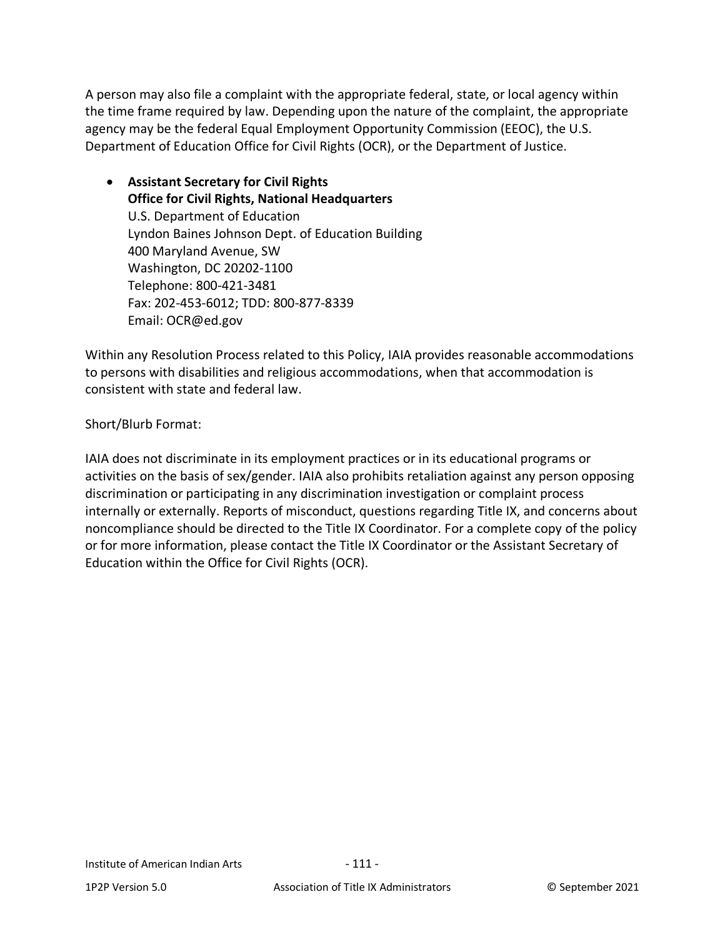A person may also file a complaint with the appropriate federal, state, or local agency within the time frame required by law. Depending upon the nature of the complaint, the appropriate agency may be the federal Equal Employment Opportunity Commission (EEOC), the U.S. Department of Education Office for Civil Rights (OCR), or the Department of Justice.

• **Assistant Secretary for Civil Rights Office for Civil Rights, National Headquarters** U.S. Department of Education Lyndon Baines Johnson Dept. of Education Building 400 Maryland Avenue, SW Washington, DC 20202-1100 Telephone: 800-421-3481 Fax: 202-453-6012; TDD: 800-877-8339 Email: OCR@ed.gov

Within any Resolution Process related to this Policy, IAIA provides reasonable accommodations to persons with disabilities and religious accommodations, when that accommodation is consistent with state and federal law.

# Short/Blurb Format:

IAIA does not discriminate in its employment practices or in its educational programs or activities on the basis of sex/gender. IAIA also prohibits retaliation against any person opposing discrimination or participating in any discrimination investigation or complaint process internally or externally. Reports of misconduct, questions regarding Title IX, and concerns about noncompliance should be directed to the Title IX Coordinator. For a complete copy of the policy or for more information, please contact the Title IX Coordinator or the Assistant Secretary of Education within the Office for Civil Rights (OCR).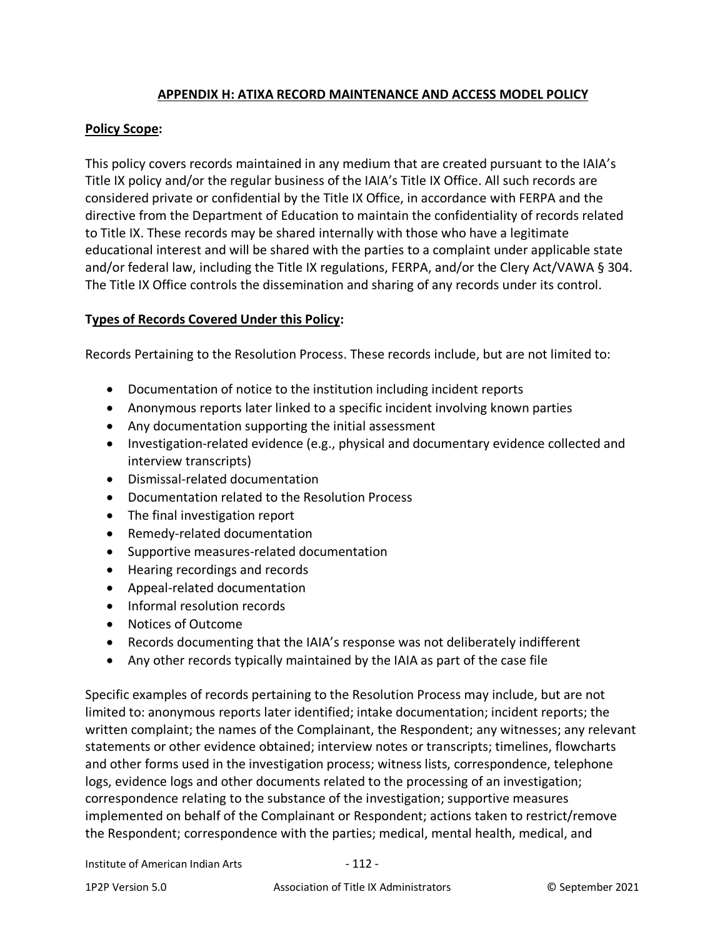# **APPENDIX H: ATIXA RECORD MAINTENANCE AND ACCESS MODEL POLICY**

# **Policy Scope:**

This policy covers records maintained in any medium that are created pursuant to the IAIA's Title IX policy and/or the regular business of the IAIA's Title IX Office. All such records are considered private or confidential by the Title IX Office, in accordance with FERPA and the directive from the Department of Education to maintain the confidentiality of records related to Title IX. These records may be shared internally with those who have a legitimate educational interest and will be shared with the parties to a complaint under applicable state and/or federal law, including the Title IX regulations, FERPA, and/or the Clery Act/VAWA § 304. The Title IX Office controls the dissemination and sharing of any records under its control.

# **Types of Records Covered Under this Policy:**

Records Pertaining to the Resolution Process. These records include, but are not limited to:

- Documentation of notice to the institution including incident reports
- Anonymous reports later linked to a specific incident involving known parties
- Any documentation supporting the initial assessment
- Investigation-related evidence (e.g., physical and documentary evidence collected and interview transcripts)
- Dismissal-related documentation
- Documentation related to the Resolution Process
- The final investigation report
- Remedy-related documentation
- Supportive measures-related documentation
- Hearing recordings and records
- Appeal-related documentation
- Informal resolution records
- Notices of Outcome
- Records documenting that the IAIA's response was not deliberately indifferent
- Any other records typically maintained by the IAIA as part of the case file

Specific examples of records pertaining to the Resolution Process may include, but are not limited to: anonymous reports later identified; intake documentation; incident reports; the written complaint; the names of the Complainant, the Respondent; any witnesses; any relevant statements or other evidence obtained; interview notes or transcripts; timelines, flowcharts and other forms used in the investigation process; witness lists, correspondence, telephone logs, evidence logs and other documents related to the processing of an investigation; correspondence relating to the substance of the investigation; supportive measures implemented on behalf of the Complainant or Respondent; actions taken to restrict/remove the Respondent; correspondence with the parties; medical, mental health, medical, and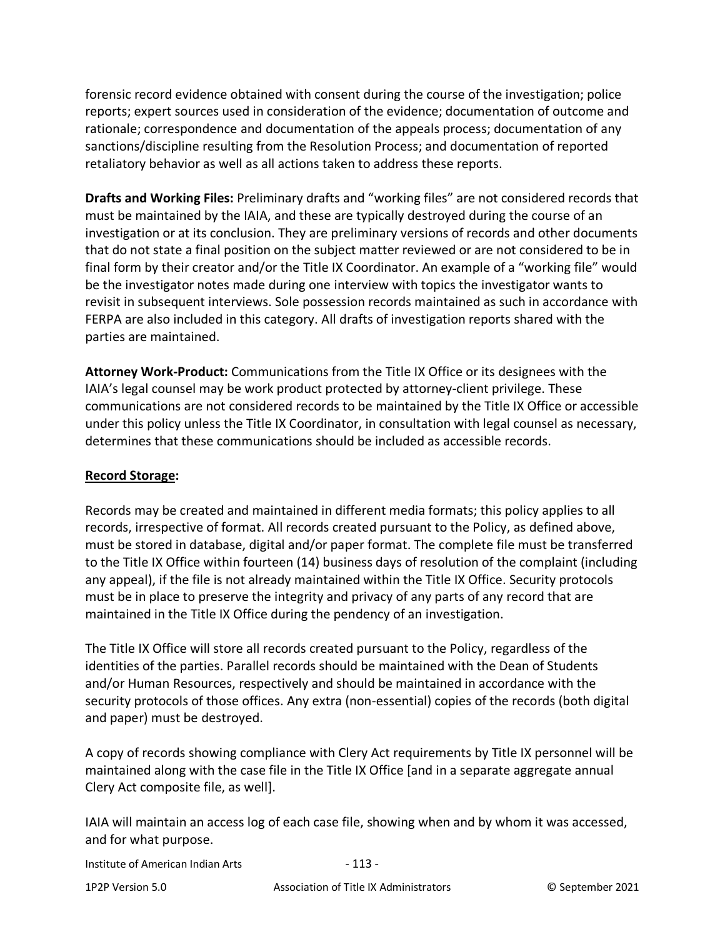forensic record evidence obtained with consent during the course of the investigation; police reports; expert sources used in consideration of the evidence; documentation of outcome and rationale; correspondence and documentation of the appeals process; documentation of any sanctions/discipline resulting from the Resolution Process; and documentation of reported retaliatory behavior as well as all actions taken to address these reports.

**Drafts and Working Files:** Preliminary drafts and "working files" are not considered records that must be maintained by the IAIA, and these are typically destroyed during the course of an investigation or at its conclusion. They are preliminary versions of records and other documents that do not state a final position on the subject matter reviewed or are not considered to be in final form by their creator and/or the Title IX Coordinator. An example of a "working file" would be the investigator notes made during one interview with topics the investigator wants to revisit in subsequent interviews. Sole possession records maintained as such in accordance with FERPA are also included in this category. All drafts of investigation reports shared with the parties are maintained.

**Attorney Work-Product:** Communications from the Title IX Office or its designees with the IAIA's legal counsel may be work product protected by attorney-client privilege. These communications are not considered records to be maintained by the Title IX Office or accessible under this policy unless the Title IX Coordinator, in consultation with legal counsel as necessary, determines that these communications should be included as accessible records.

# **Record Storage:**

Records may be created and maintained in different media formats; this policy applies to all records, irrespective of format. All records created pursuant to the Policy, as defined above, must be stored in database, digital and/or paper format. The complete file must be transferred to the Title IX Office within fourteen (14) business days of resolution of the complaint (including any appeal), if the file is not already maintained within the Title IX Office. Security protocols must be in place to preserve the integrity and privacy of any parts of any record that are maintained in the Title IX Office during the pendency of an investigation.

The Title IX Office will store all records created pursuant to the Policy, regardless of the identities of the parties. Parallel records should be maintained with the Dean of Students and/or Human Resources, respectively and should be maintained in accordance with the security protocols of those offices. Any extra (non-essential) copies of the records (both digital and paper) must be destroyed.

A copy of records showing compliance with Clery Act requirements by Title IX personnel will be maintained along with the case file in the Title IX Office [and in a separate aggregate annual Clery Act composite file, as well].

IAIA will maintain an access log of each case file, showing when and by whom it was accessed, and for what purpose.

Institute of American Indian Arts - 113 -